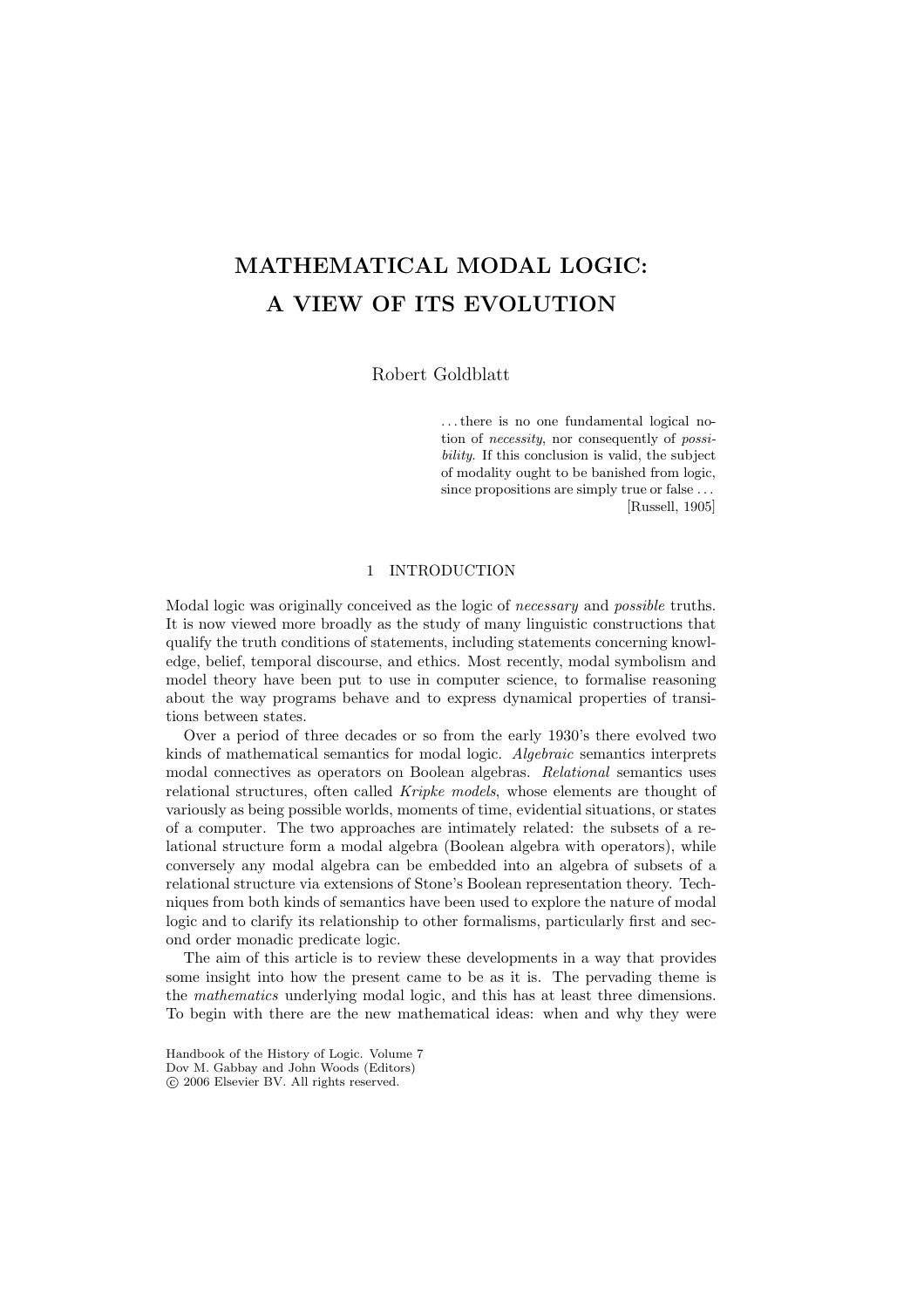# MATHEMATICAL MODAL LOGIC: A VIEW OF ITS EVOLUTION

Robert Goldblatt

. . . there is no one fundamental logical notion of necessity, nor consequently of possibility. If this conclusion is valid, the subject of modality ought to be banished from logic, since propositions are simply true or false . . . [Russell, 1905]

# 1 INTRODUCTION

Modal logic was originally conceived as the logic of *necessary* and *possible* truths. It is now viewed more broadly as the study of many linguistic constructions that qualify the truth conditions of statements, including statements concerning knowledge, belief, temporal discourse, and ethics. Most recently, modal symbolism and model theory have been put to use in computer science, to formalise reasoning about the way programs behave and to express dynamical properties of transitions between states.

Over a period of three decades or so from the early 1930's there evolved two kinds of mathematical semantics for modal logic. Algebraic semantics interprets modal connectives as operators on Boolean algebras. Relational semantics uses relational structures, often called Kripke models, whose elements are thought of variously as being possible worlds, moments of time, evidential situations, or states of a computer. The two approaches are intimately related: the subsets of a relational structure form a modal algebra (Boolean algebra with operators), while conversely any modal algebra can be embedded into an algebra of subsets of a relational structure via extensions of Stone's Boolean representation theory. Techniques from both kinds of semantics have been used to explore the nature of modal logic and to clarify its relationship to other formalisms, particularly first and second order monadic predicate logic.

The aim of this article is to review these developments in a way that provides some insight into how the present came to be as it is. The pervading theme is the mathematics underlying modal logic, and this has at least three dimensions. To begin with there are the new mathematical ideas: when and why they were

Handbook of the History of Logic. Volume 7 Dov M. Gabbay and John Woods (Editors) c 2006 Elsevier BV. All rights reserved.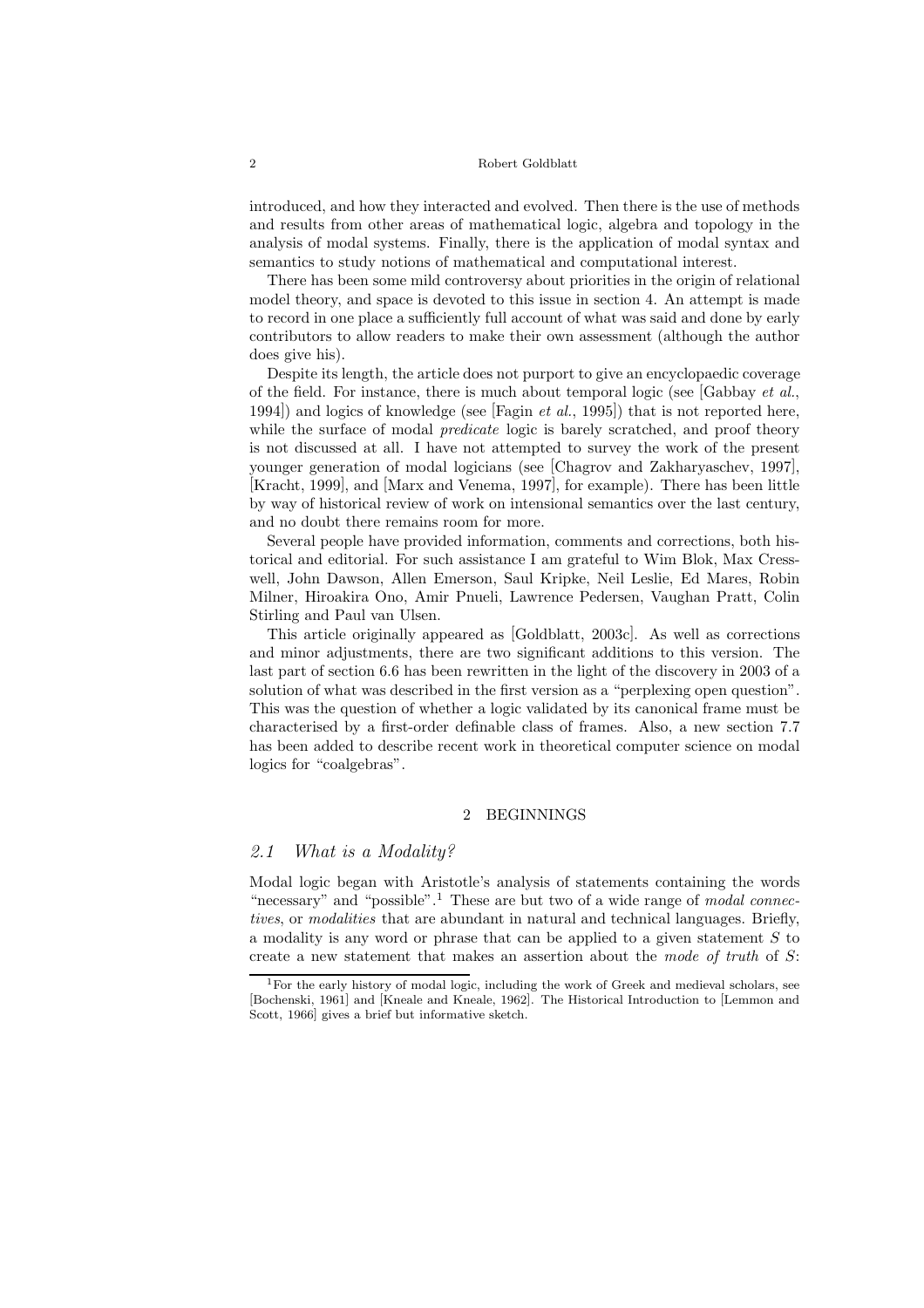introduced, and how they interacted and evolved. Then there is the use of methods and results from other areas of mathematical logic, algebra and topology in the analysis of modal systems. Finally, there is the application of modal syntax and semantics to study notions of mathematical and computational interest.

There has been some mild controversy about priorities in the origin of relational model theory, and space is devoted to this issue in section 4. An attempt is made to record in one place a sufficiently full account of what was said and done by early contributors to allow readers to make their own assessment (although the author does give his).

Despite its length, the article does not purport to give an encyclopaedic coverage of the field. For instance, there is much about temporal logic (see [Gabbay *et al.*, 1994) and logics of knowledge (see Fagin *et al.*, 1995) that is not reported here, while the surface of modal *predicate* logic is barely scratched, and proof theory is not discussed at all. I have not attempted to survey the work of the present younger generation of modal logicians (see [Chagrov and Zakharyaschev, 1997], [Kracht, 1999], and [Marx and Venema, 1997], for example). There has been little by way of historical review of work on intensional semantics over the last century, and no doubt there remains room for more.

Several people have provided information, comments and corrections, both historical and editorial. For such assistance I am grateful to Wim Blok, Max Cresswell, John Dawson, Allen Emerson, Saul Kripke, Neil Leslie, Ed Mares, Robin Milner, Hiroakira Ono, Amir Pnueli, Lawrence Pedersen, Vaughan Pratt, Colin Stirling and Paul van Ulsen.

This article originally appeared as [Goldblatt, 2003c]. As well as corrections and minor adjustments, there are two significant additions to this version. The last part of section 6.6 has been rewritten in the light of the discovery in 2003 of a solution of what was described in the first version as a "perplexing open question". This was the question of whether a logic validated by its canonical frame must be characterised by a first-order definable class of frames. Also, a new section 7.7 has been added to describe recent work in theoretical computer science on modal logics for "coalgebras".

#### 2 BEGINNINGS

# *2.1 What is a Modality?*

Modal logic began with Aristotle's analysis of statements containing the words "necessary" and "possible".<sup>1</sup> These are but two of a wide range of *modal connec*tives, or modalities that are abundant in natural and technical languages. Briefly, a modality is any word or phrase that can be applied to a given statement S to create a new statement that makes an assertion about the mode of truth of  $S$ :

<sup>&</sup>lt;sup>1</sup>For the early history of modal logic, including the work of Greek and medieval scholars, see [Bochenski, 1961] and [Kneale and Kneale, 1962]. The Historical Introduction to [Lemmon and Scott, 1966] gives a brief but informative sketch.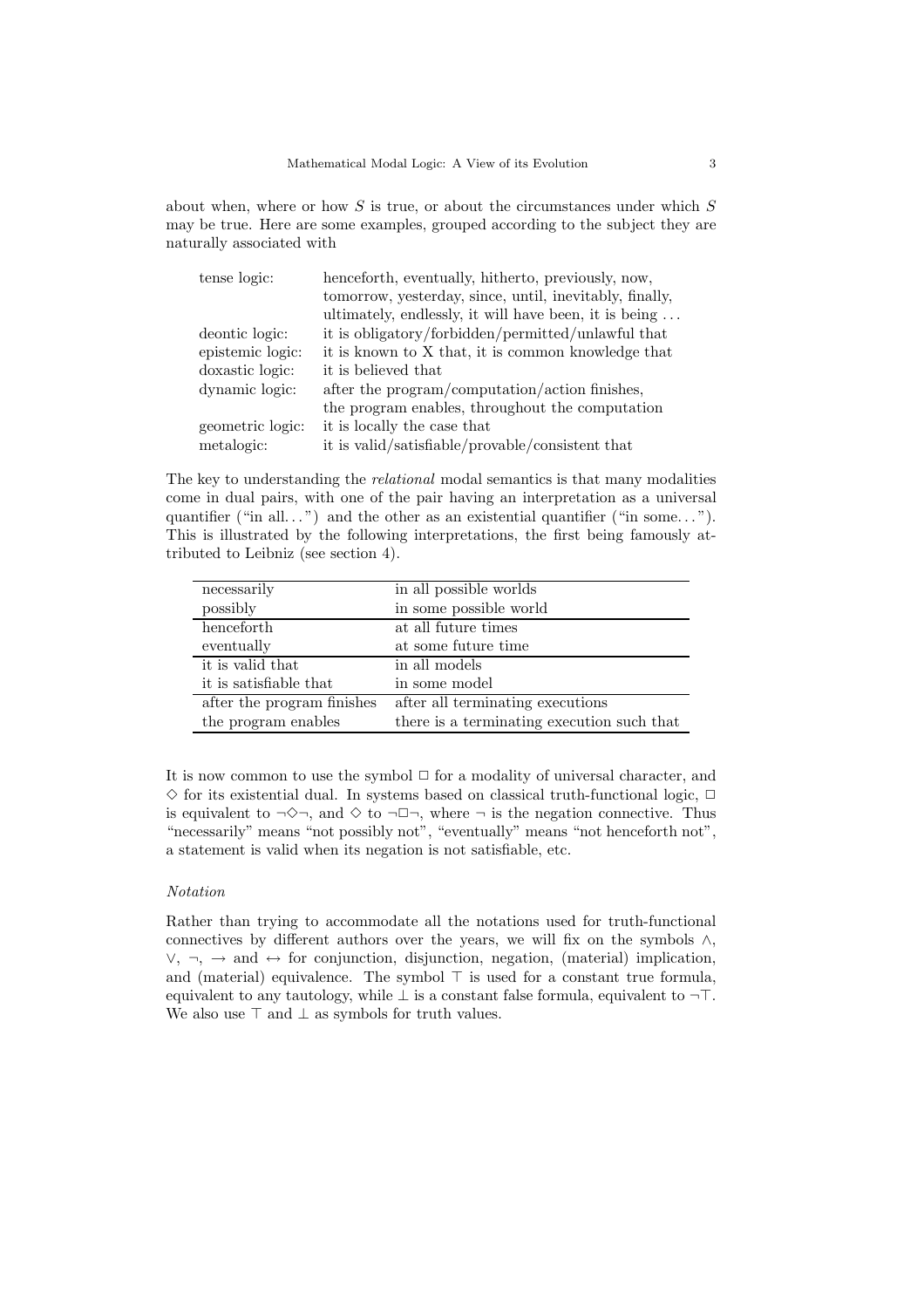about when, where or how  $S$  is true, or about the circumstances under which  $S$ may be true. Here are some examples, grouped according to the subject they are naturally associated with

| tense logic:     | henceforth, eventually, hitherto, previously, now,      |
|------------------|---------------------------------------------------------|
|                  | tomorrow, yesterday, since, until, inevitably, finally, |
|                  | ultimately, endlessly, it will have been, it is being   |
| deontic logic:   | it is obligatory/forbidden/permitted/unlawful that      |
| epistemic logic: | it is known to X that, it is common knowledge that      |
| doxastic logic:  | it is believed that                                     |
| dynamic logic:   | after the program/computation/action finishes,          |
|                  | the program enables, throughout the computation         |
| geometric logic: | it is locally the case that                             |
| metalogic:       | it is valid/satisfiable/provable/consistent that        |

The key to understanding the *relational* modal semantics is that many modalities come in dual pairs, with one of the pair having an interpretation as a universal quantifier ("in all...") and the other as an existential quantifier ("in some..."). This is illustrated by the following interpretations, the first being famously attributed to Leibniz (see section 4).

| necessarily                | in all possible worlds                     |
|----------------------------|--------------------------------------------|
| possibly                   | in some possible world                     |
| henceforth                 | at all future times                        |
| eventually                 | at some future time.                       |
| it is valid that           | in all models                              |
| it is satisfiable that     | in some model                              |
| after the program finishes | after all terminating executions           |
| the program enables        | there is a terminating execution such that |

It is now common to use the symbol  $\Box$  for a modality of universal character, and  $\diamond$  for its existential dual. In systems based on classical truth-functional logic,  $\Box$ is equivalent to  $\neg \Diamond \neg$ , and  $\Diamond$  to  $\neg \Box \neg$ , where  $\neg$  is the negation connective. Thus "necessarily" means "not possibly not", "eventually" means "not henceforth not", a statement is valid when its negation is not satisfiable, etc.

#### Notation

Rather than trying to accommodate all the notations used for truth-functional connectives by different authors over the years, we will fix on the symbols  $\wedge$ ,  $\vee$ ,  $\neg$ ,  $\rightarrow$  and  $\leftrightarrow$  for conjunction, disjunction, negation, (material) implication, and (material) equivalence. The symbol ⊤ is used for a constant true formula, equivalent to any tautology, while  $\bot$  is a constant false formula, equivalent to  $\neg$ T. We also use  $\top$  and  $\bot$  as symbols for truth values.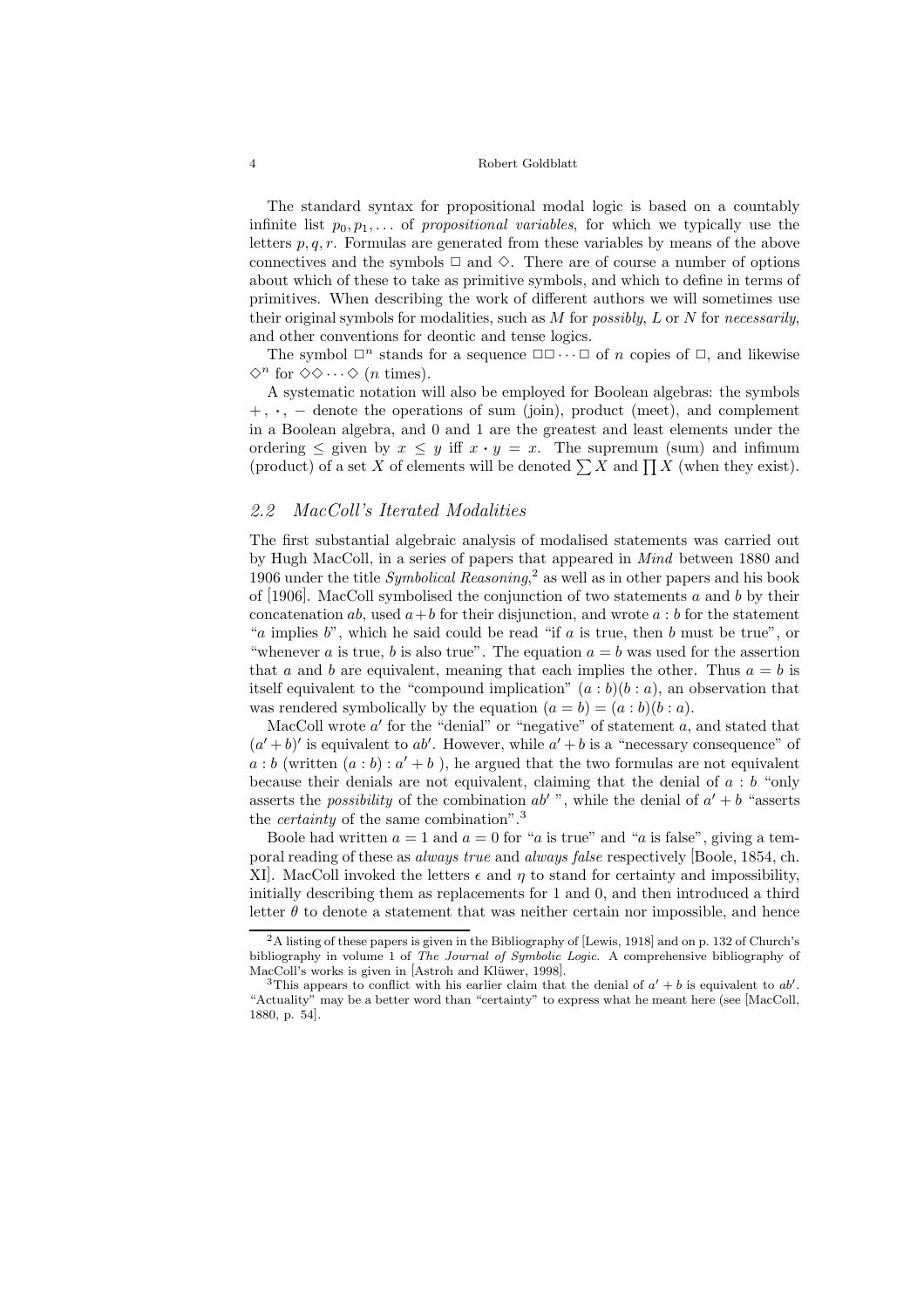The standard syntax for propositional modal logic is based on a countably infinite list  $p_0, p_1, \ldots$  of propositional variables, for which we typically use the letters  $p, q, r$ . Formulas are generated from these variables by means of the above connectives and the symbols  $\Box$  and  $\diamond$ . There are of course a number of options about which of these to take as primitive symbols, and which to define in terms of primitives. When describing the work of different authors we will sometimes use their original symbols for modalities, such as  $M$  for possibly,  $L$  or  $N$  for necessarily, and other conventions for deontic and tense logics.

The symbol  $\Box^n$  stands for a sequence  $\Box \Box \cdots \Box$  of n copies of  $\Box$ , and likewise  $\Diamond^n$  for  $\diamond \Diamond \cdots \diamond (n \text{ times}).$ 

A systematic notation will also be employed for Boolean algebras: the symbols  $+$ ,  $\cdot$ , – denote the operations of sum (join), product (meet), and complement in a Boolean algebra, and 0 and 1 are the greatest and least elements under the ordering  $\leq$  given by  $x \leq y$  iff  $x \cdot y = x$ . The supremum (sum) and infimum (product) of a set X of elements will be denoted  $\sum X$  and  $\prod X$  (when they exist).

# *2.2 MacColl's Iterated Modalities*

The first substantial algebraic analysis of modalised statements was carried out by Hugh MacColl, in a series of papers that appeared in Mind between 1880 and 1906 under the title *Symbolical Reasoning*,<sup>2</sup> as well as in other papers and his book of [1906]. MacColl symbolised the conjunction of two statements  $a$  and  $b$  by their concatenation ab, used  $a+b$  for their disjunction, and wrote  $a:b$  for the statement "a implies  $b$ ", which he said could be read "if a is true, then  $b$  must be true", or "whenever a is true, b is also true". The equation  $a = b$  was used for the assertion that a and b are equivalent, meaning that each implies the other. Thus  $a = b$  is itself equivalent to the "compound implication"  $(a:b)(b:a)$ , an observation that was rendered symbolically by the equation  $(a = b) = (a : b)(b : a)$ .

MacColl wrote  $a'$  for the "denial" or "negative" of statement  $a$ , and stated that  $(a'+b)'$  is equivalent to ab'. However, while  $a'+b$  is a "necessary consequence" of  $a:b$  (written  $(a:b): a'+b$ ), he argued that the two formulas are not equivalent because their denials are not equivalent, claiming that the denial of  $a : b$  "only asserts the *possibility* of the combination  $ab'$ , while the denial of  $a' + b$  "asserts" the *certainty* of the same combination".<sup>3</sup>

Boole had written  $a = 1$  and  $a = 0$  for "a is true" and "a is false", giving a temporal reading of these as always true and always false respectively [Boole, 1854, ch. XI]. MacColl invoked the letters  $\epsilon$  and  $\eta$  to stand for certainty and impossibility, initially describing them as replacements for 1 and 0, and then introduced a third letter  $\theta$  to denote a statement that was neither certain nor impossible, and hence

 $2A$  listing of these papers is given in the Bibliography of [Lewis, 1918] and on p. 132 of Church's bibliography in volume 1 of *The Journal of Symbolic Logic*. A comprehensive bibliography of MacColl's works is given in [Astroh and Klüwer, 1998].

<sup>&</sup>lt;sup>3</sup>This appears to conflict with his earlier claim that the denial of  $a' + b$  is equivalent to  $ab'$ . "Actuality" may be a better word than "certainty" to express what he meant here (see [MacColl, 1880, p. 54].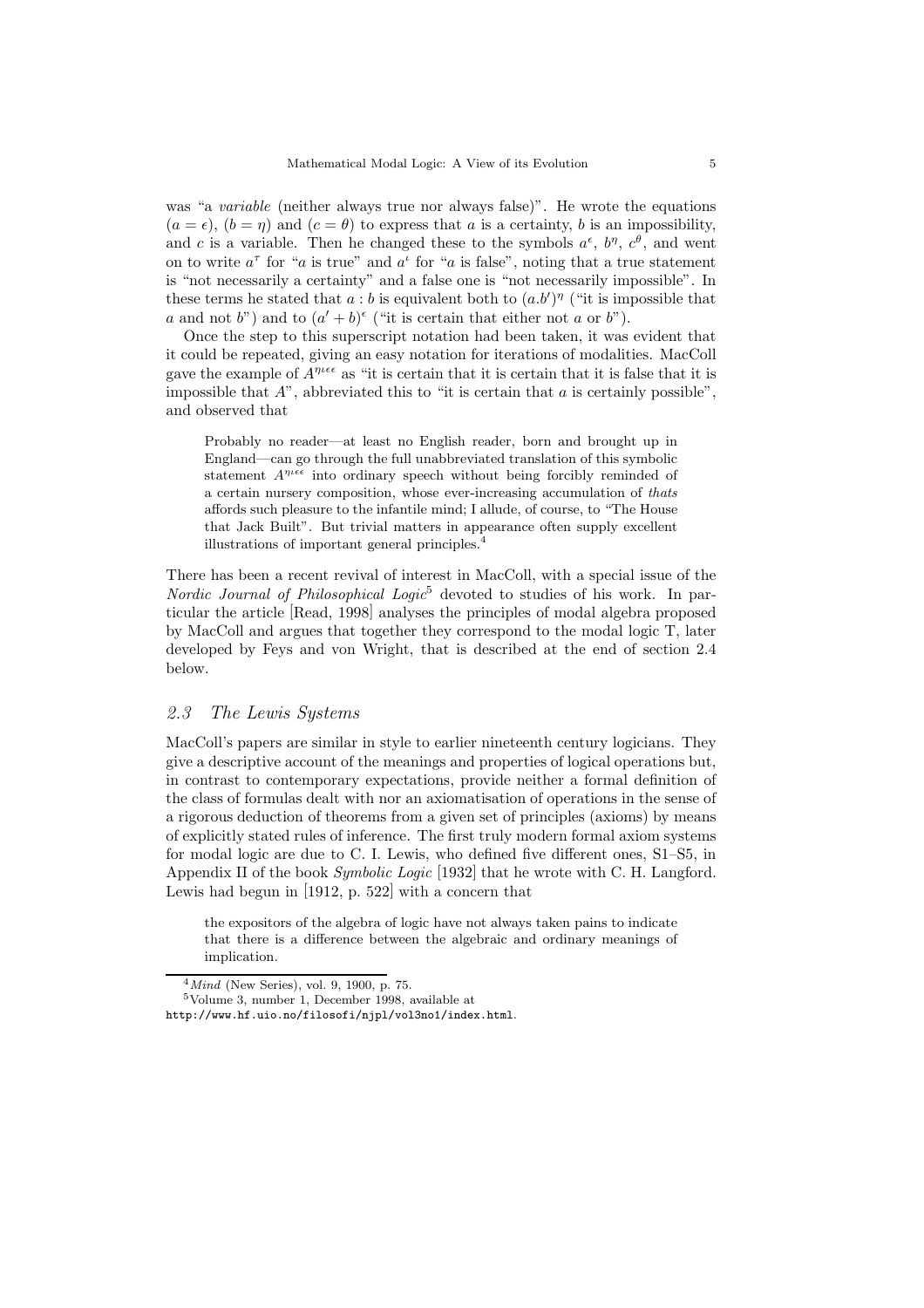was "a *variable* (neither always true nor always false)". He wrote the equations  $(a = \epsilon)$ ,  $(b = \eta)$  and  $(c = \theta)$  to express that a is a certainty, b is an impossibility, and c is a variable. Then he changed these to the symbols  $a^{\epsilon}$ ,  $b^{\eta}$ ,  $c^{\theta}$ , and went on to write  $a^{\tau}$  for "a is true" and  $a^{\iota}$  for "a is false", noting that a true statement is "not necessarily a certainty" and a false one is "not necessarily impossible". In these terms he stated that  $a:b$  is equivalent both to  $(a.b')^{\eta}$  ("it is impossible that a and not b") and to  $(a'+b)^{\epsilon}$  ("it is certain that either not a or b").

Once the step to this superscript notation had been taken, it was evident that it could be repeated, giving an easy notation for iterations of modalities. MacColl gave the example of  $A^{\eta\iota\epsilon\epsilon}$  as "it is certain that it is certain that it is false that it is impossible that  $A$ ", abbreviated this to "it is certain that  $a$  is certainly possible", and observed that

Probably no reader—at least no English reader, born and brought up in England—can go through the full unabbreviated translation of this symbolic statement  $A^{\eta\iota\epsilon\epsilon}$  into ordinary speech without being forcibly reminded of a certain nursery composition, whose ever-increasing accumulation of thats affords such pleasure to the infantile mind; I allude, of course, to "The House that Jack Built". But trivial matters in appearance often supply excellent illustrations of important general principles.<sup>4</sup>

There has been a recent revival of interest in MacColl, with a special issue of the Nordic Journal of Philosophical Logic<sup>5</sup> devoted to studies of his work. In particular the article [Read, 1998] analyses the principles of modal algebra proposed by MacColl and argues that together they correspond to the modal logic T, later developed by Feys and von Wright, that is described at the end of section 2.4 below.

### *2.3 The Lewis Systems*

MacColl's papers are similar in style to earlier nineteenth century logicians. They give a descriptive account of the meanings and properties of logical operations but, in contrast to contemporary expectations, provide neither a formal definition of the class of formulas dealt with nor an axiomatisation of operations in the sense of a rigorous deduction of theorems from a given set of principles (axioms) by means of explicitly stated rules of inference. The first truly modern formal axiom systems for modal logic are due to C. I. Lewis, who defined five different ones, S1–S5, in Appendix II of the book *Symbolic Logic* [1932] that he wrote with C. H. Langford. Lewis had begun in [1912, p. 522] with a concern that

the expositors of the algebra of logic have not always taken pains to indicate that there is a difference between the algebraic and ordinary meanings of implication.

http://www.hf.uio.no/filosofi/njpl/vol3no1/index.html.

<sup>4</sup>*Mind* (New Series), vol. 9, 1900, p. 75.

<sup>5</sup>Volume 3, number 1, December 1998, available at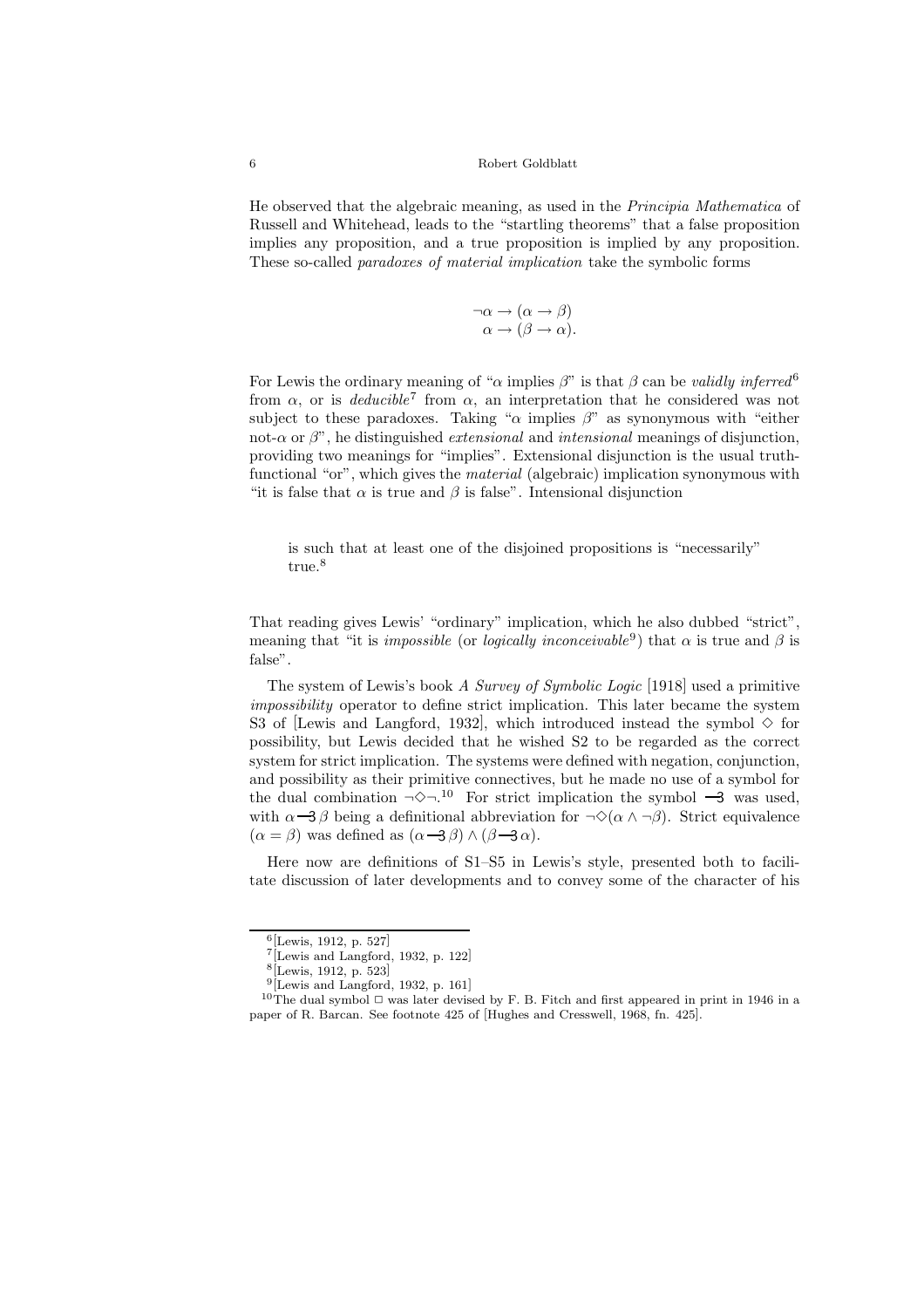He observed that the algebraic meaning, as used in the Principia Mathematica of Russell and Whitehead, leads to the "startling theorems" that a false proposition implies any proposition, and a true proposition is implied by any proposition. These so-called paradoxes of material implication take the symbolic forms

$$
\neg \alpha \to (\alpha \to \beta)
$$

$$
\alpha \to (\beta \to \alpha).
$$

For Lewis the ordinary meaning of " $\alpha$  implies  $\beta$ " is that  $\beta$  can be validly inferred<sup>6</sup> from  $\alpha$ , or is *deducible*<sup>7</sup> from  $\alpha$ , an interpretation that he considered was not subject to these paradoxes. Taking " $\alpha$  implies  $\beta$ " as synonymous with "either not- $\alpha$  or  $\beta$ ", he distinguished *extensional* and *intensional* meanings of disjunction, providing two meanings for "implies". Extensional disjunction is the usual truthfunctional "or", which gives the material (algebraic) implication synonymous with "it is false that  $\alpha$  is true and  $\beta$  is false". Intensional disjunction

is such that at least one of the disjoined propositions is "necessarily" true.<sup>8</sup>

That reading gives Lewis' "ordinary" implication, which he also dubbed "strict", meaning that "it is *impossible* (or *logically inconceivable*<sup>9</sup>) that  $\alpha$  is true and  $\beta$  is false".

The system of Lewis's book A Survey of Symbolic Logic [1918] used a primitive impossibility operator to define strict implication. This later became the system S3 of [Lewis and Langford, 1932], which introduced instead the symbol  $\diamond$  for possibility, but Lewis decided that he wished S2 to be regarded as the correct system for strict implication. The systems were defined with negation, conjunction, and possibility as their primitive connectives, but he made no use of a symbol for the dual combination  $\neg \Diamond \neg$ .<sup>10</sup> For strict implication the symbol  $\neg 3$  was used, with  $\alpha \rightarrow 3\beta$  being a definitional abbreviation for  $\neg \Diamond(\alpha \land \neg \beta)$ . Strict equivalence  $(\alpha = \beta)$  was defined as  $(\alpha \rightarrow \beta) \wedge (\beta \rightarrow \alpha)$ .

Here now are definitions of S1–S5 in Lewis's style, presented both to facilitate discussion of later developments and to convey some of the character of his

<sup>6</sup>[Lewis, 1912, p. 527]

 $7$ [Lewis and Langford, 1932, p. 122]

<sup>8</sup>[Lewis, 1912, p. 523]

 $9$ [Lewis and Langford, 1932, p. 161]

<sup>&</sup>lt;sup>10</sup>The dual symbol  $\Box$  was later devised by F. B. Fitch and first appeared in print in 1946 in a paper of R. Barcan. See footnote 425 of [Hughes and Cresswell, 1968, fn. 425].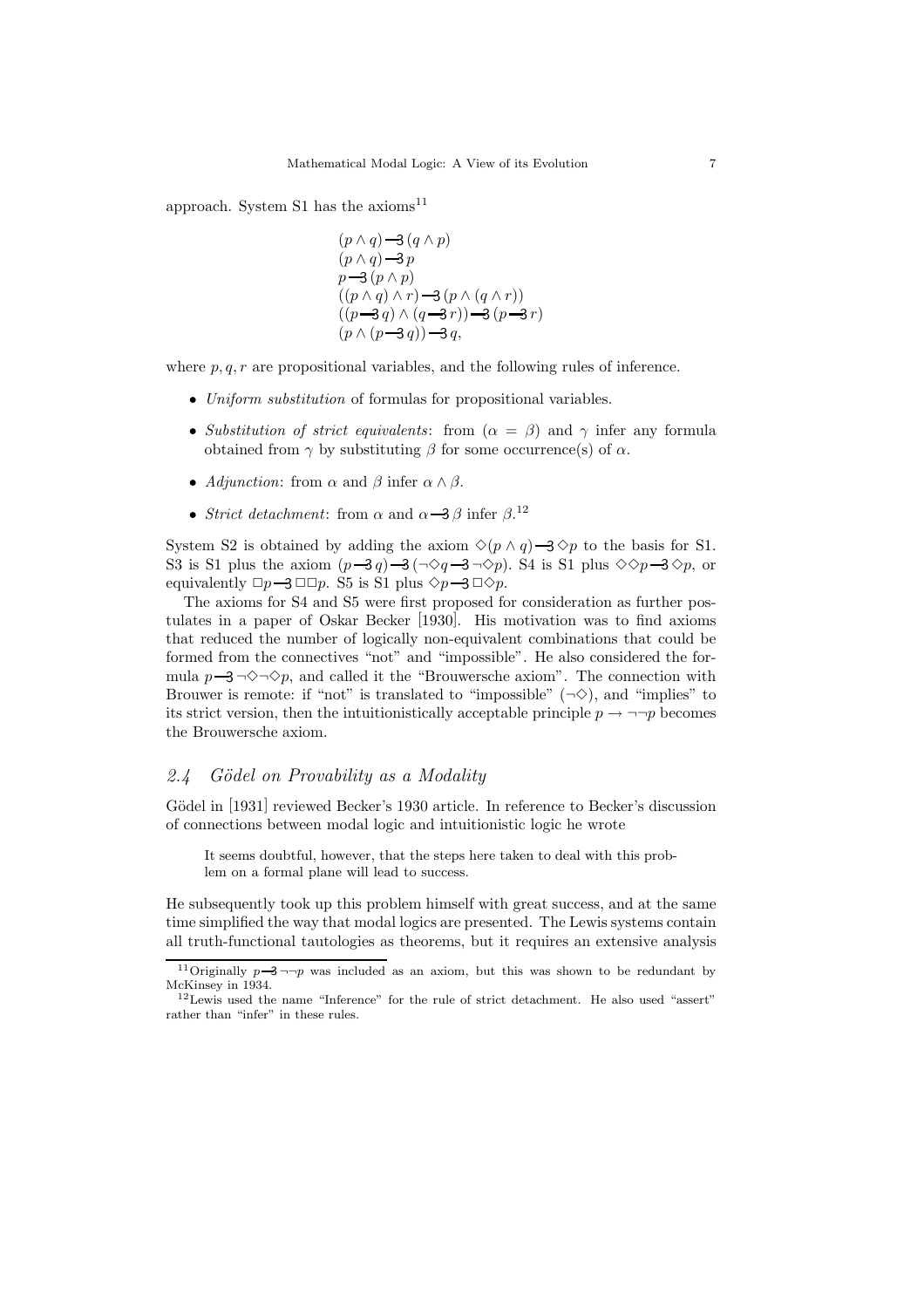approach. System S1 has the  $axioms<sup>11</sup>$ 

$$
(p \land q) \rightarrow (q \land p)
$$
  
\n
$$
(p \land q) \rightarrow 3p
$$
  
\n
$$
p \rightarrow 3(p \land p)
$$
  
\n
$$
((p \land q) \land r) \rightarrow 3(p \land (q \land r))
$$
  
\n
$$
((p \rightarrow 3q) \land (q \rightarrow 3r)) \rightarrow 3(p \rightarrow 3r)
$$
  
\n
$$
(p \land (p \rightarrow 3q)) \rightarrow 3q,
$$

where  $p, q, r$  are propositional variables, and the following rules of inference.

- Uniform substitution of formulas for propositional variables.
- Substitution of strict equivalents: from  $(\alpha = \beta)$  and  $\gamma$  infer any formula obtained from  $\gamma$  by substituting  $\beta$  for some occurrence(s) of  $\alpha$ .
- Adjunction: from  $\alpha$  and  $\beta$  infer  $\alpha \wedge \beta$ .
- Strict detachment: from  $\alpha$  and  $\alpha \rightarrow 3 \beta$  infer  $\beta$ .<sup>12</sup>

System S2 is obtained by adding the axiom  $\Diamond (p \land q) \rightarrow \Diamond p$  to the basis for S1. S3 is S1 plus the axiom  $(p-3q)-3(\neg \Diamond q-3 \neg \Diamond p)$ . S4 is S1 plus  $\Diamond \Diamond p-3 \Diamond p$ , or equivalently  $\Box p \rightarrow \Box \Box p$ . S5 is S1 plus  $\Diamond p \rightarrow \Box \Diamond p$ .

The axioms for S4 and S5 were first proposed for consideration as further postulates in a paper of Oskar Becker [1930]. His motivation was to find axioms that reduced the number of logically non-equivalent combinations that could be formed from the connectives "not" and "impossible". He also considered the formula  $p \rightarrow 3 \rightarrow \Diamond \rightarrow \Diamond p$ , and called it the "Brouwersche axiom". The connection with Brouwer is remote: if "not" is translated to "impossible"  $(\neg \Diamond)$ , and "implies" to its strict version, then the intuitionistically acceptable principle  $p \rightarrow \neg\neg p$  becomes the Brouwersche axiom.

# *2.4 G¨odel on Provability as a Modality*

Gödel in [1931] reviewed Becker's 1930 article. In reference to Becker's discussion of connections between modal logic and intuitionistic logic he wrote

It seems doubtful, however, that the steps here taken to deal with this problem on a formal plane will lead to success.

He subsequently took up this problem himself with great success, and at the same time simplified the way that modal logics are presented. The Lewis systems contain all truth-functional tautologies as theorems, but it requires an extensive analysis

<sup>&</sup>lt;sup>11</sup>Originally  $p \rightarrow \neg p$  was included as an axiom, but this was shown to be redundant by McKinsey in 1934.

 $12$  Lewis used the name "Inference" for the rule of strict detachment. He also used "assert" rather than "infer" in these rules.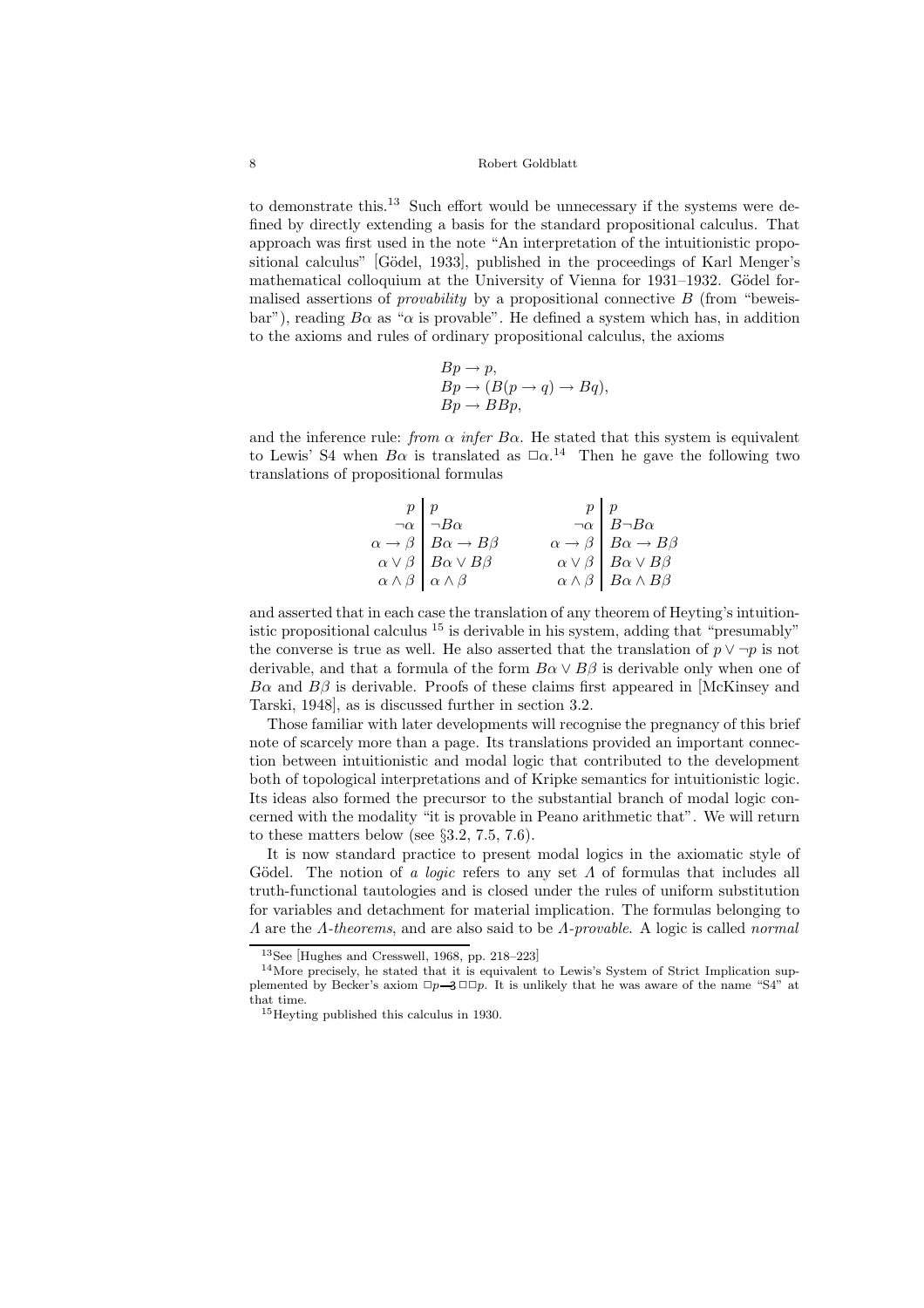to demonstrate this.<sup>13</sup> Such effort would be unnecessary if the systems were defined by directly extending a basis for the standard propositional calculus. That approach was first used in the note "An interpretation of the intuitionistic propositional calculus" [Gödel, 1933], published in the proceedings of Karl Menger's mathematical colloquium at the University of Vienna for 1931–1932. Gödel formalised assertions of *provability* by a propositional connective  $B$  (from "beweisbar"), reading  $B\alpha$  as " $\alpha$  is provable". He defined a system which has, in addition to the axioms and rules of ordinary propositional calculus, the axioms

$$
Bp \to p,
$$
  
\n
$$
Bp \to (B(p \to q) \to Bq),
$$
  
\n
$$
Bp \to BBp,
$$

and the inference rule: from  $\alpha$  infer  $B\alpha$ . He stated that this system is equivalent to Lewis' S4 when  $B\alpha$  is translated as  $\Box \alpha$ .<sup>14</sup> Then he gave the following two translations of propositional formulas

$$
\begin{array}{c|c}\np \\
\hline\n\alpha \\
\alpha \to \beta \\
\alpha \lor \beta \\
\alpha \land \beta\n\end{array}\n\qquad\n\begin{array}{c}\np \\
\hline\n\rightarrow B\alpha \\
B\alpha \to B\beta \\
\hline\n\alpha \land \beta\n\end{array}\n\qquad\n\begin{array}{c}\np \\
\hline\n\alpha \\
\hline\n\alpha \to \beta \\
\alpha \lor \beta \\
\hline\n\alpha \land \beta\n\end{array}\n\qquad\n\begin{array}{c}\np \\
B\neg B\alpha \\
B\alpha \to B\beta \\
\hline\n\alpha \lor B\beta \\
\hline\n\alpha \land \beta\n\end{array}
$$

and asserted that in each case the translation of any theorem of Heyting's intuitionistic propositional calculus <sup>15</sup> is derivable in his system, adding that "presumably" the converse is true as well. He also asserted that the translation of  $p \vee \neg p$  is not derivable, and that a formula of the form  $B\alpha \vee B\beta$  is derivable only when one of  $B\alpha$  and  $B\beta$  is derivable. Proofs of these claims first appeared in [McKinsey and Tarski, 1948], as is discussed further in section 3.2.

Those familiar with later developments will recognise the pregnancy of this brief note of scarcely more than a page. Its translations provided an important connection between intuitionistic and modal logic that contributed to the development both of topological interpretations and of Kripke semantics for intuitionistic logic. Its ideas also formed the precursor to the substantial branch of modal logic concerned with the modality "it is provable in Peano arithmetic that". We will return to these matters below (see  $\S 3.2, 7.5, 7.6$ ).

It is now standard practice to present modal logics in the axiomatic style of Gödel. The notion of a logic refers to any set  $\Lambda$  of formulas that includes all truth-functional tautologies and is closed under the rules of uniform substitution for variables and detachment for material implication. The formulas belonging to Λ are the Λ-theorems, and are also said to be Λ-provable. A logic is called normal

 $13$ See [Hughes and Cresswell, 1968, pp. 218–223]

<sup>&</sup>lt;sup>14</sup>More precisely, he stated that it is equivalent to Lewis's System of Strict Implication supplemented by Becker's axiom  $\Box p \rightarrow 3 \Box \Box p$ . It is unlikely that he was aware of the name "S4" at that time.

<sup>15</sup>Heyting published this calculus in 1930.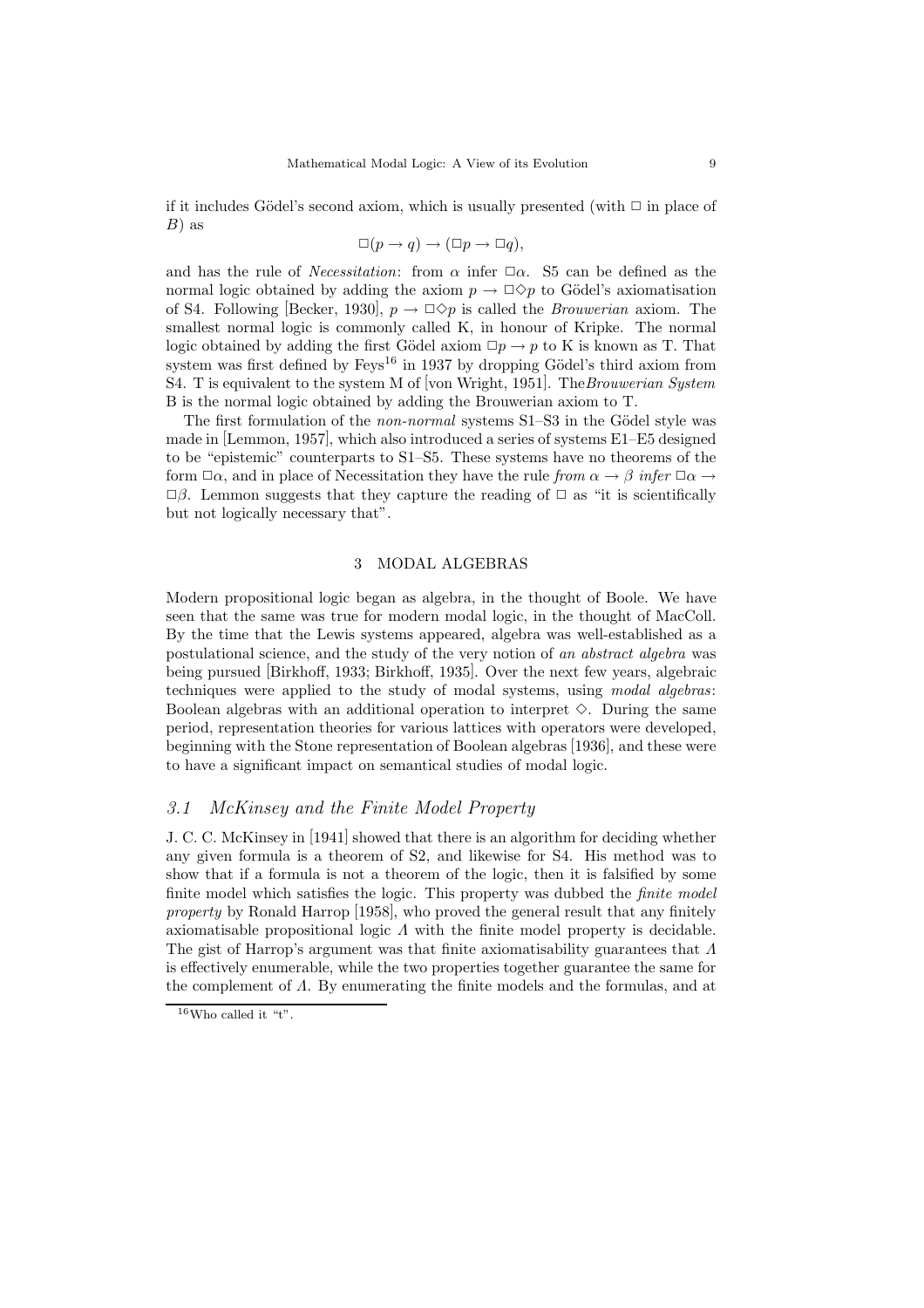if it includes Gödel's second axiom, which is usually presented (with  $\Box$  in place of  $B$ ) as

$$
\Box(p \to q) \to (\Box p \to \Box q),
$$

and has the rule of *Necessitation*: from  $\alpha$  infer  $\Box \alpha$ . S5 can be defined as the normal logic obtained by adding the axiom  $p \to \Box \Diamond p$  to Gödel's axiomatisation of S4. Following [Becker, 1930],  $p \to \Box \Diamond p$  is called the *Brouwerian* axiom. The smallest normal logic is commonly called K, in honour of Kripke. The normal logic obtained by adding the first Gödel axiom  $\Box p \rightarrow p$  to K is known as T. That system was first defined by  $F\text{eys}^{16}$  in 1937 by dropping Gödel's third axiom from S4. T is equivalent to the system M of [von Wright, 1951]. The *Brouwerian System* B is the normal logic obtained by adding the Brouwerian axiom to T.

The first formulation of the *non-normal* systems S1–S3 in the Gödel style was made in Lemmon, 1957, which also introduced a series of systems  $E1-E5$  designed to be "epistemic" counterparts to S1–S5. These systems have no theorems of the form  $\Box \alpha$ , and in place of Necessitation they have the rule from  $\alpha \to \beta$  infer  $\Box \alpha \to \alpha$  $\Box \beta$ . Lemmon suggests that they capture the reading of  $\Box$  as "it is scientifically but not logically necessary that".

# 3 MODAL ALGEBRAS

Modern propositional logic began as algebra, in the thought of Boole. We have seen that the same was true for modern modal logic, in the thought of MacColl. By the time that the Lewis systems appeared, algebra was well-established as a postulational science, and the study of the very notion of an abstract algebra was being pursued [Birkhoff, 1933; Birkhoff, 1935]. Over the next few years, algebraic techniques were applied to the study of modal systems, using modal algebras: Boolean algebras with an additional operation to interpret  $\diamond$ . During the same period, representation theories for various lattices with operators were developed, beginning with the Stone representation of Boolean algebras [1936], and these were to have a significant impact on semantical studies of modal logic.

# *3.1 McKinsey and the Finite Model Property*

J. C. C. McKinsey in [1941] showed that there is an algorithm for deciding whether any given formula is a theorem of S2, and likewise for S4. His method was to show that if a formula is not a theorem of the logic, then it is falsified by some finite model which satisfies the logic. This property was dubbed the *finite model* property by Ronald Harrop [1958], who proved the general result that any finitely axiomatisable propositional logic  $\Lambda$  with the finite model property is decidable. The gist of Harrop's argument was that finite axiomatisability guarantees that  $\Lambda$ is effectively enumerable, while the two properties together guarantee the same for the complement of  $\Lambda$ . By enumerating the finite models and the formulas, and at

 $16$  Who called it "t".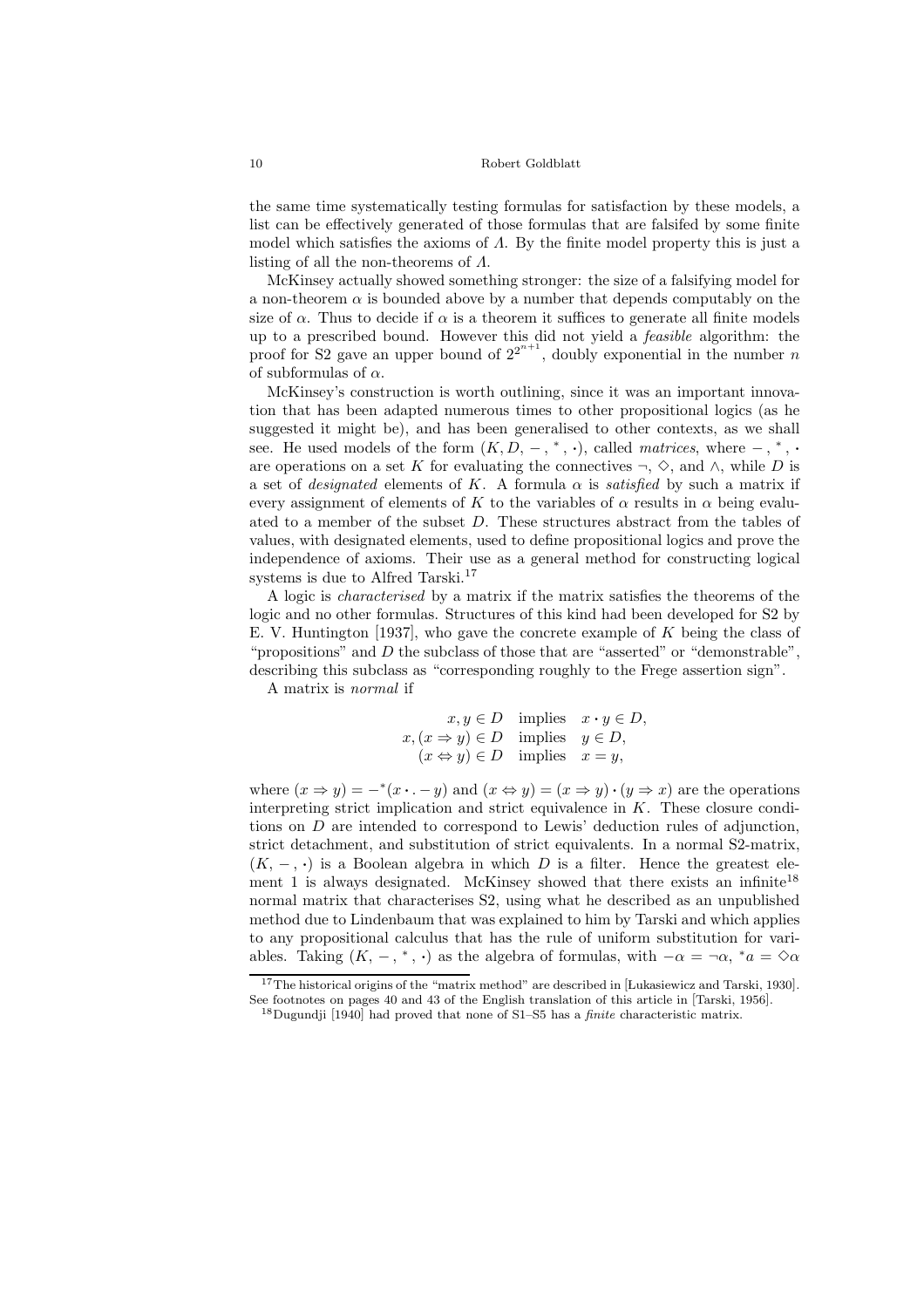the same time systematically testing formulas for satisfaction by these models, a list can be effectively generated of those formulas that are falsifed by some finite model which satisfies the axioms of  $\Lambda$ . By the finite model property this is just a listing of all the non-theorems of Λ.

McKinsey actually showed something stronger: the size of a falsifying model for a non-theorem  $\alpha$  is bounded above by a number that depends computably on the size of  $\alpha$ . Thus to decide if  $\alpha$  is a theorem it suffices to generate all finite models up to a prescribed bound. However this did not yield a feasible algorithm: the proof for S2 gave an upper bound of  $2^{2^{n+1}}$ , doubly exponential in the number n of subformulas of  $\alpha$ .

McKinsey's construction is worth outlining, since it was an important innovation that has been adapted numerous times to other propositional logics (as he suggested it might be), and has been generalised to other contexts, as we shall see. He used models of the form  $(K, D, -, *, \cdot)$ , called matrices, where  $-, *,$ . are operations on a set K for evaluating the connectives  $\neg$ ,  $\diamond$ , and  $\wedge$ , while D is a set of *designated* elements of K. A formula  $\alpha$  is *satisfied* by such a matrix if every assignment of elements of K to the variables of  $\alpha$  results in  $\alpha$  being evaluated to a member of the subset D. These structures abstract from the tables of values, with designated elements, used to define propositional logics and prove the independence of axioms. Their use as a general method for constructing logical systems is due to Alfred Tarski.<sup>17</sup>

A logic is characterised by a matrix if the matrix satisfies the theorems of the logic and no other formulas. Structures of this kind had been developed for S2 by E. V. Huntington [1937], who gave the concrete example of K being the class of "propositions" and  $D$  the subclass of those that are "asserted" or "demonstrable", describing this subclass as "corresponding roughly to the Frege assertion sign".

A matrix is normal if

$$
x, y \in D
$$
 implies  $x \cdot y \in D$ ,  
\n $x, (x \Rightarrow y) \in D$  implies  $y \in D$ ,  
\n $(x \Leftrightarrow y) \in D$  implies  $x = y$ ,

where  $(x \Rightarrow y) = -*(x \cdot y)$  and  $(x \Leftrightarrow y) = (x \Rightarrow y) \cdot (y \Rightarrow x)$  are the operations interpreting strict implication and strict equivalence in  $K$ . These closure conditions on D are intended to correspond to Lewis' deduction rules of adjunction, strict detachment, and substitution of strict equivalents. In a normal S2-matrix,  $(K, -, \cdot)$  is a Boolean algebra in which D is a filter. Hence the greatest element 1 is always designated. McKinsey showed that there exists an infinite<sup>18</sup> normal matrix that characterises S2, using what he described as an unpublished method due to Lindenbaum that was explained to him by Tarski and which applies to any propositional calculus that has the rule of uniform substitution for variables. Taking  $(K, -, *, \cdot)$  as the algebra of formulas, with  $-\alpha = \neg \alpha, *a = \Diamond \alpha$ 

<sup>&</sup>lt;sup>17</sup>The historical origins of the "matrix method" are described in [Lukasiewicz and Tarski, 1930]. See footnotes on pages 40 and 43 of the English translation of this article in [Tarski, 1956].

<sup>18</sup>Dugundji [1940] had proved that none of S1–S5 has a *finite* characteristic matrix.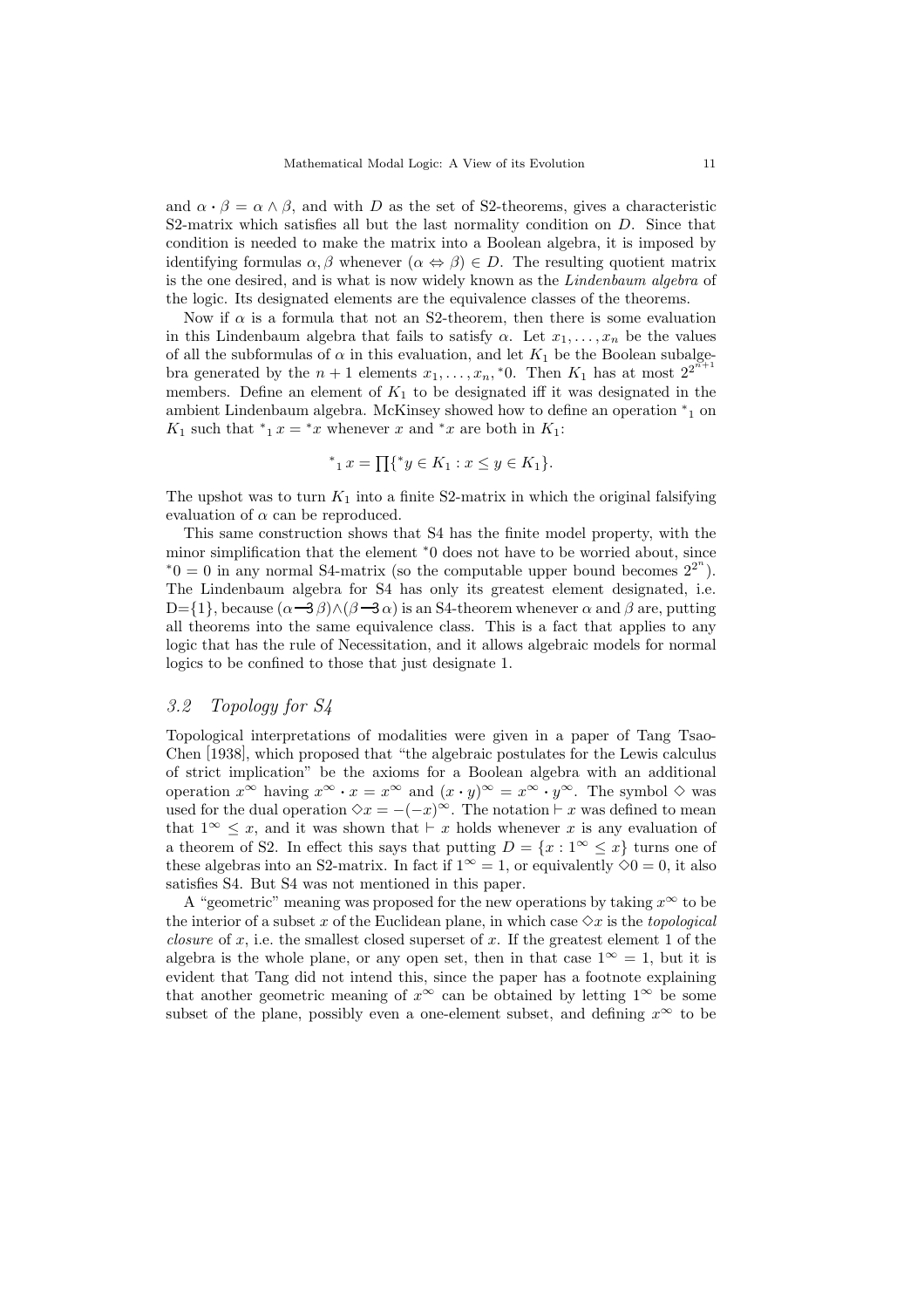and  $\alpha \cdot \beta = \alpha \wedge \beta$ , and with D as the set of S2-theorems, gives a characteristic  $S2$ -matrix which satisfies all but the last normality condition on  $D$ . Since that condition is needed to make the matrix into a Boolean algebra, it is imposed by identifying formulas  $\alpha, \beta$  whenever  $(\alpha \Leftrightarrow \beta) \in D$ . The resulting quotient matrix is the one desired, and is what is now widely known as the Lindenbaum algebra of the logic. Its designated elements are the equivalence classes of the theorems.

Now if  $\alpha$  is a formula that not an S2-theorem, then there is some evaluation in this Lindenbaum algebra that fails to satisfy  $\alpha$ . Let  $x_1, \ldots, x_n$  be the values of all the subformulas of  $\alpha$  in this evaluation, and let  $K_1$  be the Boolean subalgebra generated by the  $n + 1$  elements  $x_1, \ldots, x_n, {}^*0$ . Then  $K_1$  has at most  $2^{2^{n+1}}$ members. Define an element of  $K_1$  to be designated iff it was designated in the ambient Lindenbaum algebra. McKinsey showed how to define an operation <sup>∗</sup> <sup>1</sup> on  $K_1$  such that  $*_1 x = *x$  whenever x and  $*_x x$  are both in  $K_1$ :

$$
x_1 x = \prod \{^* y \in K_1 : x \le y \in K_1 \}.
$$

The upshot was to turn  $K_1$  into a finite S2-matrix in which the original falsifying evaluation of  $\alpha$  can be reproduced.

This same construction shows that S4 has the finite model property, with the minor simplification that the element <sup>∗</sup>0 does not have to be worried about, since \* $0 = 0$  in any normal S4-matrix (so the computable upper bound becomes  $2^{2^n}$ ). The Lindenbaum algebra for S4 has only its greatest element designated, i.e. D={1}, because  $(\alpha \rightarrow \beta) \wedge (\beta \rightarrow \alpha)$  is an S4-theorem whenever  $\alpha$  and  $\beta$  are, putting all theorems into the same equivalence class. This is a fact that applies to any logic that has the rule of Necessitation, and it allows algebraic models for normal logics to be confined to those that just designate 1.

# *3.2 Topology for S4*

Topological interpretations of modalities were given in a paper of Tang Tsao-Chen [1938], which proposed that "the algebraic postulates for the Lewis calculus of strict implication" be the axioms for a Boolean algebra with an additional operation  $x^{\infty}$  having  $x^{\infty} \cdot x = x^{\infty}$  and  $(x \cdot y)^{\infty} = x^{\infty} \cdot y^{\infty}$ . The symbol  $\diamond$  was used for the dual operation  $\Diamond x = -(-x)^\infty$ . The notation  $\vdash x$  was defined to mean that  $1^{\infty} \leq x$ , and it was shown that  $\vdash x$  holds whenever x is any evaluation of a theorem of S2. In effect this says that putting  $D = \{x : 1^\infty \le x\}$  turns one of these algebras into an S2-matrix. In fact if  $1^{\infty} = 1$ , or equivalently  $\diamond 0 = 0$ , it also satisfies S4. But S4 was not mentioned in this paper.

A "geometric" meaning was proposed for the new operations by taking  $x^{\infty}$  to be the interior of a subset x of the Euclidean plane, in which case  $\Diamond x$  is the topological *closure* of  $x$ , i.e. the smallest closed superset of  $x$ . If the greatest element 1 of the algebra is the whole plane, or any open set, then in that case  $1^{\infty} = 1$ , but it is evident that Tang did not intend this, since the paper has a footnote explaining that another geometric meaning of  $x^{\infty}$  can be obtained by letting  $1^{\infty}$  be some subset of the plane, possibly even a one-element subset, and defining  $x^{\infty}$  to be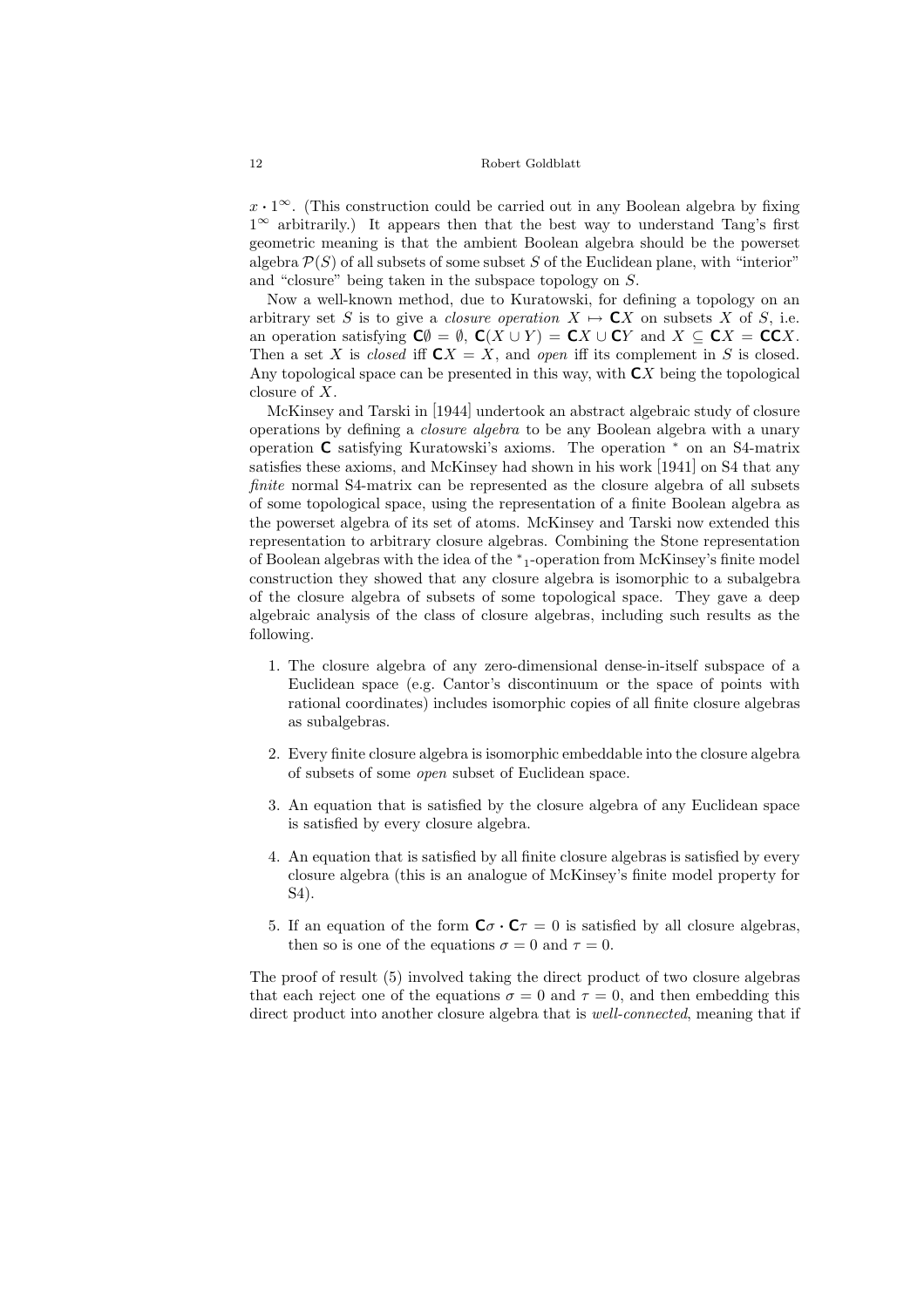$x \cdot 1^\infty$ . (This construction could be carried out in any Boolean algebra by fixing  $1^{\infty}$  arbitrarily.) It appears then that the best way to understand Tang's first geometric meaning is that the ambient Boolean algebra should be the powerset algebra  $\mathcal{P}(S)$  of all subsets of some subset S of the Euclidean plane, with "interior" and "closure" being taken in the subspace topology on S.

Now a well-known method, due to Kuratowski, for defining a topology on an arbitrary set S is to give a *closure operation*  $X \mapsto \mathbb{C}X$  on subsets X of S, i.e. an operation satisfying  $C\emptyset = \emptyset$ ,  $C(X \cup Y) = CX \cup CY$  and  $X \subseteq CX = CCX$ . Then a set X is *closed* iff  $\mathbb{C}X = X$ , and *open* iff its complement in S is closed. Any topological space can be presented in this way, with  $\mathsf{C}X$  being the topological closure of X.

McKinsey and Tarski in [1944] undertook an abstract algebraic study of closure operations by defining a closure algebra to be any Boolean algebra with a unary operation C satisfying Kuratowski's axioms. The operation <sup>∗</sup> on an S4-matrix satisfies these axioms, and McKinsey had shown in his work [1941] on S4 that any finite normal S4-matrix can be represented as the closure algebra of all subsets of some topological space, using the representation of a finite Boolean algebra as the powerset algebra of its set of atoms. McKinsey and Tarski now extended this representation to arbitrary closure algebras. Combining the Stone representation of Boolean algebras with the idea of the <sup>∗</sup> <sup>1</sup>-operation from McKinsey's finite model construction they showed that any closure algebra is isomorphic to a subalgebra of the closure algebra of subsets of some topological space. They gave a deep algebraic analysis of the class of closure algebras, including such results as the following.

- 1. The closure algebra of any zero-dimensional dense-in-itself subspace of a Euclidean space (e.g. Cantor's discontinuum or the space of points with rational coordinates) includes isomorphic copies of all finite closure algebras as subalgebras.
- 2. Every finite closure algebra is isomorphic embeddable into the closure algebra of subsets of some open subset of Euclidean space.
- 3. An equation that is satisfied by the closure algebra of any Euclidean space is satisfied by every closure algebra.
- 4. An equation that is satisfied by all finite closure algebras is satisfied by every closure algebra (this is an analogue of McKinsey's finite model property for S4).
- 5. If an equation of the form  $C\sigma \cdot C\tau = 0$  is satisfied by all closure algebras, then so is one of the equations  $\sigma = 0$  and  $\tau = 0$ .

The proof of result (5) involved taking the direct product of two closure algebras that each reject one of the equations  $\sigma = 0$  and  $\tau = 0$ , and then embedding this direct product into another closure algebra that is *well-connected*, meaning that if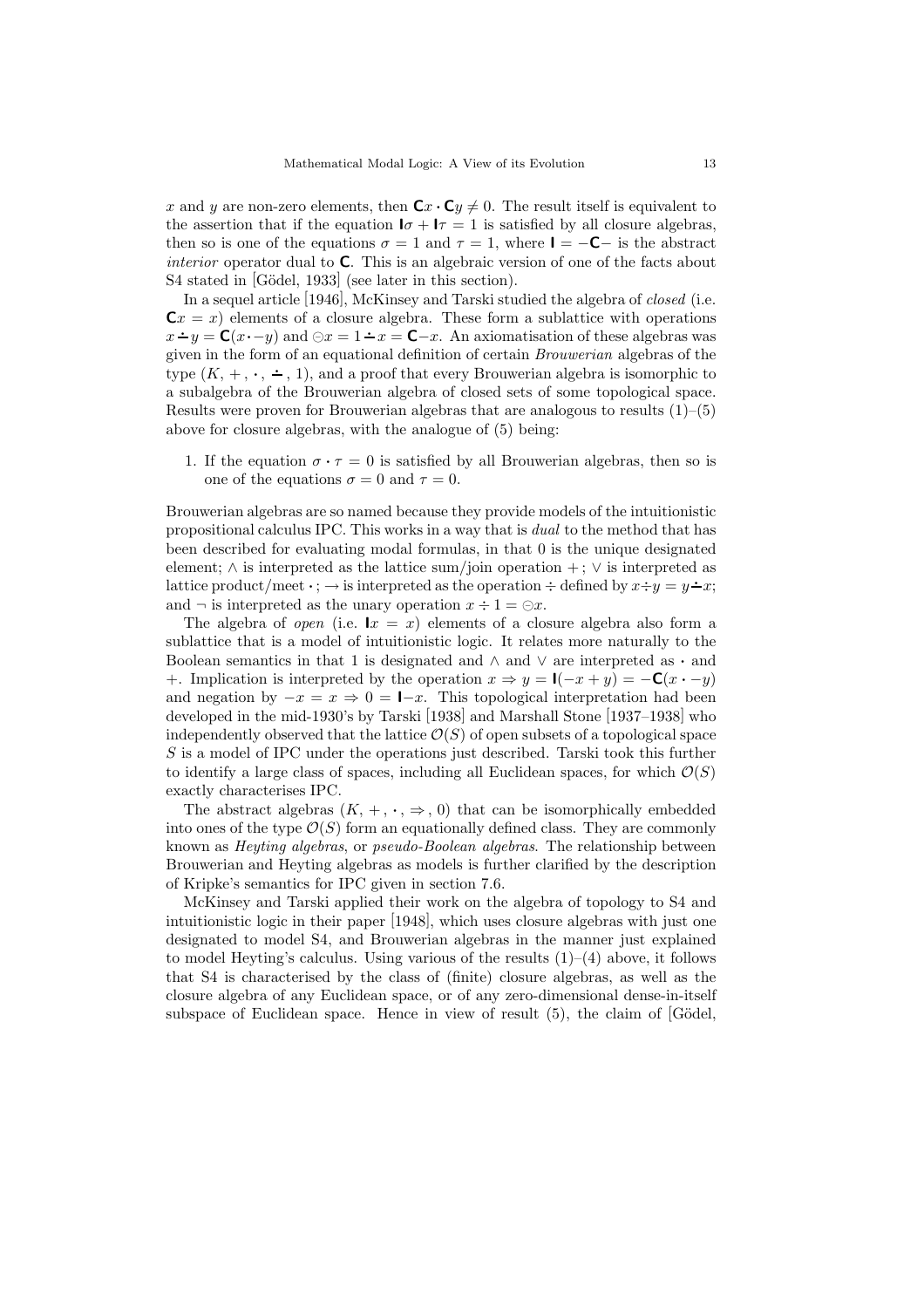x and y are non-zero elements, then  $\mathbf{C}x \cdot \mathbf{C}y \neq 0$ . The result itself is equivalent to the assertion that if the equation  $I\sigma + I\tau = 1$  is satisfied by all closure algebras, then so is one of the equations  $\sigma = 1$  and  $\tau = 1$ , where  $\mathbf{I} = -\mathbf{C}$  is the abstract interior operator dual to **C**. This is an algebraic version of one of the facts about S4 stated in [Gödel, 1933] (see later in this section).

In a sequel article [1946], McKinsey and Tarski studied the algebra of closed (i.e.  $\mathbf{C}x = x$ ) elements of a closure algebra. These form a sublattice with operations  $x - y$  seements of a closure algebra. These form a subfacture with operations  $x - y = C(x - y)$  and  $\ominus x = 1 - x = C - x$ . An axiomatisation of these algebras was given in the form of an equational definition of certain Brouwerian algebras of the type  $(K, +, \cdot, \div, 1)$ , and a proof that every Brouwerian algebra is isomorphic to a subalgebra of the Brouwerian algebra of closed sets of some topological space. Results were proven for Brouwerian algebras that are analogous to results  $(1)$ – $(5)$ above for closure algebras, with the analogue of (5) being:

1. If the equation  $\sigma \cdot \tau = 0$  is satisfied by all Brouwerian algebras, then so is one of the equations  $\sigma = 0$  and  $\tau = 0$ .

Brouwerian algebras are so named because they provide models of the intuitionistic propositional calculus IPC. This works in a way that is dual to the method that has been described for evaluating modal formulas, in that 0 is the unique designated element;  $\wedge$  is interpreted as the lattice sum/join operation +;  $\vee$  is interpreted as lattice product/meet  $\cdot$ ;  $\rightarrow$  is interpreted as the operation  $\div$  defined by  $x \div y = y \div x$ ; and  $\neg$  is interpreted as the unary operation  $x \div 1 = \bigcirc x$ .

The algebra of *open* (i.e.  $|x = x|$ ) elements of a closure algebra also form a sublattice that is a model of intuitionistic logic. It relates more naturally to the Boolean semantics in that 1 is designated and  $\land$  and  $\lor$  are interpreted as  $\cdot$  and +. Implication is interpreted by the operation  $x \Rightarrow y = 1(-x + y) = -C(x \cdot -y)$ and negation by  $-x = x \Rightarrow 0 = 1-x$ . This topological interpretation had been developed in the mid-1930's by Tarski [1938] and Marshall Stone [1937–1938] who independently observed that the lattice  $\mathcal{O}(S)$  of open subsets of a topological space  $S$  is a model of IPC under the operations just described. Tarski took this further to identify a large class of spaces, including all Euclidean spaces, for which  $\mathcal{O}(S)$ exactly characterises IPC.

The abstract algebras  $(K, +, \cdot, \Rightarrow, 0)$  that can be isomorphically embedded into ones of the type  $\mathcal{O}(S)$  form an equationally defined class. They are commonly known as *Heyting algebras*, or *pseudo-Boolean algebras*. The relationship between Brouwerian and Heyting algebras as models is further clarified by the description of Kripke's semantics for IPC given in section 7.6.

McKinsey and Tarski applied their work on the algebra of topology to S4 and intuitionistic logic in their paper [1948], which uses closure algebras with just one designated to model S4, and Brouwerian algebras in the manner just explained to model Heyting's calculus. Using various of the results  $(1)$ – $(4)$  above, it follows that S4 is characterised by the class of (finite) closure algebras, as well as the closure algebra of any Euclidean space, or of any zero-dimensional dense-in-itself subspace of Euclidean space. Hence in view of result  $(5)$ , the claim of  $[Gödel,$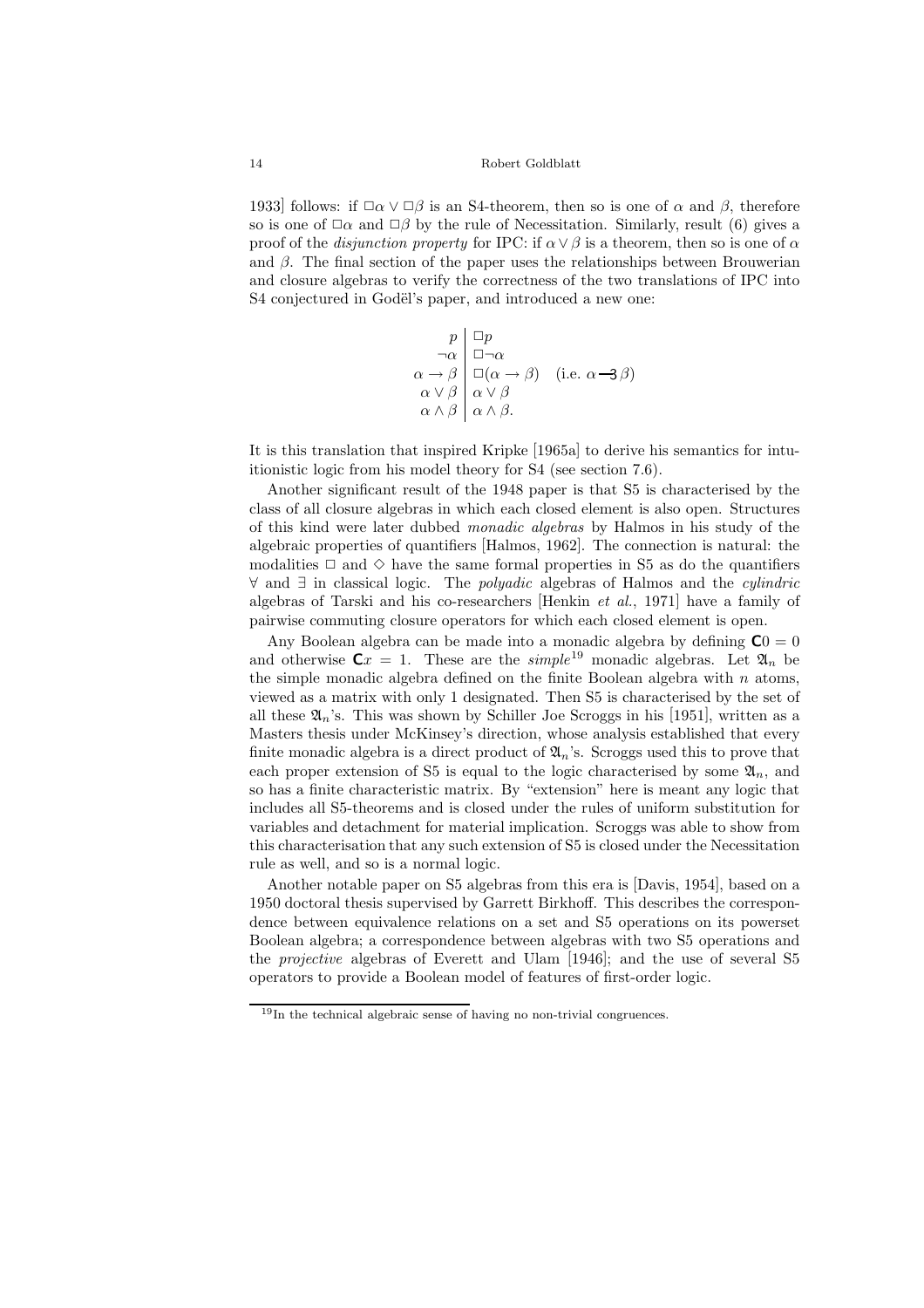1933] follows: if  $\Box \alpha \lor \Box \beta$  is an S4-theorem, then so is one of  $\alpha$  and  $\beta$ , therefore so is one of  $\Box \alpha$  and  $\Box \beta$  by the rule of Necessitation. Similarly, result (6) gives a proof of the *disjunction property* for IPC: if  $\alpha \vee \beta$  is a theorem, then so is one of  $\alpha$ and  $\beta$ . The final section of the paper uses the relationships between Brouwerian and closure algebras to verify the correctness of the two translations of IPC into S4 conjectured in Godël's paper, and introduced a new one:

$$
\begin{array}{c}\np \\
\hline\n\alpha \\
\alpha \to \beta \\
\alpha \lor \beta \\
\alpha \land \beta\n\end{array} \begin{bmatrix}\n\Box p \\
\Box \neg \alpha \\
\Box(\alpha \to \beta) \\
\alpha \lor \beta \\
\alpha \land \beta\n\end{bmatrix} \quad \text{(i.e. } \alpha \to \beta)
$$

It is this translation that inspired Kripke [1965a] to derive his semantics for intuitionistic logic from his model theory for S4 (see section 7.6).

Another significant result of the 1948 paper is that S5 is characterised by the class of all closure algebras in which each closed element is also open. Structures of this kind were later dubbed monadic algebras by Halmos in his study of the algebraic properties of quantifiers [Halmos, 1962]. The connection is natural: the modalities  $\Box$  and  $\diamond$  have the same formal properties in S5 as do the quantifiers ∀ and ∃ in classical logic. The polyadic algebras of Halmos and the cylindric algebras of Tarski and his co-researchers [Henkin et al., 1971] have a family of pairwise commuting closure operators for which each closed element is open.

Any Boolean algebra can be made into a monadic algebra by defining  $C = 0$ and otherwise  $\mathbf{C}x = 1$ . These are the simple<sup>19</sup> monadic algebras. Let  $\mathfrak{A}_n$  be the simple monadic algebra defined on the finite Boolean algebra with  $n$  atoms, viewed as a matrix with only 1 designated. Then S5 is characterised by the set of all these  $\mathfrak{A}_n$ 's. This was shown by Schiller Joe Scroggs in his [1951], written as a Masters thesis under McKinsey's direction, whose analysis established that every finite monadic algebra is a direct product of  $\mathfrak{A}_n$ 's. Scroggs used this to prove that each proper extension of S5 is equal to the logic characterised by some  $\mathfrak{A}_n$ , and so has a finite characteristic matrix. By "extension" here is meant any logic that includes all S5-theorems and is closed under the rules of uniform substitution for variables and detachment for material implication. Scroggs was able to show from this characterisation that any such extension of S5 is closed under the Necessitation rule as well, and so is a normal logic.

Another notable paper on S5 algebras from this era is [Davis, 1954], based on a 1950 doctoral thesis supervised by Garrett Birkhoff. This describes the correspondence between equivalence relations on a set and S5 operations on its powerset Boolean algebra; a correspondence between algebras with two S5 operations and the projective algebras of Everett and Ulam [1946]; and the use of several S5 operators to provide a Boolean model of features of first-order logic.

<sup>19</sup>In the technical algebraic sense of having no non-trivial congruences.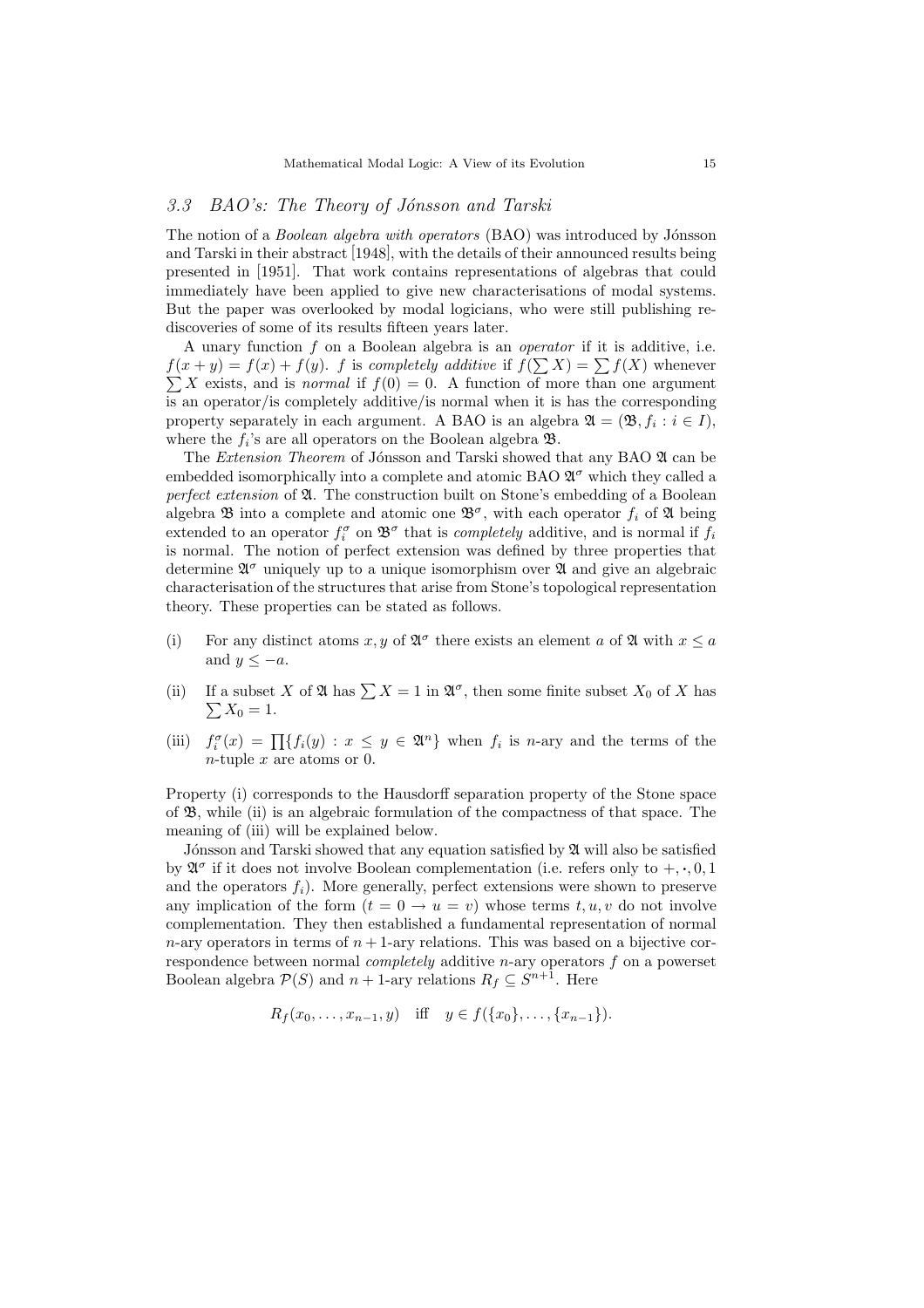### *3.3 BAO's: The Theory of J´onsson and Tarski*

The notion of a *Boolean algebra with operators* (BAO) was introduced by Jónsson and Tarski in their abstract [1948], with the details of their announced results being presented in [1951]. That work contains representations of algebras that could immediately have been applied to give new characterisations of modal systems. But the paper was overlooked by modal logicians, who were still publishing rediscoveries of some of its results fifteen years later.

A unary function  $f$  on a Boolean algebra is an *operator* if it is additive, i.e.  $f(x + y) = f(x) + f(y)$ . f is completely additive if  $f(\sum X) = \sum f(X)$  whenever  $\sum X$  exists, and is *normal* if  $f(0) = 0$ . A function of more than one argument is an operator/is completely additive/is normal when it is has the corresponding property separately in each argument. A BAO is an algebra  $\mathfrak{A} = (\mathfrak{B}, f_i : i \in I)$ , where the  $f_i$ 's are all operators on the Boolean algebra  $\mathfrak{B}$ .

The Extension Theorem of Jónsson and Tarski showed that any BAO  $\mathfrak A$  can be embedded isomorphically into a complete and atomic BAO  $\mathfrak{A}^{\sigma}$  which they called a perfect extension of A. The construction built on Stone's embedding of a Boolean algebra  $\mathfrak B$  into a complete and atomic one  $\mathfrak B^{\sigma}$ , with each operator  $f_i$  of  $\mathfrak A$  being extended to an operator  $f_i^{\sigma}$  on  $\mathfrak{B}^{\sigma}$  that is *completely* additive, and is normal if  $f_i$ is normal. The notion of perfect extension was defined by three properties that determine  $\mathfrak{A}^{\sigma}$  uniquely up to a unique isomorphism over  $\mathfrak{A}$  and give an algebraic characterisation of the structures that arise from Stone's topological representation theory. These properties can be stated as follows.

- (i) For any distinct atoms  $x, y$  of  $\mathfrak{A}^{\sigma}$  there exists an element a of  $\mathfrak{A}$  with  $x \leq a$ and  $y \leq -a$ .
- (ii) If a subset X of  $\mathfrak{A}$  has  $\sum X = 1$  in  $\mathfrak{A}^{\sigma}$ , then some finite subset  $X_0$  of X has  $\sum X_0 = 1.$
- (iii)  $f_i^{\sigma}(x) = \prod\{f_i(y) : x \leq y \in \mathfrak{A}^n\}$  when  $f_i$  is *n*-ary and the terms of the  $n$ -tuple x are atoms or 0.

Property (i) corresponds to the Hausdorff separation property of the Stone space of B, while (ii) is an algebraic formulation of the compactness of that space. The meaning of (iii) will be explained below.

Jónsson and Tarski showed that any equation satisfied by  $\mathfrak A$  will also be satisfied by  $\mathfrak{A}^{\sigma}$  if it does not involve Boolean complementation (i.e. refers only to  $+, \cdot, 0, 1$ ) and the operators  $f_i$ ). More generally, perfect extensions were shown to preserve any implication of the form  $(t = 0 \rightarrow u = v)$  whose terms  $t, u, v$  do not involve complementation. They then established a fundamental representation of normal n-ary operators in terms of  $n+1$ -ary relations. This was based on a bijective correspondence between normal *completely* additive *n*-ary operators  $f$  on a powerset Boolean algebra  $P(S)$  and  $n+1$ -ary relations  $R_f \subseteq S^{n+1}$ . Here

$$
R_f(x_0,...,x_{n-1},y)
$$
 iff  $y \in f(\lbrace x_0 \rbrace,...,\lbrace x_{n-1} \rbrace)$ .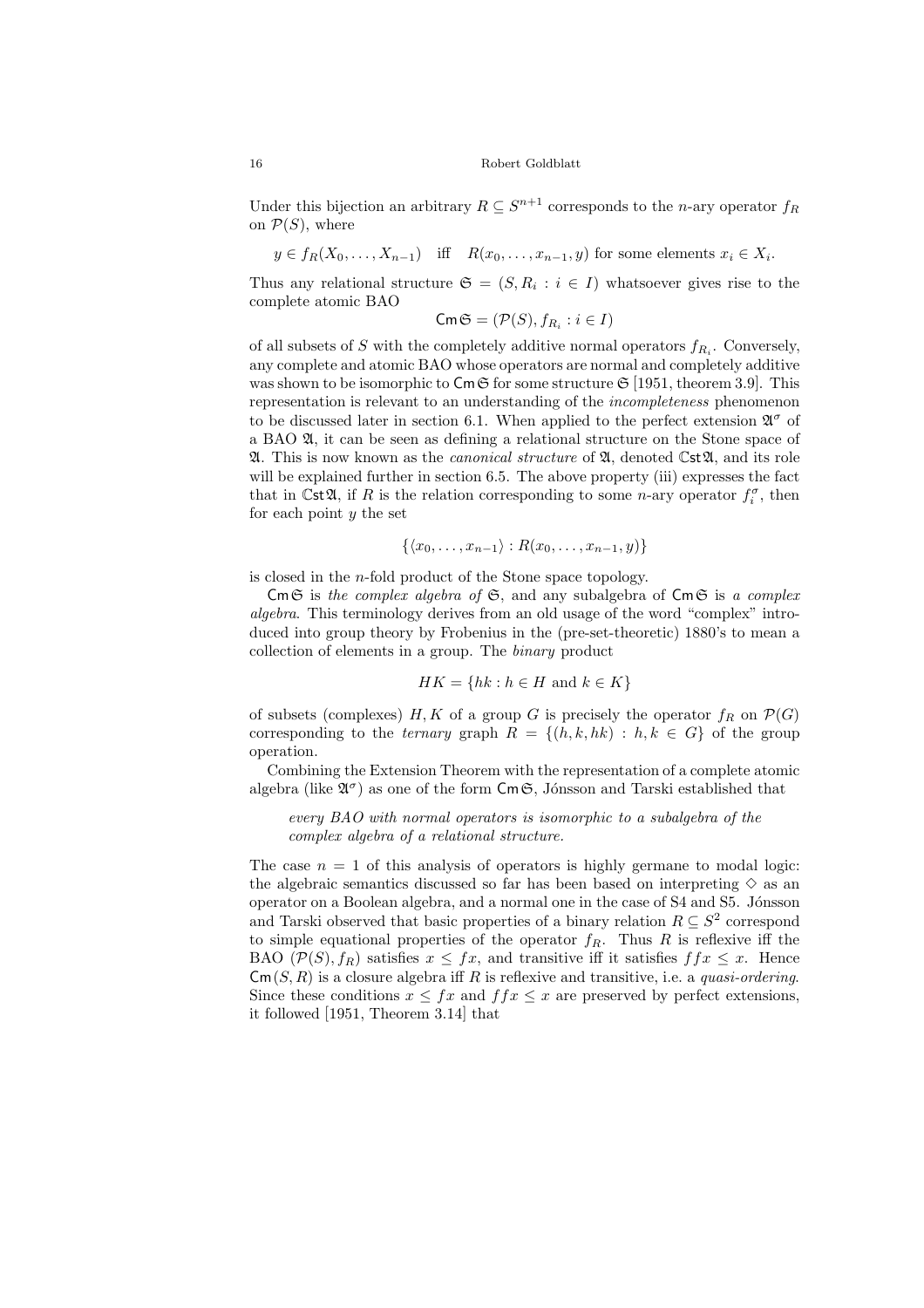Under this bijection an arbitrary  $R \subseteq S^{n+1}$  corresponds to the *n*-ary operator  $f_R$ on  $\mathcal{P}(S)$ , where

$$
y \in f_R(X_0, \ldots, X_{n-1})
$$
 iff  $R(x_0, \ldots, x_{n-1}, y)$  for some elements  $x_i \in X_i$ .

Thus any relational structure  $\mathfrak{S} = (S, R_i : i \in I)$  whatsoever gives rise to the complete atomic BAO

$$
\mathsf{Cm}\,\mathfrak{S}=(\mathcal{P}(S),f_{R_i}:i\in I)
$$

of all subsets of S with the completely additive normal operators  $f_{R_i}$ . Conversely, any complete and atomic BAO whose operators are normal and completely additive was shown to be isomorphic to  $\mathsf{Cm}\mathfrak{S}$  for some structure  $\mathfrak{S}$  [1951, theorem 3.9]. This representation is relevant to an understanding of the incompleteness phenomenon to be discussed later in section 6.1. When applied to the perfect extension  $\mathfrak{A}^{\sigma}$  of a BAO A, it can be seen as defining a relational structure on the Stone space of  $\mathfrak{A}$ . This is now known as the *canonical structure* of  $\mathfrak{A}$ , denoted  $\mathbb{C}$ st  $\mathfrak{A}$ , and its role will be explained further in section 6.5. The above property (iii) expresses the fact that in  $\mathbb{C}$ st $\mathfrak{A}$ , if R is the relation corresponding to some n-ary operator  $f_i^{\sigma}$ , then for each point  $y$  the set

$$
\{\langle x_0,\ldots,x_{n-1}\rangle:R(x_0,\ldots,x_{n-1},y)\}
$$

is closed in the n-fold product of the Stone space topology.

 $\mathsf{CmS}$  is the complex algebra of  $\mathfrak{S}$ , and any subalgebra of  $\mathsf{CmS}$  is a complex algebra. This terminology derives from an old usage of the word "complex" introduced into group theory by Frobenius in the (pre-set-theoretic) 1880's to mean a collection of elements in a group. The binary product

$$
HK = \{ hk : h \in H \text{ and } k \in K \}
$$

of subsets (complexes)  $H, K$  of a group G is precisely the operator  $f_R$  on  $\mathcal{P}(G)$ corresponding to the *ternary* graph  $R = \{(h, k, hk) : h, k \in G\}$  of the group operation.

Combining the Extension Theorem with the representation of a complete atomic algebra (like  $\mathfrak{A}^{\sigma}$ ) as one of the form  $\mathsf{Cm}\mathfrak{S}$ , Jónsson and Tarski established that

every BAO with normal operators is isomorphic to a subalgebra of the complex algebra of a relational structure.

The case  $n = 1$  of this analysis of operators is highly germane to modal logic: the algebraic semantics discussed so far has been based on interpreting  $\Diamond$  as an  $o$  operator on a Boolean algebra, and a normal one in the case of  $S4$  and  $S5$ . Jónsson and Tarski observed that basic properties of a binary relation  $R \subseteq S^2$  correspond to simple equational properties of the operator  $f_R$ . Thus R is reflexive iff the BAO ( $\mathcal{P}(S)$ ,  $f_R$ ) satisfies  $x \leq fx$ , and transitive iff it satisfies  $ffx \leq x$ . Hence  $\mathsf{Cm}(S,R)$  is a closure algebra iff R is reflexive and transitive, i.e. a quasi-ordering. Since these conditions  $x \leq fx$  and  $ffx \leq x$  are preserved by perfect extensions, it followed [1951, Theorem 3.14] that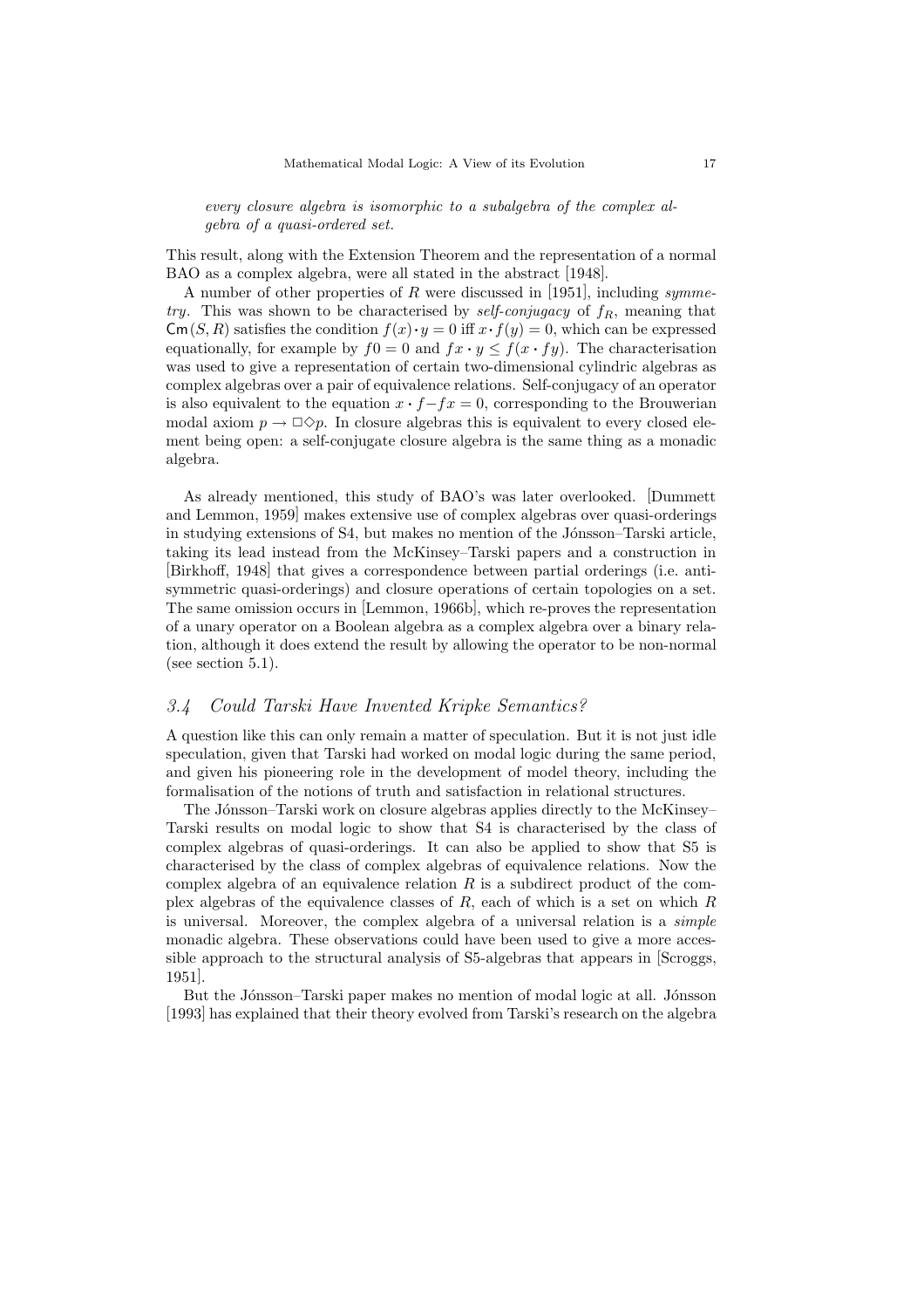every closure algebra is isomorphic to a subalgebra of the complex algebra of a quasi-ordered set.

This result, along with the Extension Theorem and the representation of a normal BAO as a complex algebra, were all stated in the abstract [1948].

A number of other properties of R were discussed in [1951], including symmetry. This was shown to be characterised by self-conjugacy of  $f_R$ , meaning that  $\mathsf{Cm}(S, R)$  satisfies the condition  $f(x) \cdot y = 0$  iff  $x \cdot f(y) = 0$ , which can be expressed equationally, for example by  $f0 = 0$  and  $fx \cdot y \leq f(x \cdot fy)$ . The characterisation was used to give a representation of certain two-dimensional cylindric algebras as complex algebras over a pair of equivalence relations. Self-conjugacy of an operator is also equivalent to the equation  $x \cdot f - fx = 0$ , corresponding to the Brouwerian modal axiom  $p \to \Box \Diamond p$ . In closure algebras this is equivalent to every closed element being open: a self-conjugate closure algebra is the same thing as a monadic algebra.

As already mentioned, this study of BAO's was later overlooked. [Dummett and Lemmon, 1959] makes extensive use of complex algebras over quasi-orderings in studying extensions of S4, but makes no mention of the Jónsson–Tarski article, taking its lead instead from the McKinsey–Tarski papers and a construction in [Birkhoff, 1948] that gives a correspondence between partial orderings (i.e. antisymmetric quasi-orderings) and closure operations of certain topologies on a set. The same omission occurs in [Lemmon, 1966b], which re-proves the representation of a unary operator on a Boolean algebra as a complex algebra over a binary relation, although it does extend the result by allowing the operator to be non-normal (see section 5.1).

# *3.4 Could Tarski Have Invented Kripke Semantics?*

A question like this can only remain a matter of speculation. But it is not just idle speculation, given that Tarski had worked on modal logic during the same period, and given his pioneering role in the development of model theory, including the formalisation of the notions of truth and satisfaction in relational structures.

The Jónsson–Tarski work on closure algebras applies directly to the McKinsey– Tarski results on modal logic to show that S4 is characterised by the class of complex algebras of quasi-orderings. It can also be applied to show that S5 is characterised by the class of complex algebras of equivalence relations. Now the complex algebra of an equivalence relation  $R$  is a subdirect product of the complex algebras of the equivalence classes of  $R$ , each of which is a set on which  $R$ is universal. Moreover, the complex algebra of a universal relation is a *simple* monadic algebra. These observations could have been used to give a more accessible approach to the structural analysis of S5-algebras that appears in [Scroggs, 1951].

But the Jónsson–Tarski paper makes no mention of modal logic at all. Jónsson [1993] has explained that their theory evolved from Tarski's research on the algebra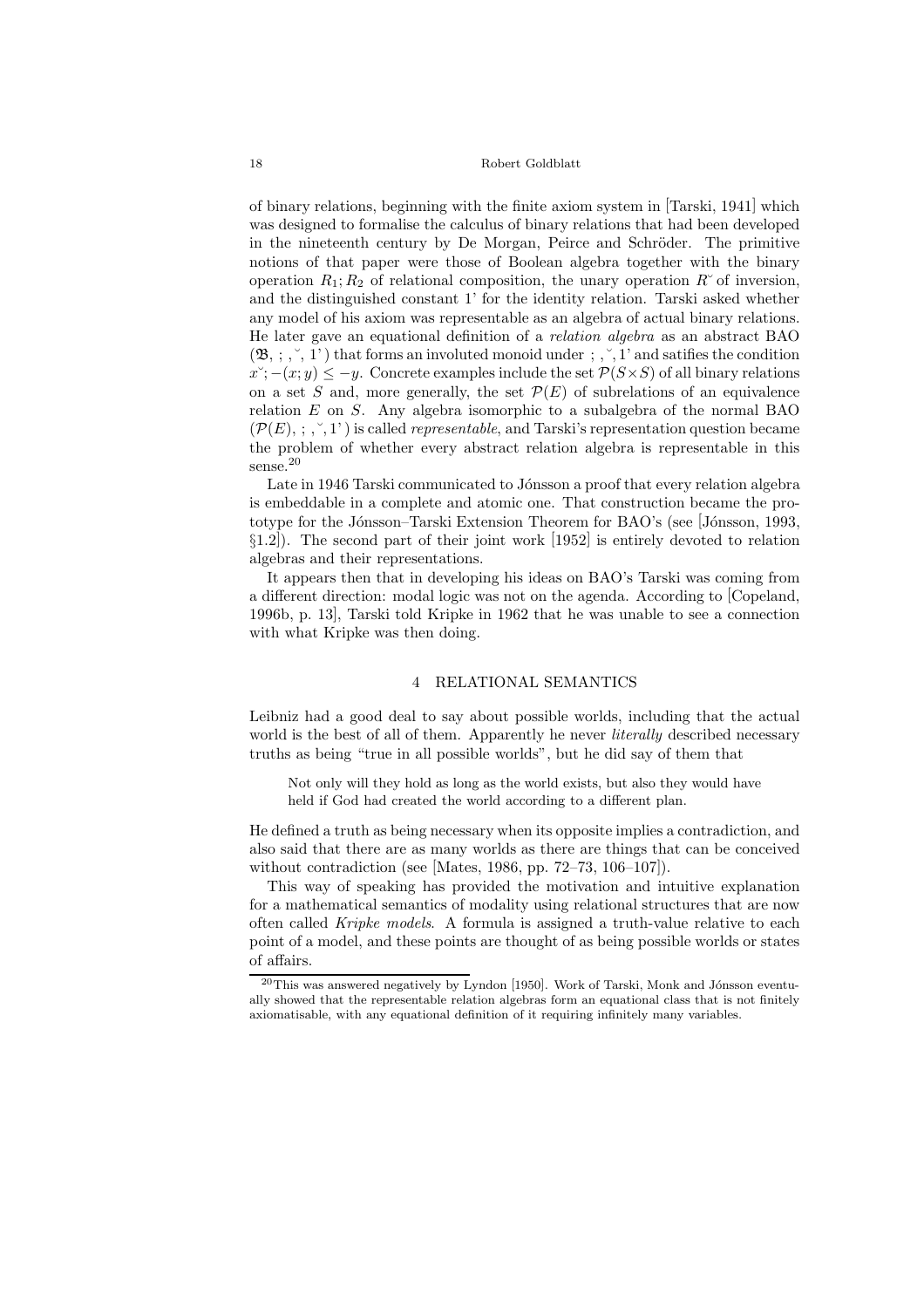of binary relations, beginning with the finite axiom system in [Tarski, 1941] which was designed to formalise the calculus of binary relations that had been developed in the nineteenth century by De Morgan, Peirce and Schröder. The primitive notions of that paper were those of Boolean algebra together with the binary operation  $R_1; R_2$  of relational composition, the unary operation  $R^{\sim}$  of inversion, and the distinguished constant 1' for the identity relation. Tarski asked whether any model of his axiom was representable as an algebra of actual binary relations. He later gave an equational definition of a relation algebra as an abstract BAO  $(\mathfrak{B}, \, ; \, , \check{\,} , \, 1')$  that forms an involuted monoid under  $; \, , \check{\,} , \, 1'$  and satifies the condition  $x^{\prime}$ ;  $-(x; y) \leq -y$ . Concrete examples include the set  $\mathcal{P}(S \times S)$  of all binary relations on a set S and, more generally, the set  $\mathcal{P}(E)$  of subrelations of an equivalence relation E on S. Any algebra isomorphic to a subalgebra of the normal BAO  $(\mathcal{P}(E), \, ; \, , \, , \, '$ , 1') is called *representable*, and Tarski's representation question became the problem of whether every abstract relation algebra is representable in this sense.<sup>20</sup>

Late in 1946 Tarski communicated to Jónsson a proof that every relation algebra is embeddable in a complete and atomic one. That construction became the prototype for the Jónsson–Tarski Extension Theorem for BAO's (see [Jónsson, 1993, §1.2]). The second part of their joint work [1952] is entirely devoted to relation algebras and their representations.

It appears then that in developing his ideas on BAO's Tarski was coming from a different direction: modal logic was not on the agenda. According to [Copeland, 1996b, p. 13], Tarski told Kripke in 1962 that he was unable to see a connection with what Kripke was then doing.

#### 4 RELATIONAL SEMANTICS

Leibniz had a good deal to say about possible worlds, including that the actual world is the best of all of them. Apparently he never *literally* described necessary truths as being "true in all possible worlds", but he did say of them that

Not only will they hold as long as the world exists, but also they would have held if God had created the world according to a different plan.

He defined a truth as being necessary when its opposite implies a contradiction, and also said that there are as many worlds as there are things that can be conceived without contradiction (see [Mates, 1986, pp. 72–73, 106–107]).

This way of speaking has provided the motivation and intuitive explanation for a mathematical semantics of modality using relational structures that are now often called Kripke models. A formula is assigned a truth-value relative to each point of a model, and these points are thought of as being possible worlds or states of affairs.

 $^{20}$ This was answered negatively by Lyndon [1950]. Work of Tarski, Monk and Jónsson eventually showed that the representable relation algebras form an equational class that is not finitely axiomatisable, with any equational definition of it requiring infinitely many variables.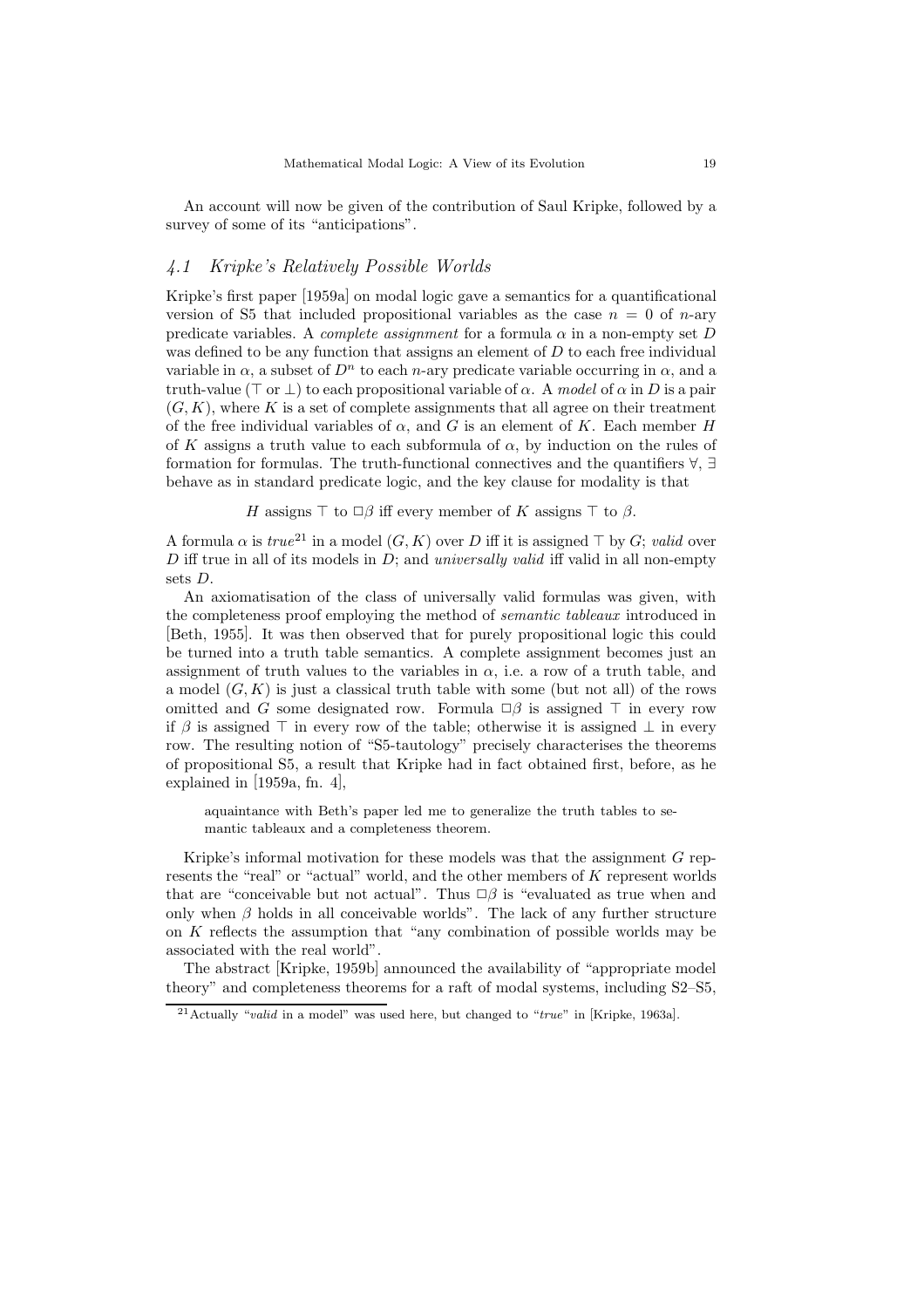An account will now be given of the contribution of Saul Kripke, followed by a survey of some of its "anticipations".

# *4.1 Kripke's Relatively Possible Worlds*

Kripke's first paper [1959a] on modal logic gave a semantics for a quantificational version of S5 that included propositional variables as the case  $n = 0$  of *n*-ary predicate variables. A *complete assignment* for a formula  $\alpha$  in a non-empty set D was defined to be any function that assigns an element of  $D$  to each free individual variable in  $\alpha$ , a subset of  $D^n$  to each *n*-ary predicate variable occurring in  $\alpha$ , and a truth-value ( $\top$  or  $\bot$ ) to each propositional variable of  $\alpha$ . A model of  $\alpha$  in D is a pair  $(G, K)$ , where K is a set of complete assignments that all agree on their treatment of the free individual variables of  $\alpha$ , and G is an element of K. Each member H of K assigns a truth value to each subformula of  $\alpha$ , by induction on the rules of formation for formulas. The truth-functional connectives and the quantifiers ∀, ∃ behave as in standard predicate logic, and the key clause for modality is that

H assigns  $\top$  to  $\Box \beta$  iff every member of K assigns  $\top$  to  $\beta$ .

A formula  $\alpha$  is true<sup>21</sup> in a model  $(G, K)$  over D iff it is assigned  $\top$  by G; valid over D iff true in all of its models in  $D$ ; and *universally valid* iff valid in all non-empty sets D.

An axiomatisation of the class of universally valid formulas was given, with the completeness proof employing the method of semantic tableaux introduced in [Beth, 1955]. It was then observed that for purely propositional logic this could be turned into a truth table semantics. A complete assignment becomes just an assignment of truth values to the variables in  $\alpha$ , i.e. a row of a truth table, and a model  $(G, K)$  is just a classical truth table with some (but not all) of the rows omitted and G some designated row. Formula  $\Box \beta$  is assigned  $\top$  in every row if  $\beta$  is assigned  $\top$  in every row of the table; otherwise it is assigned  $\bot$  in every row. The resulting notion of "S5-tautology" precisely characterises the theorems of propositional S5, a result that Kripke had in fact obtained first, before, as he explained in [1959a, fn. 4],

aquaintance with Beth's paper led me to generalize the truth tables to semantic tableaux and a completeness theorem.

Kripke's informal motivation for these models was that the assignment  $G$  represents the "real" or "actual" world, and the other members of K represent worlds that are "conceivable but not actual". Thus  $\Box \beta$  is "evaluated as true when and only when  $\beta$  holds in all conceivable worlds". The lack of any further structure on K reflects the assumption that "any combination of possible worlds may be associated with the real world".

The abstract [Kripke, 1959b] announced the availability of "appropriate model theory" and completeness theorems for a raft of modal systems, including S2–S5,

<sup>21</sup>Actually "*valid* in a model" was used here, but changed to "*true*" in [Kripke, 1963a].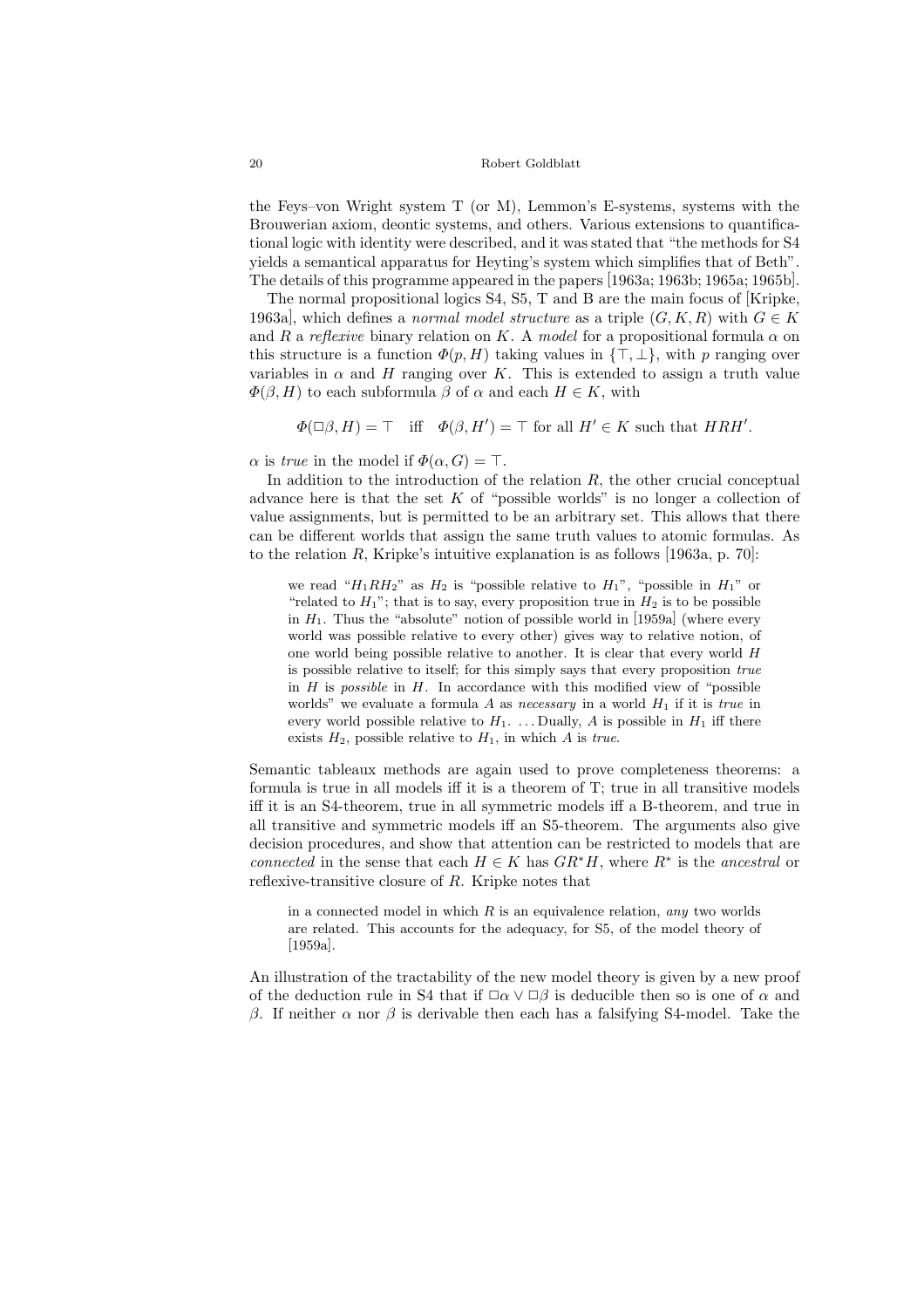the Feys–von Wright system T (or M), Lemmon's E-systems, systems with the Brouwerian axiom, deontic systems, and others. Various extensions to quantificational logic with identity were described, and it was stated that "the methods for S4 yields a semantical apparatus for Heyting's system which simplifies that of Beth". The details of this programme appeared in the papers [1963a; 1963b; 1965a; 1965b].

The normal propositional logics S4, S5, T and B are the main focus of [Kripke, 1963a, which defines a normal model structure as a triple  $(G, K, R)$  with  $G \in K$ and R a reflexive binary relation on K. A model for a propositional formula  $\alpha$  on this structure is a function  $\Phi(p, H)$  taking values in  $\{\top, \bot\}$ , with p ranging over variables in  $\alpha$  and H ranging over K. This is extended to assign a truth value  $\Phi(\beta, H)$  to each subformula  $\beta$  of  $\alpha$  and each  $H \in K$ , with

 $\Phi(\Box \beta, H) = \top$  iff  $\Phi(\beta, H') = \top$  for all  $H' \in K$  such that  $HRH'$ .

 $\alpha$  is true in the model if  $\Phi(\alpha, G) = \top$ .

In addition to the introduction of the relation  $R$ , the other crucial conceptual advance here is that the set  $K$  of "possible worlds" is no longer a collection of value assignments, but is permitted to be an arbitrary set. This allows that there can be different worlds that assign the same truth values to atomic formulas. As to the relation R, Kripke's intuitive explanation is as follows [1963a, p. 70]:

we read " $H_1 R H_2$ " as  $H_2$  is "possible relative to  $H_1$ ", "possible in  $H_1$ " or "related to  $H_1$ "; that is to say, every proposition true in  $H_2$  is to be possible in  $H_1$ . Thus the "absolute" notion of possible world in [1959a] (where every world was possible relative to every other) gives way to relative notion, of one world being possible relative to another. It is clear that every world H is possible relative to itself; for this simply says that every proposition true in  $H$  is *possible* in  $H$ . In accordance with this modified view of "possible worlds" we evaluate a formula A as necessary in a world  $H_1$  if it is true in every world possible relative to  $H_1$ . ... Dually, A is possible in  $H_1$  iff there exists  $H_2$ , possible relative to  $H_1$ , in which A is true.

Semantic tableaux methods are again used to prove completeness theorems: a formula is true in all models iff it is a theorem of T; true in all transitive models iff it is an S4-theorem, true in all symmetric models iff a B-theorem, and true in all transitive and symmetric models iff an S5-theorem. The arguments also give decision procedures, and show that attention can be restricted to models that are connected in the sense that each  $H \in K$  has  $GR^*H$ , where  $R^*$  is the ancestral or reflexive-transitive closure of R. Kripke notes that

in a connected model in which  $R$  is an equivalence relation, any two worlds are related. This accounts for the adequacy, for S5, of the model theory of [1959a].

An illustration of the tractability of the new model theory is given by a new proof of the deduction rule in S4 that if  $\Box \alpha \lor \Box \beta$  is deducible then so is one of  $\alpha$  and β. If neither  $\alpha$  nor β is derivable then each has a falsifying S4-model. Take the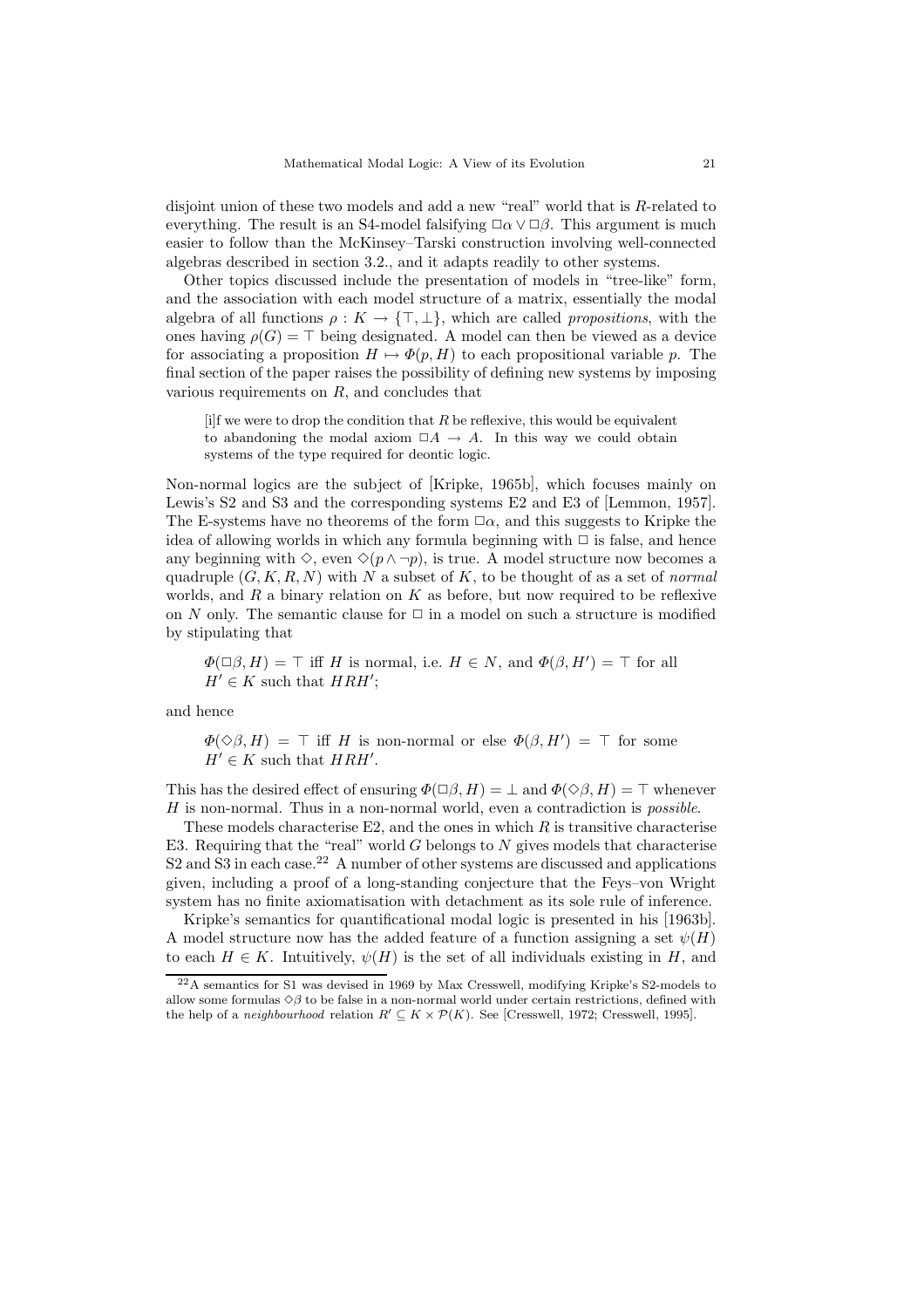disjoint union of these two models and add a new "real" world that is R-related to everything. The result is an S4-model falsifying  $\Box \alpha \vee \Box \beta$ . This argument is much easier to follow than the McKinsey–Tarski construction involving well-connected algebras described in section 3.2., and it adapts readily to other systems.

Other topics discussed include the presentation of models in "tree-like" form, and the association with each model structure of a matrix, essentially the modal algebra of all functions  $\rho: K \to {\{\top, \bot\}}$ , which are called propositions, with the ones having  $\rho(G) = \top$  being designated. A model can then be viewed as a device for associating a proposition  $H \mapsto \Phi(p, H)$  to each propositional variable p. The final section of the paper raises the possibility of defining new systems by imposing various requirements on  $R$ , and concludes that

[i]f we were to drop the condition that  $R$  be reflexive, this would be equivalent to abandoning the modal axiom  $\Box A \rightarrow A$ . In this way we could obtain systems of the type required for deontic logic.

Non-normal logics are the subject of [Kripke, 1965b], which focuses mainly on Lewis's S2 and S3 and the corresponding systems E2 and E3 of [Lemmon, 1957]. The E-systems have no theorems of the form  $\Box \alpha$ , and this suggests to Kripke the idea of allowing worlds in which any formula beginning with  $\Box$  is false, and hence any beginning with  $\Diamond$ , even  $\Diamond(p \land \neg p)$ , is true. A model structure now becomes a quadruple  $(G, K, R, N)$  with N a subset of K, to be thought of as a set of normal worlds, and  $R$  a binary relation on  $K$  as before, but now required to be reflexive on N only. The semantic clause for  $\Box$  in a model on such a structure is modified by stipulating that

 $\Phi(\Box \beta, H) = \top$  iff H is normal, i.e.  $H \in N$ , and  $\Phi(\beta, H') = \top$  for all  $H' \in K$  such that  $HRH';$ 

and hence

$$
\Phi(\Diamond \beta, H) = \top
$$
 iff *H* is non-normal or else  $\Phi(\beta, H') = \top$  for some  $H' \in K$  such that  $HRH'$ .

This has the desired effect of ensuring  $\Phi(\Box \beta, H) = \bot$  and  $\Phi(\Diamond \beta, H) = \top$  whenever  $H$  is non-normal. Thus in a non-normal world, even a contradiction is *possible*.

These models characterise E2, and the ones in which  $R$  is transitive characterise E3. Requiring that the "real" world  $G$  belongs to  $N$  gives models that characterise  $S2$  and  $S3$  in each case.<sup>22</sup> A number of other systems are discussed and applications given, including a proof of a long-standing conjecture that the Feys–von Wright system has no finite axiomatisation with detachment as its sole rule of inference.

Kripke's semantics for quantificational modal logic is presented in his [1963b]. A model structure now has the added feature of a function assigning a set  $\psi(H)$ to each  $H \in K$ . Intuitively,  $\psi(H)$  is the set of all individuals existing in H, and

<sup>22</sup>A semantics for S1 was devised in 1969 by Max Cresswell, modifying Kripke's S2-models to allow some formulas  $\diamondsuit \beta$  to be false in a non-normal world under certain restrictions, defined with the help of a *neighbourhood* relation  $R' \subseteq K \times \mathcal{P}(K)$ . See [Cresswell, 1972; Cresswell, 1995].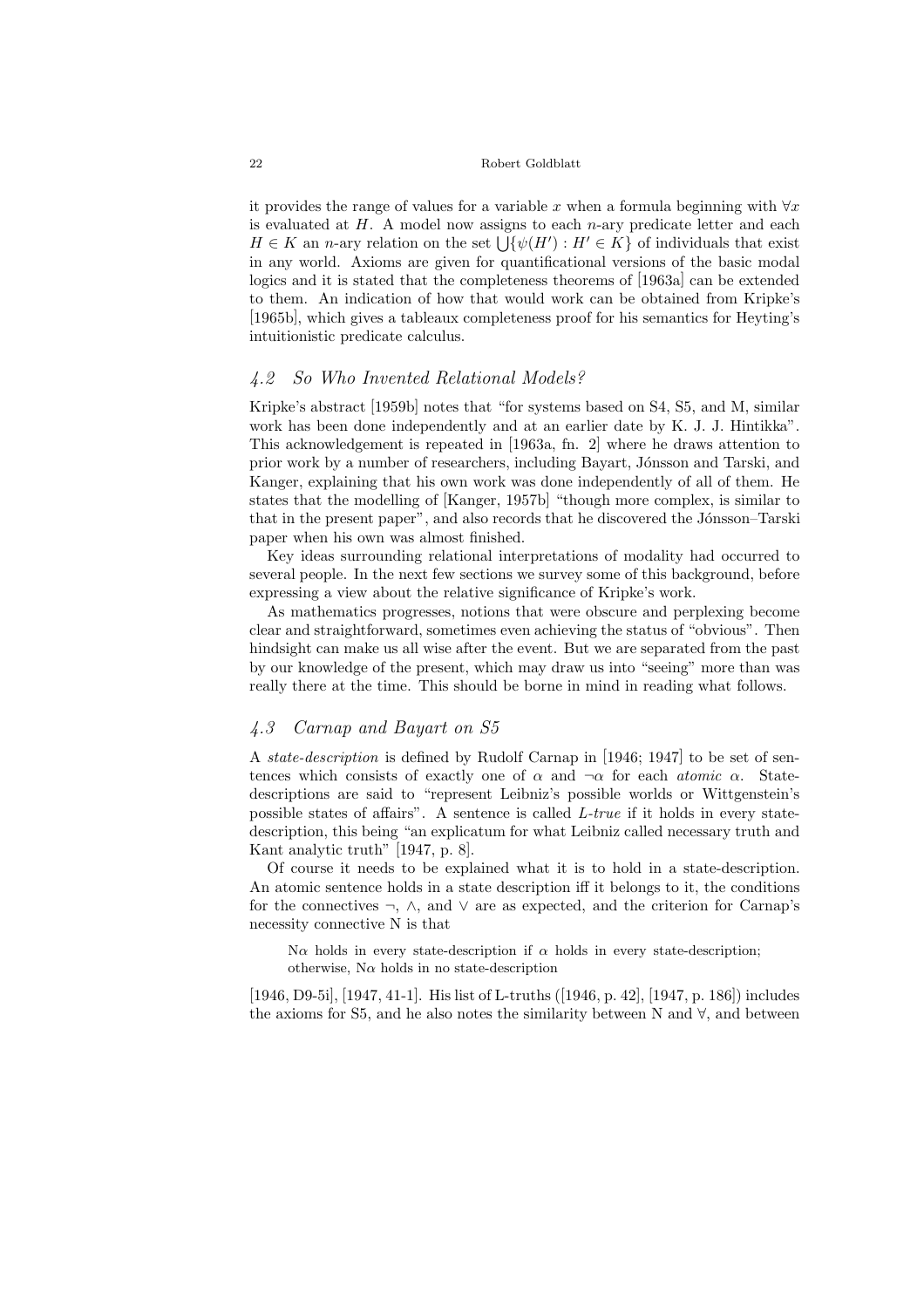it provides the range of values for a variable x when a formula beginning with  $\forall x$ is evaluated at  $H$ . A model now assigns to each *n*-ary predicate letter and each  $H \in K$  an n-ary relation on the set  $\bigcup \{\psi(H'): H' \in K\}$  of individuals that exist in any world. Axioms are given for quantificational versions of the basic modal logics and it is stated that the completeness theorems of [1963a] can be extended to them. An indication of how that would work can be obtained from Kripke's [1965b], which gives a tableaux completeness proof for his semantics for Heyting's intuitionistic predicate calculus.

# *4.2 So Who Invented Relational Models?*

Kripke's abstract [1959b] notes that "for systems based on S4, S5, and M, similar work has been done independently and at an earlier date by K. J. J. Hintikka". This acknowledgement is repeated in [1963a, fn. 2] where he draws attention to prior work by a number of researchers, including Bayart, Jónsson and Tarski, and Kanger, explaining that his own work was done independently of all of them. He states that the modelling of [Kanger, 1957b] "though more complex, is similar to that in the present paper", and also records that he discovered the Jónsson–Tarski paper when his own was almost finished.

Key ideas surrounding relational interpretations of modality had occurred to several people. In the next few sections we survey some of this background, before expressing a view about the relative significance of Kripke's work.

As mathematics progresses, notions that were obscure and perplexing become clear and straightforward, sometimes even achieving the status of "obvious". Then hindsight can make us all wise after the event. But we are separated from the past by our knowledge of the present, which may draw us into "seeing" more than was really there at the time. This should be borne in mind in reading what follows.

# *4.3 Carnap and Bayart on S5*

A state-description is defined by Rudolf Carnap in [1946; 1947] to be set of sentences which consists of exactly one of  $\alpha$  and  $\neg \alpha$  for each *atomic*  $\alpha$ . Statedescriptions are said to "represent Leibniz's possible worlds or Wittgenstein's possible states of affairs". A sentence is called  $L$ -true if it holds in every statedescription, this being "an explicatum for what Leibniz called necessary truth and Kant analytic truth" [1947, p. 8].

Of course it needs to be explained what it is to hold in a state-description. An atomic sentence holds in a state description iff it belongs to it, the conditions for the connectives ¬, ∧, and ∨ are as expected, and the criterion for Carnap's necessity connective N is that

Nα holds in every state-description if α holds in every state-description; otherwise,  $N\alpha$  holds in no state-description

[1946, D9-5i], [1947, 41-1]. His list of L-truths ([1946, p. 42], [1947, p. 186]) includes the axioms for S5, and he also notes the similarity between N and ∀, and between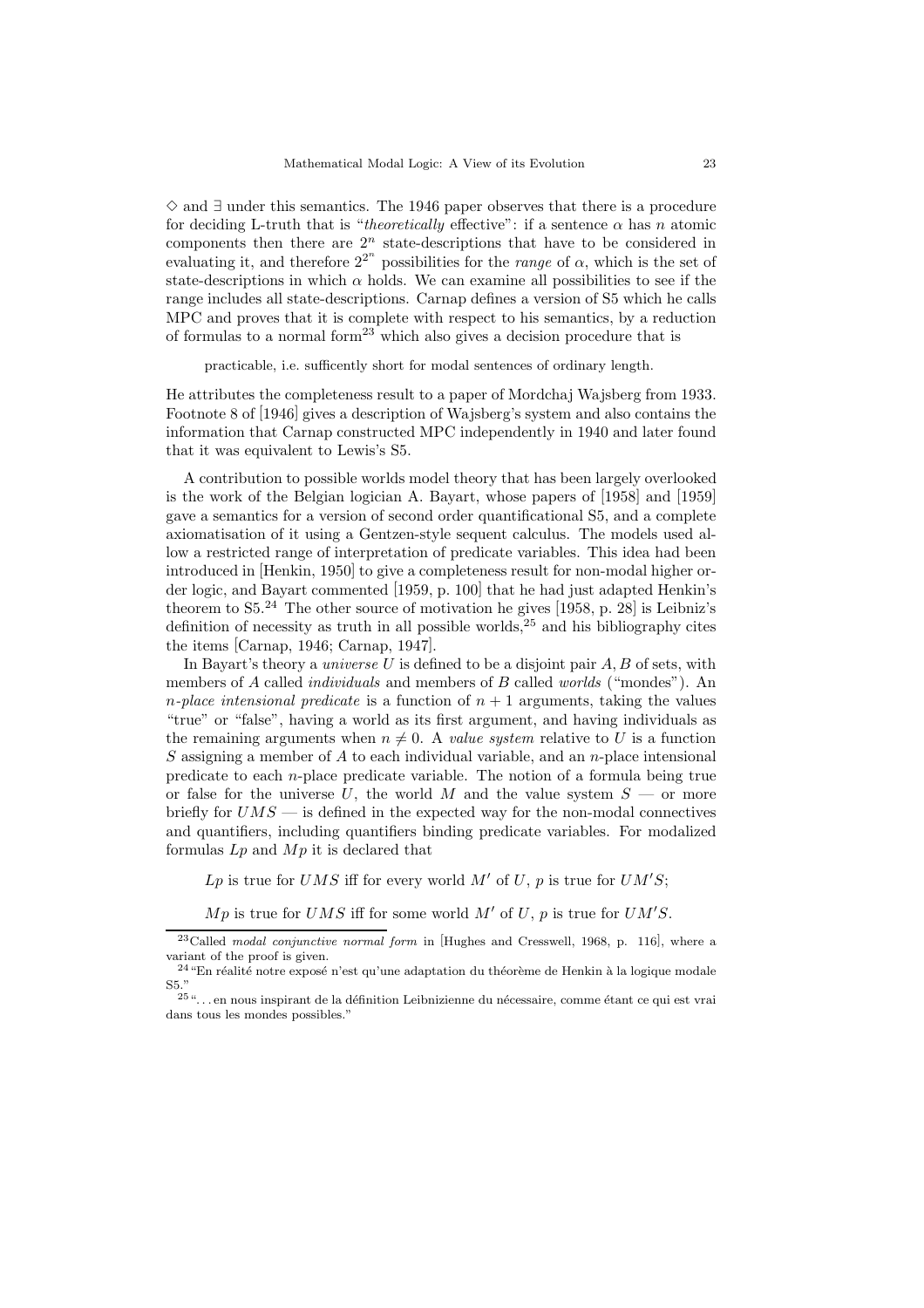$\diamond$  and  $\exists$  under this semantics. The 1946 paper observes that there is a procedure for deciding L-truth that is "theoretically effective": if a sentence  $\alpha$  has n atomic components then there are  $2^n$  state-descriptions that have to be considered in evaluating it, and therefore  $2^{2^n}$  possibilities for the *range* of  $\alpha$ , which is the set of state-descriptions in which  $\alpha$  holds. We can examine all possibilities to see if the range includes all state-descriptions. Carnap defines a version of S5 which he calls MPC and proves that it is complete with respect to his semantics, by a reduction of formulas to a normal form<sup>23</sup> which also gives a decision procedure that is

practicable, i.e. sufficently short for modal sentences of ordinary length.

He attributes the completeness result to a paper of Mordchaj Wajsberg from 1933. Footnote 8 of [1946] gives a description of Wajsberg's system and also contains the information that Carnap constructed MPC independently in 1940 and later found that it was equivalent to Lewis's S5.

A contribution to possible worlds model theory that has been largely overlooked is the work of the Belgian logician A. Bayart, whose papers of [1958] and [1959] gave a semantics for a version of second order quantificational S5, and a complete axiomatisation of it using a Gentzen-style sequent calculus. The models used allow a restricted range of interpretation of predicate variables. This idea had been introduced in [Henkin, 1950] to give a completeness result for non-modal higher order logic, and Bayart commented [1959, p. 100] that he had just adapted Henkin's theorem to S5.<sup>24</sup> The other source of motivation he gives [1958, p. 28] is Leibniz's definition of necessity as truth in all possible worlds,<sup>25</sup> and his bibliography cites the items [Carnap, 1946; Carnap, 1947].

In Bayart's theory a *universe*  $U$  is defined to be a disjoint pair  $A, B$  of sets, with members of A called *individuals* and members of B called *worlds* ("mondes"). An *n-place intensional predicate* is a function of  $n + 1$  arguments, taking the values "true" or "false", having a world as its first argument, and having individuals as the remaining arguments when  $n \neq 0$ . A value system relative to U is a function S assigning a member of  $A$  to each individual variable, and an  $n$ -place intensional predicate to each *n*-place predicate variable. The notion of a formula being true or false for the universe U, the world M and the value system  $S$  — or more briefly for  $UMS$  — is defined in the expected way for the non-modal connectives and quantifiers, including quantifiers binding predicate variables. For modalized formulas  $Lp$  and  $Mp$  it is declared that

Lp is true for UMS iff for every world M' of U, p is true for  $UM'S$ ;

Mp is true for UMS iff for some world M' of U, p is true for UM'S.

<sup>23</sup>Called *modal conjunctive normal form* in [Hughes and Cresswell, 1968, p. 116], where a variant of the proof is given.

 $^{24}$  "En réalité notre exposé n'est qu'une adaptation du théorème de Henkin à la logique modale S5."

 $^{25}$ "... en nous inspirant de la définition Leibnizienne du nécessaire, comme étant ce qui est vrai dans tous les mondes possibles."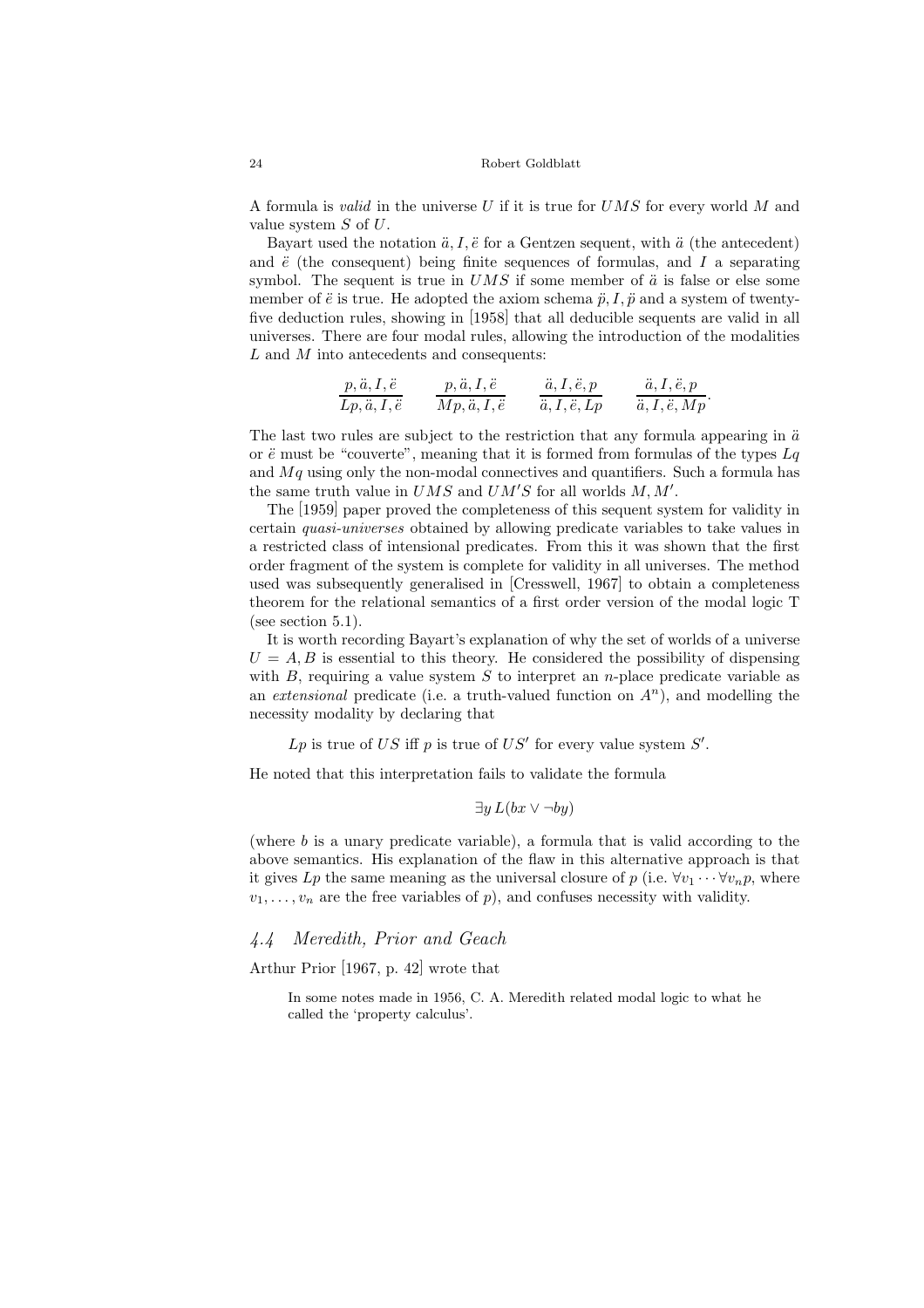A formula is *valid* in the universe U if it is true for UMS for every world M and value system  $S$  of  $U$ .

Bayart used the notation  $\ddot{a}$ ,  $I, \ddot{e}$  for a Gentzen sequent, with  $\ddot{a}$  (the antecedent) and  $\ddot{e}$  (the consequent) being finite sequences of formulas, and I a separating symbol. The sequent is true in  $UMS$  if some member of  $\ddot{a}$  is false or else some member of  $\ddot{e}$  is true. He adopted the axiom schema  $\ddot{p}, I, \ddot{p}$  and a system of twentyfive deduction rules, showing in [1958] that all deducible sequents are valid in all universes. There are four modal rules, allowing the introduction of the modalities  $L$  and  $M$  into antecedents and consequents:

$$
\frac{p, \ddot{a}, I, \ddot{e}}{Lp, \ddot{a}, I, \ddot{e}} \qquad \frac{p, \ddot{a}, I, \ddot{e}}{Mp, \ddot{a}, I, \ddot{e}} \qquad \frac{\ddot{a}, I, \ddot{e}, p}{\ddot{a}, I, \ddot{e}, Lp} \qquad \frac{\ddot{a}, I, \ddot{e}, p}{\ddot{a}, I, \ddot{e}, Mp}.
$$

The last two rules are subject to the restriction that any formula appearing in  $\ddot{a}$ or  $\ddot{e}$  must be "couverte", meaning that it is formed from formulas of the types  $Lq$ and  $Mq$  using only the non-modal connectives and quantifiers. Such a formula has the same truth value in  $UMS$  and  $UM'S$  for all worlds  $M, M'$ .

The [1959] paper proved the completeness of this sequent system for validity in certain quasi-universes obtained by allowing predicate variables to take values in a restricted class of intensional predicates. From this it was shown that the first order fragment of the system is complete for validity in all universes. The method used was subsequently generalised in [Cresswell, 1967] to obtain a completeness theorem for the relational semantics of a first order version of the modal logic T (see section 5.1).

It is worth recording Bayart's explanation of why the set of worlds of a universe  $U = A, B$  is essential to this theory. He considered the possibility of dispensing with  $B$ , requiring a value system  $S$  to interpret an *n*-place predicate variable as an *extensional* predicate (i.e. a truth-valued function on  $A<sup>n</sup>$ ), and modelling the necessity modality by declaring that

 $Lp$  is true of US iff p is true of US' for every value system S'.

He noted that this interpretation fails to validate the formula

$$
\exists y \, L(bx \lor \neg by)
$$

(where b is a unary predicate variable), a formula that is valid according to the above semantics. His explanation of the flaw in this alternative approach is that it gives Lp the same meaning as the universal closure of p (i.e.  $\forall v_1 \cdots \forall v_n p$ , where  $v_1, \ldots, v_n$  are the free variables of p), and confuses necessity with validity.

# *4.4 Meredith, Prior and Geach*

Arthur Prior [1967, p. 42] wrote that

In some notes made in 1956, C. A. Meredith related modal logic to what he called the 'property calculus'.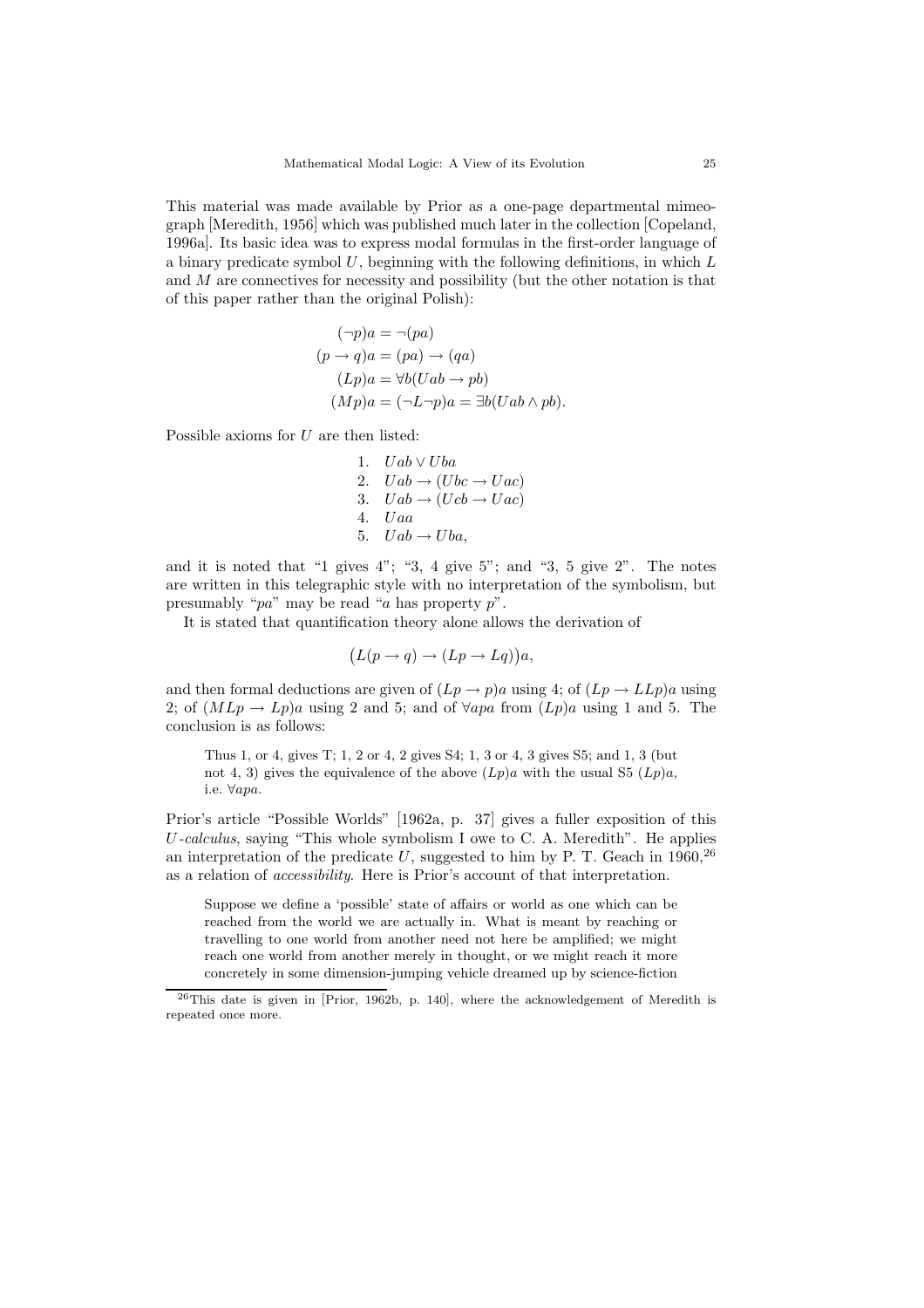This material was made available by Prior as a one-page departmental mimeograph [Meredith, 1956] which was published much later in the collection [Copeland, 1996a]. Its basic idea was to express modal formulas in the first-order language of a binary predicate symbol  $U$ , beginning with the following definitions, in which  $L$ and  $M$  are connectives for necessity and possibility (but the other notation is that of this paper rather than the original Polish):

$$
(\neg p)a = \neg (pa)
$$
  
\n
$$
(p \rightarrow q)a = (pa) \rightarrow (qa)
$$
  
\n
$$
(Lp)a = \forall b(Uab \rightarrow pb)
$$
  
\n
$$
(Mp)a = (\neg L\neg p)a = \exists b(Uab \land pb).
$$

Possible axioms for U are then listed:

1.  $Uab \vee Uba$ 2.  $Uab \rightarrow (Ubc \rightarrow Uac)$ 3.  $Uab \rightarrow (Ucb \rightarrow Uac)$ 4. Uaa 5.  $Uab \rightarrow Uba$ ,

and it is noted that "1 gives  $4$ "; "3, 4 give  $5$ "; and "3, 5 give  $2$ ". The notes are written in this telegraphic style with no interpretation of the symbolism, but presumably " $pa$ " may be read "a has property  $p$ ".

It is stated that quantification theory alone allows the derivation of

$$
(L(p \to q) \to (Lp \to Lq))a,
$$

and then formal deductions are given of  $(Lp \rightarrow p)a$  using 4; of  $(Lp \rightarrow L L p)a$  using 2; of  $(MLp \rightarrow Lp)a$  using 2 and 5; and of  $\forall apa$  from  $(Lp)a$  using 1 and 5. The conclusion is as follows:

Thus 1, or 4, gives T; 1, 2 or 4, 2 gives S4; 1, 3 or 4, 3 gives S5; and 1, 3 (but not 4, 3) gives the equivalence of the above  $(Lp)a$  with the usual S5  $(Lp)a$ , i.e. ∀apa.

Prior's article "Possible Worlds" [1962a, p. 37] gives a fuller exposition of this U-calculus, saying "This whole symbolism I owe to C. A. Meredith". He applies an interpretation of the predicate U, suggested to him by P. T. Geach in  $1960$ ,  $^{26}$ as a relation of accessibility. Here is Prior's account of that interpretation.

Suppose we define a 'possible' state of affairs or world as one which can be reached from the world we are actually in. What is meant by reaching or travelling to one world from another need not here be amplified; we might reach one world from another merely in thought, or we might reach it more concretely in some dimension-jumping vehicle dreamed up by science-fiction

 $^{26}$ This date is given in [Prior, 1962b, p. 140], where the acknowledgement of Meredith is repeated once more.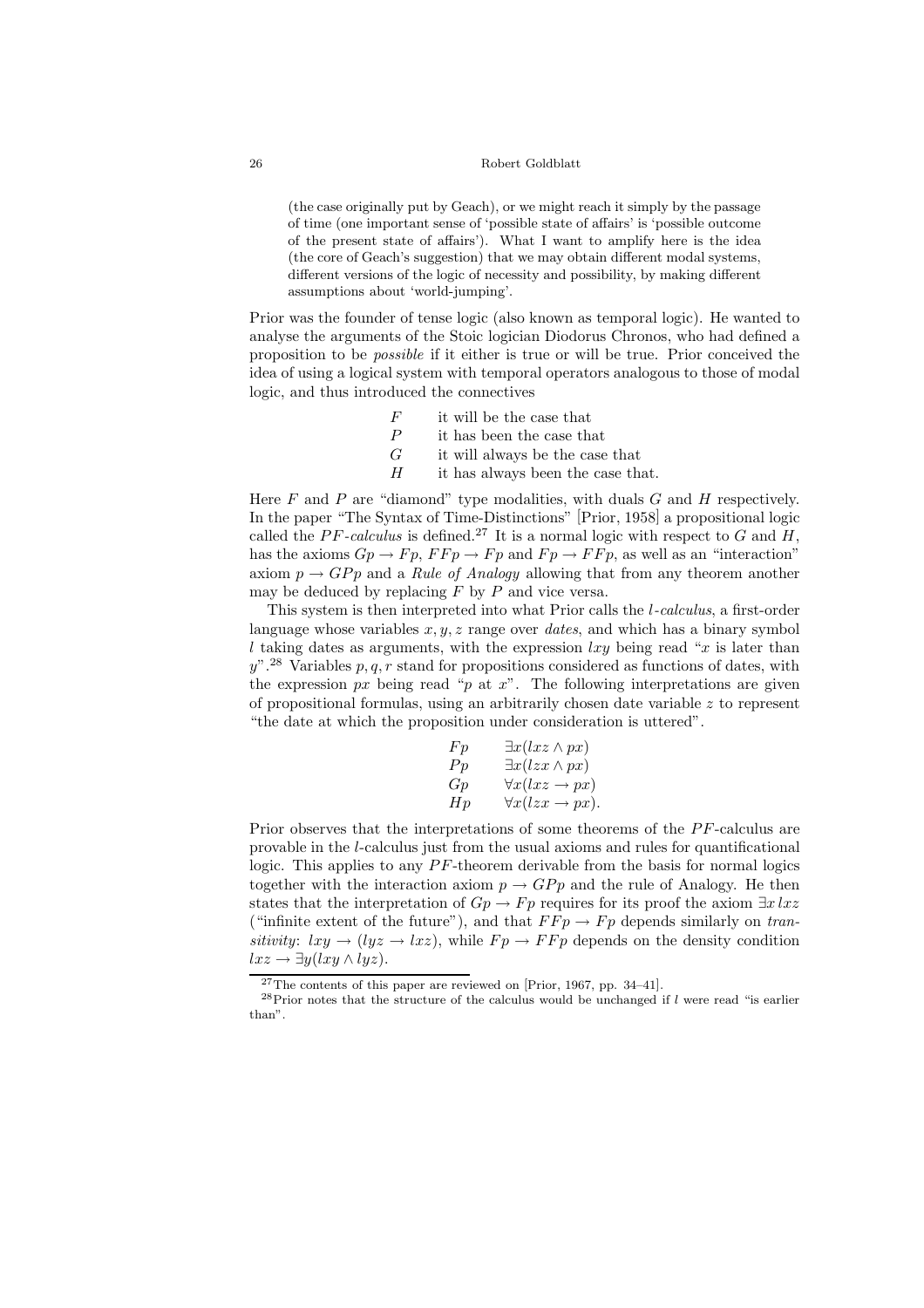(the case originally put by Geach), or we might reach it simply by the passage of time (one important sense of 'possible state of affairs' is 'possible outcome of the present state of affairs'). What I want to amplify here is the idea (the core of Geach's suggestion) that we may obtain different modal systems, different versions of the logic of necessity and possibility, by making different assumptions about 'world-jumping'.

Prior was the founder of tense logic (also known as temporal logic). He wanted to analyse the arguments of the Stoic logician Diodorus Chronos, who had defined a proposition to be possible if it either is true or will be true. Prior conceived the idea of using a logical system with temporal operators analogous to those of modal logic, and thus introduced the connectives

- $F$  it will be the case that
- P it has been the case that
- $G$  it will always be the case that
- $H$  it has always been the case that.

Here  $F$  and  $P$  are "diamond" type modalities, with duals  $G$  and  $H$  respectively. In the paper "The Syntax of Time-Distinctions" [Prior, 1958] a propositional logic called the PF-calculus is defined.<sup>27</sup> It is a normal logic with respect to G and H, has the axioms  $Gp \to Fp$ ,  $FFp \to Fp$  and  $Fp \to FFp$ , as well as an "interaction" axiom  $p \rightarrow G P p$  and a *Rule of Analogy* allowing that from any theorem another may be deduced by replacing  $F$  by  $P$  and vice versa.

This system is then interpreted into what Prior calls the l-calculus, a first-order language whose variables  $x, y, z$  range over *dates*, and which has a binary symbol l taking dates as arguments, with the expression  $lxy$  being read "x is later than  $y$ ".<sup>28</sup> Variables  $p, q, r$  stand for propositions considered as functions of dates, with the expression  $px$  being read "p at  $x$ ". The following interpretations are given of propositional formulas, using an arbitrarily chosen date variable  $z$  to represent "the date at which the proposition under consideration is uttered".

$$
Fp = \exists x(lxz \land px)
$$
  
\n
$$
Pp = \exists x(lzx \land px)
$$
  
\n
$$
Gp = \forall x(lxz \rightarrow px).
$$
  
\n
$$
Hp = \forall x(lzx \rightarrow px).
$$

Prior observes that the interpretations of some theorems of the PF-calculus are provable in the l-calculus just from the usual axioms and rules for quantificational logic. This applies to any PF-theorem derivable from the basis for normal logics together with the interaction axiom  $p \to GPp$  and the rule of Analogy. He then states that the interpretation of  $G_p \to F_p$  requires for its proof the axiom  $\exists x \, l x z$ ("infinite extent of the future"), and that  $FFp \rightarrow Fp$  depends similarly on transitivity:  $lxy \rightarrow (lyz \rightarrow lxz)$ , while  $Fp \rightarrow FFp$  depends on the density condition  $lxz \rightarrow \exists y (lxy \wedge lyz).$ 

 $27$ The contents of this paper are reviewed on [Prior, 1967, pp. 34–41].

<sup>&</sup>lt;sup>28</sup>Prior notes that the structure of the calculus would be unchanged if  $l$  were read "is earlier than".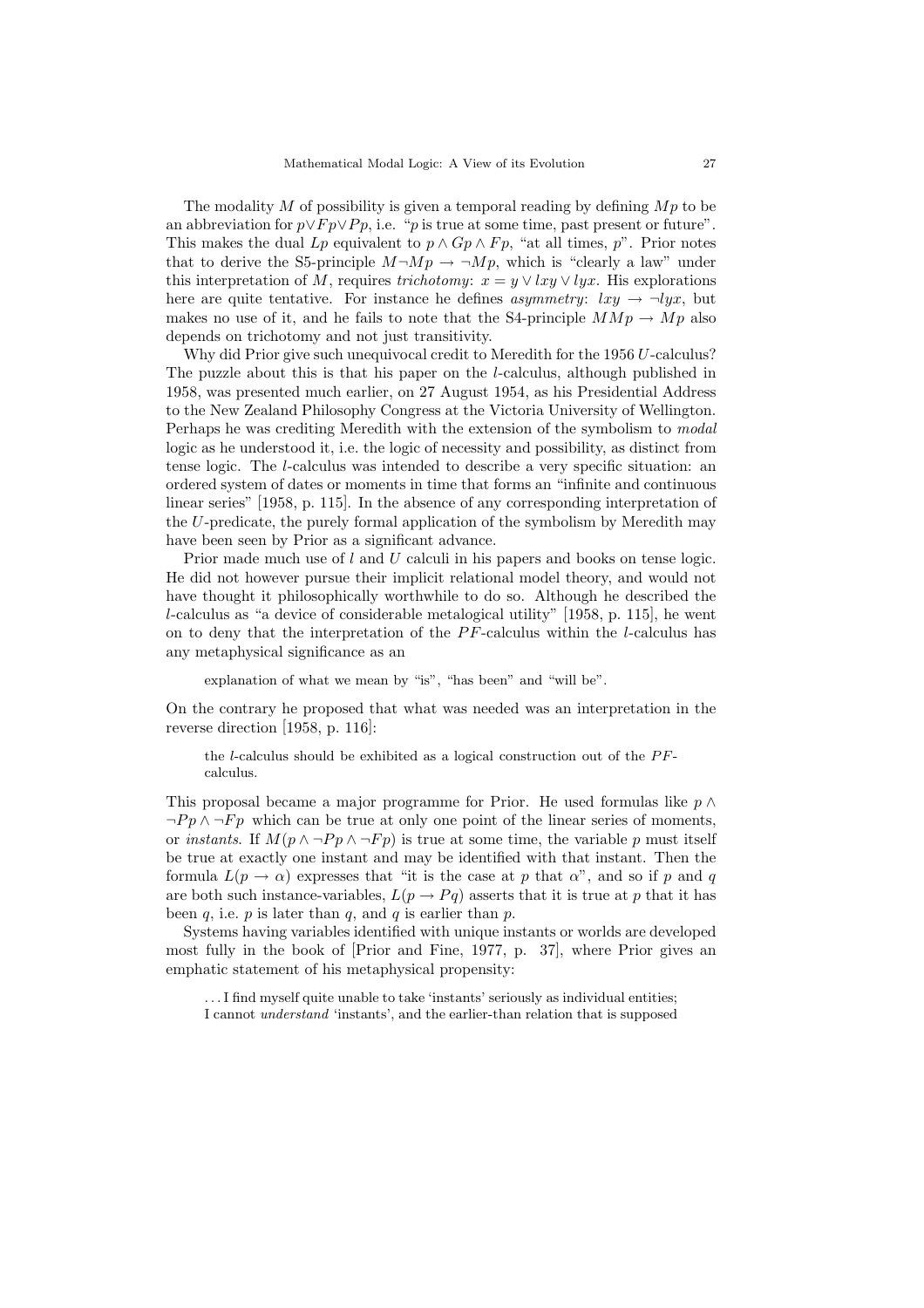The modality  $M$  of possibility is given a temporal reading by defining  $Mp$  to be an abbreviation for  $p \lor Fp \lor Py$ , i.e. "p is true at some time, past present or future". This makes the dual Lp equivalent to  $p \wedge Gp \wedge Fp$ , "at all times, p". Prior notes that to derive the S5-principle  $M\neg Mp \rightarrow \neg Mp$ , which is "clearly a law" under this interpretation of M, requires trichotomy:  $x = y \vee lxy \vee lyx$ . His explorations here are quite tentative. For instance he defines asymmetry:  $lxy \rightarrow \neg lyx$ , but makes no use of it, and he fails to note that the S4-principle  $MMp \to Mp$  also depends on trichotomy and not just transitivity.

Why did Prior give such unequivocal credit to Meredith for the 1956 U-calculus? The puzzle about this is that his paper on the l-calculus, although published in 1958, was presented much earlier, on 27 August 1954, as his Presidential Address to the New Zealand Philosophy Congress at the Victoria University of Wellington. Perhaps he was crediting Meredith with the extension of the symbolism to modal logic as he understood it, i.e. the logic of necessity and possibility, as distinct from tense logic. The l-calculus was intended to describe a very specific situation: an ordered system of dates or moments in time that forms an "infinite and continuous linear series" [1958, p. 115]. In the absence of any corresponding interpretation of the U-predicate, the purely formal application of the symbolism by Meredith may have been seen by Prior as a significant advance.

Prior made much use of l and U calculi in his papers and books on tense logic. He did not however pursue their implicit relational model theory, and would not have thought it philosophically worthwhile to do so. Although he described the l-calculus as "a device of considerable metalogical utility" [1958, p. 115], he went on to deny that the interpretation of the  $PF$ -calculus within the *l*-calculus has any metaphysical significance as an

explanation of what we mean by "is", "has been" and "will be".

On the contrary he proposed that what was needed was an interpretation in the reverse direction [1958, p. 116]:

the  $l$ -calculus should be exhibited as a logical construction out of the  $PF$ calculus.

This proposal became a major programme for Prior. He used formulas like  $p \wedge p$  $\neg Pp \wedge \neg Fp$  which can be true at only one point of the linear series of moments, or instants. If  $M(p \wedge \neg P p \wedge \neg F p)$  is true at some time, the variable p must itself be true at exactly one instant and may be identified with that instant. Then the formula  $L(p \to \alpha)$  expresses that "it is the case at p that  $\alpha$ ", and so if p and q are both such instance-variables,  $L(p \rightarrow Pq)$  asserts that it is true at p that it has been  $q$ , i.e.  $p$  is later than  $q$ , and  $q$  is earlier than  $p$ .

Systems having variables identified with unique instants or worlds are developed most fully in the book of [Prior and Fine, 1977, p. 37], where Prior gives an emphatic statement of his metaphysical propensity:

. . . I find myself quite unable to take 'instants' seriously as individual entities; I cannot understand 'instants', and the earlier-than relation that is supposed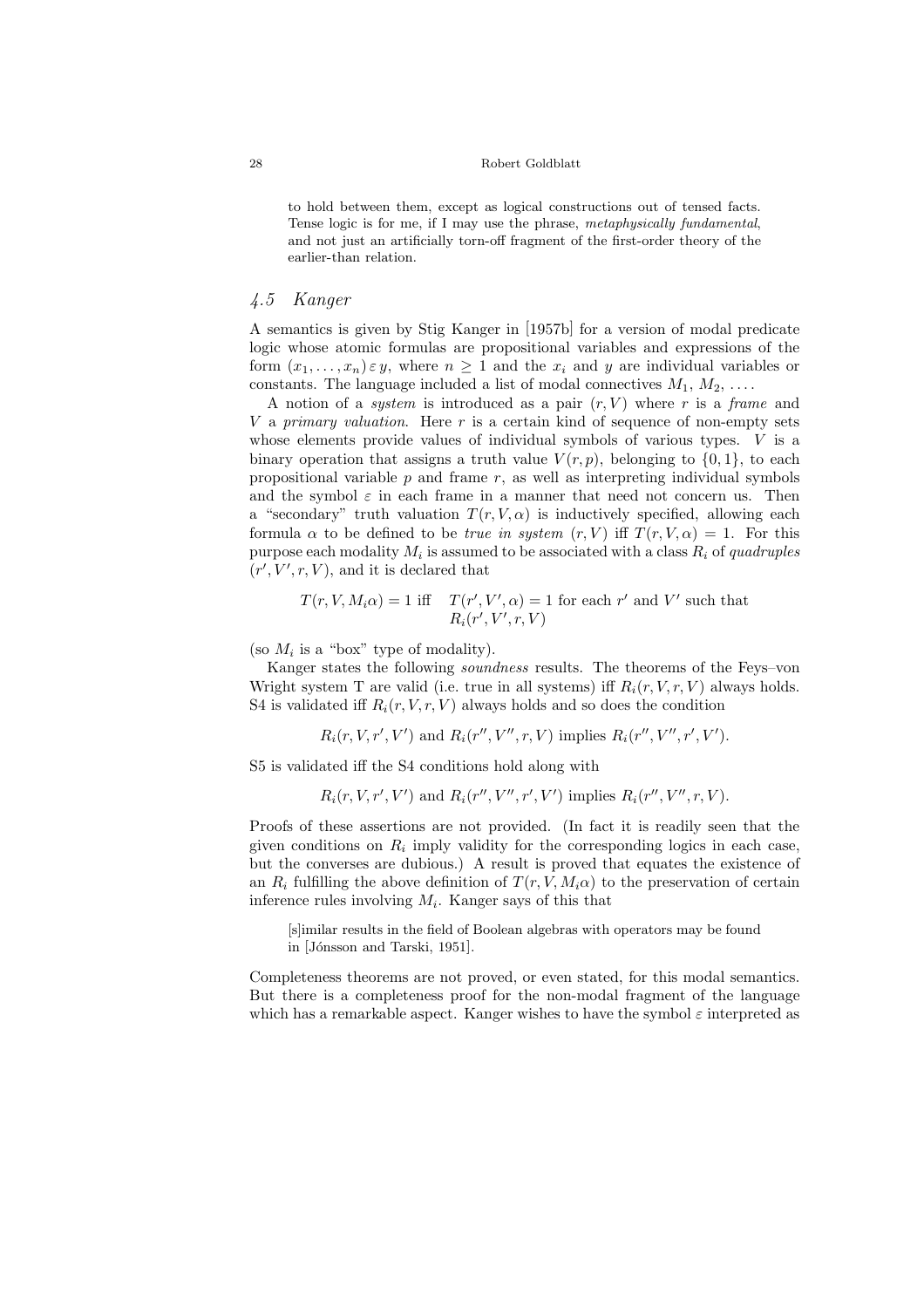to hold between them, except as logical constructions out of tensed facts. Tense logic is for me, if I may use the phrase, metaphysically fundamental, and not just an artificially torn-off fragment of the first-order theory of the earlier-than relation.

### *4.5 Kanger*

A semantics is given by Stig Kanger in [1957b] for a version of modal predicate logic whose atomic formulas are propositional variables and expressions of the form  $(x_1, \ldots, x_n) \in y$ , where  $n > 1$  and the  $x_i$  and y are individual variables or constants. The language included a list of modal connectives  $M_1, M_2, \ldots$ .

A notion of a *system* is introduced as a pair  $(r, V)$  where r is a *frame* and V a primary valuation. Here r is a certain kind of sequence of non-empty sets whose elements provide values of individual symbols of various types. V is a binary operation that assigns a truth value  $V(r, p)$ , belonging to  $\{0, 1\}$ , to each propositional variable  $p$  and frame  $r$ , as well as interpreting individual symbols and the symbol  $\varepsilon$  in each frame in a manner that need not concern us. Then a "secondary" truth valuation  $T(r, V, \alpha)$  is inductively specified, allowing each formula  $\alpha$  to be defined to be *true in system*  $(r, V)$  iff  $T(r, V, \alpha) = 1$ . For this purpose each modality  $M_i$  is assumed to be associated with a class  $R_i$  of  $quadruples$  $(r', V', r, V)$ , and it is declared that

$$
T(r, V, M_i \alpha) = 1 \text{ iff } T(r', V', \alpha) = 1 \text{ for each } r' \text{ and } V' \text{ such that } R_i(r', V', r, V)
$$

(so  $M_i$  is a "box" type of modality).

Kanger states the following soundness results. The theorems of the Feys–von Wright system T are valid (i.e. true in all systems) iff  $R_i(r, V, r, V)$  always holds. S4 is validated iff  $R_i(r, V, r, V)$  always holds and so does the condition

$$
R_i(r, V, r', V')
$$
 and  $R_i(r'', V'', r, V)$  implies  $R_i(r'', V'', r', V').$ 

S5 is validated iff the S4 conditions hold along with

$$
R_i(r, V, r', V')
$$
 and  $R_i(r'', V'', r', V')$  implies  $R_i(r'', V'', r, V)$ .

Proofs of these assertions are not provided. (In fact it is readily seen that the given conditions on  $R_i$  imply validity for the corresponding logics in each case, but the converses are dubious.) A result is proved that equates the existence of an  $R_i$  fulfilling the above definition of  $T(r, V, M_i\alpha)$  to the preservation of certain inference rules involving  $M_i$ . Kanger says of this that

[s]imilar results in the field of Boolean algebras with operators may be found in [Jónsson and Tarski, 1951].

Completeness theorems are not proved, or even stated, for this modal semantics. But there is a completeness proof for the non-modal fragment of the language which has a remarkable aspect. Kanger wishes to have the symbol  $\varepsilon$  interpreted as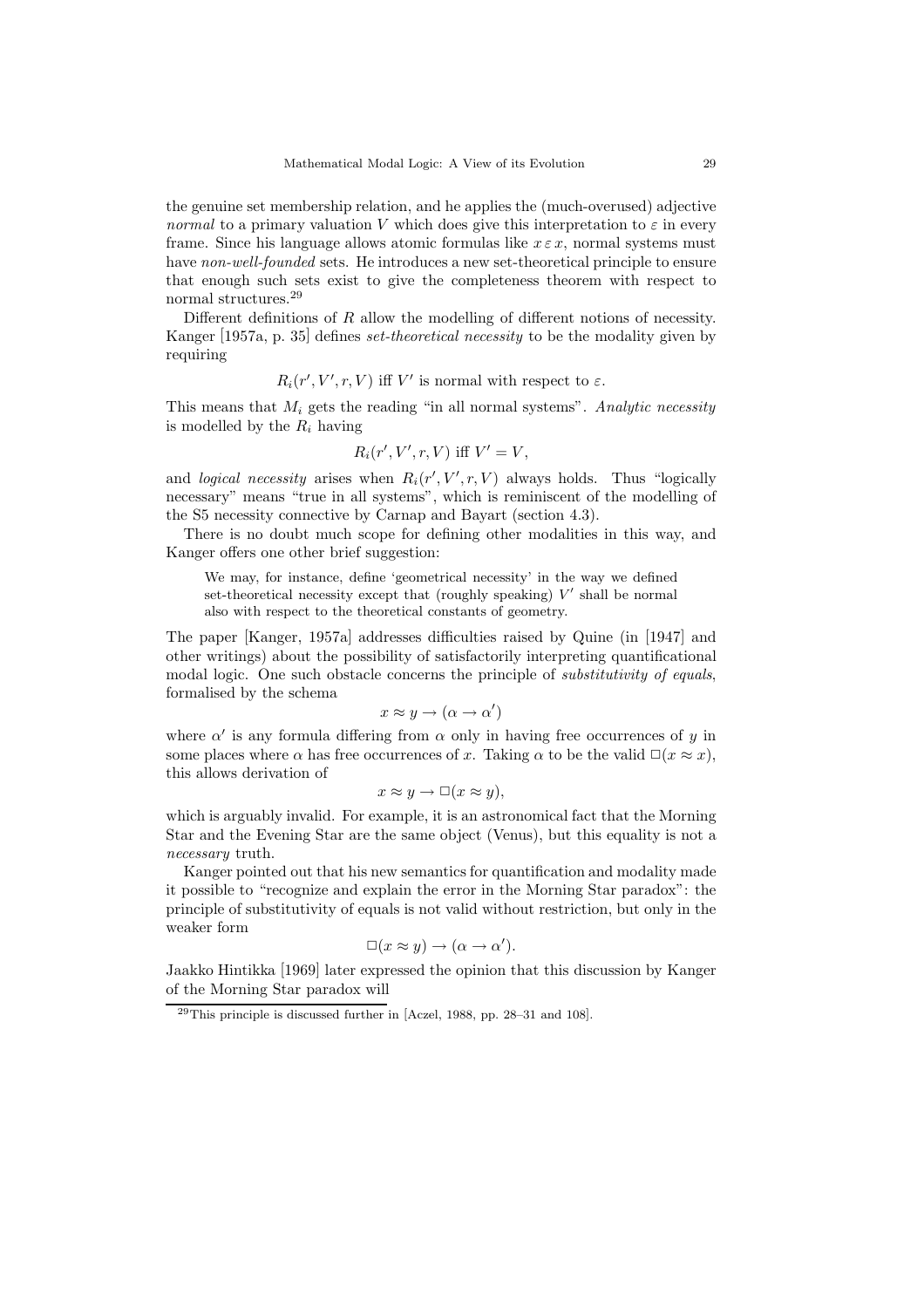the genuine set membership relation, and he applies the (much-overused) adjective normal to a primary valuation V which does give this interpretation to  $\varepsilon$  in every frame. Since his language allows atomic formulas like  $x \in x$ , normal systems must have non-well-founded sets. He introduces a new set-theoretical principle to ensure that enough such sets exist to give the completeness theorem with respect to normal structures.<sup>29</sup>

Different definitions of R allow the modelling of different notions of necessity. Kanger [1957a, p. 35] defines *set-theoretical necessity* to be the modality given by requiring

$$
R_i(r', V', r, V)
$$
 iff V' is normal with respect to  $\varepsilon$ .

This means that  $M_i$  gets the reading "in all normal systems". Analytic necessity is modelled by the  $R_i$  having

$$
R_i(r', V', r, V) \text{ iff } V' = V,
$$

and *logical necessity* arises when  $R_i(r', V', r, V)$  always holds. Thus "logically necessary" means "true in all systems", which is reminiscent of the modelling of the S5 necessity connective by Carnap and Bayart (section 4.3).

There is no doubt much scope for defining other modalities in this way, and Kanger offers one other brief suggestion:

We may, for instance, define 'geometrical necessity' in the way we defined set-theoretical necessity except that (roughly speaking)  $V'$  shall be normal also with respect to the theoretical constants of geometry.

The paper [Kanger, 1957a] addresses difficulties raised by Quine (in [1947] and other writings) about the possibility of satisfactorily interpreting quantificational modal logic. One such obstacle concerns the principle of *substitutivity of equals*, formalised by the schema

$$
x \approx y \to (\alpha \to \alpha')
$$

where  $\alpha'$  is any formula differing from  $\alpha$  only in having free occurrences of y in some places where  $\alpha$  has free occurrences of x. Taking  $\alpha$  to be the valid  $\square(x \approx x)$ , this allows derivation of

$$
x \approx y \to \Box(x \approx y),
$$

which is arguably invalid. For example, it is an astronomical fact that the Morning Star and the Evening Star are the same object (Venus), but this equality is not a necessary truth.

Kanger pointed out that his new semantics for quantification and modality made it possible to "recognize and explain the error in the Morning Star paradox": the principle of substitutivity of equals is not valid without restriction, but only in the weaker form

$$
\Box(x \approx y) \rightarrow (\alpha \rightarrow \alpha').
$$

Jaakko Hintikka [1969] later expressed the opinion that this discussion by Kanger of the Morning Star paradox will

 $29$ This principle is discussed further in [Aczel, 1988, pp. 28–31 and 108].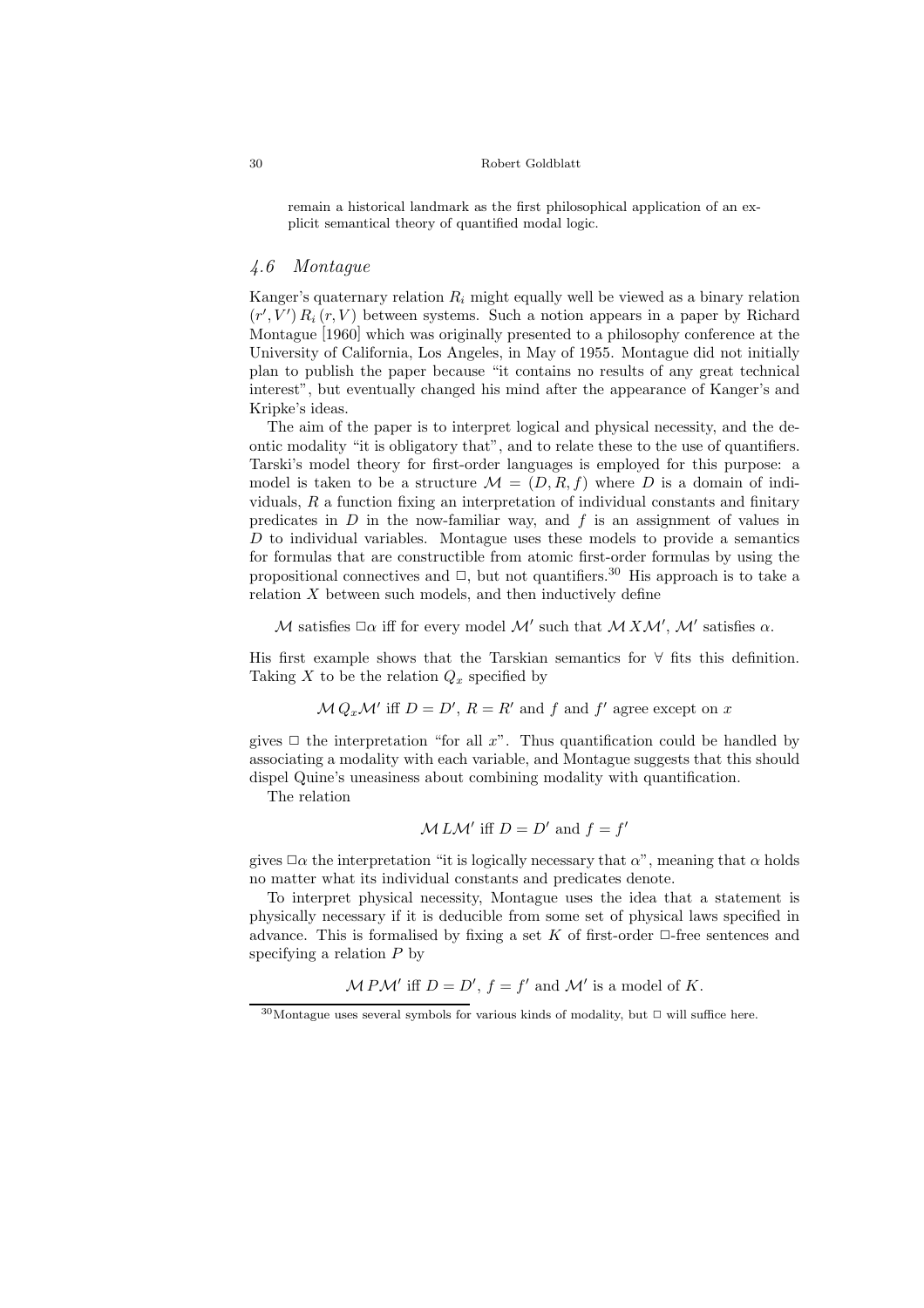remain a historical landmark as the first philosophical application of an explicit semantical theory of quantified modal logic.

# *4.6 Montague*

Kanger's quaternary relation  $R_i$  might equally well be viewed as a binary relation  $(r', V') R_i (r, V)$  between systems. Such a notion appears in a paper by Richard Montague [1960] which was originally presented to a philosophy conference at the University of California, Los Angeles, in May of 1955. Montague did not initially plan to publish the paper because "it contains no results of any great technical interest", but eventually changed his mind after the appearance of Kanger's and Kripke's ideas.

The aim of the paper is to interpret logical and physical necessity, and the deontic modality "it is obligatory that", and to relate these to the use of quantifiers. Tarski's model theory for first-order languages is employed for this purpose: a model is taken to be a structure  $\mathcal{M} = (D, R, f)$  where D is a domain of individuals,  $R$  a function fixing an interpretation of individual constants and finitary predicates in  $D$  in the now-familiar way, and  $f$  is an assignment of values in D to individual variables. Montague uses these models to provide a semantics for formulas that are constructible from atomic first-order formulas by using the propositional connectives and  $\Box$ , but not quantifiers.<sup>30</sup> His approach is to take a relation  $X$  between such models, and then inductively define

M satisfies  $\Box \alpha$  iff for every model M' such that MXM', M' satisfies  $\alpha$ .

His first example shows that the Tarskian semantics for ∀ fits this definition. Taking X to be the relation  $Q_x$  specified by

$$
\mathcal{M} Q_x \mathcal{M}'
$$
 iff  $D = D'$ ,  $R = R'$  and f and f' agree except on x

gives  $\Box$  the interpretation "for all x". Thus quantification could be handled by associating a modality with each variable, and Montague suggests that this should dispel Quine's uneasiness about combining modality with quantification.

The relation

$$
MLM' \text{ iff } D = D' \text{ and } f = f'
$$

gives  $\Box \alpha$  the interpretation "it is logically necessary that  $\alpha$ ", meaning that  $\alpha$  holds no matter what its individual constants and predicates denote.

To interpret physical necessity, Montague uses the idea that a statement is physically necessary if it is deducible from some set of physical laws specified in advance. This is formalised by fixing a set  $K$  of first-order  $\Box$ -free sentences and specifying a relation  $P$  by

 $\mathcal{M} \mathcal{P} \mathcal{M}'$  iff  $D = D'$ ,  $f = f'$  and  $\mathcal{M}'$  is a model of K.

 $30$ Montague uses several symbols for various kinds of modality, but  $\Box$  will suffice here.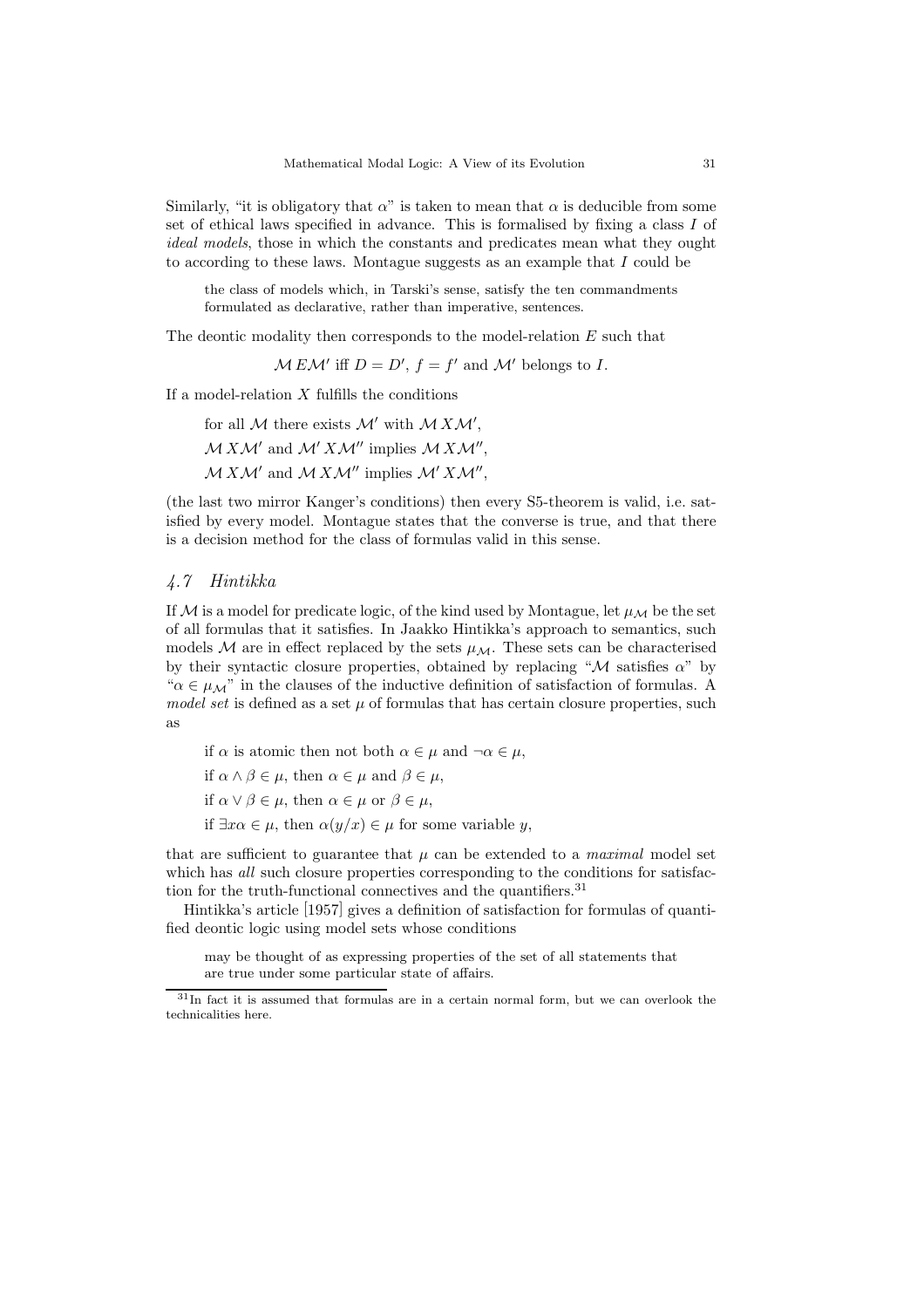Similarly, "it is obligatory that  $\alpha$ " is taken to mean that  $\alpha$  is deducible from some set of ethical laws specified in advance. This is formalised by fixing a class I of ideal models, those in which the constants and predicates mean what they ought to according to these laws. Montague suggests as an example that  $I$  could be

the class of models which, in Tarski's sense, satisfy the ten commandments formulated as declarative, rather than imperative, sentences.

The deontic modality then corresponds to the model-relation  $E$  such that

 $M E M'$  iff  $D = D'$ ,  $f = f'$  and  $M'$  belongs to I.

If a model-relation  $X$  fulfills the conditions

for all  $M$  there exists  $M'$  with  $MXM'$ ,  $\mathcal{M}$  X $\mathcal{M}'$  and  $\mathcal{M}'$  X $\mathcal{M}''$  implies  $\mathcal{M}$  X $\mathcal{M}''$ ,  $\mathcal{M}$  X $\mathcal{M}'$  and  $\mathcal{M}$  X $\mathcal{M}''$  implies  $\mathcal{M}'$  X $\mathcal{M}''$ ,

(the last two mirror Kanger's conditions) then every S5-theorem is valid, i.e. satisfied by every model. Montague states that the converse is true, and that there is a decision method for the class of formulas valid in this sense.

### *4.7 Hintikka*

If  $M$  is a model for predicate logic, of the kind used by Montague, let  $\mu_M$  be the set of all formulas that it satisfies. In Jaakko Hintikka's approach to semantics, such models M are in effect replaced by the sets  $\mu_{\mathcal{M}}$ . These sets can be characterised by their syntactic closure properties, obtained by replacing " $\mathcal M$  satisfies  $\alpha$ " by " $\alpha \in \mu_{\mathcal{M}}$ " in the clauses of the inductive definition of satisfaction of formulas. A model set is defined as a set  $\mu$  of formulas that has certain closure properties, such as

if  $\alpha$  is atomic then not both  $\alpha \in \mu$  and  $\neg \alpha \in \mu$ ,

if  $\alpha \wedge \beta \in \mu$ , then  $\alpha \in \mu$  and  $\beta \in \mu$ ,

if  $\alpha \vee \beta \in \mu$ , then  $\alpha \in \mu$  or  $\beta \in \mu$ ,

if  $\exists x \alpha \in \mu$ , then  $\alpha(y/x) \in \mu$  for some variable y,

that are sufficient to guarantee that  $\mu$  can be extended to a *maximal* model set which has all such closure properties corresponding to the conditions for satisfaction for the truth-functional connectives and the quantifiers. $31$ 

Hintikka's article [1957] gives a definition of satisfaction for formulas of quantified deontic logic using model sets whose conditions

may be thought of as expressing properties of the set of all statements that are true under some particular state of affairs.

<sup>&</sup>lt;sup>31</sup>In fact it is assumed that formulas are in a certain normal form, but we can overlook the technicalities here.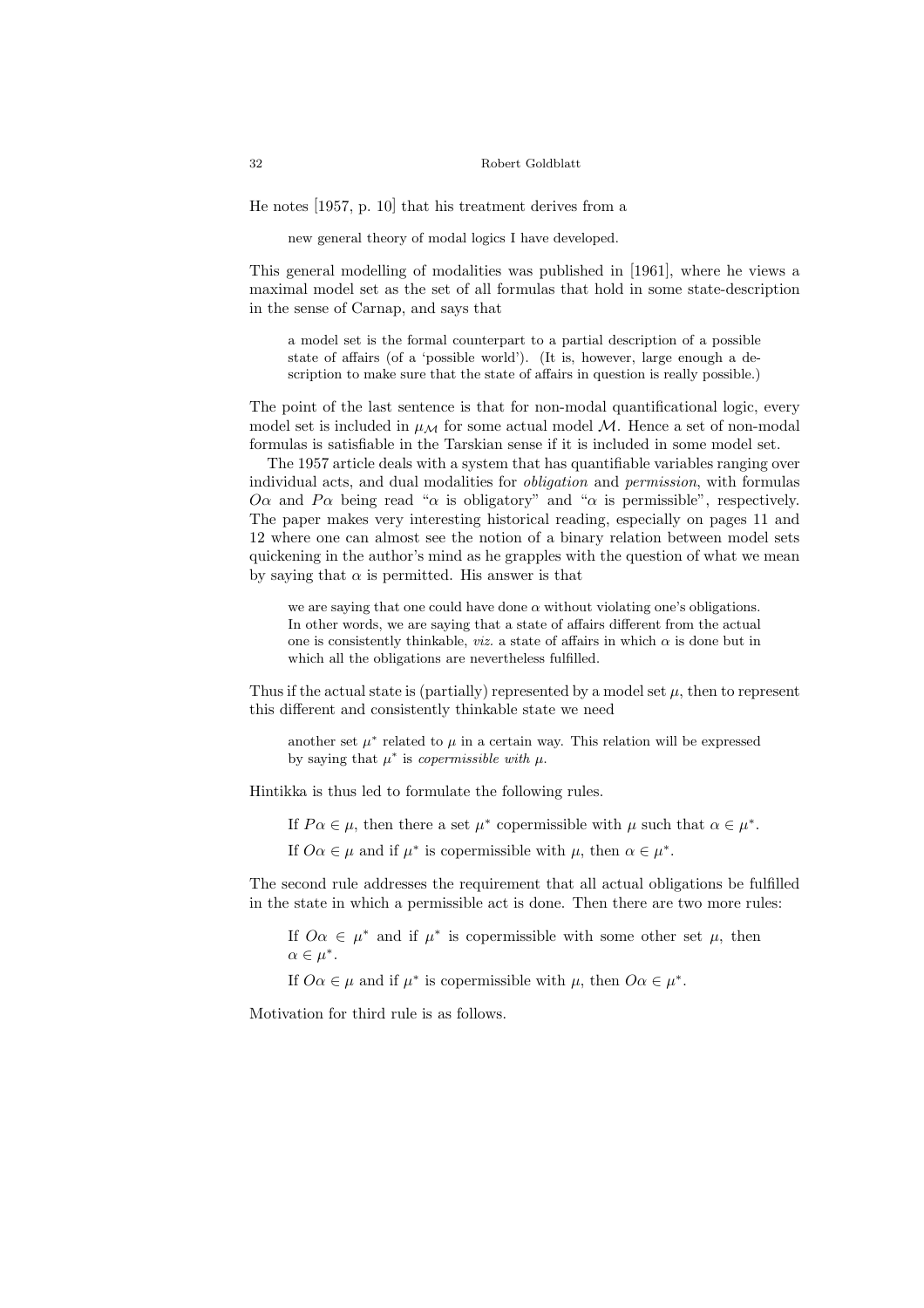He notes [1957, p. 10] that his treatment derives from a

new general theory of modal logics I have developed.

This general modelling of modalities was published in [1961], where he views a maximal model set as the set of all formulas that hold in some state-description in the sense of Carnap, and says that

a model set is the formal counterpart to a partial description of a possible state of affairs (of a 'possible world'). (It is, however, large enough a description to make sure that the state of affairs in question is really possible.)

The point of the last sentence is that for non-modal quantificational logic, every model set is included in  $\mu_M$  for some actual model M. Hence a set of non-modal formulas is satisfiable in the Tarskian sense if it is included in some model set.

The 1957 article deals with a system that has quantifiable variables ranging over individual acts, and dual modalities for obligation and permission, with formulas Oα and Pα being read "α is obligatory" and "α is permissible", respectively. The paper makes very interesting historical reading, especially on pages 11 and 12 where one can almost see the notion of a binary relation between model sets quickening in the author's mind as he grapples with the question of what we mean by saying that  $\alpha$  is permitted. His answer is that

we are saying that one could have done  $\alpha$  without violating one's obligations. In other words, we are saying that a state of affairs different from the actual one is consistently thinkable, *viz.* a state of affairs in which  $\alpha$  is done but in which all the obligations are nevertheless fulfilled.

Thus if the actual state is (partially) represented by a model set  $\mu$ , then to represent this different and consistently thinkable state we need

another set  $\mu^*$  related to  $\mu$  in a certain way. This relation will be expressed by saying that  $\mu^*$  is *copermissible with*  $\mu$ .

Hintikka is thus led to formulate the following rules.

If  $P\alpha \in \mu$ , then there a set  $\mu^*$  copermissible with  $\mu$  such that  $\alpha \in \mu^*$ .

If  $O\alpha \in \mu$  and if  $\mu^*$  is copermissible with  $\mu$ , then  $\alpha \in \mu^*$ .

The second rule addresses the requirement that all actual obligations be fulfilled in the state in which a permissible act is done. Then there are two more rules:

If  $O\alpha \in \mu^*$  and if  $\mu^*$  is copermissible with some other set  $\mu$ , then  $\alpha \in \mu^*$ .

If  $O\alpha \in \mu$  and if  $\mu^*$  is copermissible with  $\mu$ , then  $O\alpha \in \mu^*$ .

Motivation for third rule is as follows.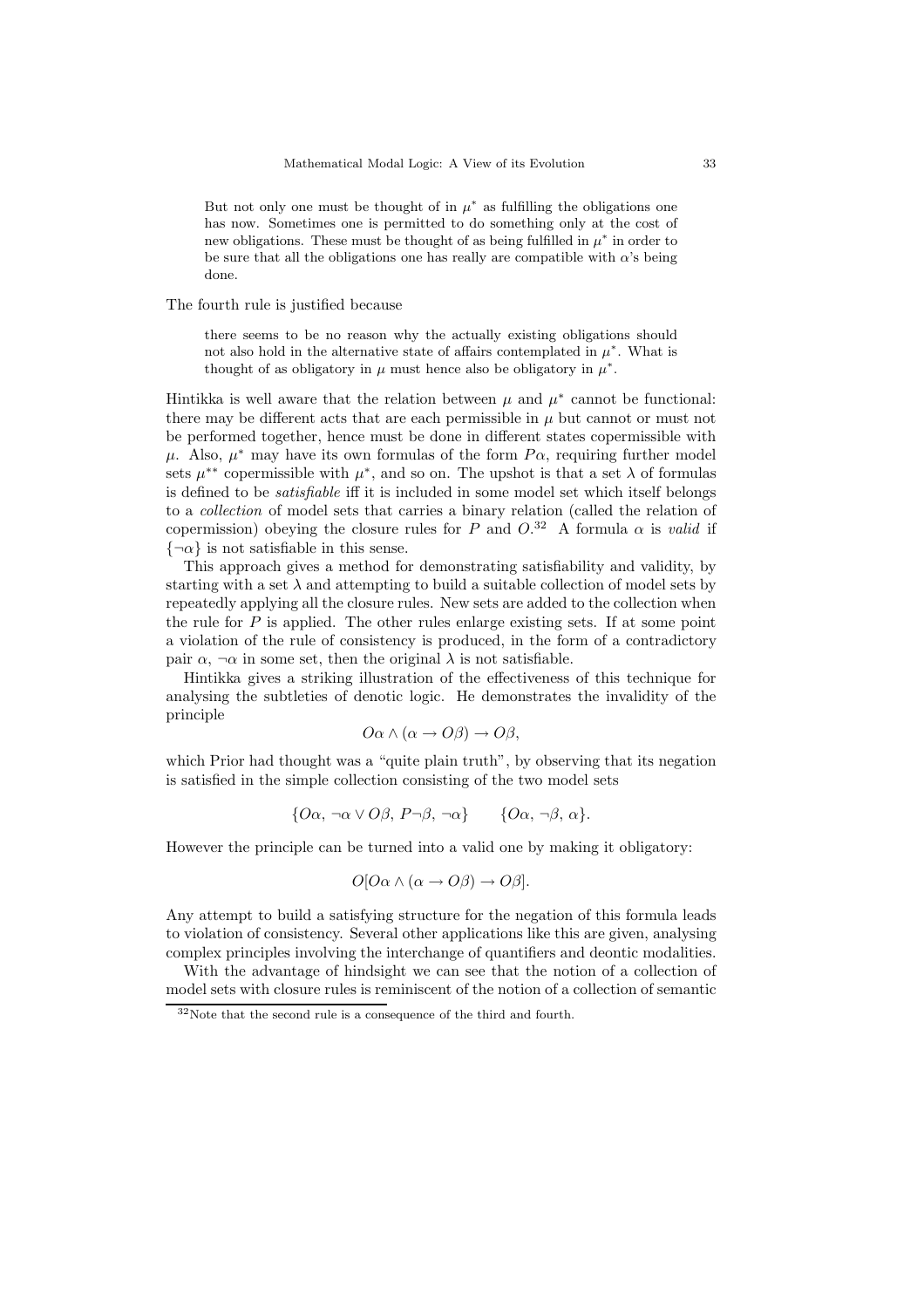But not only one must be thought of in  $\mu^*$  as fulfilling the obligations one has now. Sometimes one is permitted to do something only at the cost of new obligations. These must be thought of as being fulfilled in  $\mu^*$  in order to be sure that all the obligations one has really are compatible with  $\alpha$ 's being done.

The fourth rule is justified because

there seems to be no reason why the actually existing obligations should not also hold in the alternative state of affairs contemplated in  $\mu^*$ . What is thought of as obligatory in  $\mu$  must hence also be obligatory in  $\mu^*$ .

Hintikka is well aware that the relation between  $\mu$  and  $\mu^*$  cannot be functional: there may be different acts that are each permissible in  $\mu$  but cannot or must not be performed together, hence must be done in different states copermissible with  $\mu$ . Also,  $\mu^*$  may have its own formulas of the form  $P\alpha$ , requiring further model sets  $\mu^{**}$  copermissible with  $\mu^*$ , and so on. The upshot is that a set  $\lambda$  of formulas is defined to be satisfiable iff it is included in some model set which itself belongs to a collection of model sets that carries a binary relation (called the relation of copermission) obeying the closure rules for P and  $O^{32}$ . A formula  $\alpha$  is valid if  $\{\neg \alpha\}$  is not satisfiable in this sense.

This approach gives a method for demonstrating satisfiability and validity, by starting with a set  $\lambda$  and attempting to build a suitable collection of model sets by repeatedly applying all the closure rules. New sets are added to the collection when the rule for  $P$  is applied. The other rules enlarge existing sets. If at some point a violation of the rule of consistency is produced, in the form of a contradictory pair  $\alpha$ ,  $\neg \alpha$  in some set, then the original  $\lambda$  is not satisfiable.

Hintikka gives a striking illustration of the effectiveness of this technique for analysing the subtleties of denotic logic. He demonstrates the invalidity of the principle

$$
O\alpha \wedge (\alpha \to O\beta) \to O\beta,
$$

which Prior had thought was a "quite plain truth", by observing that its negation is satisfied in the simple collection consisting of the two model sets

$$
\{O\alpha, \neg \alpha \vee O\beta, P\neg \beta, \neg \alpha\} \qquad \{O\alpha, \neg \beta, \alpha\}.
$$

However the principle can be turned into a valid one by making it obligatory:

$$
O[O\alpha \wedge (\alpha \to O\beta) \to O\beta].
$$

Any attempt to build a satisfying structure for the negation of this formula leads to violation of consistency. Several other applications like this are given, analysing complex principles involving the interchange of quantifiers and deontic modalities.

With the advantage of hindsight we can see that the notion of a collection of model sets with closure rules is reminiscent of the notion of a collection of semantic

<sup>&</sup>lt;sup>32</sup>Note that the second rule is a consequence of the third and fourth.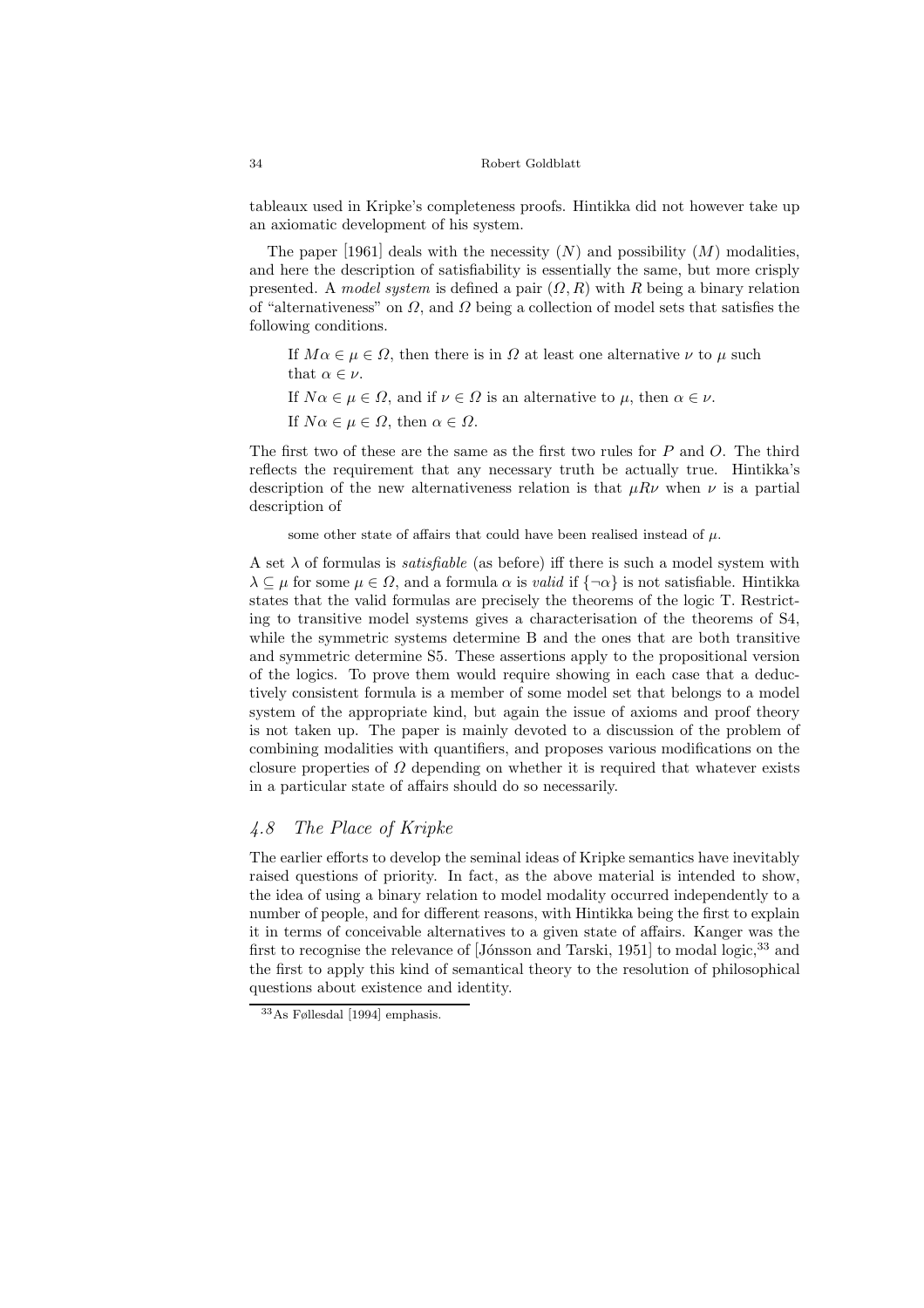tableaux used in Kripke's completeness proofs. Hintikka did not however take up an axiomatic development of his system.

The paper [1961] deals with the necessity  $(N)$  and possibility  $(M)$  modalities, and here the description of satisfiability is essentially the same, but more crisply presented. A model system is defined a pair  $(\Omega, R)$  with R being a binary relation of "alternativeness" on  $\Omega$ , and  $\Omega$  being a collection of model sets that satisfies the following conditions.

If  $M\alpha \in \mu \in \Omega$ , then there is in  $\Omega$  at least one alternative  $\nu$  to  $\mu$  such that  $\alpha \in \nu$ .

If  $N\alpha \in \mu \in \Omega$ , and if  $\nu \in \Omega$  is an alternative to  $\mu$ , then  $\alpha \in \nu$ .

If  $N\alpha \in \mu \in \Omega$ , then  $\alpha \in \Omega$ .

The first two of these are the same as the first two rules for P and O. The third reflects the requirement that any necessary truth be actually true. Hintikka's description of the new alternativeness relation is that  $\mu R\nu$  when  $\nu$  is a partial description of

some other state of affairs that could have been realised instead of  $\mu$ .

A set  $\lambda$  of formulas is *satisfiable* (as before) iff there is such a model system with  $\lambda \subseteq \mu$  for some  $\mu \in \Omega$ , and a formula  $\alpha$  is valid if  $\{\neg \alpha\}$  is not satisfiable. Hintikka states that the valid formulas are precisely the theorems of the logic T. Restricting to transitive model systems gives a characterisation of the theorems of S4, while the symmetric systems determine B and the ones that are both transitive and symmetric determine S5. These assertions apply to the propositional version of the logics. To prove them would require showing in each case that a deductively consistent formula is a member of some model set that belongs to a model system of the appropriate kind, but again the issue of axioms and proof theory is not taken up. The paper is mainly devoted to a discussion of the problem of combining modalities with quantifiers, and proposes various modifications on the closure properties of  $\Omega$  depending on whether it is required that whatever exists in a particular state of affairs should do so necessarily.

# *4.8 The Place of Kripke*

The earlier efforts to develop the seminal ideas of Kripke semantics have inevitably raised questions of priority. In fact, as the above material is intended to show, the idea of using a binary relation to model modality occurred independently to a number of people, and for different reasons, with Hintikka being the first to explain it in terms of conceivable alternatives to a given state of affairs. Kanger was the first to recognise the relevance of  $J$ onsson and Tarski, 1951, to modal logic,  $33$  and the first to apply this kind of semantical theory to the resolution of philosophical questions about existence and identity.

<sup>33</sup>As Føllesdal [1994] emphasis.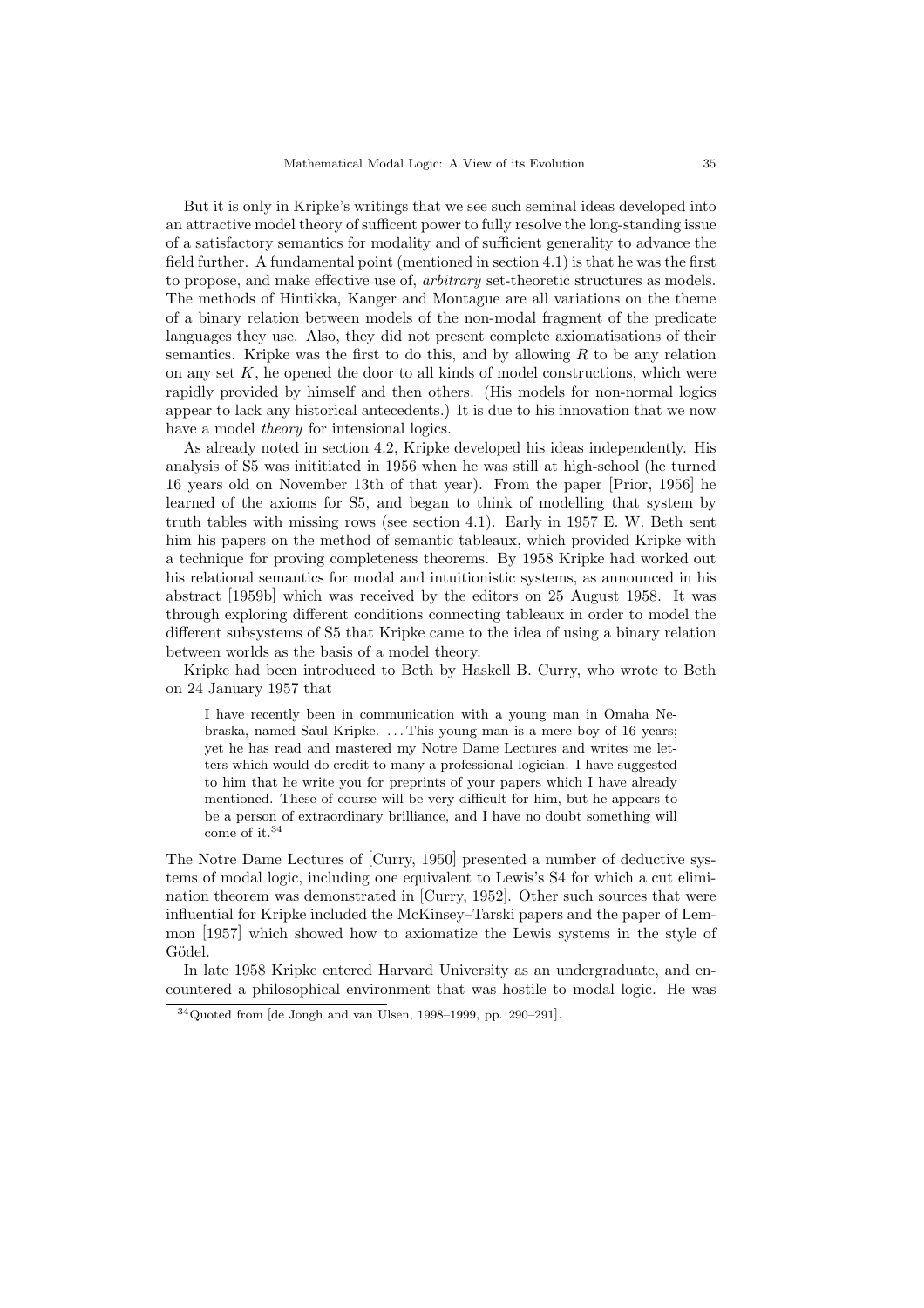But it is only in Kripke's writings that we see such seminal ideas developed into an attractive model theory of sufficent power to fully resolve the long-standing issue of a satisfactory semantics for modality and of sufficient generality to advance the field further. A fundamental point (mentioned in section 4.1) is that he was the first to propose, and make effective use of, arbitrary set-theoretic structures as models. The methods of Hintikka, Kanger and Montague are all variations on the theme of a binary relation between models of the non-modal fragment of the predicate languages they use. Also, they did not present complete axiomatisations of their semantics. Kripke was the first to do this, and by allowing  $R$  to be any relation on any set  $K$ , he opened the door to all kinds of model constructions, which were rapidly provided by himself and then others. (His models for non-normal logics appear to lack any historical antecedents.) It is due to his innovation that we now have a model *theory* for intensional logics.

As already noted in section 4.2, Kripke developed his ideas independently. His analysis of S5 was inititiated in 1956 when he was still at high-school (he turned 16 years old on November 13th of that year). From the paper [Prior, 1956] he learned of the axioms for S5, and began to think of modelling that system by truth tables with missing rows (see section 4.1). Early in 1957 E. W. Beth sent him his papers on the method of semantic tableaux, which provided Kripke with a technique for proving completeness theorems. By 1958 Kripke had worked out his relational semantics for modal and intuitionistic systems, as announced in his abstract [1959b] which was received by the editors on 25 August 1958. It was through exploring different conditions connecting tableaux in order to model the different subsystems of S5 that Kripke came to the idea of using a binary relation between worlds as the basis of a model theory.

Kripke had been introduced to Beth by Haskell B. Curry, who wrote to Beth on 24 January 1957 that

I have recently been in communication with a young man in Omaha Nebraska, named Saul Kripke. . . . This young man is a mere boy of 16 years; yet he has read and mastered my Notre Dame Lectures and writes me letters which would do credit to many a professional logician. I have suggested to him that he write you for preprints of your papers which I have already mentioned. These of course will be very difficult for him, but he appears to be a person of extraordinary brilliance, and I have no doubt something will come of it. $34$ 

The Notre Dame Lectures of [Curry, 1950] presented a number of deductive systems of modal logic, including one equivalent to Lewis's S4 for which a cut elimination theorem was demonstrated in [Curry, 1952]. Other such sources that were influential for Kripke included the McKinsey–Tarski papers and the paper of Lemmon [1957] which showed how to axiomatize the Lewis systems in the style of Gödel.

In late 1958 Kripke entered Harvard University as an undergraduate, and encountered a philosophical environment that was hostile to modal logic. He was

 $34$ Quoted from [de Jongh and van Ulsen, 1998–1999, pp. 290–291].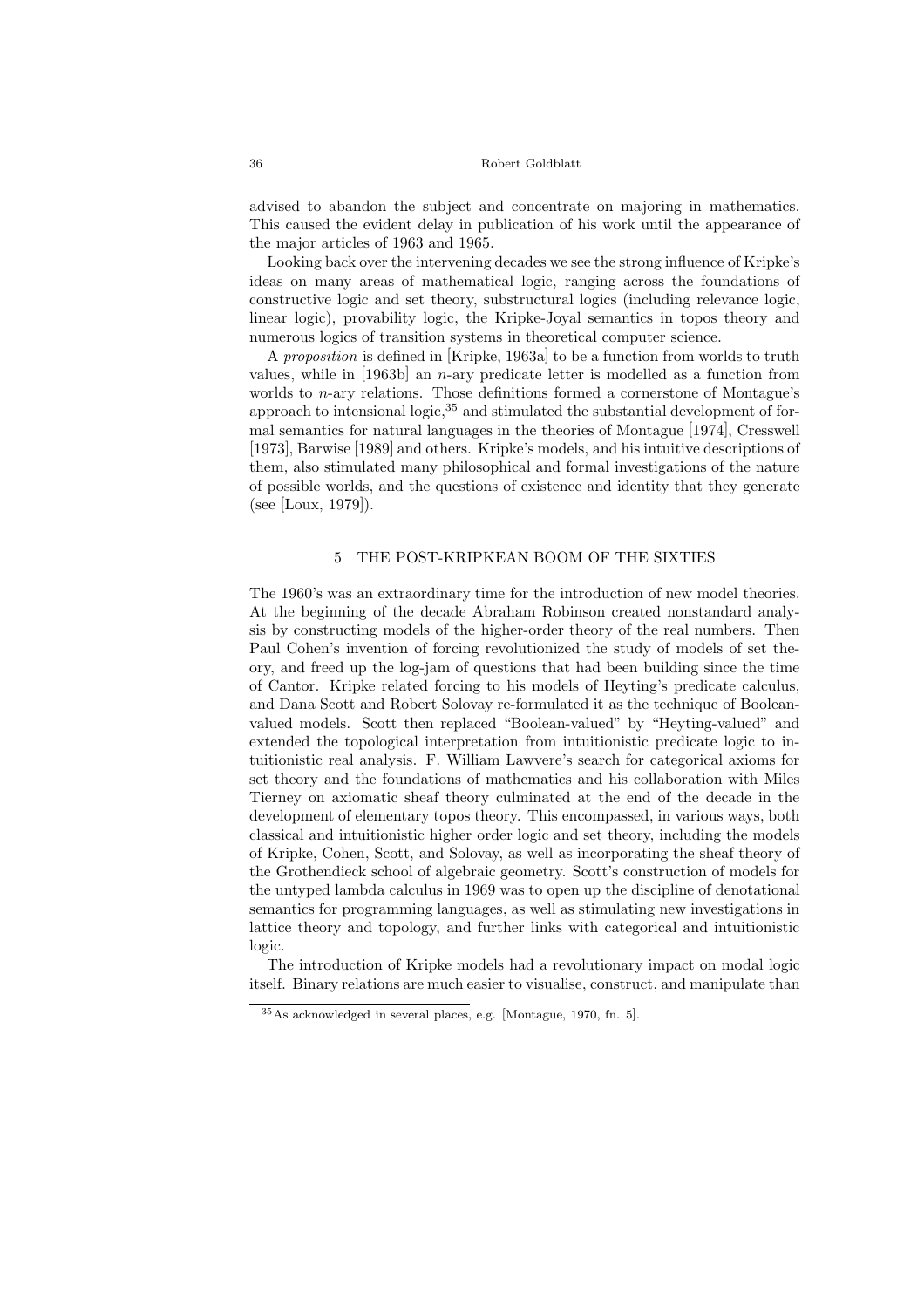advised to abandon the subject and concentrate on majoring in mathematics. This caused the evident delay in publication of his work until the appearance of the major articles of 1963 and 1965.

Looking back over the intervening decades we see the strong influence of Kripke's ideas on many areas of mathematical logic, ranging across the foundations of constructive logic and set theory, substructural logics (including relevance logic, linear logic), provability logic, the Kripke-Joyal semantics in topos theory and numerous logics of transition systems in theoretical computer science.

A proposition is defined in [Kripke, 1963a] to be a function from worlds to truth values, while in  $[1963b]$  an *n*-ary predicate letter is modelled as a function from worlds to n-ary relations. Those definitions formed a cornerstone of Montague's approach to intensional logic,  $35$  and stimulated the substantial development of formal semantics for natural languages in the theories of Montague [1974], Cresswell [1973], Barwise [1989] and others. Kripke's models, and his intuitive descriptions of them, also stimulated many philosophical and formal investigations of the nature of possible worlds, and the questions of existence and identity that they generate (see [Loux, 1979]).

### 5 THE POST-KRIPKEAN BOOM OF THE SIXTIES

The 1960's was an extraordinary time for the introduction of new model theories. At the beginning of the decade Abraham Robinson created nonstandard analysis by constructing models of the higher-order theory of the real numbers. Then Paul Cohen's invention of forcing revolutionized the study of models of set theory, and freed up the log-jam of questions that had been building since the time of Cantor. Kripke related forcing to his models of Heyting's predicate calculus, and Dana Scott and Robert Solovay re-formulated it as the technique of Booleanvalued models. Scott then replaced "Boolean-valued" by "Heyting-valued" and extended the topological interpretation from intuitionistic predicate logic to intuitionistic real analysis. F. William Lawvere's search for categorical axioms for set theory and the foundations of mathematics and his collaboration with Miles Tierney on axiomatic sheaf theory culminated at the end of the decade in the development of elementary topos theory. This encompassed, in various ways, both classical and intuitionistic higher order logic and set theory, including the models of Kripke, Cohen, Scott, and Solovay, as well as incorporating the sheaf theory of the Grothendieck school of algebraic geometry. Scott's construction of models for the untyped lambda calculus in 1969 was to open up the discipline of denotational semantics for programming languages, as well as stimulating new investigations in lattice theory and topology, and further links with categorical and intuitionistic logic.

The introduction of Kripke models had a revolutionary impact on modal logic itself. Binary relations are much easier to visualise, construct, and manipulate than

<sup>35</sup>As acknowledged in several places, e.g. [Montague, 1970, fn. 5].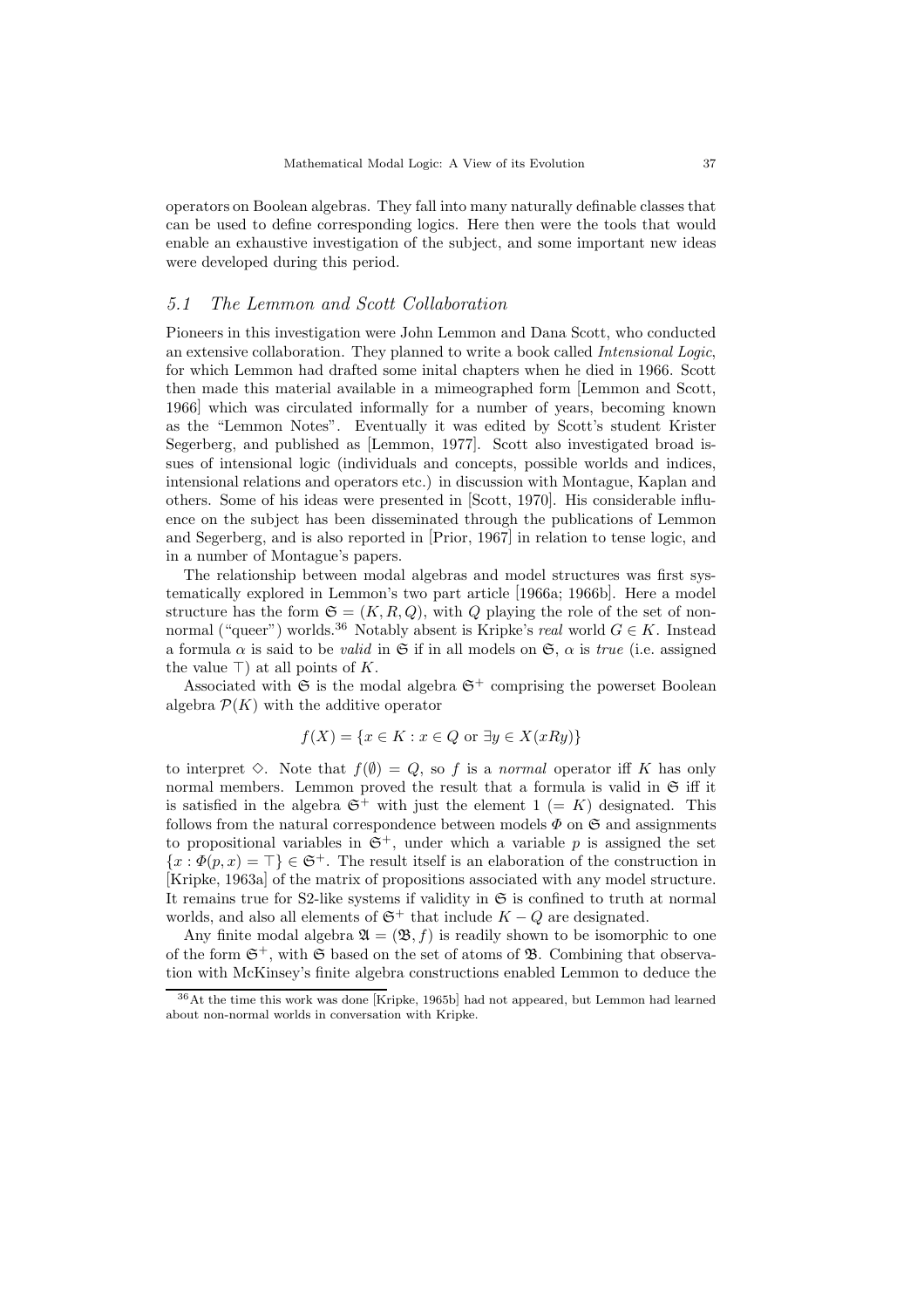operators on Boolean algebras. They fall into many naturally definable classes that can be used to define corresponding logics. Here then were the tools that would enable an exhaustive investigation of the subject, and some important new ideas were developed during this period.

## *5.1 The Lemmon and Scott Collaboration*

Pioneers in this investigation were John Lemmon and Dana Scott, who conducted an extensive collaboration. They planned to write a book called *Intensional Logic*, for which Lemmon had drafted some inital chapters when he died in 1966. Scott then made this material available in a mimeographed form [Lemmon and Scott, 1966] which was circulated informally for a number of years, becoming known as the "Lemmon Notes". Eventually it was edited by Scott's student Krister Segerberg, and published as [Lemmon, 1977]. Scott also investigated broad issues of intensional logic (individuals and concepts, possible worlds and indices, intensional relations and operators etc.) in discussion with Montague, Kaplan and others. Some of his ideas were presented in [Scott, 1970]. His considerable influence on the subject has been disseminated through the publications of Lemmon and Segerberg, and is also reported in [Prior, 1967] in relation to tense logic, and in a number of Montague's papers.

The relationship between modal algebras and model structures was first systematically explored in Lemmon's two part article [1966a; 1966b]. Here a model structure has the form  $\mathfrak{S} = (K, R, Q)$ , with Q playing the role of the set of nonnormal ("queer") worlds.<sup>36</sup> Notably absent is Kripke's *real* world  $G \in K$ . Instead a formula  $\alpha$  is said to be valid in G if in all models on G,  $\alpha$  is true (i.e. assigned the value  $\top$ ) at all points of K.

Associated with  $\mathfrak S$  is the modal algebra  $\mathfrak S^+$  comprising the powerset Boolean algebra  $\mathcal{P}(K)$  with the additive operator

$$
f(X) = \{x \in K : x \in Q \text{ or } \exists y \in X(xRy)\}\
$$

to interpret  $\Diamond$ . Note that  $f(\emptyset) = Q$ , so f is a normal operator iff K has only normal members. Lemmon proved the result that a formula is valid in  $\mathfrak S$  iff it is satisfied in the algebra  $\mathfrak{S}^+$  with just the element  $1 (= K)$  designated. This follows from the natural correspondence between models  $\Phi$  on  $\mathfrak S$  and assignments to propositional variables in  $\mathfrak{S}^+$ , under which a variable p is assigned the set  ${x : \Phi(p, x) = \top} \in \mathfrak{S}^+$ . The result itself is an elaboration of the construction in [Kripke, 1963a] of the matrix of propositions associated with any model structure. It remains true for S2-like systems if validity in  $\mathfrak S$  is confined to truth at normal worlds, and also all elements of  $\mathfrak{S}^+$  that include  $K - Q$  are designated.

Any finite modal algebra  $\mathfrak{A} = (\mathfrak{B}, f)$  is readily shown to be isomorphic to one of the form  $\mathfrak{S}^+$ , with  $\mathfrak{S}$  based on the set of atoms of  $\mathfrak{B}$ . Combining that observation with McKinsey's finite algebra constructions enabled Lemmon to deduce the

<sup>36</sup>At the time this work was done [Kripke, 1965b] had not appeared, but Lemmon had learned about non-normal worlds in conversation with Kripke.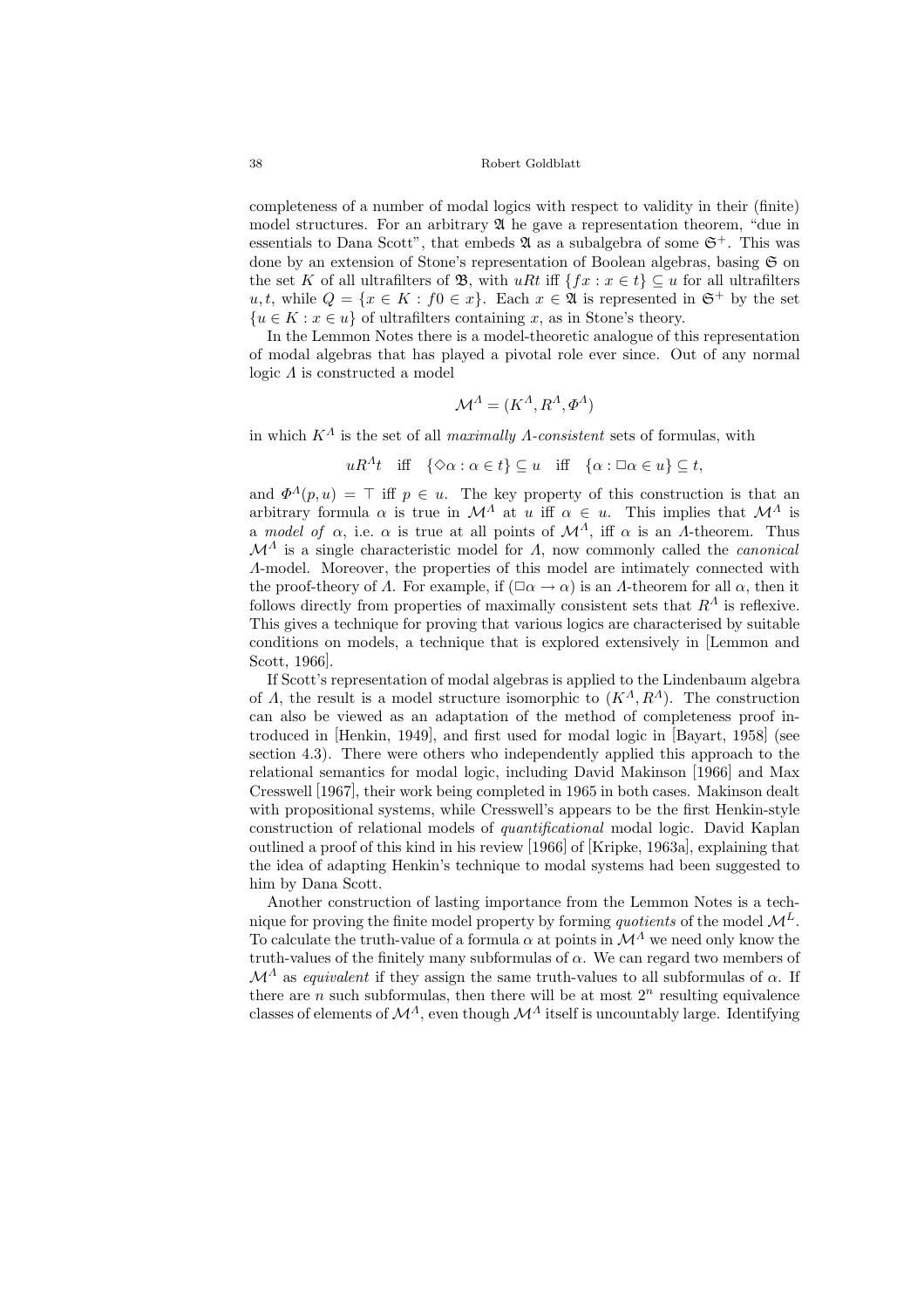completeness of a number of modal logics with respect to validity in their (finite) model structures. For an arbitrary  $\mathfrak A$  he gave a representation theorem, "due in essentials to Dana Scott", that embeds  $\mathfrak A$  as a subalgebra of some  $\mathfrak S^+$ . This was done by an extension of Stone's representation of Boolean algebras, basing  $\mathfrak S$  on the set K of all ultrafilters of B, with uRt iff  $\{fx : x \in t\} \subseteq u$  for all ultrafilters u, t, while  $Q = \{x \in K : f0 \in x\}$ . Each  $x \in \mathfrak{A}$  is represented in  $\mathfrak{S}^+$  by the set  ${u \in K : x \in u}$  of ultrafilters containing x, as in Stone's theory.

In the Lemmon Notes there is a model-theoretic analogue of this representation of modal algebras that has played a pivotal role ever since. Out of any normal logic  $\Lambda$  is constructed a model

$$
\mathcal{M}^A = (K^A, R^A, \Phi^A)
$$

in which  $K^{\Lambda}$  is the set of all *maximally A-consistent* sets of formulas, with

$$
uR^{\Lambda}t \quad \text{iff} \quad \{\Diamond \alpha : \alpha \in t\} \subseteq u \quad \text{iff} \quad \{\alpha : \Box \alpha \in u\} \subseteq t,
$$

and  $\Phi^{A}(p, u) = \top$  iff  $p \in u$ . The key property of this construction is that an arbitrary formula  $\alpha$  is true in  $\mathcal{M}^A$  at u iff  $\alpha \in u$ . This implies that  $\mathcal{M}^A$  is a model of  $\alpha$ , i.e.  $\alpha$  is true at all points of  $\mathcal{M}^{\Lambda}$ , iff  $\alpha$  is an A-theorem. Thus  $\mathcal{M}^{\Lambda}$  is a single characteristic model for  $\Lambda$ , now commonly called the *canonical* Λ-model. Moreover, the properties of this model are intimately connected with the proof-theory of  $\Lambda$ . For example, if  $(\Box \alpha \rightarrow \alpha)$  is an  $\Lambda$ -theorem for all  $\alpha$ , then it follows directly from properties of maximally consistent sets that  $R<sup>A</sup>$  is reflexive. This gives a technique for proving that various logics are characterised by suitable conditions on models, a technique that is explored extensively in [Lemmon and Scott, 1966].

If Scott's representation of modal algebras is applied to the Lindenbaum algebra of *Λ*, the result is a model structure isomorphic to  $(K^A, R^A)$ . The construction can also be viewed as an adaptation of the method of completeness proof introduced in [Henkin, 1949], and first used for modal logic in [Bayart, 1958] (see section 4.3). There were others who independently applied this approach to the relational semantics for modal logic, including David Makinson [1966] and Max Cresswell [1967], their work being completed in 1965 in both cases. Makinson dealt with propositional systems, while Cresswell's appears to be the first Henkin-style construction of relational models of quantificational modal logic. David Kaplan outlined a proof of this kind in his review [1966] of [Kripke, 1963a], explaining that the idea of adapting Henkin's technique to modal systems had been suggested to him by Dana Scott.

Another construction of lasting importance from the Lemmon Notes is a technique for proving the finite model property by forming quotients of the model  $\mathcal{M}^{L}$ . To calculate the truth-value of a formula  $\alpha$  at points in  $\mathcal{M}^A$  we need only know the truth-values of the finitely many subformulas of  $\alpha$ . We can regard two members of  $\mathcal{M}^{\Lambda}$  as equivalent if they assign the same truth-values to all subformulas of  $\alpha$ . If there are n such subformulas, then there will be at most  $2<sup>n</sup>$  resulting equivalence classes of elements of  $\mathcal{M}^A$ , even though  $\mathcal{M}^A$  itself is uncountably large. Identifying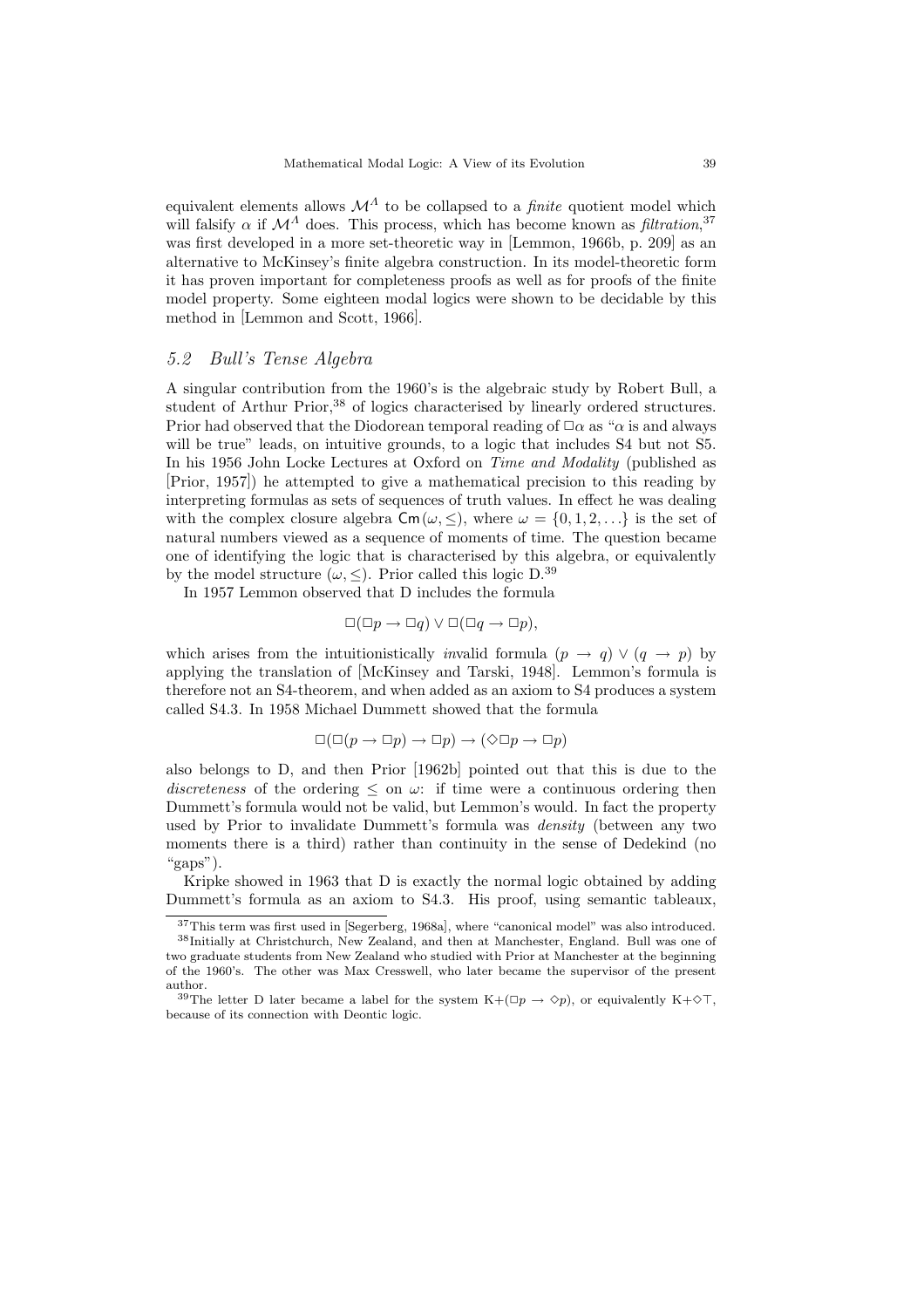equivalent elements allows  $\mathcal{M}^A$  to be collapsed to a *finite* quotient model which will falsify  $\alpha$  if  $\mathcal{M}^A$  does. This process, which has become known as filtration,<sup>37</sup> was first developed in a more set-theoretic way in [Lemmon, 1966b, p. 209] as an alternative to McKinsey's finite algebra construction. In its model-theoretic form it has proven important for completeness proofs as well as for proofs of the finite model property. Some eighteen modal logics were shown to be decidable by this method in [Lemmon and Scott, 1966].

## *5.2 Bull's Tense Algebra*

A singular contribution from the 1960's is the algebraic study by Robert Bull, a student of Arthur Prior,<sup>38</sup> of logics characterised by linearly ordered structures. Prior had observed that the Diodorean temporal reading of  $\Box \alpha$  as " $\alpha$  is and always will be true" leads, on intuitive grounds, to a logic that includes S4 but not S5. In his 1956 John Locke Lectures at Oxford on Time and Modality (published as [Prior, 1957]) he attempted to give a mathematical precision to this reading by interpreting formulas as sets of sequences of truth values. In effect he was dealing with the complex closure algebra  $\mathsf{Cm}(\omega, \leq)$ , where  $\omega = \{0, 1, 2, \ldots\}$  is the set of natural numbers viewed as a sequence of moments of time. The question became one of identifying the logic that is characterised by this algebra, or equivalently by the model structure  $(\omega, <)$ . Prior called this logic D.<sup>39</sup>

In 1957 Lemmon observed that D includes the formula

$$
\Box(\Box p \to \Box q) \lor \Box(\Box q \to \Box p),
$$

which arises from the intuitionistically *invalid formula*  $(p \rightarrow q) \vee (q \rightarrow p)$  by applying the translation of [McKinsey and Tarski, 1948]. Lemmon's formula is therefore not an S4-theorem, and when added as an axiom to S4 produces a system called S4.3. In 1958 Michael Dummett showed that the formula

$$
\Box(\Box(p \to \Box p) \to \Box p) \to (\Diamond \Box p \to \Box p)
$$

also belongs to D, and then Prior [1962b] pointed out that this is due to the discreteness of the ordering  $\leq$  on  $\omega$ : if time were a continuous ordering then Dummett's formula would not be valid, but Lemmon's would. In fact the property used by Prior to invalidate Dummett's formula was *density* (between any two moments there is a third) rather than continuity in the sense of Dedekind (no "gaps").

Kripke showed in 1963 that D is exactly the normal logic obtained by adding Dummett's formula as an axiom to S4.3. His proof, using semantic tableaux,

<sup>&</sup>lt;sup>37</sup>This term was first used in [Segerberg, 1968a], where "canonical model" was also introduced. <sup>38</sup>Initially at Christchurch, New Zealand, and then at Manchester, England. Bull was one of two graduate students from New Zealand who studied with Prior at Manchester at the beginning of the 1960's. The other was Max Cresswell, who later became the supervisor of the present author.

<sup>&</sup>lt;sup>39</sup>The letter D later became a label for the system K+( $\Box p \rightarrow \Diamond p$ ), or equivalently K+ $\Diamond \top$ , because of its connection with Deontic logic.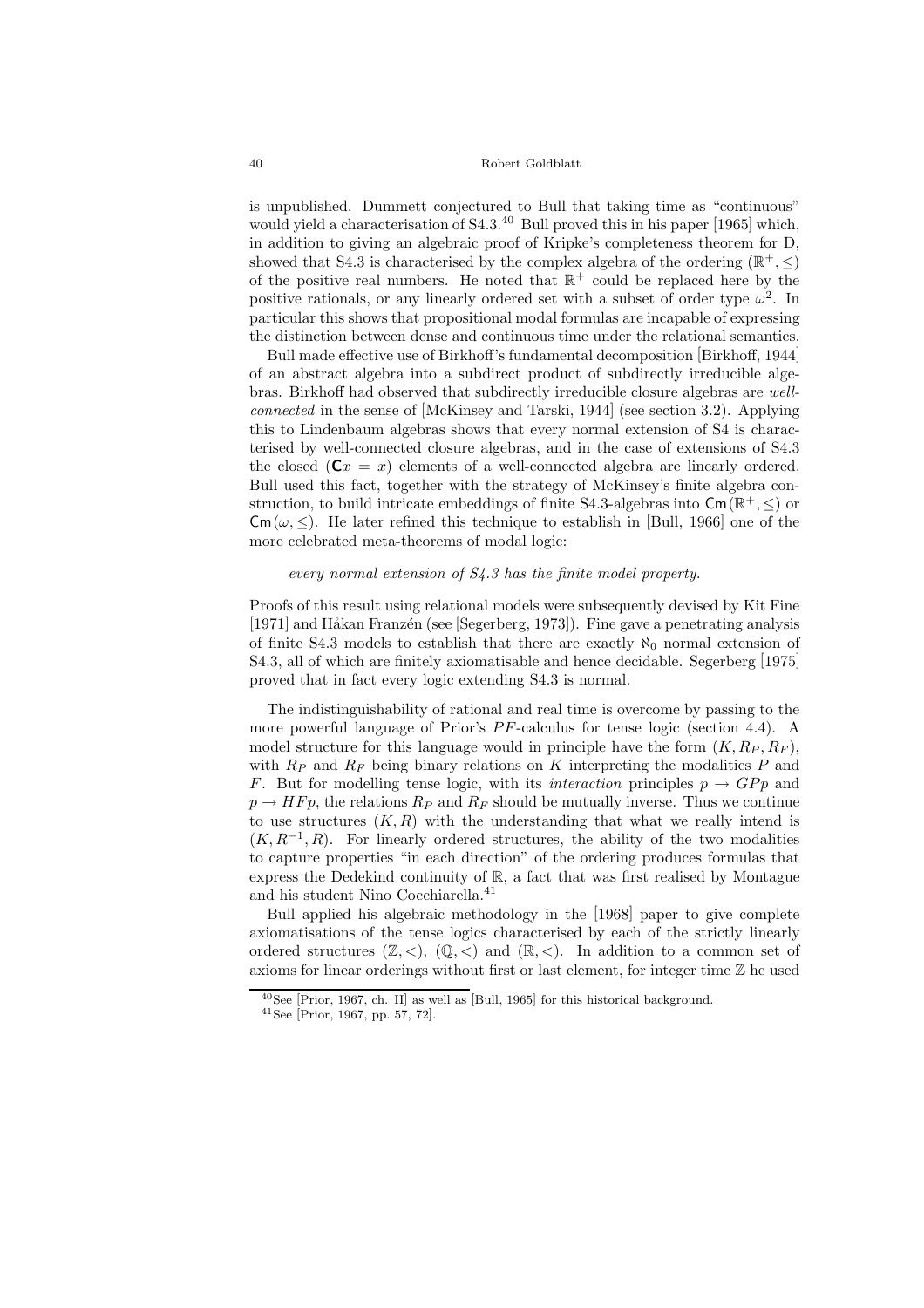is unpublished. Dummett conjectured to Bull that taking time as "continuous" would yield a characterisation of S4.3.<sup>40</sup> Bull proved this in his paper [1965] which, in addition to giving an algebraic proof of Kripke's completeness theorem for D, showed that S4.3 is characterised by the complex algebra of the ordering  $(\mathbb{R}^+, \leq)$ of the positive real numbers. He noted that  $\mathbb{R}^+$  could be replaced here by the positive rationals, or any linearly ordered set with a subset of order type  $\omega^2$ . In particular this shows that propositional modal formulas are incapable of expressing the distinction between dense and continuous time under the relational semantics.

Bull made effective use of Birkhoff's fundamental decomposition [Birkhoff, 1944] of an abstract algebra into a subdirect product of subdirectly irreducible algebras. Birkhoff had observed that subdirectly irreducible closure algebras are wellconnected in the sense of [McKinsey and Tarski, 1944] (see section 3.2). Applying this to Lindenbaum algebras shows that every normal extension of S4 is characterised by well-connected closure algebras, and in the case of extensions of S4.3 the closed  $(\mathbf{C}x = x)$  elements of a well-connected algebra are linearly ordered. Bull used this fact, together with the strategy of McKinsey's finite algebra construction, to build intricate embeddings of finite S4.3-algebras into  $\mathsf{Cm}(\mathbb{R}^+, \leq)$  or  $\mathsf{Cm}(\omega, <)$ . He later refined this technique to establish in [Bull, 1966] one of the more celebrated meta-theorems of modal logic:

### every normal extension of S4.3 has the finite model property.

Proofs of this result using relational models were subsequently devised by Kit Fine [1971] and Håkan Franzén (see [Segerberg, 1973]). Fine gave a penetrating analysis of finite S4.3 models to establish that there are exactly  $\aleph_0$  normal extension of S4.3, all of which are finitely axiomatisable and hence decidable. Segerberg [1975] proved that in fact every logic extending S4.3 is normal.

The indistinguishability of rational and real time is overcome by passing to the more powerful language of Prior's PF-calculus for tense logic (section 4.4). A model structure for this language would in principle have the form  $(K, R_P, R_F)$ , with  $R_P$  and  $R_F$  being binary relations on K interpreting the modalities P and F. But for modelling tense logic, with its *interaction* principles  $p \rightarrow GPp$  and  $p \rightarrow H F p$ , the relations  $R_P$  and  $R_F$  should be mutually inverse. Thus we continue to use structures  $(K, R)$  with the understanding that what we really intend is  $(K, R^{-1}, R)$ . For linearly ordered structures, the ability of the two modalities to capture properties "in each direction" of the ordering produces formulas that express the Dedekind continuity of R, a fact that was first realised by Montague and his student Nino Cocchiarella. $^\mathrm{41}$ 

Bull applied his algebraic methodology in the [1968] paper to give complete axiomatisations of the tense logics characterised by each of the strictly linearly ordered structures  $(\mathbb{Z}, \langle), (\mathbb{Q}, \langle) \rangle$  and  $(\mathbb{R}, \langle).$  In addition to a common set of axioms for linear orderings without first or last element, for integer time  $\mathbb Z$  he used

<sup>40</sup>See [Prior, 1967, ch. II] as well as [Bull, 1965] for this historical background.

<sup>41</sup>See [Prior, 1967, pp. 57, 72].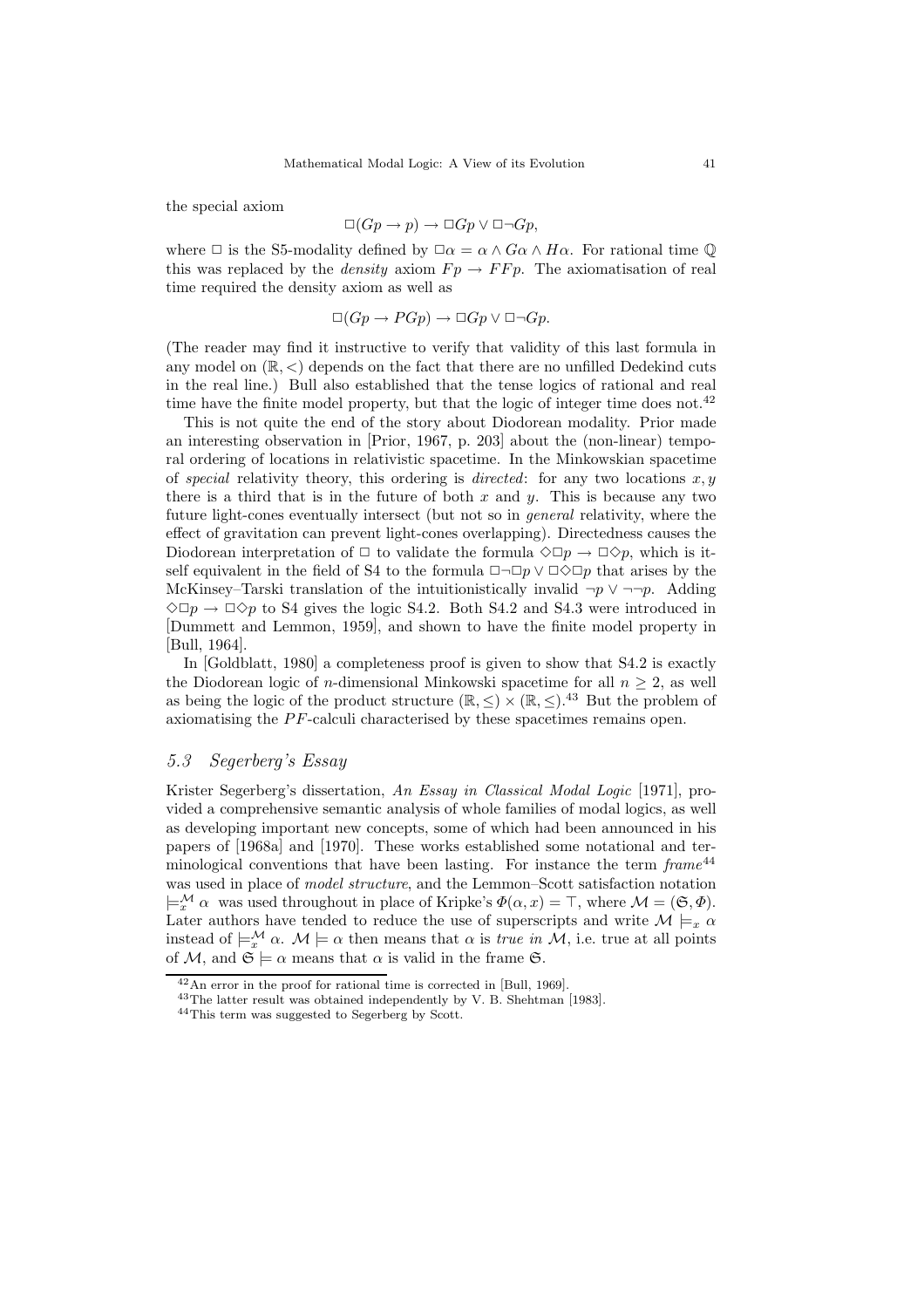the special axiom

$$
\Box(Gp \to p) \to \Box Gp \lor \Box \neg Gp,
$$

where  $\Box$  is the S5-modality defined by  $\Box \alpha = \alpha \land G \alpha \land H \alpha$ . For rational time  $\mathbb Q$ this was replaced by the *density* axiom  $Fp \to Ffp$ . The axiomatisation of real time required the density axiom as well as

$$
\Box(Gp \to PGp) \to \Box Gp \lor \Box \neg Gp.
$$

(The reader may find it instructive to verify that validity of this last formula in any model on  $(\mathbb{R}, \leq)$  depends on the fact that there are no unfilled Dedekind cuts in the real line.) Bull also established that the tense logics of rational and real time have the finite model property, but that the logic of integer time does not.<sup>42</sup>

This is not quite the end of the story about Diodorean modality. Prior made an interesting observation in [Prior, 1967, p. 203] about the (non-linear) temporal ordering of locations in relativistic spacetime. In the Minkowskian spacetime of special relativity theory, this ordering is directed: for any two locations  $x, y$ there is a third that is in the future of both  $x$  and  $y$ . This is because any two future light-cones eventually intersect (but not so in general relativity, where the effect of gravitation can prevent light-cones overlapping). Directedness causes the Diodorean interpretation of  $\Box$  to validate the formula  $\Diamond \Box p \rightarrow \Box \Diamond p$ , which is itself equivalent in the field of S4 to the formula  $\Box \Box \Box p \vee \Box \Diamond \Box p$  that arises by the McKinsey–Tarski translation of the intuitionistically invalid  $\neg p \lor \neg \neg p$ . Adding  $\Diamond \Box p \rightarrow \Box \Diamond p$  to S4 gives the logic S4.2. Both S4.2 and S4.3 were introduced in [Dummett and Lemmon, 1959], and shown to have the finite model property in [Bull, 1964].

In [Goldblatt, 1980] a completeness proof is given to show that S4.2 is exactly the Diodorean logic of *n*-dimensional Minkowski spacetime for all  $n \geq 2$ , as well as being the logic of the product structure  $(\mathbb{R}, \leq) \times (\mathbb{R}, \leq)$ .<sup>43</sup> But the problem of axiomatising the PF-calculi characterised by these spacetimes remains open.

## *5.3 Segerberg's Essay*

Krister Segerberg's dissertation, An Essay in Classical Modal Logic [1971], provided a comprehensive semantic analysis of whole families of modal logics, as well as developing important new concepts, some of which had been announced in his papers of [1968a] and [1970]. These works established some notational and terminological conventions that have been lasting. For instance the term  $frame^{44}$ was used in place of *model structure*, and the Lemmon–Scott satisfaction notation  $\models_x^{\mathcal{M}} \alpha$  was used throughout in place of Kripke's  $\Phi(\alpha, x) = \top$ , where  $\mathcal{M} = (\mathfrak{S}, \Phi)$ . Later authors have tended to reduce the use of superscripts and write  $\mathcal{M} \models_x \alpha$ instead of  $\models_x^{\mathcal{M}} \alpha$ .  $\mathcal{M} \models \alpha$  then means that  $\alpha$  is *true in*  $\mathcal{M}$ , i.e. true at all points of M, and  $\mathfrak{S} \models \alpha$  means that  $\alpha$  is valid in the frame  $\mathfrak{S}$ .

<sup>42</sup>An error in the proof for rational time is corrected in [Bull, 1969].

<sup>43</sup>The latter result was obtained independently by V. B. Shehtman [1983].

<sup>44</sup>This term was suggested to Segerberg by Scott.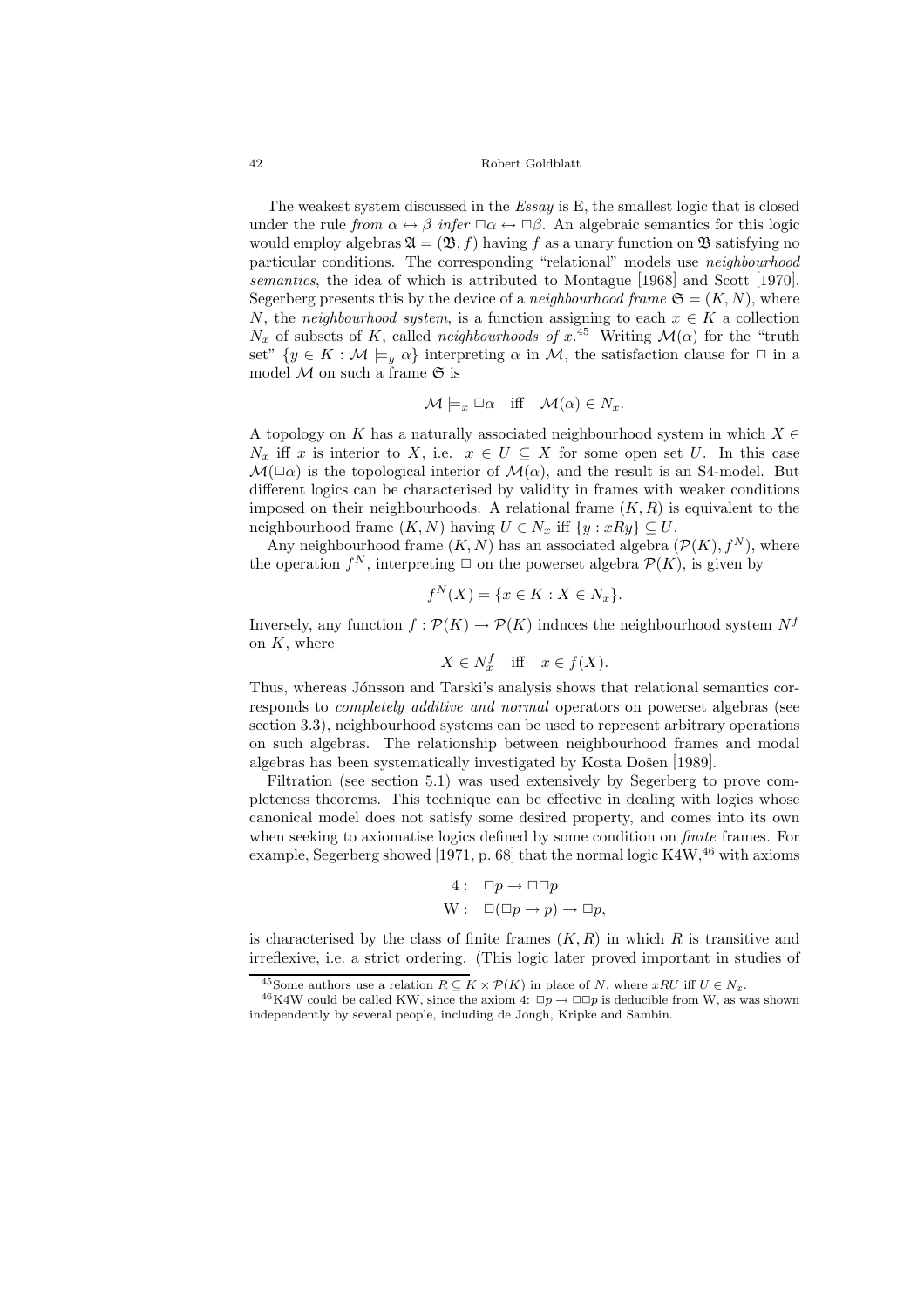The weakest system discussed in the Essay is E, the smallest logic that is closed under the rule from  $\alpha \leftrightarrow \beta$  infer  $\Box \alpha \leftrightarrow \Box \beta$ . An algebraic semantics for this logic would employ algebras  $\mathfrak{A} = (\mathfrak{B}, f)$  having f as a unary function on  $\mathfrak{B}$  satisfying no particular conditions. The corresponding "relational" models use neighbourhood semantics, the idea of which is attributed to Montague [1968] and Scott [1970]. Segerberg presents this by the device of a *neighbourhood frame*  $\mathfrak{S} = (K, N)$ , where N, the neighbourhood system, is a function assigning to each  $x \in K$  a collection  $N_x$  of subsets of K, called *neighbourhoods* of  $x^{.45}$  Writing  $\mathcal{M}(\alpha)$  for the "truth set"  $\{y \in K : \mathcal{M} \models_y \alpha\}$  interpreting  $\alpha$  in  $\mathcal{M}$ , the satisfaction clause for  $\Box$  in a model  $M$  on such a frame  $\mathfrak S$  is

$$
\mathcal{M}\models_x \Box \alpha \quad \text{iff} \quad \mathcal{M}(\alpha) \in N_x.
$$

A topology on K has a naturally associated neighbourhood system in which  $X \in$  $N_x$  iff x is interior to X, i.e.  $x \in U \subseteq X$  for some open set U. In this case  $\mathcal{M}(\Box \alpha)$  is the topological interior of  $\mathcal{M}(\alpha)$ , and the result is an S4-model. But different logics can be characterised by validity in frames with weaker conditions imposed on their neighbourhoods. A relational frame  $(K, R)$  is equivalent to the neighbourhood frame  $(K, N)$  having  $U \in N_x$  iff  $\{y : xRy\} \subseteq U$ .

Any neighbourhood frame  $(K, N)$  has an associated algebra  $(\mathcal{P}(K), f^N)$ , where the operation  $f^N$ , interpreting  $\Box$  on the powerset algebra  $\mathcal{P}(K)$ , is given by

$$
f^N(X) = \{ x \in K : X \in N_x \}.
$$

Inversely, any function  $f : \mathcal{P}(K) \to \mathcal{P}(K)$  induces the neighbourhood system  $N^f$ on  $K$ , where

 $X \in N_x^f$  iff  $x \in f(X)$ .

Thus, whereas Jónsson and Tarski's analysis shows that relational semantics corresponds to completely additive and normal operators on powerset algebras (see section 3.3), neighbourhood systems can be used to represent arbitrary operations on such algebras. The relationship between neighbourhood frames and modal algebras has been systematically investigated by Kosta Došen [1989].

Filtration (see section 5.1) was used extensively by Segerberg to prove completeness theorems. This technique can be effective in dealing with logics whose canonical model does not satisfy some desired property, and comes into its own when seeking to axiomatise logics defined by some condition on *finite* frames. For example, Segerberg showed [1971, p. 68] that the normal logic K4W,<sup>46</sup> with axioms

4: 
$$
\Box p \rightarrow \Box \Box p
$$
  
W:  $\Box (\Box p \rightarrow p) \rightarrow \Box p$ ,

is characterised by the class of finite frames  $(K, R)$  in which R is transitive and irreflexive, i.e. a strict ordering. (This logic later proved important in studies of

<sup>&</sup>lt;sup>45</sup>Some authors use a relation  $R \subseteq K \times \mathcal{P}(K)$  in place of N, where  $xRU$  iff  $U \in N_x$ .

<sup>&</sup>lt;sup>46</sup>K4W could be called KW, since the axiom 4:  $\Box p \rightarrow \Box \Box p$  is deducible from W, as was shown independently by several people, including de Jongh, Kripke and Sambin.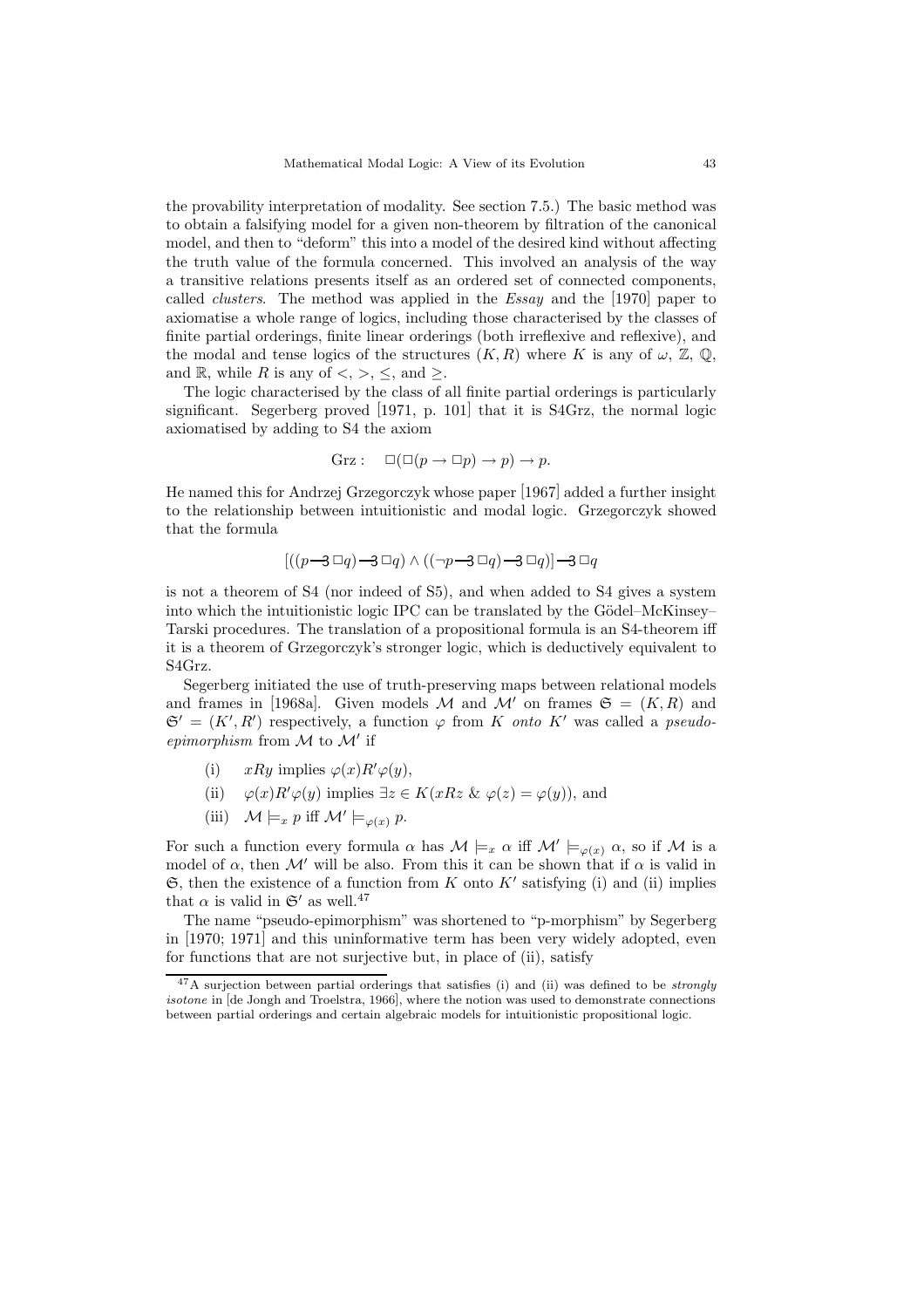the provability interpretation of modality. See section 7.5.) The basic method was to obtain a falsifying model for a given non-theorem by filtration of the canonical model, and then to "deform" this into a model of the desired kind without affecting the truth value of the formula concerned. This involved an analysis of the way a transitive relations presents itself as an ordered set of connected components, called *clusters*. The method was applied in the *Essay* and the [1970] paper to axiomatise a whole range of logics, including those characterised by the classes of finite partial orderings, finite linear orderings (both irreflexive and reflexive), and the modal and tense logics of the structures  $(K, R)$  where K is any of  $\omega$ ,  $\mathbb{Z}$ ,  $\mathbb{Q}$ , and  $\mathbb{R}$ , while R is any of  $\lt$ ,  $\gt$ ,  $\le$ , and  $\ge$ .

The logic characterised by the class of all finite partial orderings is particularly significant. Segerberg proved [1971, p. 101] that it is S4Grz, the normal logic axiomatised by adding to S4 the axiom

$$
Grz: \quad \Box(\Box(p \to \Box p) \to p) \to p.
$$

He named this for Andrzej Grzegorczyk whose paper [1967] added a further insight to the relationship between intuitionistic and modal logic. Grzegorczyk showed that the formula

$$
[((p \rightarrow \Box q) \rightarrow \Box q) \land ((\neg p \rightarrow \Box q) \rightarrow \Box q)] \rightarrow \Box q
$$

is not a theorem of S4 (nor indeed of S5), and when added to S4 gives a system into which the intuitionistic logic IPC can be translated by the Gödel–McKinsey– Tarski procedures. The translation of a propositional formula is an S4-theorem iff it is a theorem of Grzegorczyk's stronger logic, which is deductively equivalent to S4Grz.

Segerberg initiated the use of truth-preserving maps between relational models and frames in [1968a]. Given models M and M' on frames  $\mathfrak{S} = (K, R)$  and  $\mathfrak{S}' = (K', R')$  respectively, a function  $\varphi$  from K onto K' was called a pseudoepimorphism from M to M' if

- (i)  $xRy$  implies  $\varphi(x)R'\varphi(y)$ ,
- (ii)  $\varphi(x)R'\varphi(y)$  implies  $\exists z \in K(xRz \& \varphi(z) = \varphi(y))$ , and
- (iii)  $\mathcal{M} \models_x p \text{ iff } \mathcal{M}' \models_{\varphi(x)} p.$

For such a function every formula  $\alpha$  has  $\mathcal{M} \models_x \alpha$  iff  $\mathcal{M} \models_{\varphi(x)} \alpha$ , so if  $\mathcal M$  is a model of  $\alpha$ , then M' will be also. From this it can be shown that if  $\alpha$  is valid in  $\mathfrak{S}$ , then the existence of a function from K onto K' satisfying (i) and (ii) implies that  $\alpha$  is valid in  $\mathfrak{S}'$  as well.<sup>47</sup>

The name "pseudo-epimorphism" was shortened to "p-morphism" by Segerberg in [1970; 1971] and this uninformative term has been very widely adopted, even for functions that are not surjective but, in place of (ii), satisfy

<sup>47</sup>A surjection between partial orderings that satisfies (i) and (ii) was defined to be *strongly isotone* in [de Jongh and Troelstra, 1966], where the notion was used to demonstrate connections between partial orderings and certain algebraic models for intuitionistic propositional logic.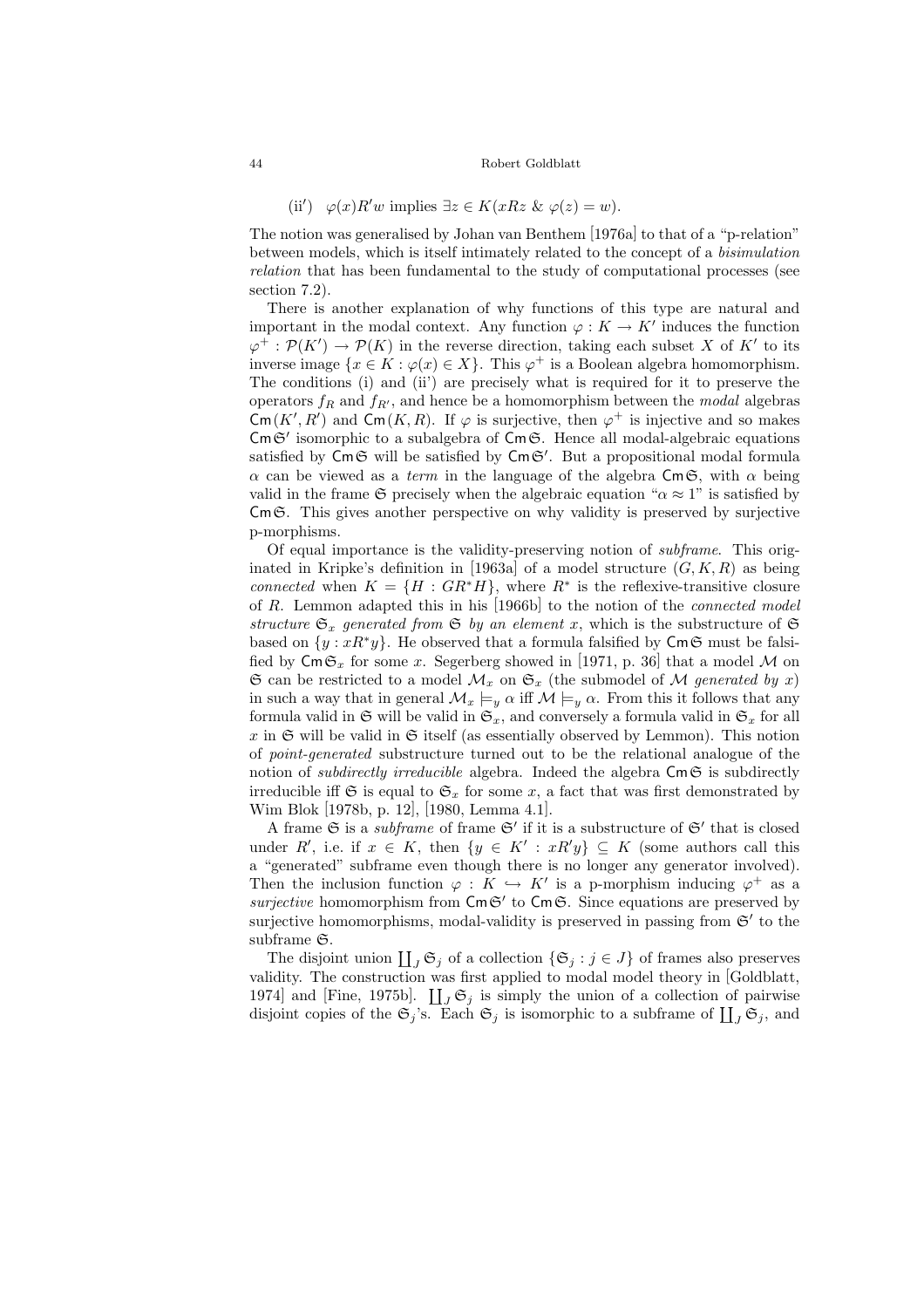# (ii')  $\varphi(x)R'w$  implies  $\exists z \in K(xRz \& \varphi(z) = w)$ .

The notion was generalised by Johan van Benthem [1976a] to that of a "p-relation" between models, which is itself intimately related to the concept of a bisimulation relation that has been fundamental to the study of computational processes (see section 7.2).

There is another explanation of why functions of this type are natural and important in the modal context. Any function  $\varphi: K \to K'$  induces the function  $\varphi^+ : \mathcal{P}(K') \to \mathcal{P}(K)$  in the reverse direction, taking each subset X of K' to its inverse image  $\{x \in K : \varphi(x) \in X\}$ . This  $\varphi^+$  is a Boolean algebra homomorphism. The conditions (i) and (ii') are precisely what is required for it to preserve the operators  $f_R$  and  $f_{R'}$ , and hence be a homomorphism between the *modal* algebras  $\mathsf{Cm}(K',R')$  and  $\mathsf{Cm}(K,R)$ . If  $\varphi$  is surjective, then  $\varphi^+$  is injective and so makes CmG' isomorphic to a subalgebra of CmG. Hence all modal-algebraic equations satisfied by  $\mathsf{CmG}$  will be satisfied by  $\mathsf{CmG'}$ . But a propositional modal formula α can be viewed as a *term* in the language of the algebra  $\text{Cm}\mathfrak{S}$ , with α being valid in the frame  $\mathfrak S$  precisely when the algebraic equation " $\alpha \approx 1$ " is satisfied by CmS. This gives another perspective on why validity is preserved by surjective p-morphisms.

Of equal importance is the validity-preserving notion of subframe. This originated in Kripke's definition in [1963a] of a model structure  $(G, K, R)$  as being connected when  $K = \{H : GR^*H\}$ , where  $R^*$  is the reflexive-transitive closure of R. Lemmon adapted this in his [1966b] to the notion of the connected model structure  $\mathfrak{S}_x$  generated from  $\mathfrak{S}$  by an element x, which is the substructure of  $\mathfrak{S}$ based on  $\{y : xR^*y\}$ . He observed that a formula falsified by  $\mathsf{Cm}\mathfrak{S}$  must be falsified by  $\mathsf{Cm}\mathfrak{S}_x$  for some x. Segerberg showed in [1971, p. 36] that a model M on  $\mathfrak{S}$  can be restricted to a model  $\mathcal{M}_x$  on  $\mathfrak{S}_x$  (the submodel of  $\mathcal M$  generated by x) in such a way that in general  $\mathcal{M}_x \models_y \alpha$  iff  $\mathcal{M} \models_y \alpha$ . From this it follows that any formula valid in  $\mathfrak{S}$  will be valid in  $\mathfrak{S}_x$ , and conversely a formula valid in  $\mathfrak{S}_x$  for all x in  $\mathfrak S$  will be valid in  $\mathfrak S$  itself (as essentially observed by Lemmon). This notion of point-generated substructure turned out to be the relational analogue of the notion of *subdirectly irreducible* algebra. Indeed the algebra  $\mathsf{CmG}$  is subdirectly irreducible iff  $\mathfrak S$  is equal to  $\mathfrak S_x$  for some x, a fact that was first demonstrated by Wim Blok [1978b, p. 12], [1980, Lemma 4.1].

A frame  $\mathfrak S$  is a *subframe* of frame  $\mathfrak S'$  if it is a substructure of  $\mathfrak S'$  that is closed under R', i.e. if  $x \in K$ , then  $\{y \in K' : xR'y\} \subseteq K$  (some authors call this a "generated" subframe even though there is no longer any generator involved). Then the inclusion function  $\varphi: K \hookrightarrow K'$  is a p-morphism inducing  $\varphi^+$  as a surjective homomorphism from  $\mathsf{Cm}\mathfrak{S}'$  to  $\mathsf{Cm}\mathfrak{S}$ . Since equations are preserved by surjective homomorphisms, modal-validity is preserved in passing from  $\mathfrak{S}'$  to the subframe S.

The disjoint union  $\coprod_{J} \mathfrak{S}_j$  of a collection  $\{\mathfrak{S}_j : j \in J\}$  of frames also preserves validity. The construction was first applied to modal model theory in [Goldblatt, 1974] and [Fine, 1975b].  $\prod_{J} \mathfrak{S}_j$  is simply the union of a collection of pairwise disjoint copies of the  $\mathfrak{S}_j$ 's. Each  $\mathfrak{S}_j$  is isomorphic to a subframe of  $\prod_J \mathfrak{S}_j$ , and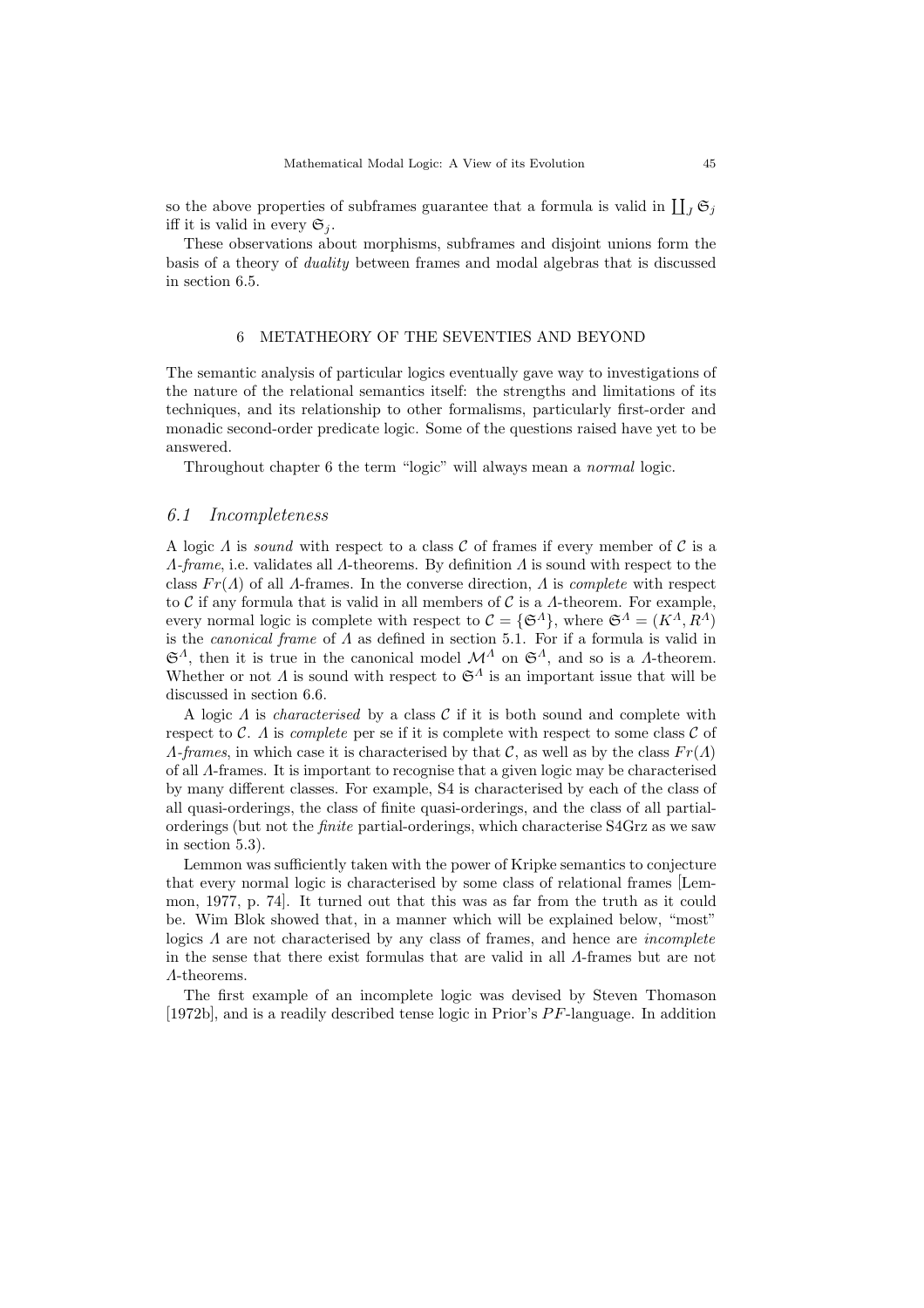so the above properties of subframes guarantee that a formula is valid in  $\coprod_J \mathfrak{S}_j$ iff it is valid in every  $\mathfrak{S}_i$ .

These observations about morphisms, subframes and disjoint unions form the basis of a theory of duality between frames and modal algebras that is discussed in section 6.5.

## 6 METATHEORY OF THE SEVENTIES AND BEYOND

The semantic analysis of particular logics eventually gave way to investigations of the nature of the relational semantics itself: the strengths and limitations of its techniques, and its relationship to other formalisms, particularly first-order and monadic second-order predicate logic. Some of the questions raised have yet to be answered.

Throughout chapter 6 the term "logic" will always mean a normal logic.

## *6.1 Incompleteness*

A logic  $\Lambda$  is sound with respect to a class  $\mathcal C$  of frames if every member of  $\mathcal C$  is a  $\Lambda$ -frame, i.e. validates all  $\Lambda$ -theorems. By definition  $\Lambda$  is sound with respect to the class  $Fr(\Lambda)$  of all  $\Lambda$ -frames. In the converse direction,  $\Lambda$  is *complete* with respect to  $\mathcal C$  if any formula that is valid in all members of  $\mathcal C$  is a  $\Lambda$ -theorem. For example, every normal logic is complete with respect to  $\mathcal{C} = {\mathfrak{S}}^A$ , where  $\mathfrak{S}^A = (K^A, R^A)$ is the canonical frame of Λ as defined in section 5.1. For if a formula is valid in  $\mathfrak{S}^{\Lambda}$ , then it is true in the canonical model  $\mathcal{M}^{\Lambda}$  on  $\mathfrak{S}^{\Lambda}$ , and so is a  $\Lambda$ -theorem. Whether or not  $\Lambda$  is sound with respect to  $\mathfrak{S}^{\Lambda}$  is an important issue that will be discussed in section 6.6.

A logic  $\Lambda$  is *characterised* by a class C if it is both sound and complete with respect to C.  $\Lambda$  is *complete* per se if it is complete with respect to some class C of  $\Lambda$ -frames, in which case it is characterised by that C, as well as by the class  $Fr(\Lambda)$ of all Λ-frames. It is important to recognise that a given logic may be characterised by many different classes. For example, S4 is characterised by each of the class of all quasi-orderings, the class of finite quasi-orderings, and the class of all partialorderings (but not the finite partial-orderings, which characterise S4Grz as we saw in section 5.3).

Lemmon was sufficiently taken with the power of Kripke semantics to conjecture that every normal logic is characterised by some class of relational frames [Lemmon, 1977, p. 74]. It turned out that this was as far from the truth as it could be. Wim Blok showed that, in a manner which will be explained below, "most" logics  $\Lambda$  are not characterised by any class of frames, and hence are *incomplete* in the sense that there exist formulas that are valid in all Λ-frames but are not Λ-theorems.

The first example of an incomplete logic was devised by Steven Thomason [1972b], and is a readily described tense logic in Prior's PF-language. In addition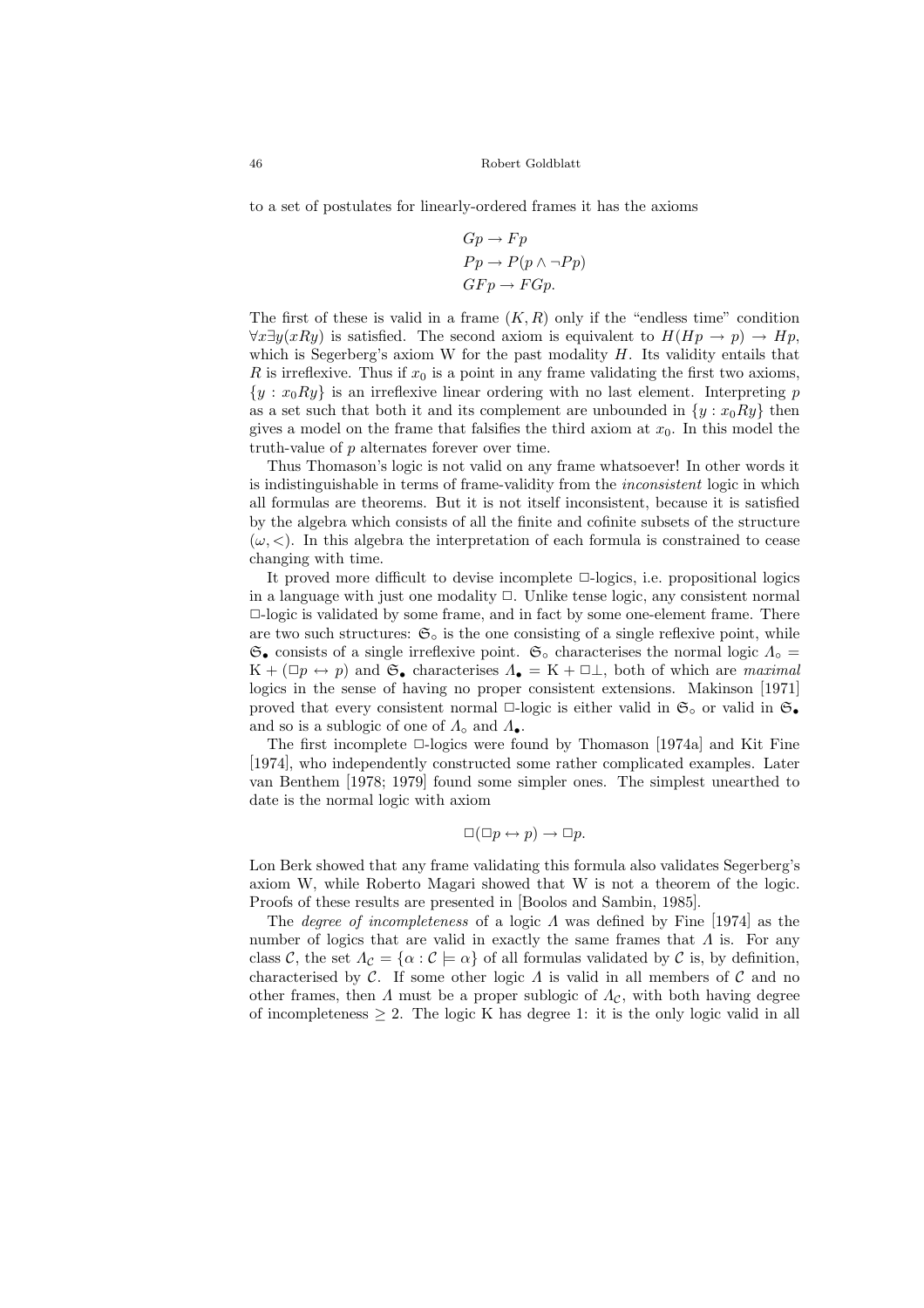to a set of postulates for linearly-ordered frames it has the axioms

$$
Gp \to Fp
$$
  
\n
$$
Pp \to P(p \land \neg Pp)
$$
  
\n
$$
GFp \to FGp.
$$

The first of these is valid in a frame  $(K, R)$  only if the "endless time" condition  $\forall x \exists y(xRy)$  is satisfied. The second axiom is equivalent to  $H(Hp \rightarrow p) \rightarrow Hp$ , which is Segerberg's axiom W for the past modality  $H$ . Its validity entails that R is irreflexive. Thus if  $x_0$  is a point in any frame validating the first two axioms,  ${y : x_0 R y}$  is an irreflexive linear ordering with no last element. Interpreting p as a set such that both it and its complement are unbounded in  $\{y : x_0Ry\}$  then gives a model on the frame that falsifies the third axiom at  $x_0$ . In this model the truth-value of p alternates forever over time.

Thus Thomason's logic is not valid on any frame whatsoever! In other words it is indistinguishable in terms of frame-validity from the inconsistent logic in which all formulas are theorems. But it is not itself inconsistent, because it is satisfied by the algebra which consists of all the finite and cofinite subsets of the structure  $(\omega, <)$ . In this algebra the interpretation of each formula is constrained to cease changing with time.

It proved more difficult to devise incomplete  $\Box$ -logics, i.e. propositional logics in a language with just one modality  $\Box$ . Unlike tense logic, any consistent normal  $\Box$ -logic is validated by some frame, and in fact by some one-element frame. There are two such structures:  $\mathfrak{S}_{\circ}$  is the one consisting of a single reflexive point, while  $\mathfrak{S}_{\bullet}$  consists of a single irreflexive point.  $\mathfrak{S}_{\circ}$  characterises the normal logic  $\Lambda_{\circ} =$  $K + (\Box p \leftrightarrow p)$  and  $\mathfrak{S}_{\bullet}$  characterises  $\Lambda_{\bullet} = K + \Box \bot$ , both of which are maximal logics in the sense of having no proper consistent extensions. Makinson [1971] proved that every consistent normal  $\Box$ -logic is either valid in  $\mathfrak{S}_{\bullet}$  or valid in  $\mathfrak{S}_{\bullet}$ and so is a sublogic of one of  $\Lambda_{\rm o}$  and  $\Lambda_{\rm o}$ .

The first incomplete  $\Box$ -logics were found by Thomason [1974a] and Kit Fine [1974], who independently constructed some rather complicated examples. Later van Benthem [1978; 1979] found some simpler ones. The simplest unearthed to date is the normal logic with axiom

$$
\Box(\Box p \leftrightarrow p) \rightarrow \Box p.
$$

Lon Berk showed that any frame validating this formula also validates Segerberg's axiom W, while Roberto Magari showed that W is not a theorem of the logic. Proofs of these results are presented in [Boolos and Sambin, 1985].

The *degree of incompleteness* of a logic  $\Lambda$  was defined by Fine [1974] as the number of logics that are valid in exactly the same frames that  $\Lambda$  is. For any class C, the set  $\Lambda_{\mathcal{C}} = {\alpha : \mathcal{C} \models \alpha}$  of all formulas validated by C is, by definition, characterised by C. If some other logic  $\Lambda$  is valid in all members of C and no other frames, then  $\Lambda$  must be a proper sublogic of  $\Lambda_c$ , with both having degree of incompleteness  $\geq 2$ . The logic K has degree 1: it is the only logic valid in all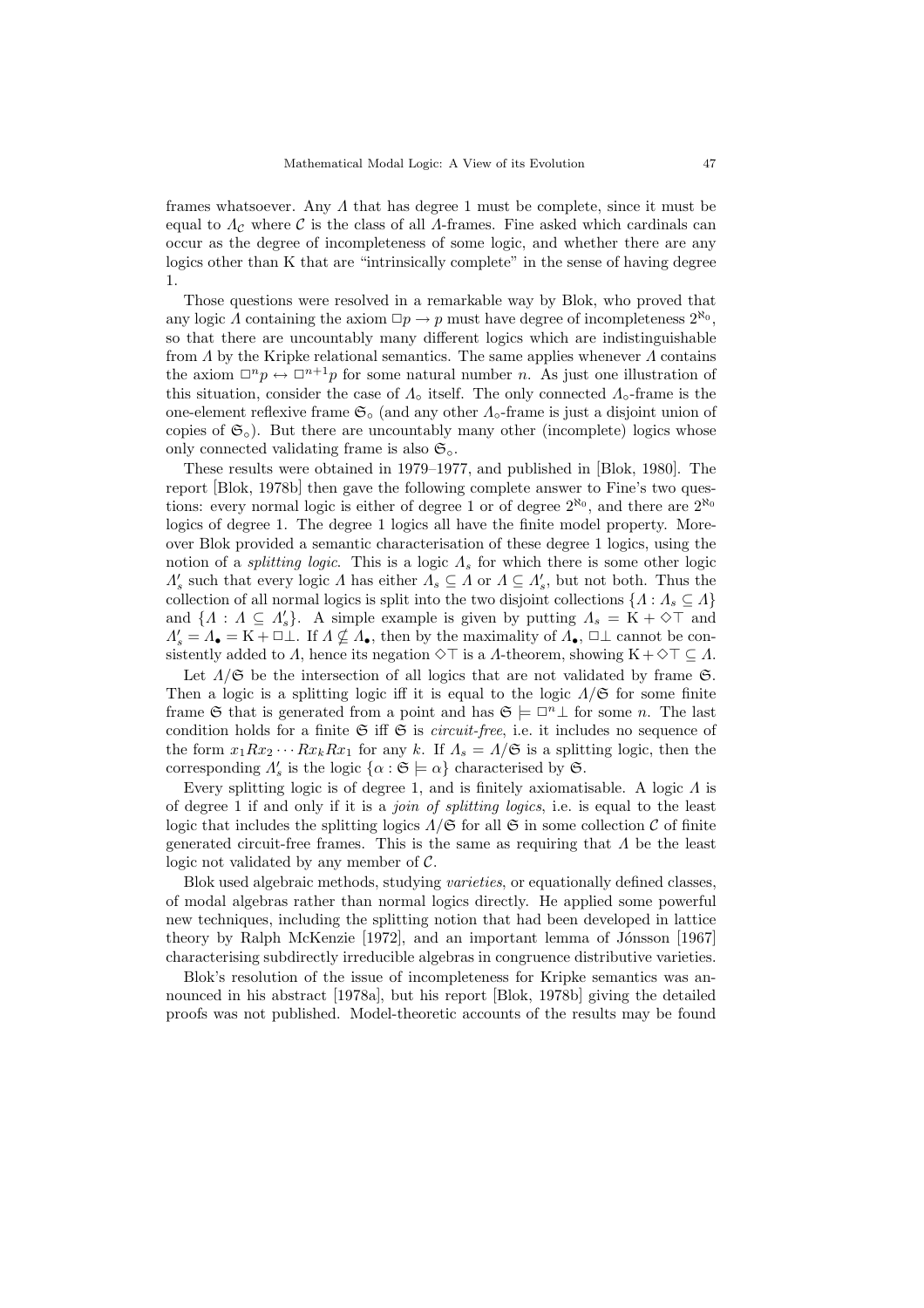frames whatsoever. Any Λ that has degree 1 must be complete, since it must be equal to  $\Lambda_c$  where C is the class of all  $\Lambda$ -frames. Fine asked which cardinals can occur as the degree of incompleteness of some logic, and whether there are any logics other than K that are "intrinsically complete" in the sense of having degree 1.

Those questions were resolved in a remarkable way by Blok, who proved that any logic  $\Lambda$  containing the axiom  $\Box p \to p$  must have degree of incompleteness  $2^{\aleph_0}$ , so that there are uncountably many different logics which are indistinguishable from  $\Lambda$  by the Kripke relational semantics. The same applies whenever  $\Lambda$  contains the axiom  $\Box^n p \leftrightarrow \Box^{n+1} p$  for some natural number n. As just one illustration of this situation, consider the case of  $\Lambda_{\circ}$  itself. The only connected  $\Lambda_{\circ}$ -frame is the one-element reflexive frame  $\mathfrak{S}^{\circ}$  (and any other  $\Lambda_{\circ}$ -frame is just a disjoint union of copies of  $\mathfrak{S}_{\circ}$ ). But there are uncountably many other (incomplete) logics whose only connected validating frame is also  $\mathfrak{S}_{\circ}$ .

These results were obtained in 1979–1977, and published in [Blok, 1980]. The report [Blok, 1978b] then gave the following complete answer to Fine's two questions: every normal logic is either of degree 1 or of degree  $2^{\aleph_0}$ , and there are  $2^{\aleph_0}$ logics of degree 1. The degree 1 logics all have the finite model property. Moreover Blok provided a semantic characterisation of these degree 1 logics, using the notion of a *splitting logic*. This is a logic  $\Lambda_s$  for which there is some other logic  $\Lambda'_s$  such that every logic  $\Lambda$  has either  $\Lambda_s \subseteq \Lambda$  or  $\Lambda \subseteq \Lambda'_s$ , but not both. Thus the collection of all normal logics is split into the two disjoint collections  $\{ \Lambda : \Lambda_s \subseteq \Lambda \}$ and  $\{ \Lambda : \Lambda \subseteq \Lambda_s' \}.$  A simple example is given by putting  $\Lambda_s = \tilde{K} + \tilde{\diamond} \top$  and  $\Lambda'_s = \Lambda_\bullet = \mathbf{K} + \square \bot$ . If  $\Lambda \nsubseteq \Lambda_\bullet$ , then by the maximality of  $\Lambda_\bullet$ ,  $\square \bot$  cannot be consistently added to  $\Lambda$ , hence its negation  $\diamond \top$  is a  $\Lambda$ -theorem, showing  $K + \diamond \top \subseteq \Lambda$ .

Let  $\Lambda/\mathfrak{S}$  be the intersection of all logics that are not validated by frame  $\mathfrak{S}$ . Then a logic is a splitting logic iff it is equal to the logic  $\Lambda/\mathfrak{S}$  for some finite frame G that is generated from a point and has  $\mathfrak{S} \models \Box^n \bot$  for some n. The last condition holds for a finite  $\mathfrak S$  iff  $\mathfrak S$  is *circuit-free*, i.e. it includes no sequence of the form  $x_1Rx_2\cdots Rx_kRx_1$  for any k. If  $\Lambda_s = \Lambda/\mathfrak{S}$  is a splitting logic, then the corresponding  $\Lambda'_s$  is the logic  $\{\alpha : \mathfrak{S} \models \alpha\}$  characterised by  $\mathfrak{S}$ .

Every splitting logic is of degree 1, and is finitely axiomatisable. A logic  $\Lambda$  is of degree 1 if and only if it is a join of splitting logics, i.e. is equal to the least logic that includes the splitting logics  $\Lambda/\mathfrak{S}$  for all  $\mathfrak{S}$  in some collection  $\mathcal C$  of finite generated circuit-free frames. This is the same as requiring that  $\Lambda$  be the least logic not validated by any member of  $\mathcal{C}$ .

Blok used algebraic methods, studying varieties, or equationally defined classes, of modal algebras rather than normal logics directly. He applied some powerful new techniques, including the splitting notion that had been developed in lattice theory by Ralph McKenzie [1972], and an important lemma of Jónsson [1967] characterising subdirectly irreducible algebras in congruence distributive varieties.

Blok's resolution of the issue of incompleteness for Kripke semantics was announced in his abstract [1978a], but his report [Blok, 1978b] giving the detailed proofs was not published. Model-theoretic accounts of the results may be found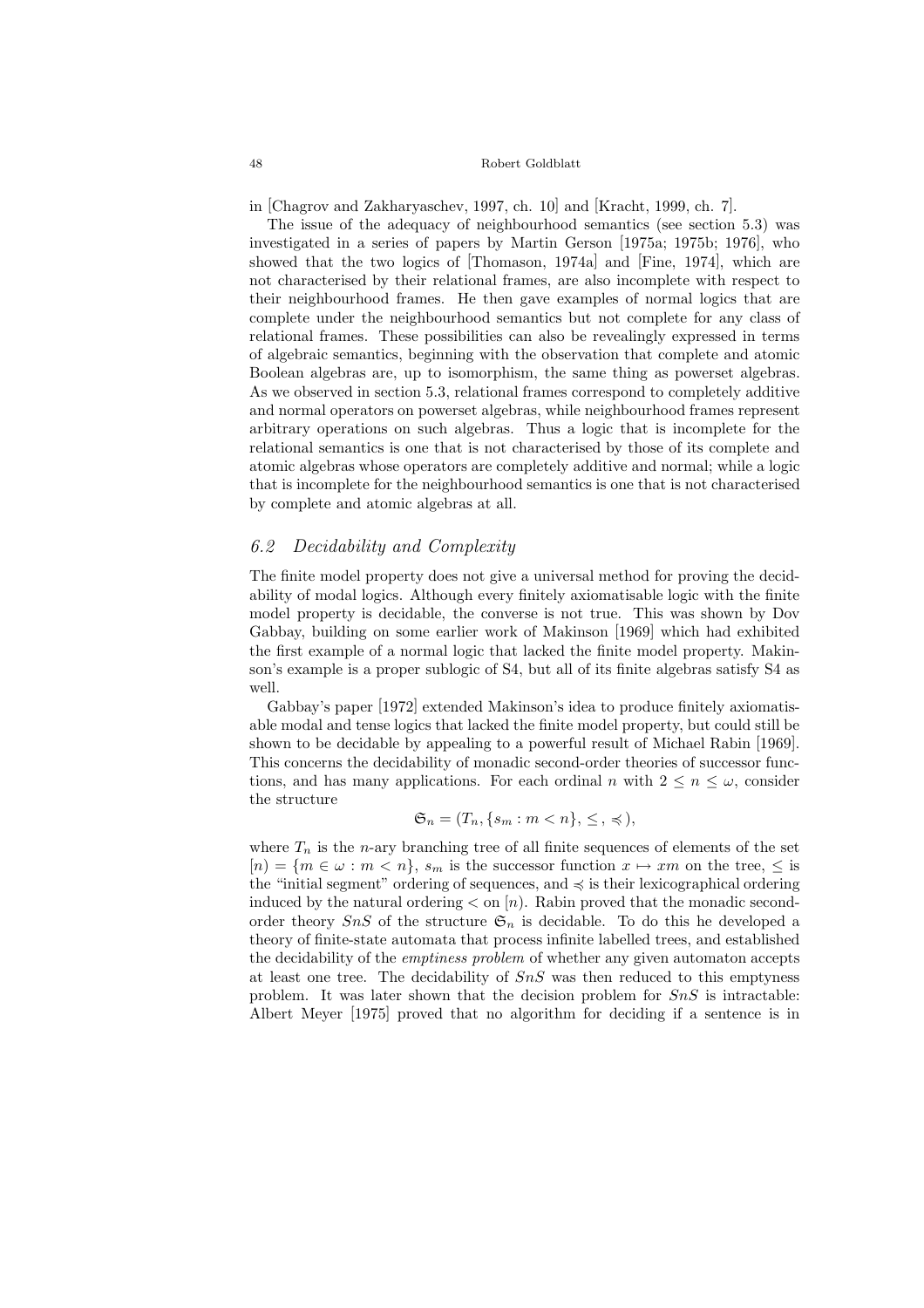in [Chagrov and Zakharyaschev, 1997, ch. 10] and [Kracht, 1999, ch. 7].

The issue of the adequacy of neighbourhood semantics (see section 5.3) was investigated in a series of papers by Martin Gerson [1975a; 1975b; 1976], who showed that the two logics of [Thomason, 1974a] and [Fine, 1974], which are not characterised by their relational frames, are also incomplete with respect to their neighbourhood frames. He then gave examples of normal logics that are complete under the neighbourhood semantics but not complete for any class of relational frames. These possibilities can also be revealingly expressed in terms of algebraic semantics, beginning with the observation that complete and atomic Boolean algebras are, up to isomorphism, the same thing as powerset algebras. As we observed in section 5.3, relational frames correspond to completely additive and normal operators on powerset algebras, while neighbourhood frames represent arbitrary operations on such algebras. Thus a logic that is incomplete for the relational semantics is one that is not characterised by those of its complete and atomic algebras whose operators are completely additive and normal; while a logic that is incomplete for the neighbourhood semantics is one that is not characterised by complete and atomic algebras at all.

# *6.2 Decidability and Complexity*

The finite model property does not give a universal method for proving the decidability of modal logics. Although every finitely axiomatisable logic with the finite model property is decidable, the converse is not true. This was shown by Dov Gabbay, building on some earlier work of Makinson [1969] which had exhibited the first example of a normal logic that lacked the finite model property. Makinson's example is a proper sublogic of S4, but all of its finite algebras satisfy S4 as well.

Gabbay's paper [1972] extended Makinson's idea to produce finitely axiomatisable modal and tense logics that lacked the finite model property, but could still be shown to be decidable by appealing to a powerful result of Michael Rabin [1969]. This concerns the decidability of monadic second-order theories of successor functions, and has many applications. For each ordinal n with  $2 \leq n \leq \omega$ , consider the structure

$$
\mathfrak{S}_n = (T_n, \{s_m : m < n\}, \leq, \preccurlyeq),
$$

where  $T_n$  is the *n*-ary branching tree of all finite sequences of elements of the set  $[n] = \{m \in \omega : m \leq n\}, s_m$  is the successor function  $x \mapsto xm$  on the tree,  $\leq$  is the "initial segment" ordering of sequences, and  $\preccurlyeq$  is their lexicographical ordering induced by the natural ordering  $\lt$  on  $[n]$ . Rabin proved that the monadic secondorder theory SnS of the structure  $\mathfrak{S}_n$  is decidable. To do this he developed a theory of finite-state automata that process infinite labelled trees, and established the decidability of the emptiness problem of whether any given automaton accepts at least one tree. The decidability of  $SnS$  was then reduced to this emptyness problem. It was later shown that the decision problem for  $SnS$  is intractable: Albert Meyer [1975] proved that no algorithm for deciding if a sentence is in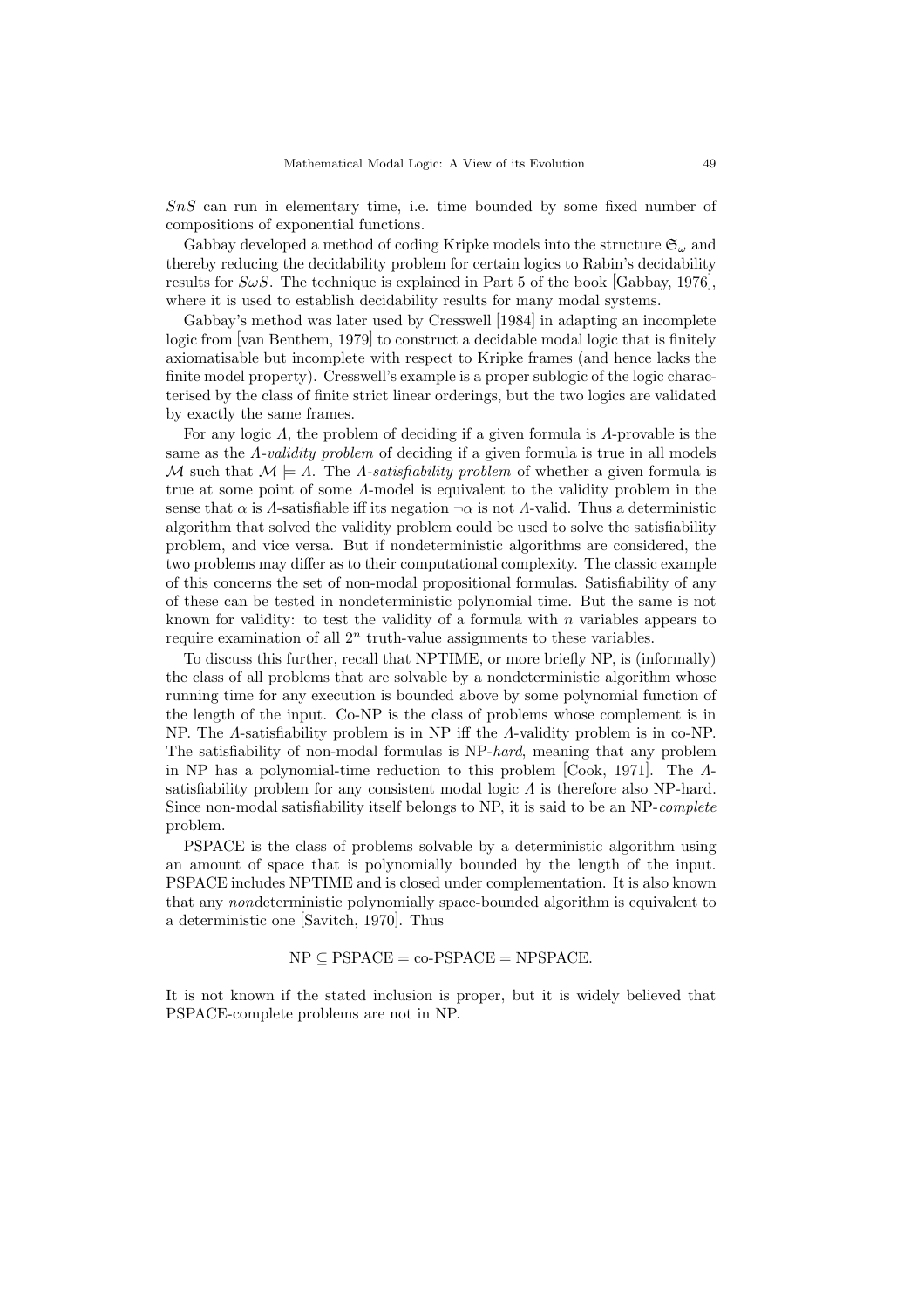$SnS$  can run in elementary time, i.e. time bounded by some fixed number of compositions of exponential functions.

Gabbay developed a method of coding Kripke models into the structure  $\mathfrak{S}_{\omega}$  and thereby reducing the decidability problem for certain logics to Rabin's decidability results for  $S\omega S$ . The technique is explained in Part 5 of the book [Gabbay, 1976], where it is used to establish decidability results for many modal systems.

Gabbay's method was later used by Cresswell [1984] in adapting an incomplete logic from [van Benthem, 1979] to construct a decidable modal logic that is finitely axiomatisable but incomplete with respect to Kripke frames (and hence lacks the finite model property). Cresswell's example is a proper sublogic of the logic characterised by the class of finite strict linear orderings, but the two logics are validated by exactly the same frames.

For any logic  $\Lambda$ , the problem of deciding if a given formula is  $\Lambda$ -provable is the same as the Λ-validity problem of deciding if a given formula is true in all models M such that  $M \models \Lambda$ . The  $\Lambda$ -satisfiability problem of whether a given formula is true at some point of some Λ-model is equivalent to the validity problem in the sense that  $\alpha$  is  $\Lambda$ -satisfiable iff its negation  $\neg \alpha$  is not  $\Lambda$ -valid. Thus a deterministic algorithm that solved the validity problem could be used to solve the satisfiability problem, and vice versa. But if nondeterministic algorithms are considered, the two problems may differ as to their computational complexity. The classic example of this concerns the set of non-modal propositional formulas. Satisfiability of any of these can be tested in nondeterministic polynomial time. But the same is not known for validity: to test the validity of a formula with  $n$  variables appears to require examination of all  $2<sup>n</sup>$  truth-value assignments to these variables.

To discuss this further, recall that NPTIME, or more briefly NP, is (informally) the class of all problems that are solvable by a nondeterministic algorithm whose running time for any execution is bounded above by some polynomial function of the length of the input. Co-NP is the class of problems whose complement is in NP. The Λ-satisfiability problem is in NP iff the Λ-validity problem is in co-NP. The satisfiability of non-modal formulas is NP-hard, meaning that any problem in NP has a polynomial-time reduction to this problem [Cook, 1971]. The Λsatisfiability problem for any consistent modal logic  $\Lambda$  is therefore also NP-hard. Since non-modal satisfiability itself belongs to NP, it is said to be an NP-complete problem.

PSPACE is the class of problems solvable by a deterministic algorithm using an amount of space that is polynomially bounded by the length of the input. PSPACE includes NPTIME and is closed under complementation. It is also known that any nondeterministic polynomially space-bounded algorithm is equivalent to a deterministic one [Savitch, 1970]. Thus

## $NP \subseteq PSPACE = co-PSPACE = NPSPACE.$

It is not known if the stated inclusion is proper, but it is widely believed that PSPACE-complete problems are not in NP.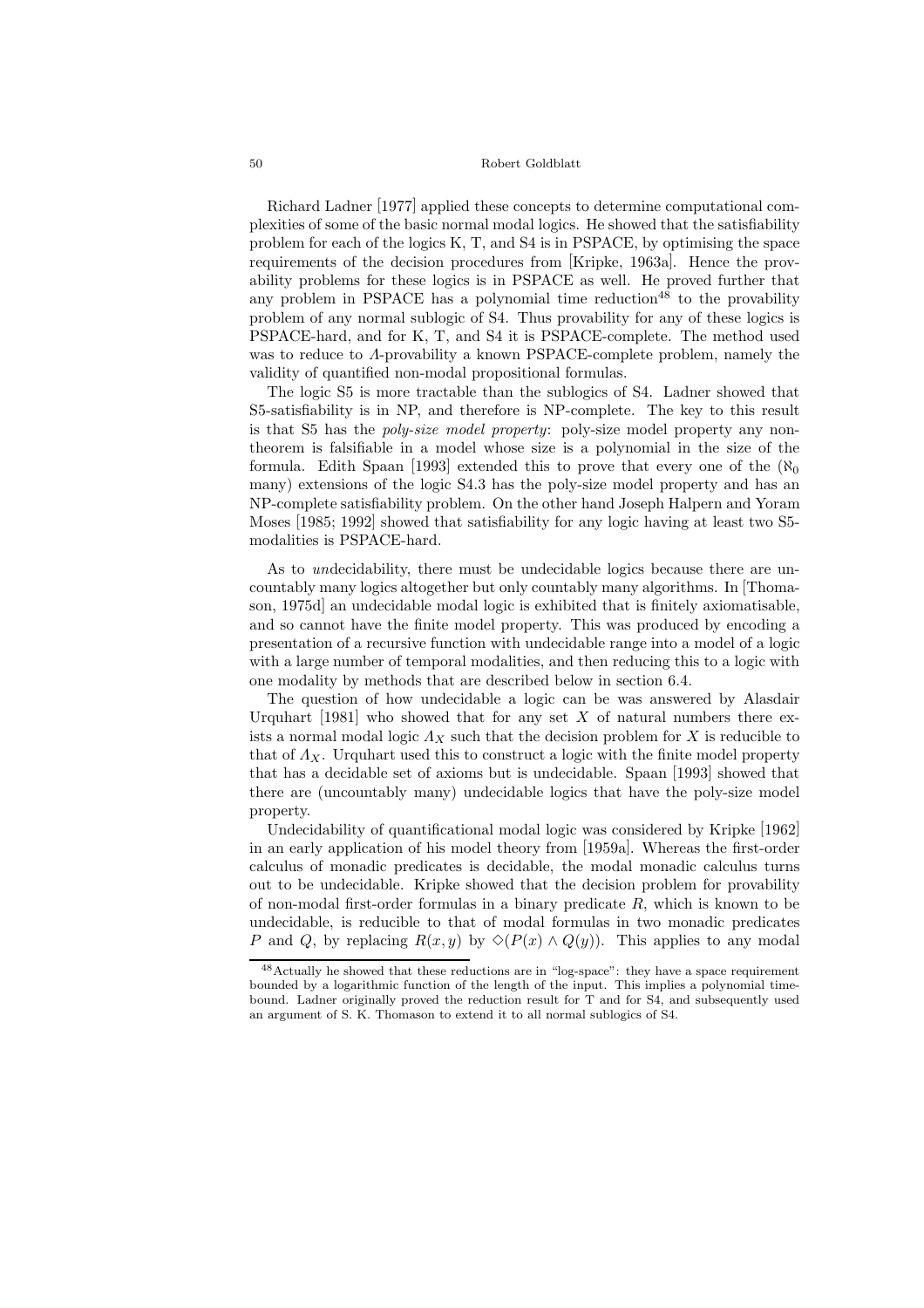Richard Ladner [1977] applied these concepts to determine computational complexities of some of the basic normal modal logics. He showed that the satisfiability problem for each of the logics K, T, and S4 is in PSPACE, by optimising the space requirements of the decision procedures from [Kripke, 1963a]. Hence the provability problems for these logics is in PSPACE as well. He proved further that any problem in PSPACE has a polynomial time reduction<sup>48</sup> to the provability problem of any normal sublogic of S4. Thus provability for any of these logics is PSPACE-hard, and for K, T, and S4 it is PSPACE-complete. The method used was to reduce to Λ-provability a known PSPACE-complete problem, namely the validity of quantified non-modal propositional formulas.

The logic S5 is more tractable than the sublogics of S4. Ladner showed that S5-satisfiability is in NP, and therefore is NP-complete. The key to this result is that S5 has the poly-size model property: poly-size model property any nontheorem is falsifiable in a model whose size is a polynomial in the size of the formula. Edith Spaan [1993] extended this to prove that every one of the  $(\aleph_0)$ many) extensions of the logic S4.3 has the poly-size model property and has an NP-complete satisfiability problem. On the other hand Joseph Halpern and Yoram Moses [1985; 1992] showed that satisfiability for any logic having at least two S5 modalities is PSPACE-hard.

As to undecidability, there must be undecidable logics because there are uncountably many logics altogether but only countably many algorithms. In [Thomason, 1975d] an undecidable modal logic is exhibited that is finitely axiomatisable, and so cannot have the finite model property. This was produced by encoding a presentation of a recursive function with undecidable range into a model of a logic with a large number of temporal modalities, and then reducing this to a logic with one modality by methods that are described below in section 6.4.

The question of how undecidable a logic can be was answered by Alasdair Urquhart [1981] who showed that for any set  $X$  of natural numbers there exists a normal modal logic  $\Lambda_X$  such that the decision problem for X is reducible to that of  $\Lambda_X$ . Urquhart used this to construct a logic with the finite model property that has a decidable set of axioms but is undecidable. Spaan [1993] showed that there are (uncountably many) undecidable logics that have the poly-size model property.

Undecidability of quantificational modal logic was considered by Kripke [1962] in an early application of his model theory from [1959a]. Whereas the first-order calculus of monadic predicates is decidable, the modal monadic calculus turns out to be undecidable. Kripke showed that the decision problem for provability of non-modal first-order formulas in a binary predicate  $R$ , which is known to be undecidable, is reducible to that of modal formulas in two monadic predicates P and Q, by replacing  $R(x, y)$  by  $\Diamond (P(x) \land Q(y))$ . This applies to any modal

<sup>48</sup>Actually he showed that these reductions are in "log-space": they have a space requirement bounded by a logarithmic function of the length of the input. This implies a polynomial timebound. Ladner originally proved the reduction result for T and for S4, and subsequently used an argument of S. K. Thomason to extend it to all normal sublogics of S4.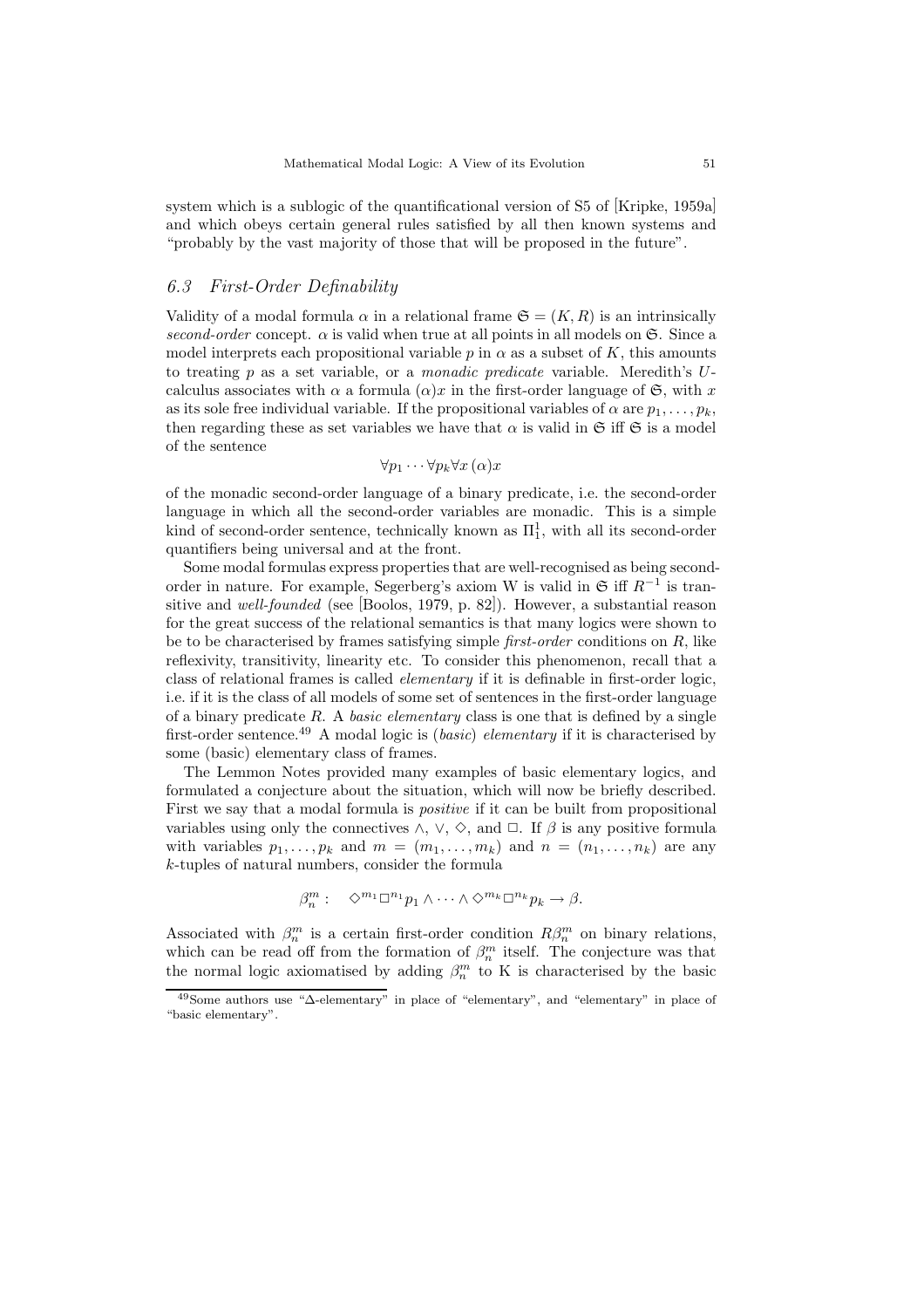system which is a sublogic of the quantificational version of S5 of [Kripke, 1959a] and which obeys certain general rules satisfied by all then known systems and "probably by the vast majority of those that will be proposed in the future".

# *6.3 First-Order Definability*

Validity of a modal formula  $\alpha$  in a relational frame  $\mathfrak{S} = (K, R)$  is an intrinsically second-order concept.  $\alpha$  is valid when true at all points in all models on G. Since a model interprets each propositional variable p in  $\alpha$  as a subset of K, this amounts to treating  $p$  as a set variable, or a *monadic predicate* variable. Meredith's  $U$ calculus associates with  $\alpha$  a formula  $(\alpha)x$  in the first-order language of G, with x as its sole free individual variable. If the propositional variables of  $\alpha$  are  $p_1, \ldots, p_k$ , then regarding these as set variables we have that  $\alpha$  is valid in  $\mathfrak S$  iff  $\mathfrak S$  is a model of the sentence

$$
\forall p_1 \cdots \forall p_k \forall x (\alpha) x
$$

of the monadic second-order language of a binary predicate, i.e. the second-order language in which all the second-order variables are monadic. This is a simple kind of second-order sentence, technically known as  $\Pi_1^1$ , with all its second-order quantifiers being universal and at the front.

Some modal formulas express properties that are well-recognised as being secondorder in nature. For example, Segerberg's axiom W is valid in  $\mathfrak{S}$  iff  $R^{-1}$  is transitive and well-founded (see  $[Boolos, 1979, p. 82]$ ). However, a substantial reason for the great success of the relational semantics is that many logics were shown to be to be characterised by frames satisfying simple  $first-order$  conditions on  $R$ , like reflexivity, transitivity, linearity etc. To consider this phenomenon, recall that a class of relational frames is called elementary if it is definable in first-order logic, i.e. if it is the class of all models of some set of sentences in the first-order language of a binary predicate  $R$ . A *basic elementary* class is one that is defined by a single first-order sentence.<sup>49</sup> A modal logic is (*basic*) elementary if it is characterised by some (basic) elementary class of frames.

The Lemmon Notes provided many examples of basic elementary logics, and formulated a conjecture about the situation, which will now be briefly described. First we say that a modal formula is *positive* if it can be built from propositional variables using only the connectives  $\wedge$ ,  $\vee$ ,  $\Diamond$ , and  $\Box$ . If  $\beta$  is any positive formula with variables  $p_1, \ldots, p_k$  and  $m = (m_1, \ldots, m_k)$  and  $n = (n_1, \ldots, n_k)$  are any k-tuples of natural numbers, consider the formula

$$
\beta_n^m: \quad \Diamond^{m_1} \Box^{n_1} p_1 \wedge \cdots \wedge \Diamond^{m_k} \Box^{n_k} p_k \longrightarrow \beta.
$$

Associated with  $\beta_n^m$  is a certain first-order condition  $R\beta_n^m$  on binary relations, which can be read off from the formation of  $\beta_n^m$  itself. The conjecture was that the normal logic axiomatised by adding  $\beta_n^m$  to K is characterised by the basic

<sup>49</sup>Some authors use "∆-elementary" in place of "elementary", and "elementary" in place of "basic elementary".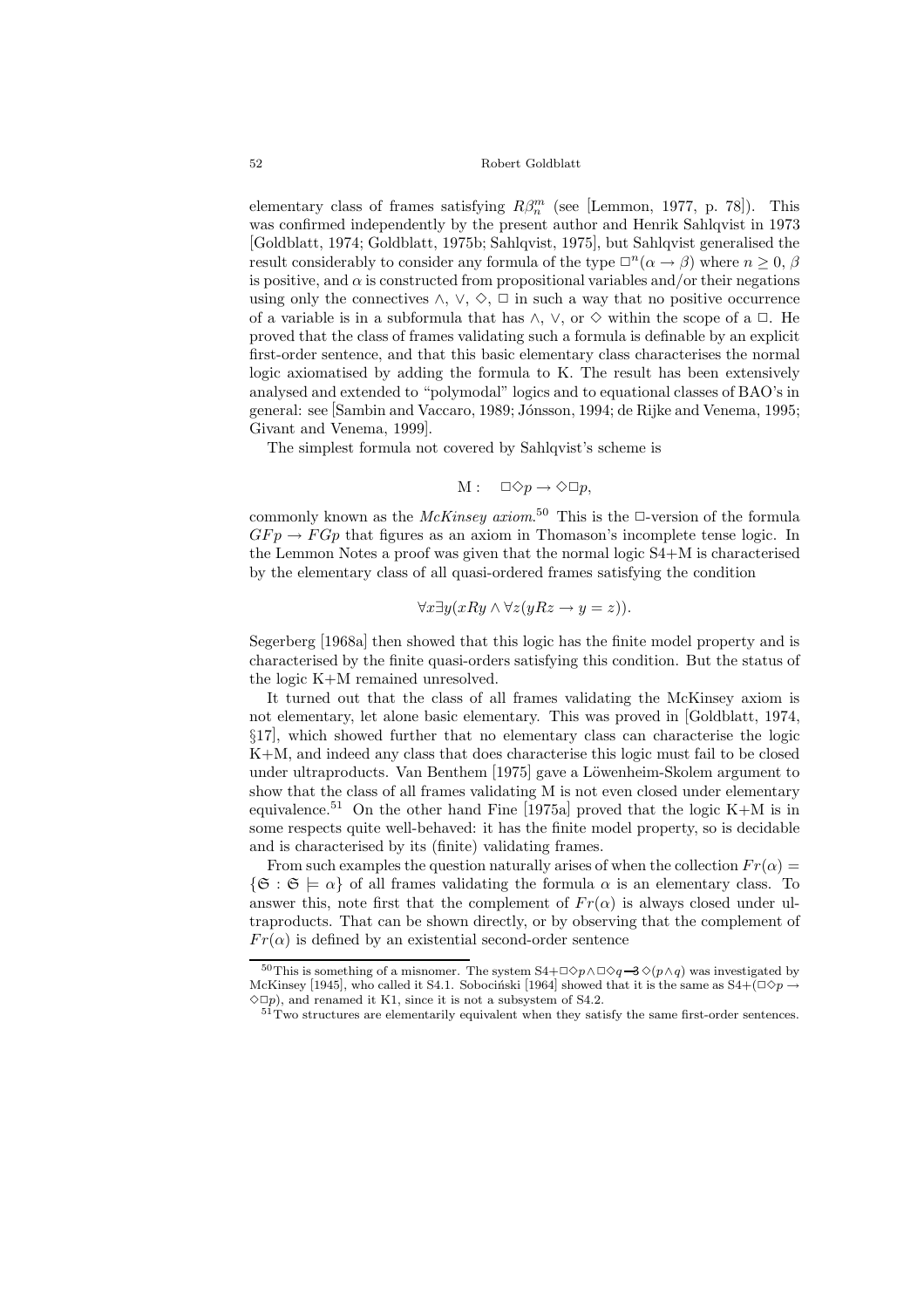elementary class of frames satisfying  $R\beta_n^m$  (see [Lemmon, 1977, p. 78]). This was confirmed independently by the present author and Henrik Sahlqvist in 1973 [Goldblatt, 1974; Goldblatt, 1975b; Sahlqvist, 1975], but Sahlqvist generalised the result considerably to consider any formula of the type  $\Box^{n}(\alpha \to \beta)$  where  $n \geq 0$ ,  $\beta$ is positive, and  $\alpha$  is constructed from propositional variables and/or their negations using only the connectives  $\wedge$ ,  $\vee$ ,  $\Diamond$ ,  $\Box$  in such a way that no positive occurrence of a variable is in a subformula that has  $\wedge$ ,  $\vee$ , or  $\diamond$  within the scope of a  $\Box$ . He proved that the class of frames validating such a formula is definable by an explicit first-order sentence, and that this basic elementary class characterises the normal logic axiomatised by adding the formula to K. The result has been extensively analysed and extended to "polymodal" logics and to equational classes of BAO's in general: see [Sambin and Vaccaro, 1989; Jónsson, 1994; de Rijke and Venema, 1995; Givant and Venema, 1999].

The simplest formula not covered by Sahlqvist's scheme is

$$
\mathbf{M}:\quad \Box \Diamond p \to \Diamond \Box p,
$$

commonly known as the  $McKinsey$  axiom.<sup>50</sup> This is the  $\Box$ -version of the formula  $GFp \to FGp$  that figures as an axiom in Thomason's incomplete tense logic. In the Lemmon Notes a proof was given that the normal logic S4+M is characterised by the elementary class of all quasi-ordered frames satisfying the condition

$$
\forall x \exists y (x R y \land \forall z (y R z \to y = z)).
$$

Segerberg [1968a] then showed that this logic has the finite model property and is characterised by the finite quasi-orders satisfying this condition. But the status of the logic K+M remained unresolved.

It turned out that the class of all frames validating the McKinsey axiom is not elementary, let alone basic elementary. This was proved in [Goldblatt, 1974, §17], which showed further that no elementary class can characterise the logic K+M, and indeed any class that does characterise this logic must fail to be closed under ultraproducts. Van Benthem [1975] gave a Löwenheim-Skolem argument to show that the class of all frames validating M is not even closed under elementary equivalence.<sup>51</sup> On the other hand Fine [1975a] proved that the logic K+M is in some respects quite well-behaved: it has the finite model property, so is decidable and is characterised by its (finite) validating frames.

From such examples the question naturally arises of when the collection  $Fr(\alpha) =$  $\{\mathfrak{S} : \mathfrak{S} \models \alpha\}$  of all frames validating the formula  $\alpha$  is an elementary class. To answer this, note first that the complement of  $Fr(\alpha)$  is always closed under ultraproducts. That can be shown directly, or by observing that the complement of  $Fr(\alpha)$  is defined by an existential second-order sentence

<sup>&</sup>lt;sup>50</sup>This is something of a misnomer. The system  $S4+\Box \Diamond p \wedge \Box \Diamond q \rightarrow 3 \Diamond (p \wedge q)$  was investigated by McKinsey [1945], who called it S4.1. Sobocitiski [1964] showed that it is the same as  $S4+$ ( $\Box \Diamond p \rightarrow$  $\Diamond \Box p$ ), and renamed it K1, since it is not a subsystem of S4.2.

 $51$ Two structures are elementarily equivalent when they satisfy the same first-order sentences.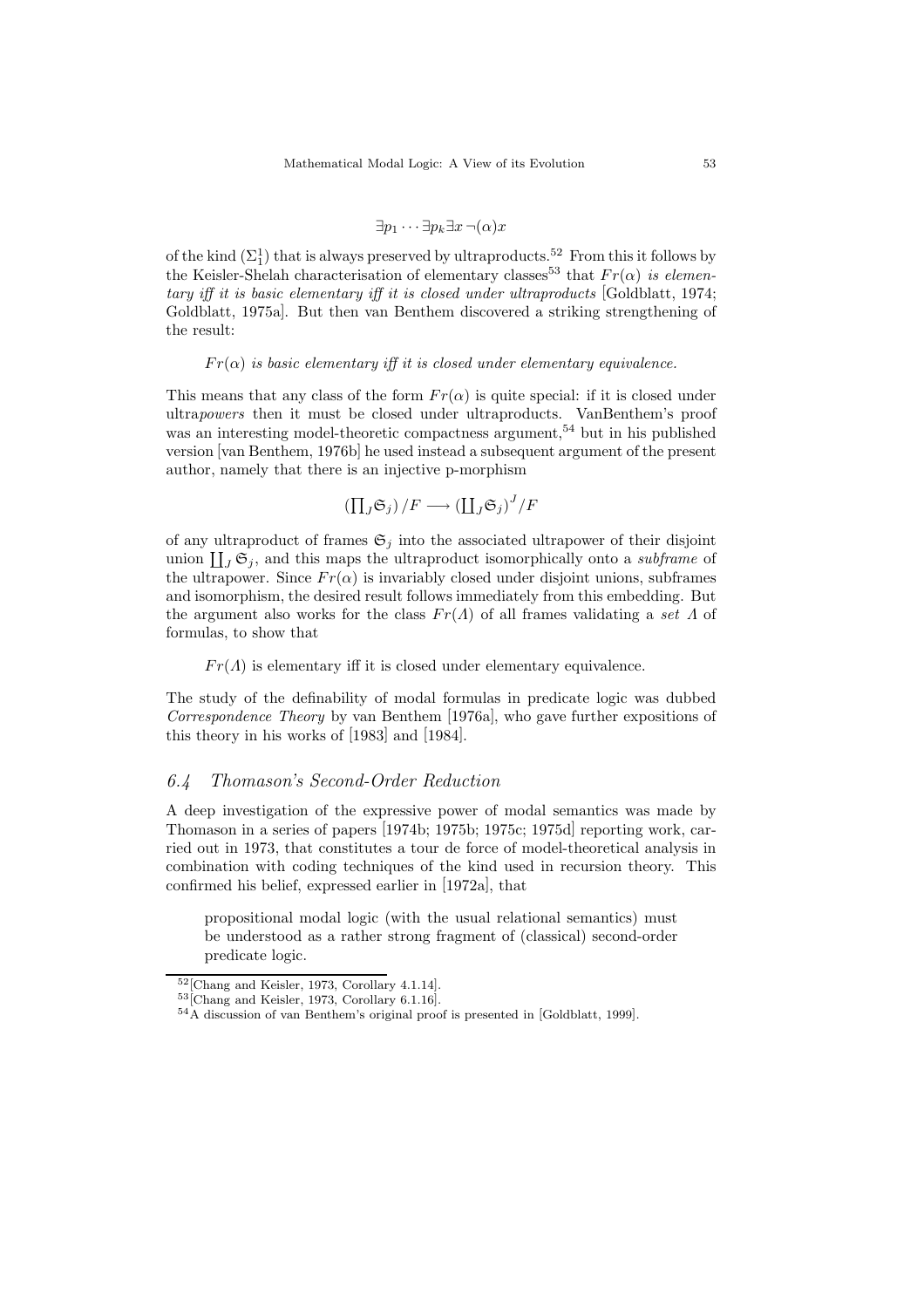$$
\exists p_1 \cdots \exists p_k \exists x \neg(\alpha)x
$$

of the kind  $(\Sigma_1^1)$  that is always preserved by ultraproducts.<sup>52</sup> From this it follows by the Keisler-Shelah characterisation of elementary classes<sup>53</sup> that  $Fr(\alpha)$  is elementary iff it is basic elementary iff it is closed under ultraproducts [Goldblatt, 1974; Goldblatt, 1975a]. But then van Benthem discovered a striking strengthening of the result:

### $Fr(\alpha)$  is basic elementary iff it is closed under elementary equivalence.

This means that any class of the form  $Fr(\alpha)$  is quite special: if it is closed under ultrapowers then it must be closed under ultraproducts. VanBenthem's proof was an interesting model-theoretic compactness argument,  $54$  but in his published version [van Benthem, 1976b] he used instead a subsequent argument of the present author, namely that there is an injective p-morphism

$$
\left(\prod\nolimits_{J}\mathfrak{S}_{j}\right)/F\longrightarrow\left(\coprod\nolimits_{J}\mathfrak{S}_{j}\right)^{J}/F
$$

of any ultraproduct of frames  $\mathfrak{S}_i$  into the associated ultrapower of their disjoint union  $\coprod_{J} \mathfrak{S}_j$ , and this maps the ultraproduct isomorphically onto a *subframe* of the ultrapower. Since  $Fr(\alpha)$  is invariably closed under disjoint unions, subframes and isomorphism, the desired result follows immediately from this embedding. But the argument also works for the class  $Fr(\Lambda)$  of all frames validating a set  $\Lambda$  of formulas, to show that

### $Fr(\Lambda)$  is elementary iff it is closed under elementary equivalence.

The study of the definability of modal formulas in predicate logic was dubbed Correspondence Theory by van Benthem [1976a], who gave further expositions of this theory in his works of [1983] and [1984].

## *6.4 Thomason's Second-Order Reduction*

A deep investigation of the expressive power of modal semantics was made by Thomason in a series of papers [1974b; 1975b; 1975c; 1975d] reporting work, carried out in 1973, that constitutes a tour de force of model-theoretical analysis in combination with coding techniques of the kind used in recursion theory. This confirmed his belief, expressed earlier in [1972a], that

propositional modal logic (with the usual relational semantics) must be understood as a rather strong fragment of (classical) second-order predicate logic.

<sup>52</sup>[Chang and Keisler, 1973, Corollary 4.1.14].

<sup>53</sup>[Chang and Keisler, 1973, Corollary 6.1.16].

<sup>54</sup>A discussion of van Benthem's original proof is presented in [Goldblatt, 1999].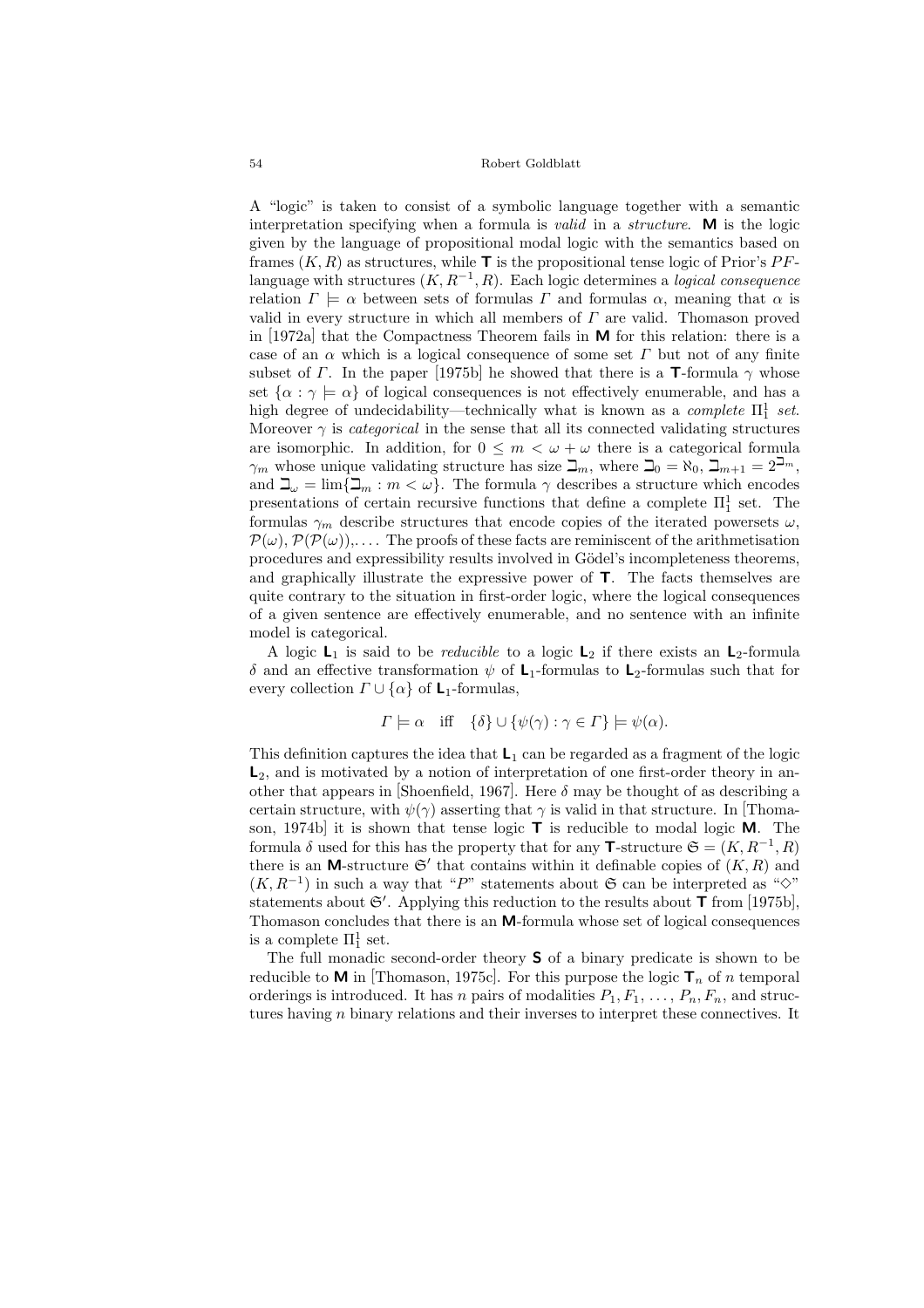A "logic" is taken to consist of a symbolic language together with a semantic interpretation specifying when a formula is valid in a structure. M is the logic given by the language of propositional modal logic with the semantics based on frames  $(K, R)$  as structures, while **T** is the propositional tense logic of Prior's PFlanguage with structures  $(K, R^{-1}, R)$ . Each logic determines a *logical consequence* relation  $\Gamma \models \alpha$  between sets of formulas  $\Gamma$  and formulas  $\alpha$ , meaning that  $\alpha$  is valid in every structure in which all members of  $\Gamma$  are valid. Thomason proved in [1972a] that the Compactness Theorem fails in  $M$  for this relation: there is a case of an  $\alpha$  which is a logical consequence of some set  $\Gamma$  but not of any finite subset of Γ. In the paper [1975b] he showed that there is a  $\mathsf{T}\text{-formula } \gamma$  whose set  $\{\alpha : \gamma \models \alpha\}$  of logical consequences is not effectively enumerable, and has a high degree of undecidability—technically what is known as a *complete*  $\Pi_1^1$  set. Moreover  $\gamma$  is *categorical* in the sense that all its connected validating structures are isomorphic. In addition, for  $0 \leq m < \omega + \omega$  there is a categorical formula  $\gamma_m$  whose unique validating structure has size  $\beth_m$ , where  $\beth_0 = \aleph_0$ ,  $\beth_{m+1} = 2^{\beth_m}$ , and  $\mathbb{Z}_{\omega} = \lim{\mathbb{Z}_m : m < \omega}$ . The formula  $\gamma$  describes a structure which encodes presentations of certain recursive functions that define a complete  $\Pi_1^1$  set. The formulas  $\gamma_m$  describe structures that encode copies of the iterated powersets  $\omega$ ,  $\mathcal{P}(\omega)$ ,  $\mathcal{P}(\mathcal{P}(\omega))$ ,.... The proofs of these facts are reminiscent of the arithmetisation procedures and expressibility results involved in Gödel's incompleteness theorems, and graphically illustrate the expressive power of  $T$ . The facts themselves are quite contrary to the situation in first-order logic, where the logical consequences of a given sentence are effectively enumerable, and no sentence with an infinite model is categorical.

A logic  $L_1$  is said to be *reducible* to a logic  $L_2$  if there exists an  $L_2$ -formula δ and an effective transformation  $\psi$  of **L**<sub>1</sub>-formulas to **L**<sub>2</sub>-formulas such that for every collection  $\Gamma \cup \{\alpha\}$  of **L**<sub>1</sub>-formulas,

$$
\Gamma \models \alpha
$$
 iff  $\{\delta\} \cup \{\psi(\gamma) : \gamma \in \Gamma\} \models \psi(\alpha)$ .

This definition captures the idea that  $L_1$  can be regarded as a fragment of the logic L2, and is motivated by a notion of interpretation of one first-order theory in another that appears in [Shoenfield, 1967]. Here  $\delta$  may be thought of as describing a certain structure, with  $\psi(\gamma)$  asserting that  $\gamma$  is valid in that structure. In [Thomason, 1974b] it is shown that tense logic  $\mathsf T$  is reducible to modal logic  $\mathsf M$ . The formula  $\delta$  used for this has the property that for any **T**-structure  $\mathfrak{S} = (K, R^{-1}, R)$ there is an M-structure  $\mathfrak{S}'$  that contains within it definable copies of  $(K, R)$  and  $(K, R^{-1})$  in such a way that "P" statements about G can be interpreted as " $\diamond$ " statements about  $\mathfrak{S}'$ . Applying this reduction to the results about  $\bar{\mathsf{T}}$  from [1975b], Thomason concludes that there is an M-formula whose set of logical consequences is a complete  $\Pi_1^1$  set.

The full monadic second-order theory S of a binary predicate is shown to be reducible to **M** in [Thomason, 1975c]. For this purpose the logic  $\mathbf{T}_n$  of *n* temporal orderings is introduced. It has n pairs of modalities  $P_1, F_1, \ldots, P_n, F_n$ , and structures having n binary relations and their inverses to interpret these connectives. It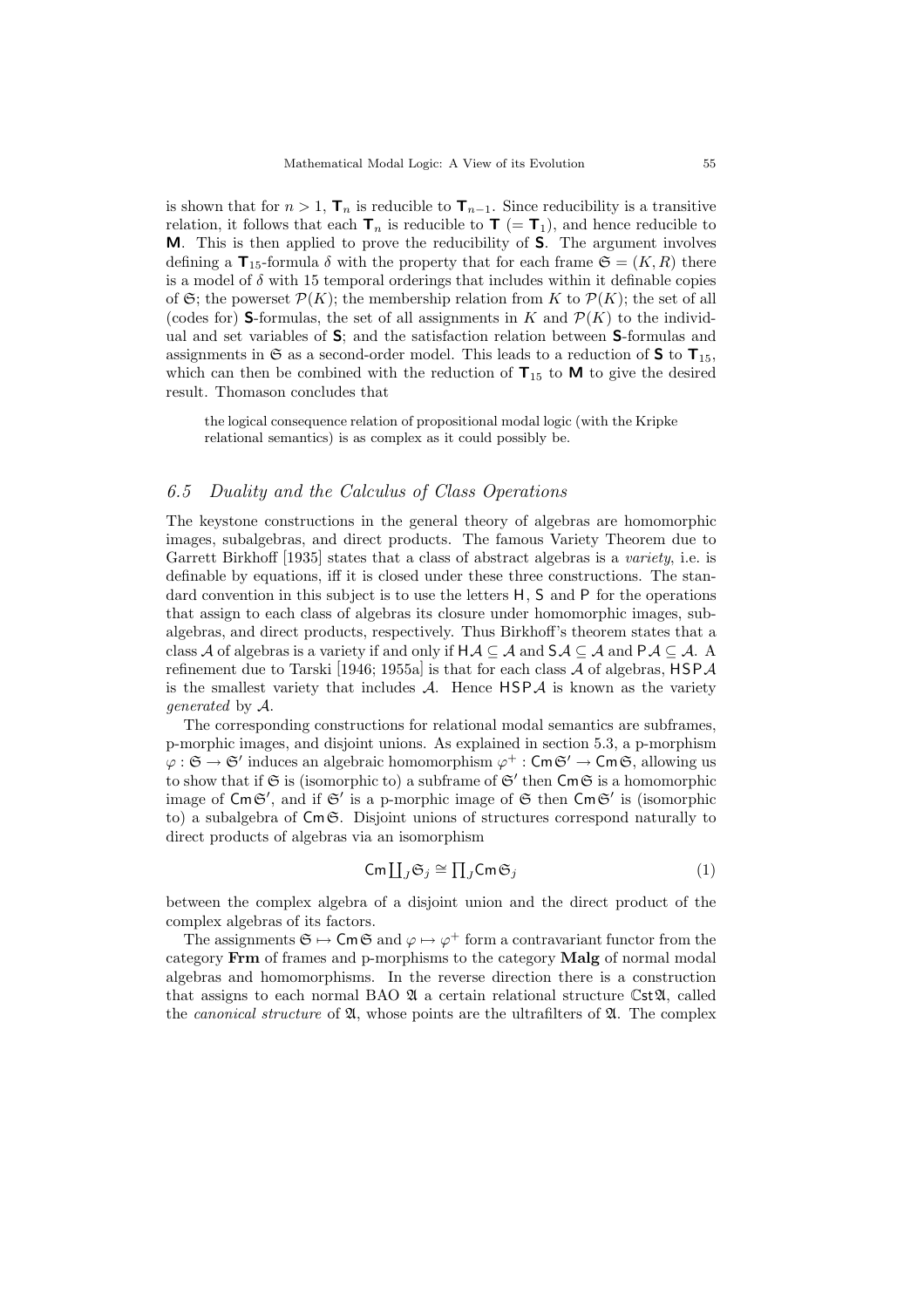is shown that for  $n > 1$ ,  $\mathbf{T}_n$  is reducible to  $\mathbf{T}_{n-1}$ . Since reducibility is a transitive relation, it follows that each  $\mathbf{T}_n$  is reducible to  $\mathbf{T}$  (=  $\mathbf{T}_1$ ), and hence reducible to M. This is then applied to prove the reducibility of S. The argument involves defining a  $\mathbf{T}_{15}$ -formula  $\delta$  with the property that for each frame  $\mathfrak{S} = (K, R)$  there is a model of  $\delta$  with 15 temporal orderings that includes within it definable copies of  $\mathfrak{S}$ ; the powerset  $\mathcal{P}(K)$ ; the membership relation from K to  $\mathcal{P}(K)$ ; the set of all (codes for) **S**-formulas, the set of all assignments in K and  $\mathcal{P}(K)$  to the individual and set variables of S; and the satisfaction relation between S-formulas and assignments in  $\mathfrak S$  as a second-order model. This leads to a reduction of **S** to  $\mathsf T_{15}$ , which can then be combined with the reduction of  $T_{15}$  to M to give the desired result. Thomason concludes that

the logical consequence relation of propositional modal logic (with the Kripke relational semantics) is as complex as it could possibly be.

## *6.5 Duality and the Calculus of Class Operations*

The keystone constructions in the general theory of algebras are homomorphic images, subalgebras, and direct products. The famous Variety Theorem due to Garrett Birkhoff [1935] states that a class of abstract algebras is a variety, i.e. is definable by equations, iff it is closed under these three constructions. The standard convention in this subject is to use the letters H, S and P for the operations that assign to each class of algebras its closure under homomorphic images, subalgebras, and direct products, respectively. Thus Birkhoff's theorem states that a class A of algebras is a variety if and only if  $H \mathcal{A} \subseteq \mathcal{A}$  and  $S \mathcal{A} \subseteq \mathcal{A}$  and  $P \mathcal{A} \subseteq \mathcal{A}$ . A refinement due to Tarski [1946; 1955a] is that for each class  $A$  of algebras,  $\text{HSPA}$ is the smallest variety that includes  $A$ . Hence  $HSPA$  is known as the variety generated by A.

The corresponding constructions for relational modal semantics are subframes, p-morphic images, and disjoint unions. As explained in section 5.3, a p-morphism  $\varphi : \mathfrak{S} \to \mathfrak{S}'$  induces an algebraic homomorphism  $\varphi^+ : \mathsf{CmS'} \to \mathsf{CmS}$ , allowing us to show that if  $\mathfrak S$  is (isomorphic to) a subframe of  $\mathfrak S'$  then  $\mathsf{Cm}\mathfrak S$  is a homomorphic image of  $\mathsf{CmS}'$ , and if  $\mathfrak{S}'$  is a p-morphic image of  $\mathfrak S$  then  $\mathsf{CmS}'$  is (isomorphic to) a subalgebra of CmS. Disjoint unions of structures correspond naturally to direct products of algebras via an isomorphism

$$
Cm \coprod_{J} S_{j} \cong \prod_{J} Cm S_{j} \tag{1}
$$

between the complex algebra of a disjoint union and the direct product of the complex algebras of its factors.

The assignments  $\mathfrak{S} \mapsto \mathsf{CmS}$  and  $\varphi \mapsto \varphi^+$  form a contravariant functor from the category Frm of frames and p-morphisms to the category Malg of normal modal algebras and homomorphisms. In the reverse direction there is a construction that assigns to each normal BAO  $\mathfrak A$  a certain relational structure  $\mathbb C$ st $\mathfrak A$ , called the *canonical structure* of  $\mathfrak{A}$ , whose points are the ultrafilters of  $\mathfrak{A}$ . The complex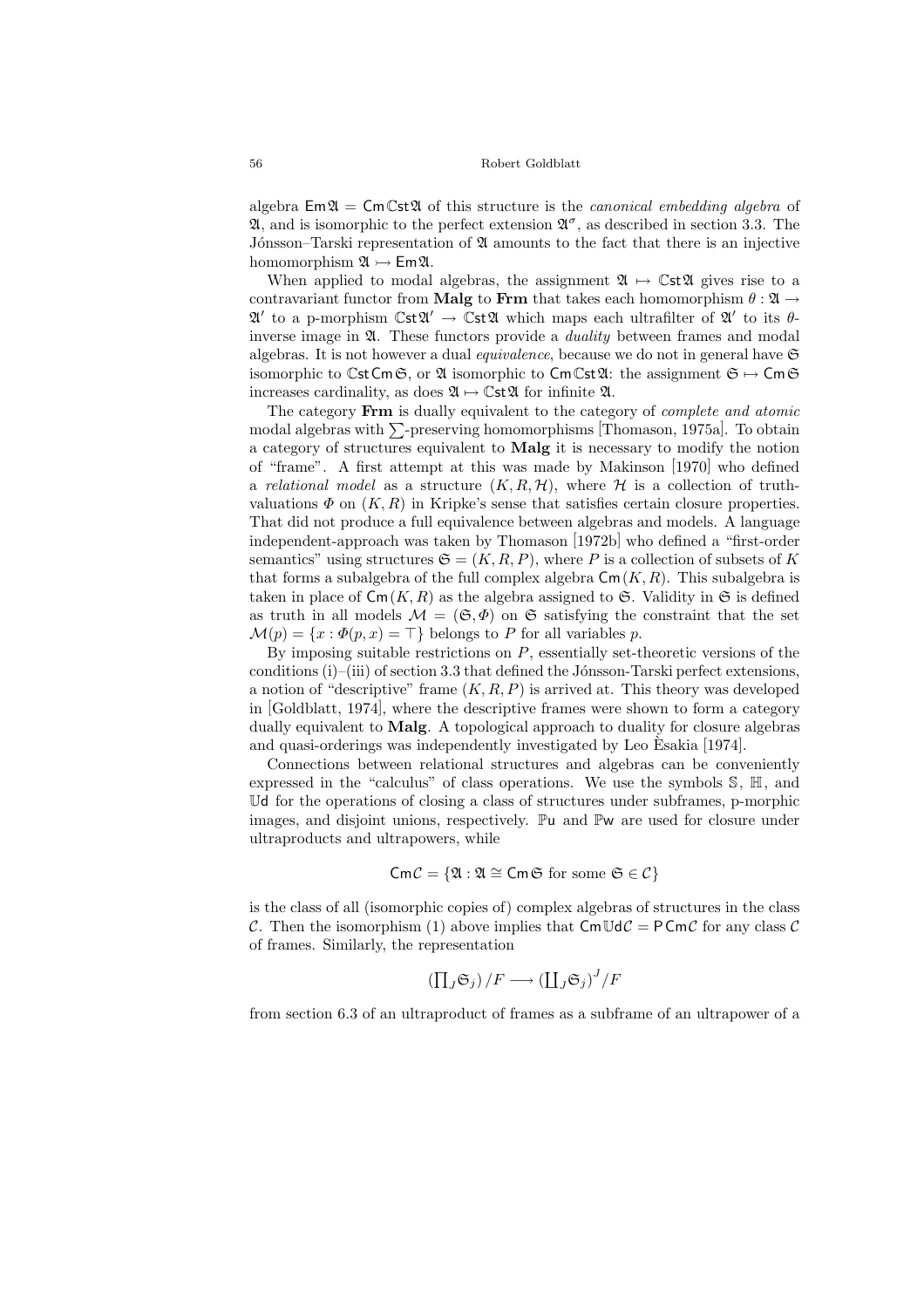algebra  $Em\mathfrak{A} = CmCst\mathfrak{A}$  of this structure is the *canonical embedding algebra* of  $\mathfrak{A},$  and is isomorphic to the perfect extension  $\mathfrak{A}^{\sigma}$ , as described in section 3.3. The Jónsson–Tarski representation of  $\mathfrak A$  amounts to the fact that there is an injective homomorphism  $\mathfrak{A} \rightarrow$  Em $\mathfrak{A}$ .

When applied to modal algebras, the assignment  $\mathfrak{A} \mapsto \mathbb{C}$ st $\mathfrak{A}$  gives rise to a contravariant functor from **Malg** to Frm that takes each homomorphism  $\theta : \mathfrak{A} \rightarrow$  $\mathfrak{A}'$  to a p-morphism  $\mathbb{C}st\mathfrak{A}' \to \mathbb{C}st\mathfrak{A}$  which maps each ultrafilter of  $\mathfrak{A}'$  to its  $\theta$ inverse image in  $\mathfrak{A}$ . These functors provide a *duality* between frames and modal algebras. It is not however a dual *equivalence*, because we do not in general have  $\mathfrak{S}$ isomorphic to  $\mathbb{C}$ st Cm $\mathfrak{S}$ , or  $\mathfrak A$  isomorphic to Cm $\mathbb{C}$ st  $\mathfrak A$ : the assignment  $\mathfrak{S} \mapsto \mathsf{C}$ m $\mathfrak{S}$ increases cardinality, as does  $\mathfrak{A} \mapsto \mathbb{C}$ st $\mathfrak{A}$  for infinite  $\mathfrak{A}$ .

The category Frm is dually equivalent to the category of *complete and atomic* modal algebras with  $\Sigma$ -preserving homomorphisms [Thomason, 1975a]. To obtain a category of structures equivalent to Malg it is necessary to modify the notion of "frame". A first attempt at this was made by Makinson [1970] who defined a relational model as a structure  $(K, R, \mathcal{H})$ , where  $\mathcal H$  is a collection of truthvaluations  $\Phi$  on  $(K, R)$  in Kripke's sense that satisfies certain closure properties. That did not produce a full equivalence between algebras and models. A language independent-approach was taken by Thomason [1972b] who defined a "first-order semantics" using structures  $\mathfrak{S} = (K, R, P)$ , where P is a collection of subsets of K that forms a subalgebra of the full complex algebra  $\mathsf{Cm}(K,R)$ . This subalgebra is taken in place of  $\mathsf{Cm}(K,R)$  as the algebra assigned to  $\mathfrak{S}$ . Validity in  $\mathfrak{S}$  is defined as truth in all models  $\mathcal{M} = (\mathfrak{S}, \Phi)$  on  $\mathfrak{S}$  satisfying the constraint that the set  $\mathcal{M}(p) = \{x : \Phi(p, x) = \top\}$  belongs to P for all variables p.

By imposing suitable restrictions on  $P$ , essentially set-theoretic versions of the conditions  $(i)$ – $(iii)$  of section 3.3 that defined the Jónsson-Tarski perfect extensions, a notion of "descriptive" frame  $(K, R, P)$  is arrived at. This theory was developed in [Goldblatt, 1974], where the descriptive frames were shown to form a category dually equivalent to Malg. A topological approach to duality for closure algebras and quasi-orderings was independently investigated by Leo  $\hat{\text{E}}$ sakia [1974].

Connections between relational structures and algebras can be conveniently expressed in the "calculus" of class operations. We use the symbols  $\mathbb{S}$ ,  $\mathbb{H}$ , and Ud for the operations of closing a class of structures under subframes, p-morphic images, and disjoint unions, respectively. Pu and Pw are used for closure under ultraproducts and ultrapowers, while

$$
\mathsf{Cm}\mathcal{C}=\{\mathfrak{A}:\mathfrak{A}\cong\mathsf{Cm}\,\mathfrak{S}\text{ for some }\mathfrak{S}\in\mathcal{C}\}
$$

is the class of all (isomorphic copies of) complex algebras of structures in the class C. Then the isomorphism (1) above implies that  $\mathsf{CmUdC} = \mathsf{P}\mathsf{CmC}$  for any class C of frames. Similarly, the representation

$$
\left(\prod\nolimits_{J}\mathfrak{S}_{j}\right)/F\longrightarrow\left(\coprod\nolimits_{J}\mathfrak{S}_{j}\right)^{J}/F
$$

from section 6.3 of an ultraproduct of frames as a subframe of an ultrapower of a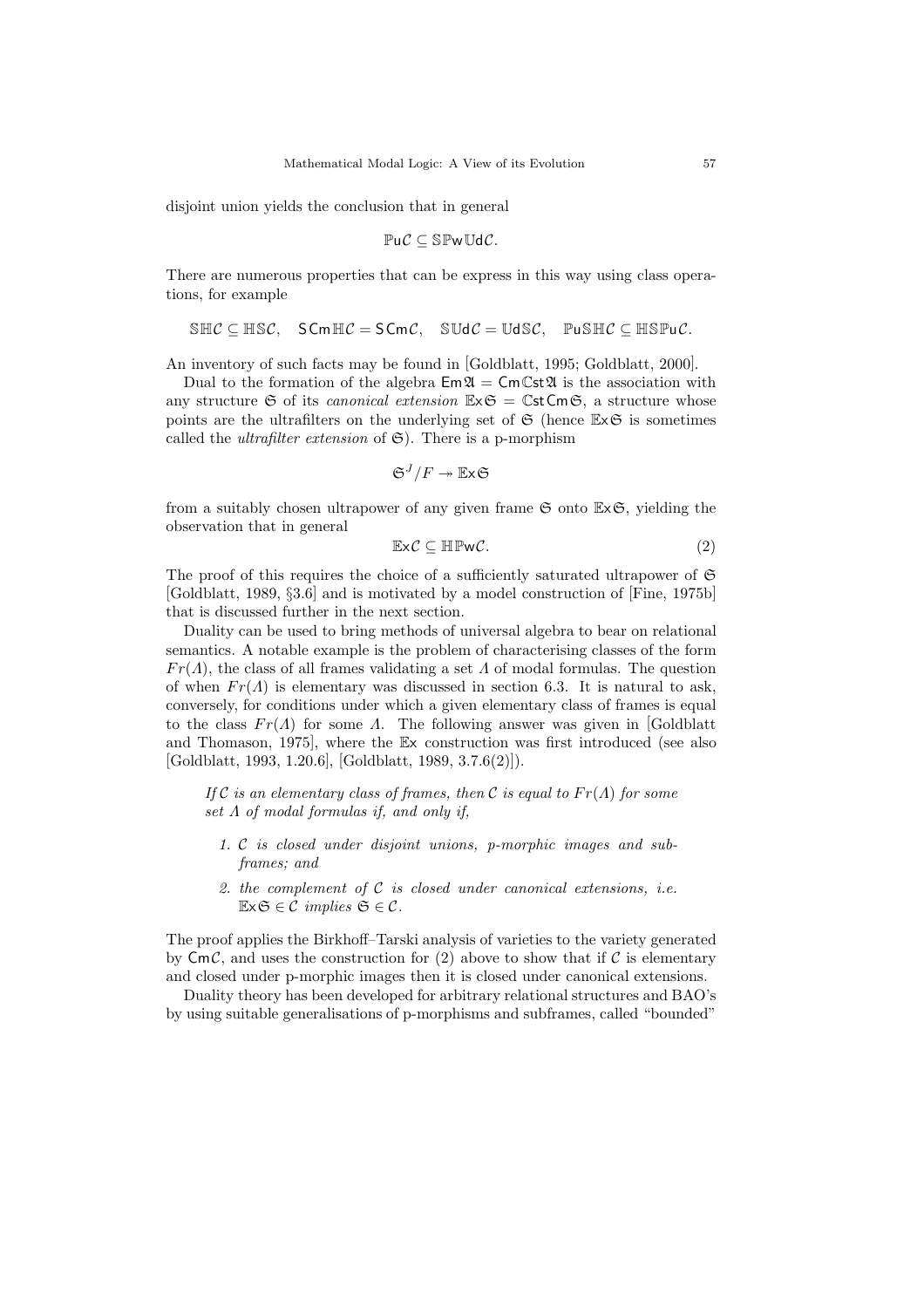disjoint union yields the conclusion that in general

$$
\mathbb{P} u\mathcal{C} \subseteq \mathbb{SPwU} d\mathcal{C}.
$$

There are numerous properties that can be express in this way using class operations, for example

$$
\mathbb{S}\,\mathbb{H}\,\mathcal{C}\subseteq\mathbb{H}\,\mathbb{S}\,\mathcal{C},\quad \mathbb{S}\,\mathsf{C}\,\mathsf{m}\,\mathbb{H}\,\mathcal{C}=\mathbb{S}\,\mathsf{C}\,\mathsf{m}\,\mathcal{C},\quad \mathbb{S}\,\mathbb{U}\,\mathsf{d}\,\mathcal{C}=\mathbb{U}\,\mathsf{d}\,\mathbb{S}\,\mathcal{C},\quad \mathbb{P}\,\mathsf{u}\,\mathbb{S}\,\mathbb{H}\,\mathcal{C}\subseteq\mathbb{H}\,\mathbb{S}\,\mathbb{P}\,\mathsf{u}\,\mathcal{C}.
$$

An inventory of such facts may be found in [Goldblatt, 1995; Goldblatt, 2000].

Dual to the formation of the algebra  $\text{Em}\mathfrak{A} = \text{Cm}\mathbb{C}$ st is the association with any structure G of its *canonical extension*  $\mathbb{E} \times \mathfrak{S} = \mathbb{C}$ st  $\mathbb{C} \times \mathfrak{S}$ , a structure whose points are the ultrafilters on the underlying set of  $\mathfrak{S}$  (hence  $\mathbb{E} \times \mathfrak{S}$  is sometimes called the *ultrafilter extension* of  $\mathfrak{S}$ ). There is a p-morphism

$$
\mathfrak{S}^J/F\twoheadrightarrow \mathbb{E}\mathsf{x}\mathfrak{S}
$$

from a suitably chosen ultrapower of any given frame  $\mathfrak{S}$  onto  $\mathbb{E} \times \mathfrak{S}$ , yielding the observation that in general

$$
\mathbb{E}\mathbf{x}\mathcal{C} \subseteq \mathbb{H}\mathbb{P}\mathsf{w}\mathcal{C}.\tag{2}
$$

The proof of this requires the choice of a sufficiently saturated ultrapower of  $\mathfrak{S}$ [Goldblatt, 1989, §3.6] and is motivated by a model construction of [Fine, 1975b] that is discussed further in the next section.

Duality can be used to bring methods of universal algebra to bear on relational semantics. A notable example is the problem of characterising classes of the form  $Fr(\Lambda)$ , the class of all frames validating a set  $\Lambda$  of modal formulas. The question of when  $Fr(\Lambda)$  is elementary was discussed in section 6.3. It is natural to ask, conversely, for conditions under which a given elementary class of frames is equal to the class  $Fr(\Lambda)$  for some  $\Lambda$ . The following answer was given in [Goldblatt] and Thomason, 1975], where the Ex construction was first introduced (see also [Goldblatt, 1993, 1.20.6], [Goldblatt, 1989, 3.7.6(2)]).

If C is an elementary class of frames, then C is equal to  $Fr(\Lambda)$  for some set  $\Lambda$  of modal formulas if, and only if,

- 1. C is closed under disjoint unions, p-morphic images and subframes; and
- 2. the complement of  $C$  is closed under canonical extensions, i.e.  $\mathbb{E} \times \mathfrak{S} \in \mathcal{C}$  implies  $\mathfrak{S} \in \mathcal{C}$ .

The proof applies the Birkhoff–Tarski analysis of varieties to the variety generated by  $\mathsf{CmC}$ , and uses the construction for (2) above to show that if C is elementary and closed under p-morphic images then it is closed under canonical extensions.

Duality theory has been developed for arbitrary relational structures and BAO's by using suitable generalisations of p-morphisms and subframes, called "bounded"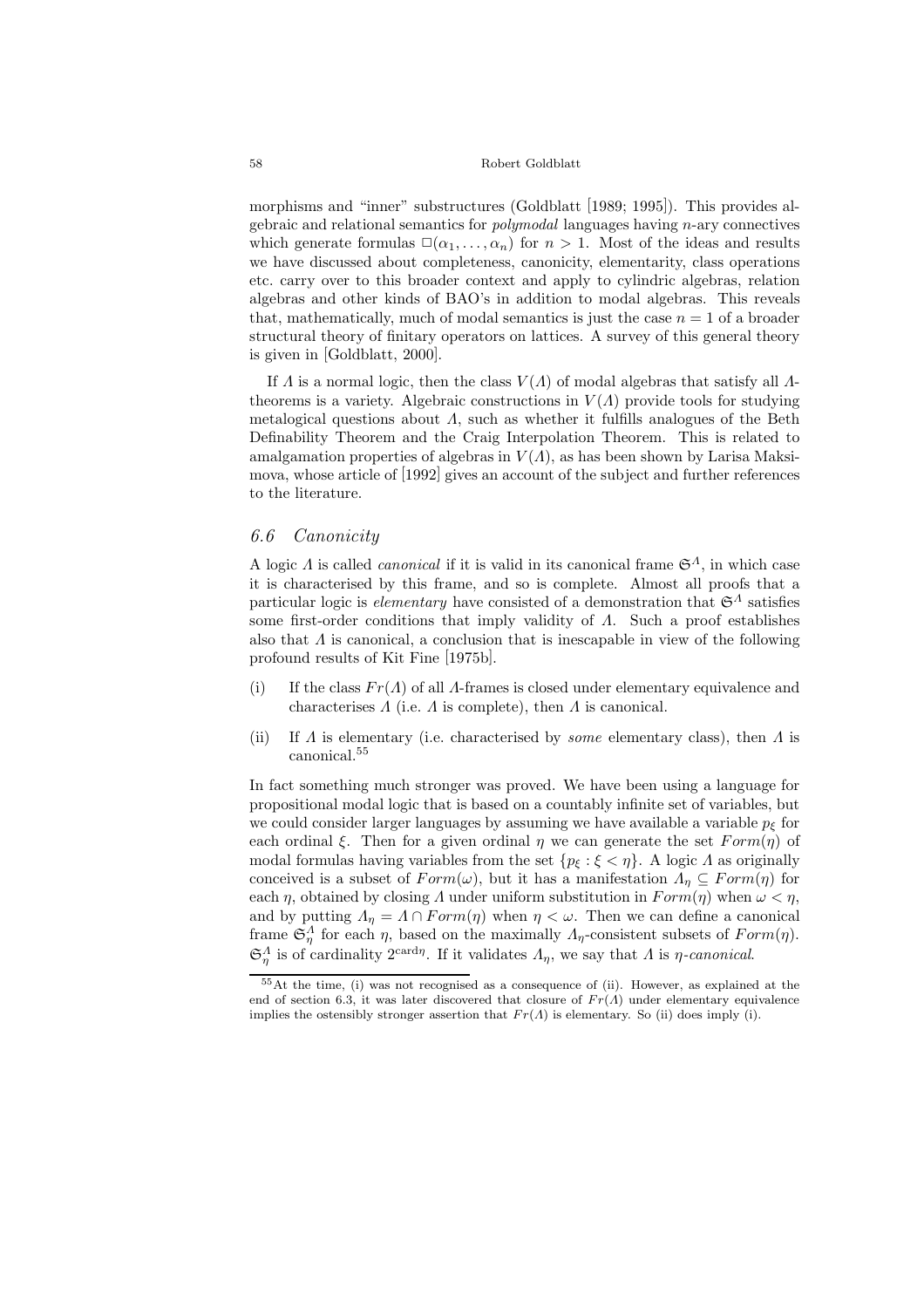morphisms and "inner" substructures (Goldblatt [1989; 1995]). This provides algebraic and relational semantics for *polymodal* languages having  $n$ -ary connectives which generate formulas  $\square(\alpha_1,\ldots,\alpha_n)$  for  $n>1$ . Most of the ideas and results we have discussed about completeness, canonicity, elementarity, class operations etc. carry over to this broader context and apply to cylindric algebras, relation algebras and other kinds of BAO's in addition to modal algebras. This reveals that, mathematically, much of modal semantics is just the case  $n = 1$  of a broader structural theory of finitary operators on lattices. A survey of this general theory is given in [Goldblatt, 2000].

If  $\Lambda$  is a normal logic, then the class  $V(\Lambda)$  of modal algebras that satisfy all  $\Lambda$ theorems is a variety. Algebraic constructions in  $V(\Lambda)$  provide tools for studying metalogical questions about  $\Lambda$ , such as whether it fulfills analogues of the Beth Definability Theorem and the Craig Interpolation Theorem. This is related to amalgamation properties of algebras in  $V(\Lambda)$ , as has been shown by Larisa Maksimova, whose article of [1992] gives an account of the subject and further references to the literature.

## *6.6 Canonicity*

A logic  $\Lambda$  is called *canonical* if it is valid in its canonical frame  $\mathfrak{S}^{\Lambda}$ , in which case it is characterised by this frame, and so is complete. Almost all proofs that a particular logic is *elementary* have consisted of a demonstration that  $\mathfrak{S}^{\Lambda}$  satisfies some first-order conditions that imply validity of  $\Lambda$ . Such a proof establishes also that  $\Lambda$  is canonical, a conclusion that is inescapable in view of the following profound results of Kit Fine [1975b].

- (i) If the class  $Fr(\Lambda)$  of all  $\Lambda$ -frames is closed under elementary equivalence and characterises  $\Lambda$  (i.e.  $\Lambda$  is complete), then  $\Lambda$  is canonical.
- (ii) If  $\Lambda$  is elementary (i.e. characterised by *some* elementary class), then  $\Lambda$  is canonical.<sup>55</sup>

In fact something much stronger was proved. We have been using a language for propositional modal logic that is based on a countably infinite set of variables, but we could consider larger languages by assuming we have available a variable  $p<sub>\xi</sub>$  for each ordinal  $\xi$ . Then for a given ordinal  $\eta$  we can generate the set  $Form(\eta)$  of modal formulas having variables from the set  ${p<sub>\xi</sub> < p$ . A logic  $\Lambda$  as originally conceived is a subset of  $Form(\omega)$ , but it has a manifestation  $\Lambda_n \subseteq Form(\eta)$  for each  $\eta$ , obtained by closing  $\Lambda$  under uniform substitution in  $Form(\eta)$  when  $\omega < \eta$ , and by putting  $\Lambda_{\eta} = \Lambda \cap Form(\eta)$  when  $\eta < \omega$ . Then we can define a canonical frame  $\mathfrak{S}_\eta^A$  for each  $\eta$ , based on the maximally  $\Lambda_\eta$ -consistent subsets of  $Form(\eta)$ .  $\mathfrak{S}_{\eta}^{\Lambda}$  is of cardinality  $2^{\text{card}\eta}$ . If it validates  $\Lambda_{\eta}$ , we say that  $\Lambda$  is  $\eta$ -canonical.

<sup>55</sup>At the time, (i) was not recognised as a consequence of (ii). However, as explained at the end of section 6.3, it was later discovered that closure of  $Fr(\Lambda)$  under elementary equivalence implies the ostensibly stronger assertion that  $Fr(\Lambda)$  is elementary. So (ii) does imply (i).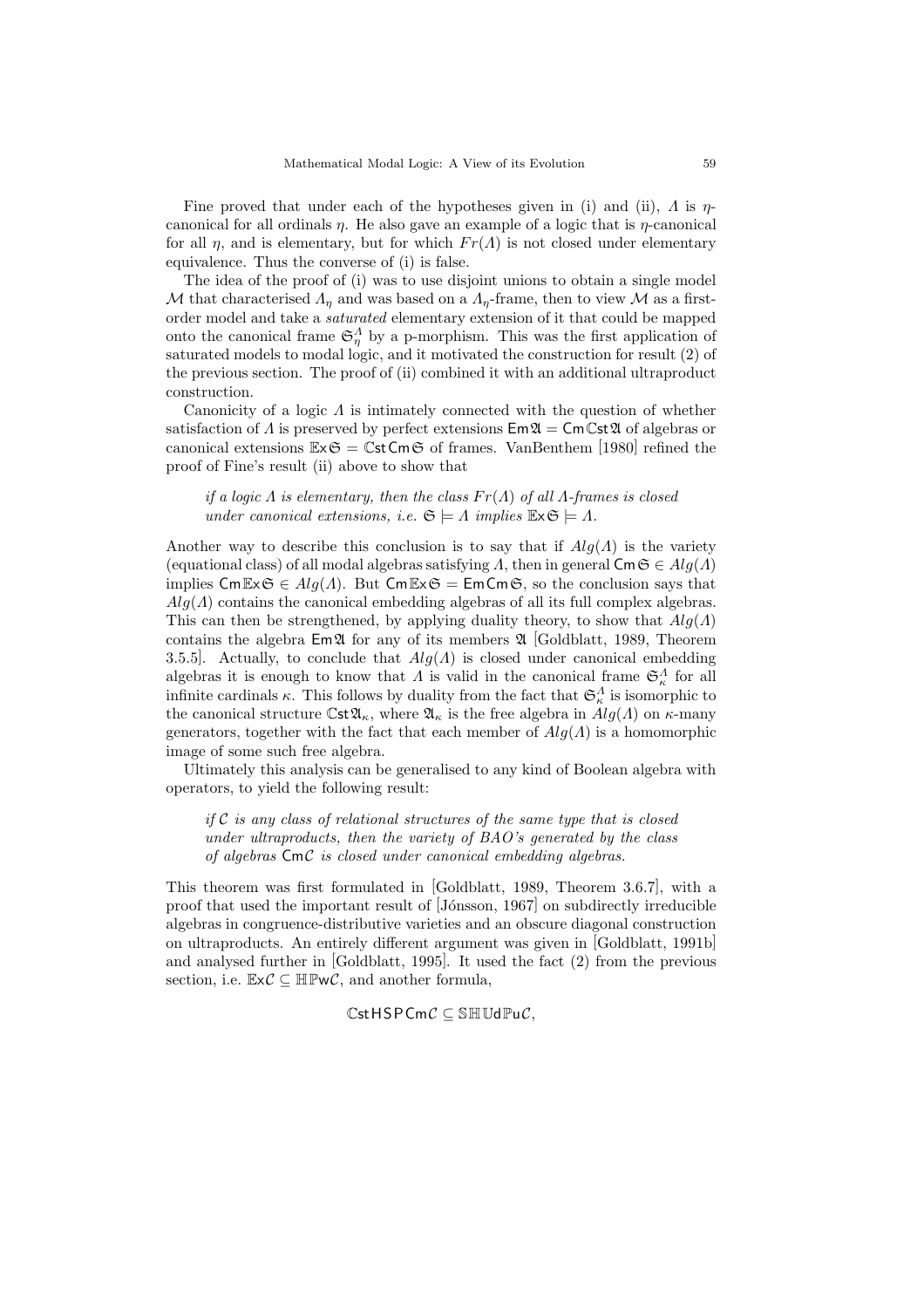Fine proved that under each of the hypotheses given in (i) and (ii),  $\Lambda$  is  $\eta$ canonical for all ordinals  $\eta$ . He also gave an example of a logic that is  $\eta$ -canonical for all  $\eta$ , and is elementary, but for which  $Fr(\Lambda)$  is not closed under elementary equivalence. Thus the converse of (i) is false.

The idea of the proof of (i) was to use disjoint unions to obtain a single model M that characterised  $\Lambda_n$  and was based on a  $\Lambda_n$ -frame, then to view M as a firstorder model and take a saturated elementary extension of it that could be mapped onto the canonical frame  $\mathfrak{S}_\eta^A$  by a p-morphism. This was the first application of saturated models to modal logic, and it motivated the construction for result (2) of the previous section. The proof of (ii) combined it with an additional ultraproduct construction.

Canonicity of a logic  $\Lambda$  is intimately connected with the question of whether satisfaction of  $\Lambda$  is preserved by perfect extensions  $\mathsf{Em}\mathfrak{A} = \mathsf{C}\mathsf{m}\mathbb{C}$ st $\mathfrak{A}$  of algebras or canonical extensions  $\mathbb{E} \times \mathfrak{S} = \mathbb{C}$ st  $\mathbb{C} \times \mathfrak{S}$  of frames. VanBenthem [1980] refined the proof of Fine's result (ii) above to show that

if a logic  $\Lambda$  is elementary, then the class  $Fr(\Lambda)$  of all  $\Lambda$ -frames is closed under canonical extensions, i.e.  $\mathfrak{S} \models \Lambda$  implies  $\mathbb{E} \mathbf{x} \mathfrak{S} \models \Lambda$ .

Another way to describe this conclusion is to say that if  $Alg(\Lambda)$  is the variety (equational class) of all modal algebras satisfying  $\Lambda$ , then in general  $\mathsf{Cm}\mathfrak{S} \in Alg(\Lambda)$ implies  $\mathsf{Cm}\mathbb{E}\times \mathfrak{S} \in Alg(\Lambda)$ . But  $\mathsf{Cm}\mathbb{E}\times \mathfrak{S} = \mathsf{Em}\mathsf{Cm}\mathfrak{S}$ , so the conclusion says that  $Alg(\Lambda)$  contains the canonical embedding algebras of all its full complex algebras. This can then be strengthened, by applying duality theory, to show that  $Alg(\Lambda)$ contains the algebra  $\text{Em}\mathfrak{A}$  for any of its members  $\mathfrak{A}$  Goldblatt, 1989, Theorem 3.5.5]. Actually, to conclude that  $Alq(\Lambda)$  is closed under canonical embedding algebras it is enough to know that  $\Lambda$  is valid in the canonical frame  $\mathfrak{S}^{\Lambda}_{\kappa}$  for all infinite cardinals  $\kappa$ . This follows by duality from the fact that  $\mathfrak{S}_{\kappa}^{\Lambda}$  is isomorphic to the canonical structure  $\mathbb{C}$ st $\mathfrak{A}_{\kappa}$ , where  $\mathfrak{A}_{\kappa}$  is the free algebra in  $Alg(\Lambda)$  on  $\kappa$ -many generators, together with the fact that each member of  $Alg(\Lambda)$  is a homomorphic image of some such free algebra.

Ultimately this analysis can be generalised to any kind of Boolean algebra with operators, to yield the following result:

if  $C$  is any class of relational structures of the same type that is closed under ultraproducts, then the variety of BAO's generated by the class of algebras CmC is closed under canonical embedding algebras.

This theorem was first formulated in [Goldblatt, 1989, Theorem 3.6.7], with a proof that used the important result of [Jónsson, 1967] on subdirectly irreducible algebras in congruence-distributive varieties and an obscure diagonal construction on ultraproducts. An entirely different argument was given in [Goldblatt, 1991b] and analysed further in [Goldblatt, 1995]. It used the fact (2) from the previous section, i.e.  $\mathbb{E} \times \mathcal{C} \subseteq \mathbb{H} \mathbb{P} \times \mathcal{C}$ , and another formula,

 $C$ stHSPCm $C \subseteq \mathbb{S}$ HUdPu $C$ ,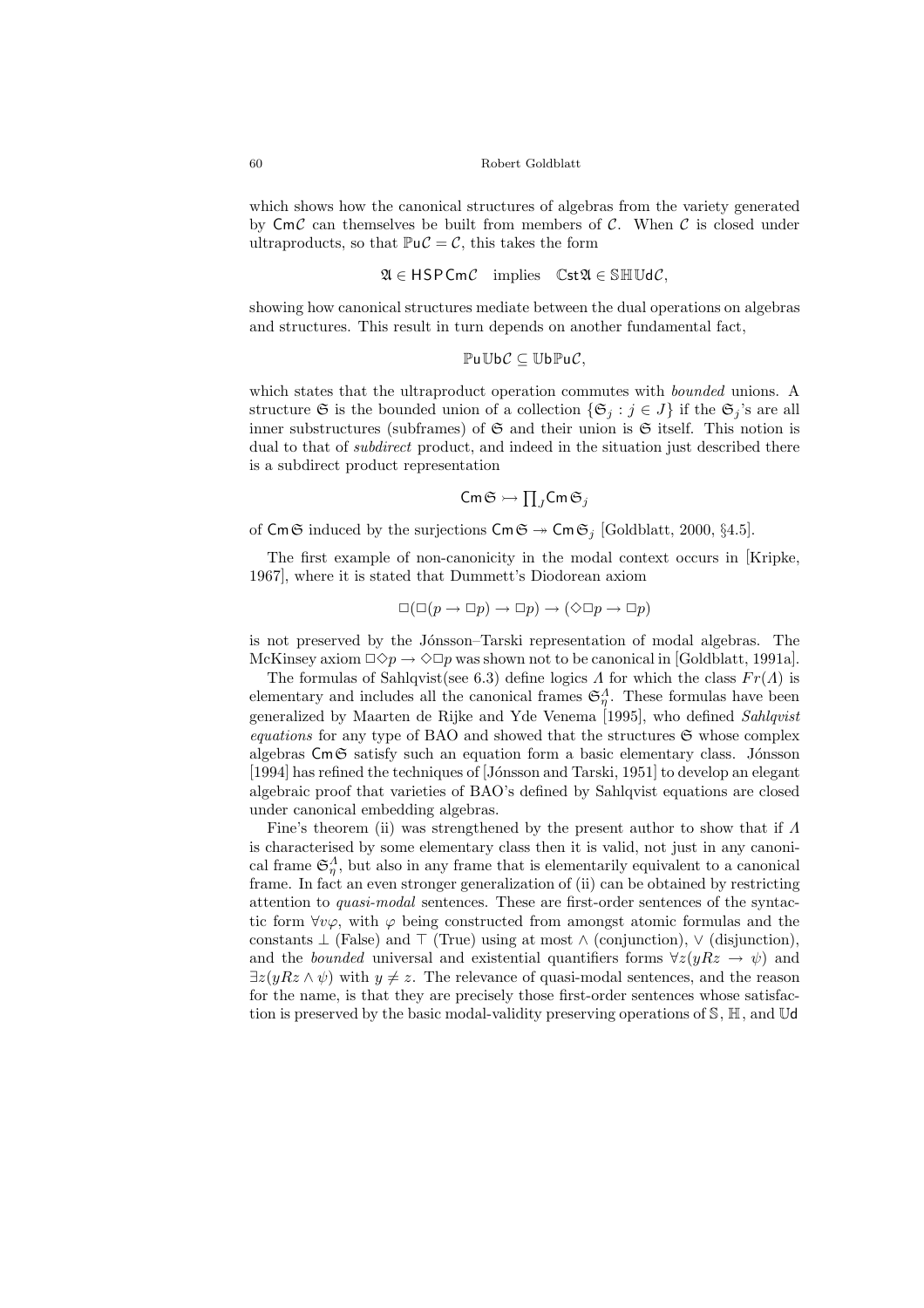which shows how the canonical structures of algebras from the variety generated by  $\mathsf{CmC}$  can themselves be built from members of C. When C is closed under ultraproducts, so that  $\mathbb{P} u \mathcal{C} = \mathcal{C}$ , this takes the form

$$
\mathfrak{A}\in\mathsf{HSPCm}\mathcal{C}\quad\mathrm{implies}\quad\mathbb{C}st\mathfrak{A}\in\mathbb{SH}\mathbb{U} d\mathcal{C},
$$

showing how canonical structures mediate between the dual operations on algebras and structures. This result in turn depends on another fundamental fact,

$$
\mathbb{P}u\mathbb{U}b\mathcal{C}\subseteq\mathbb{U}b\mathbb{P}u\mathcal{C},
$$

which states that the ultraproduct operation commutes with *bounded* unions. A structure G is the bounded union of a collection  $\{\mathfrak{S}_i : j \in J\}$  if the  $\mathfrak{S}_i$ 's are all inner substructures (subframes) of  $\mathfrak S$  and their union is  $\mathfrak S$  itself. This notion is dual to that of *subdirect* product, and indeed in the situation just described there is a subdirect product representation

$$
\mathsf{Cm}\,\mathfrak{S}\rightarrowtail \prod_J\mathsf{Cm}\,\mathfrak{S}_j
$$

of  $\mathsf{Cm}\mathfrak{S}$  induced by the surjections  $\mathsf{Cm}\mathfrak{S}\twoheadrightarrow \mathsf{Cm}\mathfrak{S}_j$  [Goldblatt, 2000, §4.5].

The first example of non-canonicity in the modal context occurs in [Kripke, 1967], where it is stated that Dummett's Diodorean axiom

$$
\Box(\Box(p \to \Box p) \to \Box p) \to (\Diamond \Box p \to \Box p)
$$

is not preserved by the Jónsson–Tarski representation of modal algebras. The McKinsey axiom  $\Box \Diamond p \rightarrow \Diamond \Box p$  was shown not to be canonical in [Goldblatt, 1991a].

The formulas of Sahlqvist(see 6.3) define logics  $\Lambda$  for which the class  $Fr(\Lambda)$  is elementary and includes all the canonical frames  $\mathfrak{S}_\eta^A$ . These formulas have been generalized by Maarten de Rijke and Yde Venema [1995], who defined Sahlqvist equations for any type of BAO and showed that the structures  $\mathfrak S$  whose complex algebras  $\mathsf{Cm}\mathfrak{S}$  satisfy such an equation form a basic elementary class. Jónsson [1994] has refined the techniques of [Jónsson and Tarski, 1951] to develop an elegant algebraic proof that varieties of BAO's defined by Sahlqvist equations are closed under canonical embedding algebras.

Fine's theorem (ii) was strengthened by the present author to show that if  $\Lambda$ is characterised by some elementary class then it is valid, not just in any canonical frame  $\mathfrak{S}_\eta^A$ , but also in any frame that is elementarily equivalent to a canonical frame. In fact an even stronger generalization of (ii) can be obtained by restricting attention to quasi-modal sentences. These are first-order sentences of the syntactic form  $\forall v \varphi$ , with  $\varphi$  being constructed from amongst atomic formulas and the constants  $\bot$  (False) and  $\top$  (True) using at most  $\wedge$  (conjunction),  $\vee$  (disjunction), and the bounded universal and existential quantifiers forms  $\forall z(yRz \rightarrow \psi)$  and  $\exists z(yRz \wedge \psi)$  with  $y \neq z$ . The relevance of quasi-modal sentences, and the reason for the name, is that they are precisely those first-order sentences whose satisfaction is preserved by the basic modal-validity preserving operations of S, H, and Ud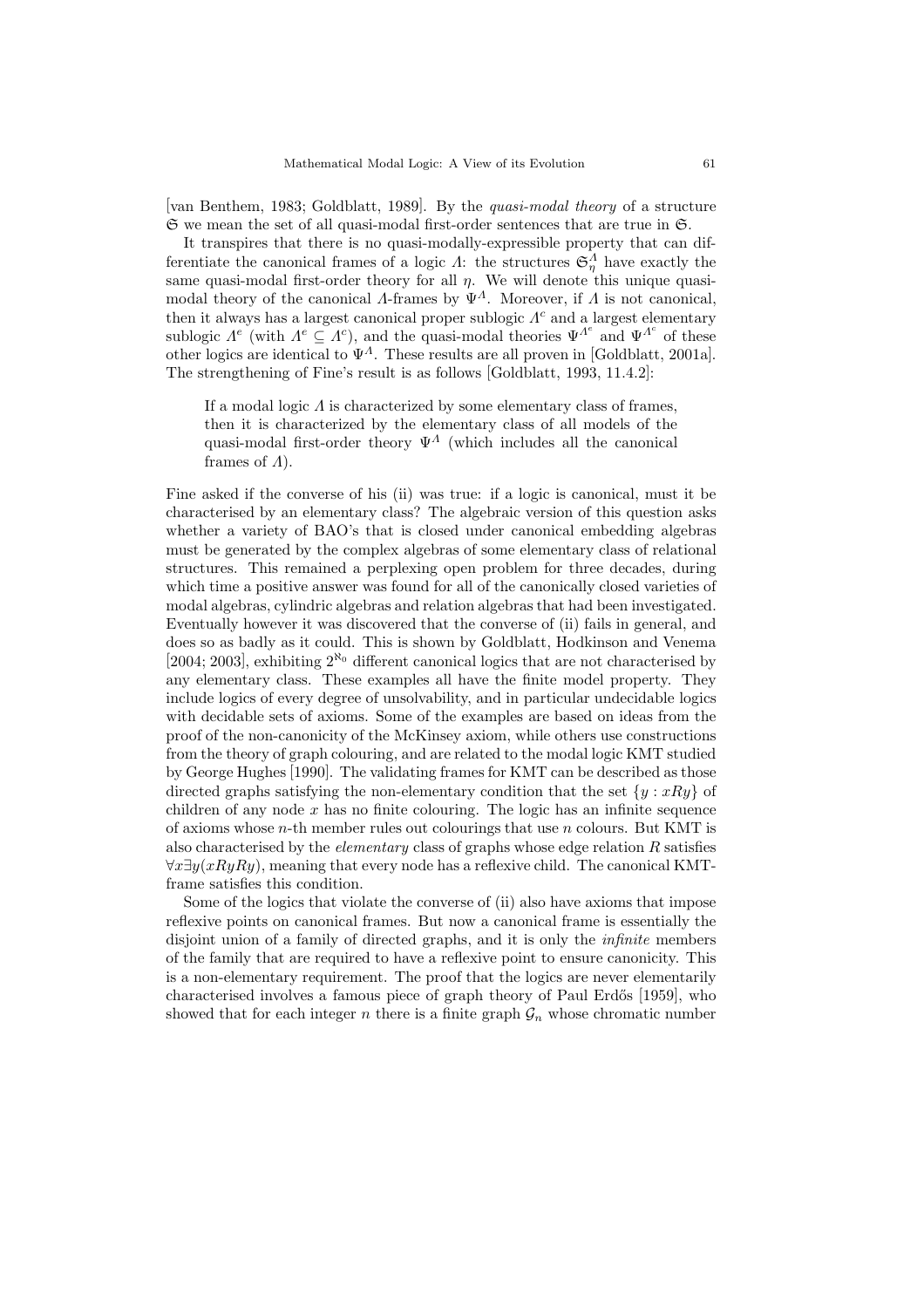[van Benthem, 1983; Goldblatt, 1989]. By the quasi-modal theory of a structure  $\mathfrak S$  we mean the set of all quasi-modal first-order sentences that are true in  $\mathfrak S$ .

It transpires that there is no quasi-modally-expressible property that can differentiate the canonical frames of a logic  $\Lambda$ : the structures  $\mathfrak{S}_{\eta}^{\Lambda}$  have exactly the same quasi-modal first-order theory for all  $\eta$ . We will denote this unique quasimodal theory of the canonical  $\Lambda$ -frames by  $\Psi^{\Lambda}$ . Moreover, if  $\Lambda$  is not canonical, then it always has a largest canonical proper sublogic  $\Lambda^c$  and a largest elementary sublogic  $\Lambda^e$  (with  $\Lambda^e \subseteq \Lambda^c$ ), and the quasi-modal theories  $\Psi^{\Lambda^e}$  and  $\Psi^{\Lambda^c}$  of these other logics are identical to  $\Psi^A$ . These results are all proven in [Goldblatt, 2001a]. The strengthening of Fine's result is as follows [Goldblatt, 1993, 11.4.2]:

If a modal logic  $\Lambda$  is characterized by some elementary class of frames, then it is characterized by the elementary class of all models of the quasi-modal first-order theory  $\Psi^A$  (which includes all the canonical frames of  $\Lambda$ ).

Fine asked if the converse of his (ii) was true: if a logic is canonical, must it be characterised by an elementary class? The algebraic version of this question asks whether a variety of BAO's that is closed under canonical embedding algebras must be generated by the complex algebras of some elementary class of relational structures. This remained a perplexing open problem for three decades, during which time a positive answer was found for all of the canonically closed varieties of modal algebras, cylindric algebras and relation algebras that had been investigated. Eventually however it was discovered that the converse of (ii) fails in general, and does so as badly as it could. This is shown by Goldblatt, Hodkinson and Venema [2004; 2003], exhibiting  $2^{\aleph_0}$  different canonical logics that are not characterised by any elementary class. These examples all have the finite model property. They include logics of every degree of unsolvability, and in particular undecidable logics with decidable sets of axioms. Some of the examples are based on ideas from the proof of the non-canonicity of the McKinsey axiom, while others use constructions from the theory of graph colouring, and are related to the modal logic KMT studied by George Hughes [1990]. The validating frames for KMT can be described as those directed graphs satisfying the non-elementary condition that the set  $\{y : xRy\}$  of children of any node  $x$  has no finite colouring. The logic has an infinite sequence of axioms whose  $n$ -th member rules out colourings that use  $n$  colours. But KMT is also characterised by the *elementary* class of graphs whose edge relation  $R$  satisfies  $\forall x \exists y(xRyRy)$ , meaning that every node has a reflexive child. The canonical KMTframe satisfies this condition.

Some of the logics that violate the converse of (ii) also have axioms that impose reflexive points on canonical frames. But now a canonical frame is essentially the disjoint union of a family of directed graphs, and it is only the infinite members of the family that are required to have a reflexive point to ensure canonicity. This is a non-elementary requirement. The proof that the logics are never elementarily characterised involves a famous piece of graph theory of Paul Erd˝os [1959], who showed that for each integer n there is a finite graph  $\mathcal{G}_n$  whose chromatic number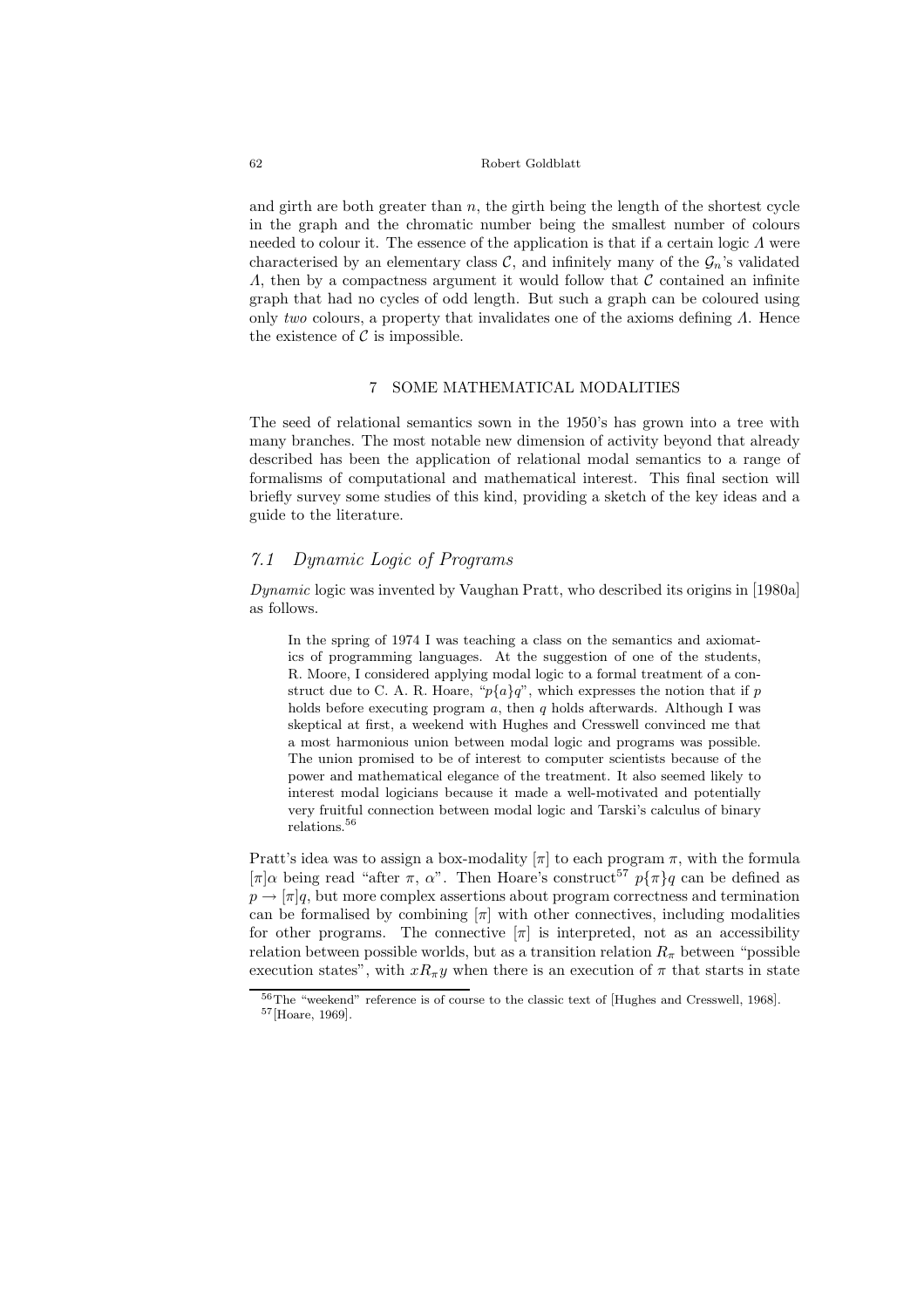and girth are both greater than  $n$ , the girth being the length of the shortest cycle in the graph and the chromatic number being the smallest number of colours needed to colour it. The essence of the application is that if a certain logic  $\Lambda$  were characterised by an elementary class  $\mathcal{C}$ , and infinitely many of the  $\mathcal{G}_n$ 's validated  $\Lambda$ , then by a compactness argument it would follow that  $\mathcal C$  contained an infinite graph that had no cycles of odd length. But such a graph can be coloured using only two colours, a property that invalidates one of the axioms defining  $\Lambda$ . Hence the existence of  $\mathcal C$  is impossible.

### 7 SOME MATHEMATICAL MODALITIES

The seed of relational semantics sown in the 1950's has grown into a tree with many branches. The most notable new dimension of activity beyond that already described has been the application of relational modal semantics to a range of formalisms of computational and mathematical interest. This final section will briefly survey some studies of this kind, providing a sketch of the key ideas and a guide to the literature.

# *7.1 Dynamic Logic of Programs*

Dynamic logic was invented by Vaughan Pratt, who described its origins in [1980a] as follows.

In the spring of 1974 I was teaching a class on the semantics and axiomatics of programming languages. At the suggestion of one of the students, R. Moore, I considered applying modal logic to a formal treatment of a construct due to C. A. R. Hoare, " $p{a}q$ ", which expresses the notion that if p holds before executing program  $a$ , then  $q$  holds afterwards. Although I was skeptical at first, a weekend with Hughes and Cresswell convinced me that a most harmonious union between modal logic and programs was possible. The union promised to be of interest to computer scientists because of the power and mathematical elegance of the treatment. It also seemed likely to interest modal logicians because it made a well-motivated and potentially very fruitful connection between modal logic and Tarski's calculus of binary relations.<sup>56</sup>

Pratt's idea was to assign a box-modality  $[\pi]$  to each program  $\pi$ , with the formula  $[\pi]$ α being read "after  $\pi$ ,  $\alpha$ ". Then Hoare's construct<sup>57</sup>  $p\{\pi\}$  can be defined as  $p \rightarrow [\pi]q$ , but more complex assertions about program correctness and termination can be formalised by combining  $[\pi]$  with other connectives, including modalities for other programs. The connective  $[\pi]$  is interpreted, not as an accessibility relation between possible worlds, but as a transition relation  $R_\pi$  between "possible execution states", with  $xR_{\pi}y$  when there is an execution of  $\pi$  that starts in state

<sup>56</sup>The "weekend" reference is of course to the classic text of [Hughes and Cresswell, 1968]. <sup>57</sup>[Hoare, 1969].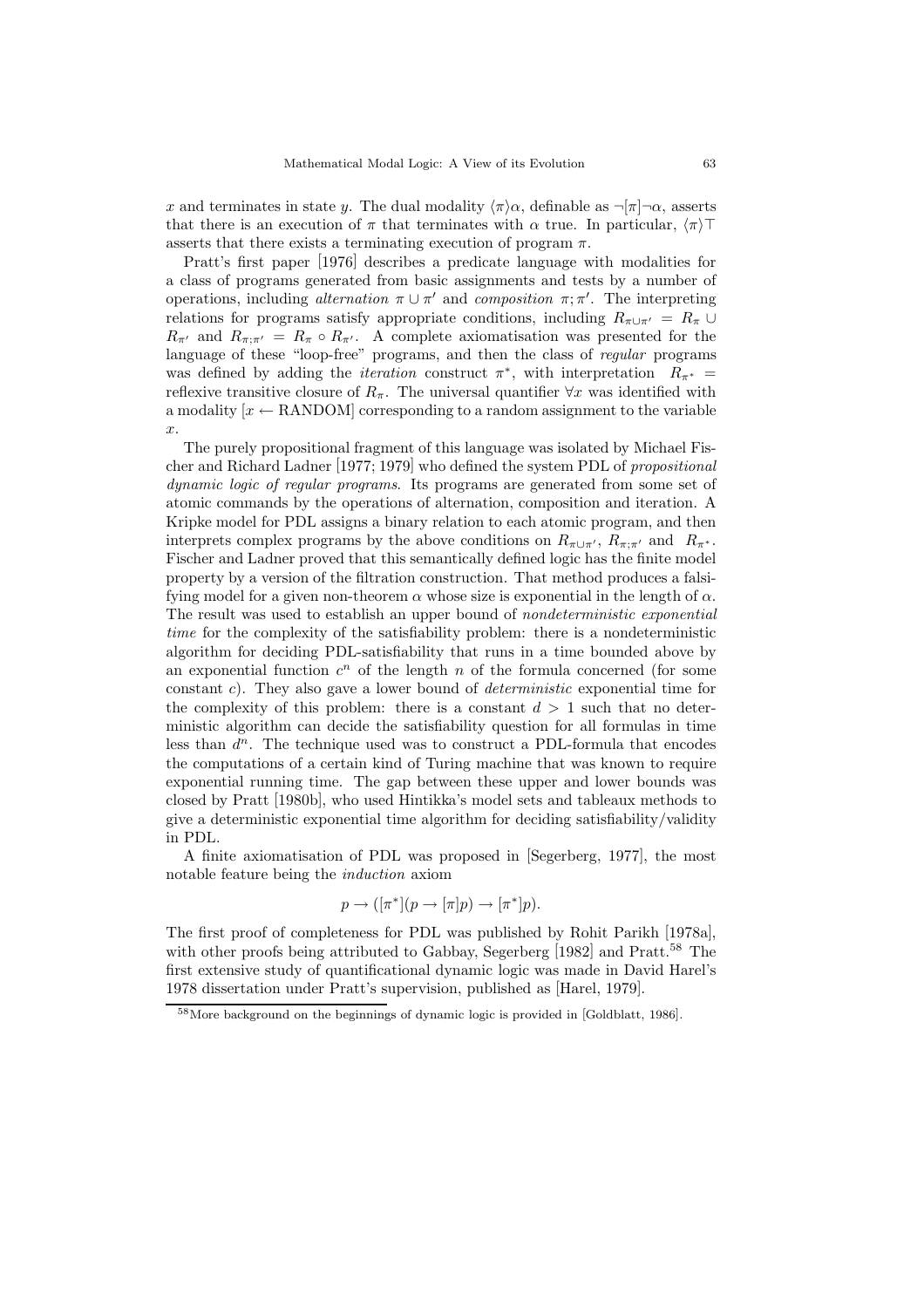x and terminates in state y. The dual modality  $\langle \pi \rangle \alpha$ , definable as  $\neg[\pi]\neg\alpha$ , asserts that there is an execution of  $\pi$  that terminates with  $\alpha$  true. In particular,  $\langle \pi \rangle$ T asserts that there exists a terminating execution of program  $\pi$ .

Pratt's first paper [1976] describes a predicate language with modalities for a class of programs generated from basic assignments and tests by a number of operations, including alternation  $\pi \cup \pi'$  and composition  $\pi; \pi'$ . The interpreting relations for programs satisfy appropriate conditions, including  $R_{\pi \cup \pi'} = R_{\pi} \cup$  $R_{\pi'}$  and  $R_{\pi;\pi'} = R_{\pi} \circ R_{\pi'}$ . A complete axiomatisation was presented for the language of these "loop-free" programs, and then the class of regular programs was defined by adding the *iteration* construct  $\pi^*$ , with interpretation  $R_{\pi^*}$  = reflexive transitive closure of  $R_{\pi}$ . The universal quantifier  $\forall x$  was identified with a modality  $[x \leftarrow$  RANDOM] corresponding to a random assignment to the variable x.

The purely propositional fragment of this language was isolated by Michael Fischer and Richard Ladner [1977; 1979] who defined the system PDL of propositional dynamic logic of regular programs. Its programs are generated from some set of atomic commands by the operations of alternation, composition and iteration. A Kripke model for PDL assigns a binary relation to each atomic program, and then interprets complex programs by the above conditions on  $R_{\pi\cup\pi'}$ ,  $R_{\pi^*\pi'}$  and  $R_{\pi^*}$ . Fischer and Ladner proved that this semantically defined logic has the finite model property by a version of the filtration construction. That method produces a falsifying model for a given non-theorem  $\alpha$  whose size is exponential in the length of  $\alpha$ . The result was used to establish an upper bound of *nondeterministic exponential* time for the complexity of the satisfiability problem: there is a nondeterministic algorithm for deciding PDL-satisfiability that runs in a time bounded above by an exponential function  $c^n$  of the length n of the formula concerned (for some constant c). They also gave a lower bound of *deterministic* exponential time for the complexity of this problem: there is a constant  $d > 1$  such that no deterministic algorithm can decide the satisfiability question for all formulas in time less than  $d^n$ . The technique used was to construct a PDL-formula that encodes the computations of a certain kind of Turing machine that was known to require exponential running time. The gap between these upper and lower bounds was closed by Pratt [1980b], who used Hintikka's model sets and tableaux methods to give a deterministic exponential time algorithm for deciding satisfiability/validity in PDL.

A finite axiomatisation of PDL was proposed in [Segerberg, 1977], the most notable feature being the induction axiom

$$
p \to ([\pi^*](p \to [\pi]p) \to [\pi^*]p).
$$

The first proof of completeness for PDL was published by Rohit Parikh [1978a], with other proofs being attributed to Gabbay, Segerberg [1982] and Pratt.<sup>58</sup> The first extensive study of quantificational dynamic logic was made in David Harel's 1978 dissertation under Pratt's supervision, published as [Harel, 1979].

<sup>58</sup>More background on the beginnings of dynamic logic is provided in [Goldblatt, 1986].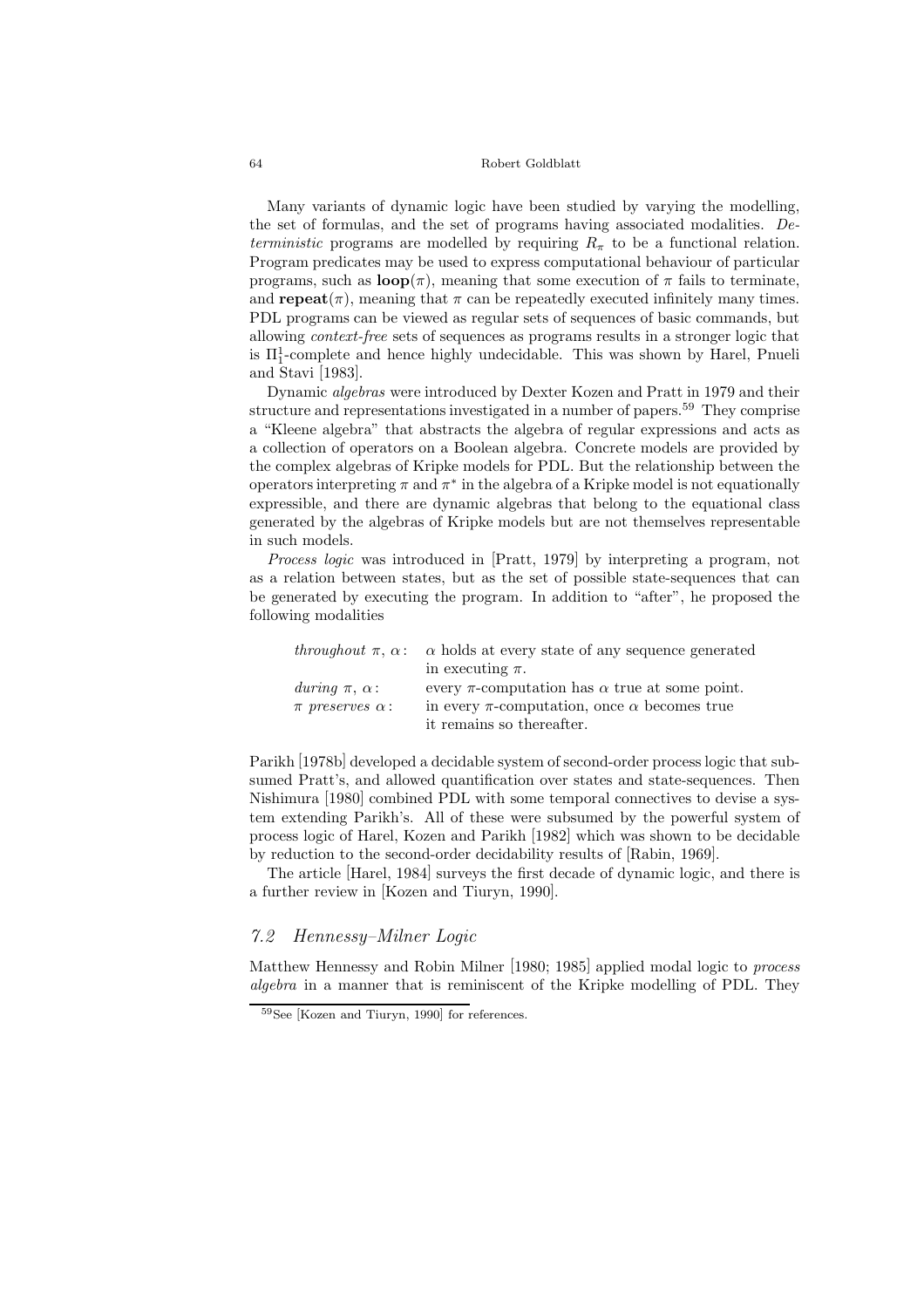Many variants of dynamic logic have been studied by varying the modelling, the set of formulas, and the set of programs having associated modalities. Deterministic programs are modelled by requiring  $R_\pi$  to be a functional relation. Program predicates may be used to express computational behaviour of particular programs, such as  $\mathbf{loop}(\pi)$ , meaning that some execution of  $\pi$  fails to terminate, and **repeat**( $\pi$ ), meaning that  $\pi$  can be repeatedly executed infinitely many times. PDL programs can be viewed as regular sets of sequences of basic commands, but allowing context-free sets of sequences as programs results in a stronger logic that is  $\Pi_1^1$ -complete and hence highly undecidable. This was shown by Harel, Pnueli and Stavi [1983].

Dynamic algebras were introduced by Dexter Kozen and Pratt in 1979 and their structure and representations investigated in a number of papers.<sup>59</sup> They comprise a "Kleene algebra" that abstracts the algebra of regular expressions and acts as a collection of operators on a Boolean algebra. Concrete models are provided by the complex algebras of Kripke models for PDL. But the relationship between the operators interpreting  $\pi$  and  $\pi^*$  in the algebra of a Kripke model is not equationally expressible, and there are dynamic algebras that belong to the equational class generated by the algebras of Kripke models but are not themselves representable in such models.

Process logic was introduced in [Pratt, 1979] by interpreting a program, not as a relation between states, but as the set of possible state-sequences that can be generated by executing the program. In addition to "after", he proposed the following modalities

|                            | <i>throughout</i> $\pi$ , $\alpha$ : $\alpha$ holds at every state of any sequence generated |
|----------------------------|----------------------------------------------------------------------------------------------|
|                            | in executing $\pi$ .                                                                         |
| during $\pi$ , $\alpha$ :  | every $\pi$ -computation has $\alpha$ true at some point.                                    |
| $\pi$ preserves $\alpha$ : | in every $\pi$ -computation, once $\alpha$ becomes true                                      |
|                            | it remains so thereafter.                                                                    |

Parikh [1978b] developed a decidable system of second-order process logic that subsumed Pratt's, and allowed quantification over states and state-sequences. Then Nishimura [1980] combined PDL with some temporal connectives to devise a system extending Parikh's. All of these were subsumed by the powerful system of process logic of Harel, Kozen and Parikh [1982] which was shown to be decidable by reduction to the second-order decidability results of [Rabin, 1969].

The article [Harel, 1984] surveys the first decade of dynamic logic, and there is a further review in [Kozen and Tiuryn, 1990].

## *7.2 Hennessy–Milner Logic*

Matthew Hennessy and Robin Milner [1980; 1985] applied modal logic to *process* algebra in a manner that is reminiscent of the Kripke modelling of PDL. They

<sup>59</sup>See [Kozen and Tiuryn, 1990] for references.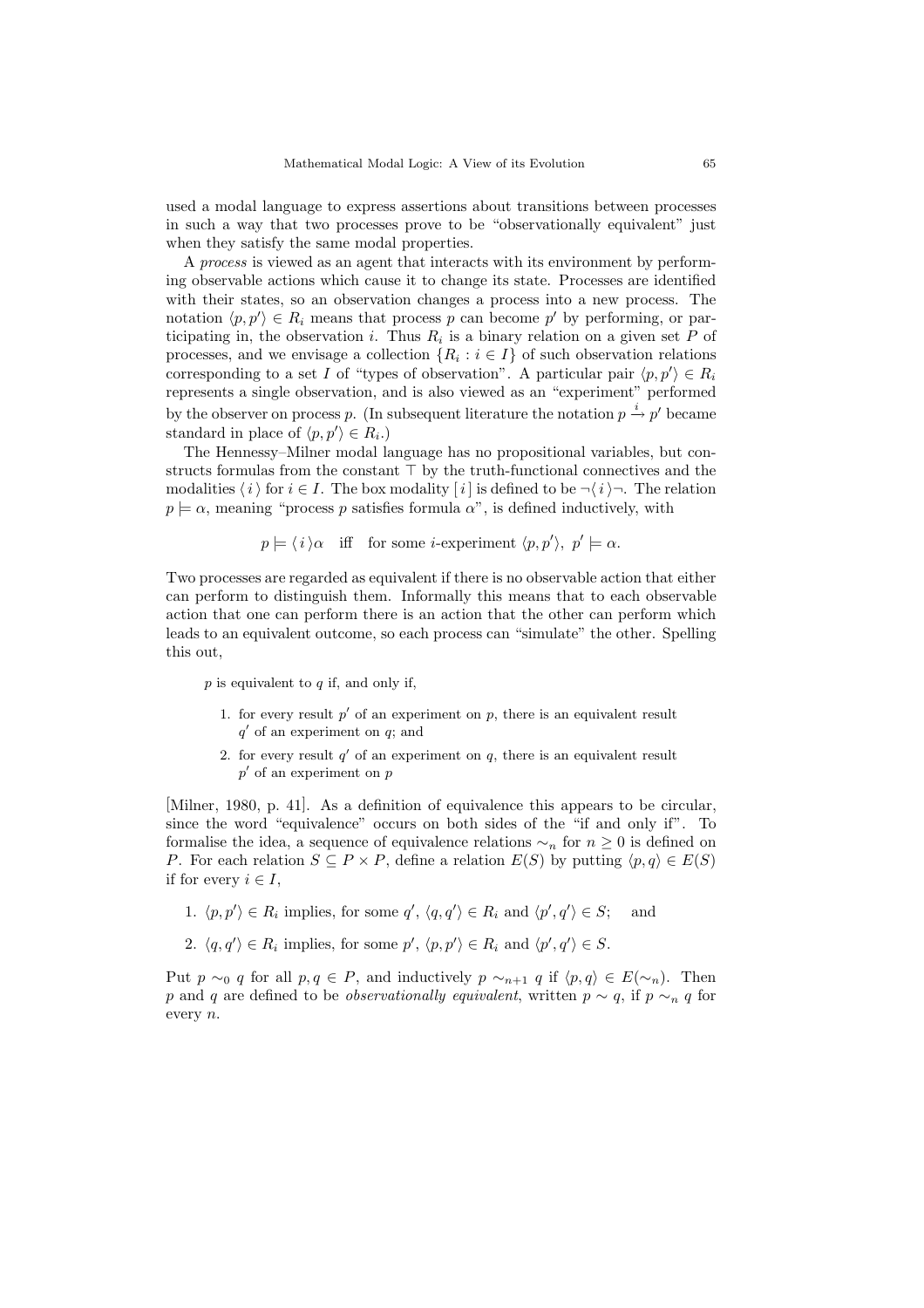used a modal language to express assertions about transitions between processes in such a way that two processes prove to be "observationally equivalent" just when they satisfy the same modal properties.

A process is viewed as an agent that interacts with its environment by performing observable actions which cause it to change its state. Processes are identified with their states, so an observation changes a process into a new process. The notation  $\langle p, p' \rangle \in R_i$  means that process p can become p' by performing, or participating in, the observation i. Thus  $R_i$  is a binary relation on a given set P of processes, and we envisage a collection  $\{R_i : i \in I\}$  of such observation relations corresponding to a set I of "types of observation". A particular pair  $\langle p, p' \rangle \in R_i$ represents a single observation, and is also viewed as an "experiment" performed by the observer on process p. (In subsequent literature the notation  $p \stackrel{i}{\rightarrow} p'$  became standard in place of  $\langle p, p' \rangle \in R_i$ .

The Hennessy–Milner modal language has no propositional variables, but constructs formulas from the constant ⊤ by the truth-functional connectives and the modalities  $\langle i \rangle$  for  $i \in I$ . The box modality  $[i]$  is defined to be  $\neg \langle i \rangle \neg$ . The relation  $p \models \alpha$ , meaning "process p satisfies formula  $\alpha$ ", is defined inductively, with

$$
p \models \langle i \rangle \alpha
$$
 iff for some *i*-experiment  $\langle p, p' \rangle$ ,  $p' \models \alpha$ .

Two processes are regarded as equivalent if there is no observable action that either can perform to distinguish them. Informally this means that to each observable action that one can perform there is an action that the other can perform which leads to an equivalent outcome, so each process can "simulate" the other. Spelling this out,

 $p$  is equivalent to  $q$  if, and only if,

- 1. for every result  $p'$  of an experiment on  $p$ , there is an equivalent result  $q'$  of an experiment on  $q$ ; and
- 2. for every result  $q'$  of an experiment on  $q$ , there is an equivalent result  $p'$  of an experiment on  $p$

[Milner, 1980, p. 41]. As a definition of equivalence this appears to be circular, since the word "equivalence" occurs on both sides of the "if and only if". To formalise the idea, a sequence of equivalence relations  $\sim_n$  for  $n \geq 0$  is defined on P. For each relation  $S \subseteq P \times P$ , define a relation  $E(S)$  by putting  $\langle p, q \rangle \in E(S)$ if for every  $i \in I$ ,

- 1.  $\langle p, p' \rangle \in R_i$  implies, for some  $q', \langle q, q' \rangle \in R_i$  and  $\langle p', q' \rangle \in S$ ; and
- 2.  $\langle q, q' \rangle \in R_i$  implies, for some  $p', \langle p, p' \rangle \in R_i$  and  $\langle p', q' \rangle \in S$ .

Put p ∼<sub>0</sub> q for all p, q ∈ P, and inductively p  $\sim_{n+1}$  q if  $\langle p, q \rangle \in E(\sim_n)$ . Then p and q are defined to be *observationally equivalent*, written  $p \sim q$ , if  $p \sim_n q$  for every n.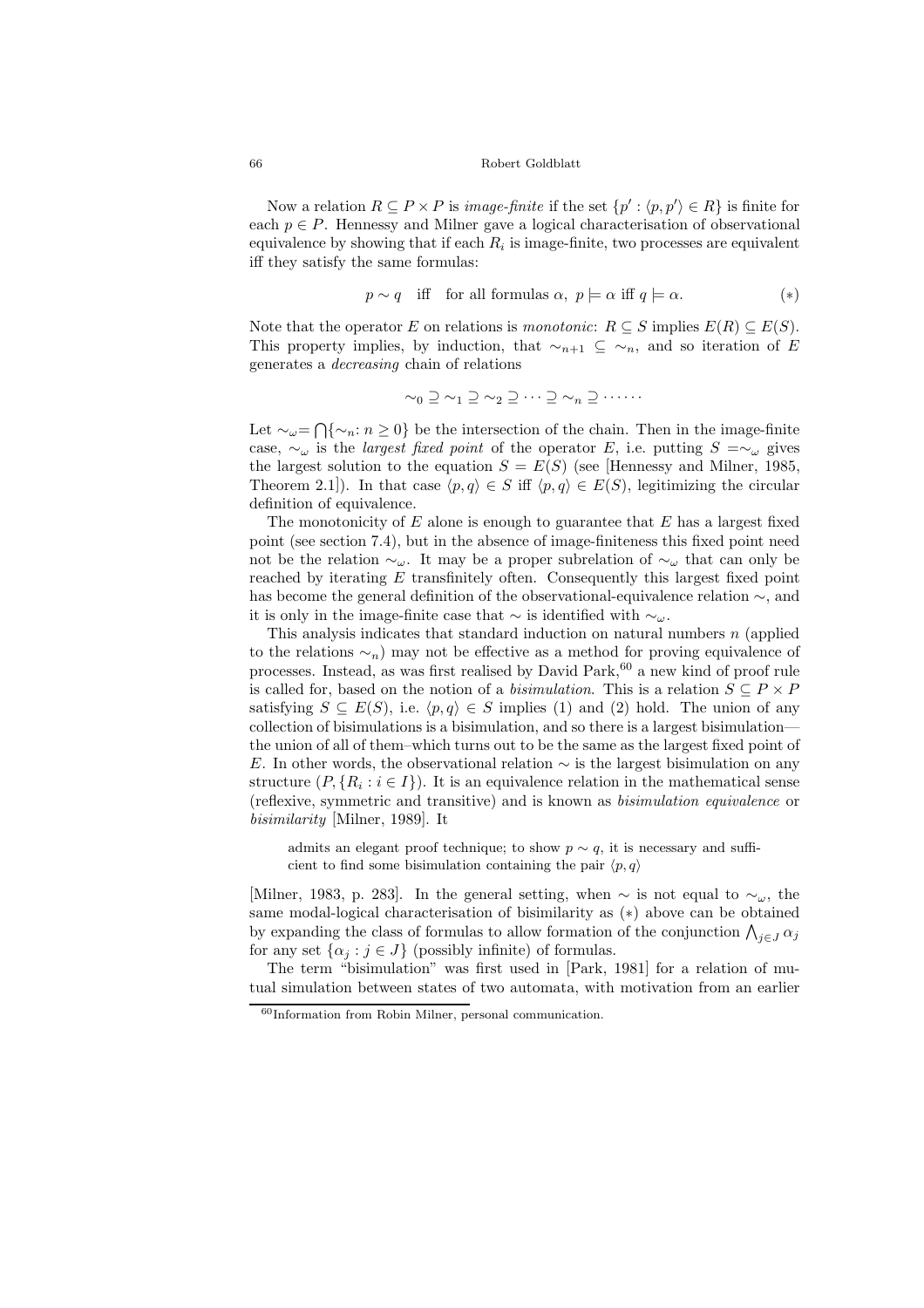Now a relation  $R \subseteq P \times P$  is *image-finite* if the set  $\{p' : \langle p, p' \rangle \in R\}$  is finite for each  $p \in P$ . Hennessy and Milner gave a logical characterisation of observational equivalence by showing that if each  $R_i$  is image-finite, two processes are equivalent iff they satisfy the same formulas:

$$
p \sim q \quad \text{iff} \quad \text{for all formulas } \alpha, \ p \models \alpha \text{ iff } q \models \alpha. \tag{*}
$$

Note that the operator E on relations is monotonic:  $R \subseteq S$  implies  $E(R) \subseteq E(S)$ . This property implies, by induction, that  $\sim_{n+1} \subseteq \sim_n$ , and so iteration of E generates a decreasing chain of relations

$$
\sim_0 \mathcal{Q} \sim_1 \mathcal{Q} \sim_2 \mathcal{Q} \cdots \mathcal{Q} \sim_n \mathcal{Q} \cdots \cdots
$$

Let  $\sim_\omega = \bigcap \{\sim_n : n \geq 0\}$  be the intersection of the chain. Then in the image-finite case,  $\sim_{\omega}$  is the *largest fixed point* of the operator E, i.e. putting  $S = \sim_{\omega}$  gives the largest solution to the equation  $S = E(S)$  (see [Hennessy and Milner, 1985, Theorem 2.1]). In that case  $\langle p, q \rangle \in S$  iff  $\langle p, q \rangle \in E(S)$ , legitimizing the circular definition of equivalence.

The monotonicity of  $E$  alone is enough to guarantee that  $E$  has a largest fixed point (see section 7.4), but in the absence of image-finiteness this fixed point need not be the relation  $\sim_{\omega}$ . It may be a proper subrelation of  $\sim_{\omega}$  that can only be reached by iterating  $E$  transfinitely often. Consequently this largest fixed point has become the general definition of the observational-equivalence relation ∼, and it is only in the image-finite case that ∼ is identified with ∼ω.

This analysis indicates that standard induction on natural numbers  $n$  (applied to the relations  $\sim_n$ ) may not be effective as a method for proving equivalence of processes. Instead, as was first realised by David Park,  $60$  a new kind of proof rule is called for, based on the notion of a *bisimulation*. This is a relation  $S \subseteq P \times P$ satisfying  $S \subseteq E(S)$ , i.e.  $\langle p, q \rangle \in S$  implies (1) and (2) hold. The union of any collection of bisimulations is a bisimulation, and so there is a largest bisimulation the union of all of them–which turns out to be the same as the largest fixed point of E. In other words, the observational relation  $\sim$  is the largest bisimulation on any structure  $(P, \{R_i : i \in I\})$ . It is an equivalence relation in the mathematical sense (reflexive, symmetric and transitive) and is known as bisimulation equivalence or bisimilarity [Milner, 1989]. It

admits an elegant proof technique; to show  $p \sim q$ , it is necessary and sufficient to find some bisimulation containing the pair  $\langle p, q \rangle$ 

[Milner, 1983, p. 283]. In the general setting, when  $\sim$  is not equal to  $\sim_{\omega}$ , the same modal-logical characterisation of bisimilarity as (∗) above can be obtained by expanding the class of formulas to allow formation of the conjunction  $\bigwedge_{j\in J}\alpha_j$ for any set  $\{\alpha_i : j \in J\}$  (possibly infinite) of formulas.

The term "bisimulation" was first used in [Park, 1981] for a relation of mutual simulation between states of two automata, with motivation from an earlier

<sup>60</sup>Information from Robin Milner, personal communication.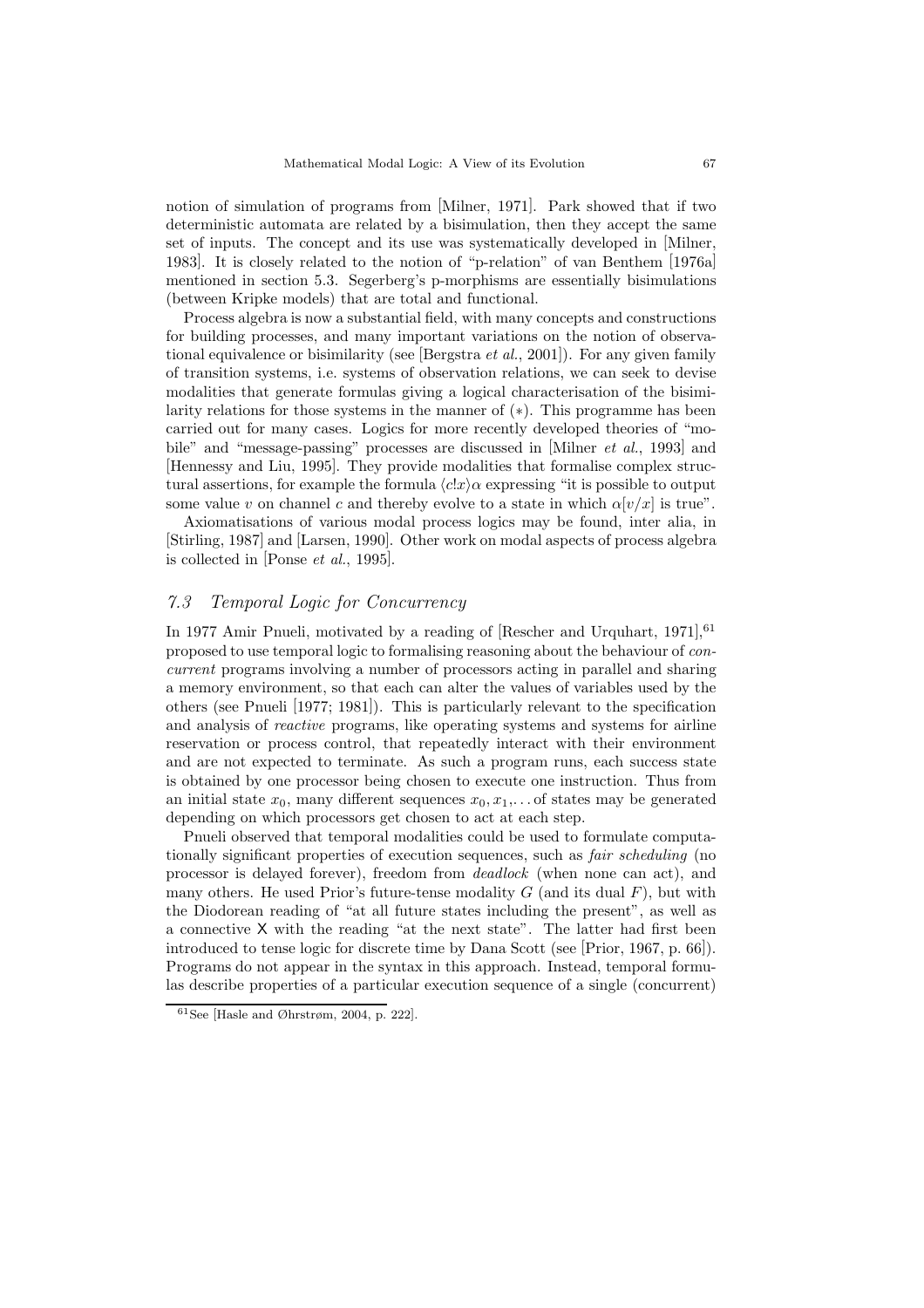notion of simulation of programs from [Milner, 1971]. Park showed that if two deterministic automata are related by a bisimulation, then they accept the same set of inputs. The concept and its use was systematically developed in [Milner, 1983]. It is closely related to the notion of "p-relation" of van Benthem [1976a] mentioned in section 5.3. Segerberg's p-morphisms are essentially bisimulations (between Kripke models) that are total and functional.

Process algebra is now a substantial field, with many concepts and constructions for building processes, and many important variations on the notion of observational equivalence or bisimilarity (see [Bergstra *et al.*, 2001]). For any given family of transition systems, i.e. systems of observation relations, we can seek to devise modalities that generate formulas giving a logical characterisation of the bisimilarity relations for those systems in the manner of  $(*)$ . This programme has been carried out for many cases. Logics for more recently developed theories of "mobile" and "message-passing" processes are discussed in [Milner *et al.*, 1993] and [Hennessy and Liu, 1995]. They provide modalities that formalise complex structural assertions, for example the formula  $\langle c x \rangle \alpha$  expressing "it is possible to output some value v on channel c and thereby evolve to a state in which  $\alpha[v/x]$  is true".

Axiomatisations of various modal process logics may be found, inter alia, in [Stirling, 1987] and [Larsen, 1990]. Other work on modal aspects of process algebra is collected in [Ponse et al., 1995].

# *7.3 Temporal Logic for Concurrency*

In 1977 Amir Pnueli, motivated by a reading of [Rescher and Urquhart, 1971],<sup>61</sup> proposed to use temporal logic to formalising reasoning about the behaviour of concurrent programs involving a number of processors acting in parallel and sharing a memory environment, so that each can alter the values of variables used by the others (see Pnueli [1977; 1981]). This is particularly relevant to the specification and analysis of reactive programs, like operating systems and systems for airline reservation or process control, that repeatedly interact with their environment and are not expected to terminate. As such a program runs, each success state is obtained by one processor being chosen to execute one instruction. Thus from an initial state  $x_0$ , many different sequences  $x_0, x_1, \ldots$  of states may be generated depending on which processors get chosen to act at each step.

Pnueli observed that temporal modalities could be used to formulate computationally significant properties of execution sequences, such as *fair scheduling* (no processor is delayed forever), freedom from deadlock (when none can act), and many others. He used Prior's future-tense modality  $G$  (and its dual  $F$ ), but with the Diodorean reading of "at all future states including the present", as well as a connective X with the reading "at the next state". The latter had first been introduced to tense logic for discrete time by Dana Scott (see [Prior, 1967, p. 66]). Programs do not appear in the syntax in this approach. Instead, temporal formulas describe properties of a particular execution sequence of a single (concurrent)

 $61$ See Hasle and Øhrstrøm, 2004, p. 222.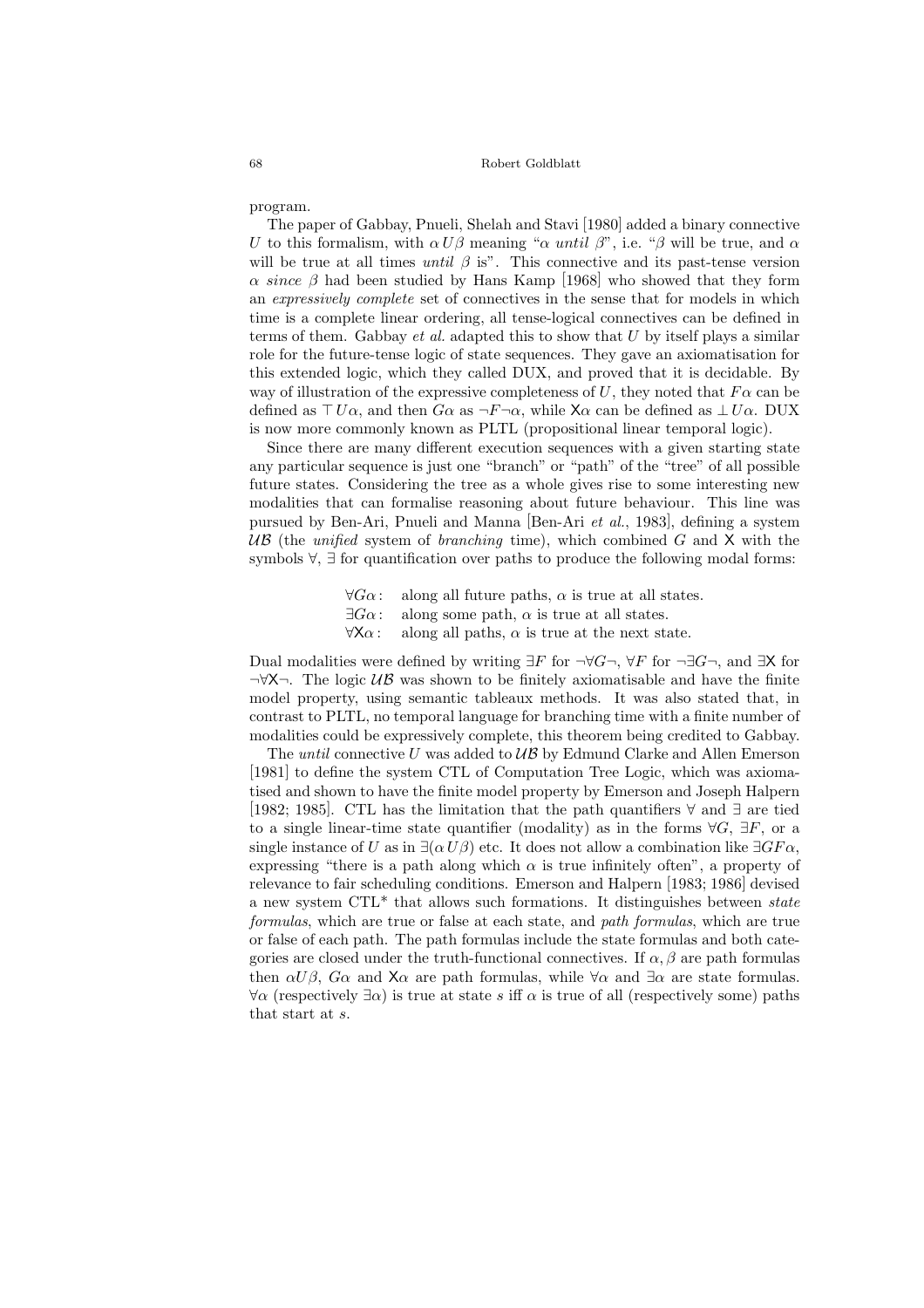program.

The paper of Gabbay, Pnueli, Shelah and Stavi [1980] added a binary connective U to this formalism, with  $\alpha U\beta$  meaning " $\alpha$  until  $\beta$ ", i.e. " $\beta$  will be true, and  $\alpha$ will be true at all times until  $\beta$  is". This connective and its past-tense version  $\alpha$  since  $\beta$  had been studied by Hans Kamp [1968] who showed that they form an expressively complete set of connectives in the sense that for models in which time is a complete linear ordering, all tense-logical connectives can be defined in terms of them. Gabbay *et al.* adapted this to show that  $U$  by itself plays a similar role for the future-tense logic of state sequences. They gave an axiomatisation for this extended logic, which they called DUX, and proved that it is decidable. By way of illustration of the expressive completeness of U, they noted that  $F\alpha$  can be defined as  $\top U_{\alpha}$ , and then  $G_{\alpha}$  as  $\neg F\neg \alpha$ , while  $X_{\alpha}$  can be defined as  $\bot U_{\alpha}$ . DUX is now more commonly known as PLTL (propositional linear temporal logic).

Since there are many different execution sequences with a given starting state any particular sequence is just one "branch" or "path" of the "tree" of all possible future states. Considering the tree as a whole gives rise to some interesting new modalities that can formalise reasoning about future behaviour. This line was pursued by Ben-Ari, Pnueli and Manna [Ben-Ari et al., 1983], defining a system UB (the unified system of branching time), which combined G and X with the symbols  $\forall$ ,  $\exists$  for quantification over paths to produce the following modal forms:

- $\forall G \alpha$ : along all future paths,  $\alpha$  is true at all states.
- $\exists G \alpha$ : along some path,  $\alpha$  is true at all states.
- $\forall X \alpha$ : along all paths,  $\alpha$  is true at the next state.

Dual modalities were defined by writing  $\exists F$  for  $\neg \forall G \neg, \forall F$  for  $\neg \exists G \neg$ , and  $\exists X$  for  $\neg \forall X \neg$ . The logic UB was shown to be finitely axiomatisable and have the finite model property, using semantic tableaux methods. It was also stated that, in contrast to PLTL, no temporal language for branching time with a finite number of modalities could be expressively complete, this theorem being credited to Gabbay.

The until connective U was added to  $UB$  by Edmund Clarke and Allen Emerson [1981] to define the system CTL of Computation Tree Logic, which was axiomatised and shown to have the finite model property by Emerson and Joseph Halpern [1982; 1985]. CTL has the limitation that the path quantifiers ∀ and ∃ are tied to a single linear-time state quantifier (modality) as in the forms  $\forall G, \exists F$ , or a single instance of U as in  $\exists (\alpha U\beta)$  etc. It does not allow a combination like  $\exists G F\alpha$ , expressing "there is a path along which  $\alpha$  is true infinitely often", a property of relevance to fair scheduling conditions. Emerson and Halpern [1983; 1986] devised a new system  $\text{CTL}^*$  that allows such formations. It distinguishes between *state* formulas, which are true or false at each state, and path formulas, which are true or false of each path. The path formulas include the state formulas and both categories are closed under the truth-functional connectives. If  $\alpha, \beta$  are path formulas then  $\alpha U\beta$ ,  $G\alpha$  and  $\lambda\alpha$  are path formulas, while  $\forall \alpha$  and  $\exists \alpha$  are state formulas.  $\forall \alpha$  (respectively  $\exists \alpha$ ) is true at state s iff  $\alpha$  is true of all (respectively some) paths that start at s.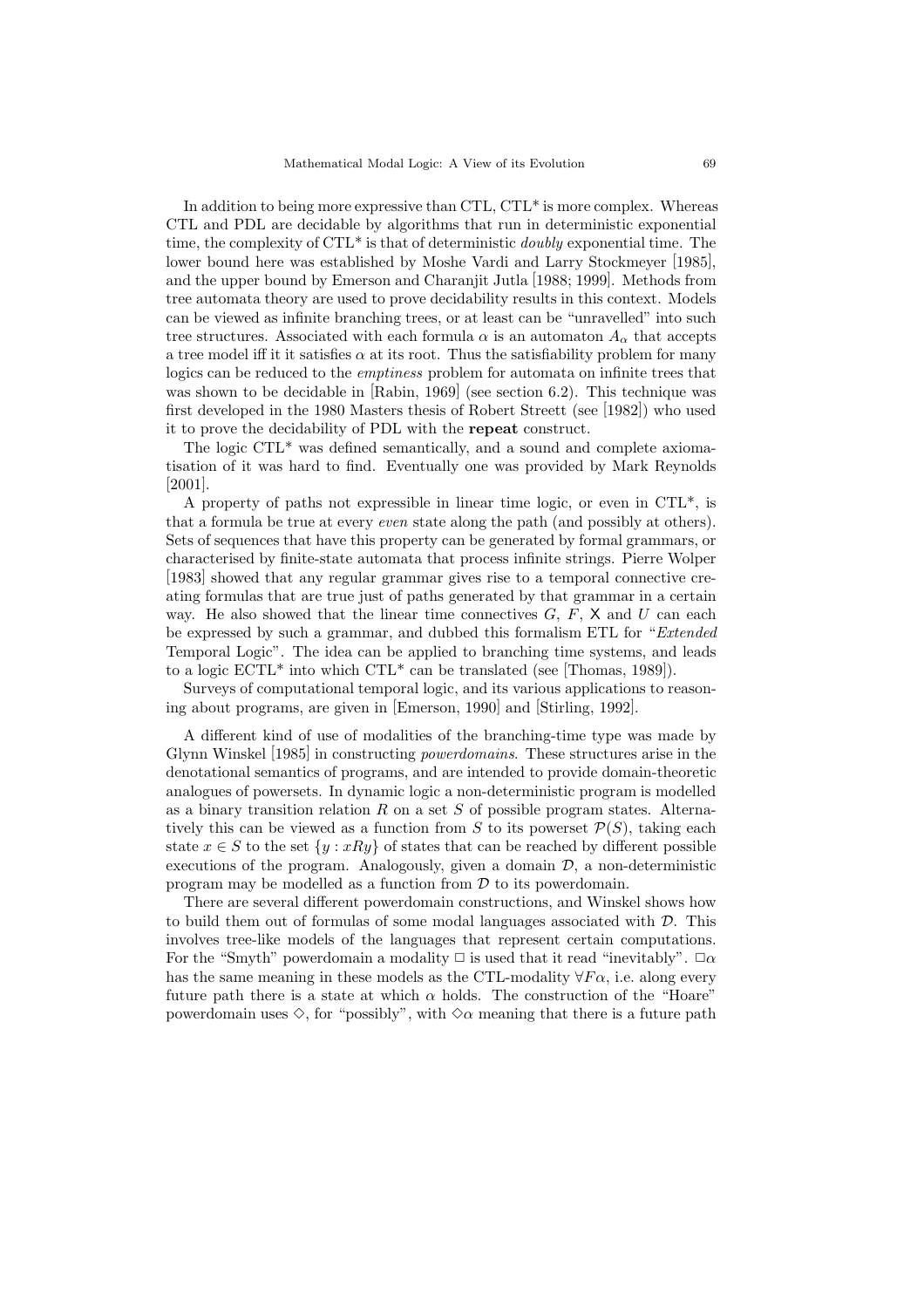In addition to being more expressive than CTL, CTL<sup>\*</sup> is more complex. Whereas CTL and PDL are decidable by algorithms that run in deterministic exponential time, the complexity of CTL\* is that of deterministic doubly exponential time. The lower bound here was established by Moshe Vardi and Larry Stockmeyer [1985], and the upper bound by Emerson and Charanjit Jutla [1988; 1999]. Methods from tree automata theory are used to prove decidability results in this context. Models can be viewed as infinite branching trees, or at least can be "unravelled" into such tree structures. Associated with each formula  $\alpha$  is an automaton  $A_{\alpha}$  that accepts a tree model iff it it satisfies  $\alpha$  at its root. Thus the satisfiability problem for many logics can be reduced to the emptiness problem for automata on infinite trees that was shown to be decidable in [Rabin, 1969] (see section 6.2). This technique was first developed in the 1980 Masters thesis of Robert Streett (see [1982]) who used it to prove the decidability of PDL with the repeat construct.

The logic CTL\* was defined semantically, and a sound and complete axiomatisation of it was hard to find. Eventually one was provided by Mark Reynolds [2001].

A property of paths not expressible in linear time logic, or even in CTL\*, is that a formula be true at every even state along the path (and possibly at others). Sets of sequences that have this property can be generated by formal grammars, or characterised by finite-state automata that process infinite strings. Pierre Wolper [1983] showed that any regular grammar gives rise to a temporal connective creating formulas that are true just of paths generated by that grammar in a certain way. He also showed that the linear time connectives  $G, F, X$  and U can each be expressed by such a grammar, and dubbed this formalism ETL for "Extended" Temporal Logic". The idea can be applied to branching time systems, and leads to a logic ECTL\* into which CTL\* can be translated (see [Thomas, 1989]).

Surveys of computational temporal logic, and its various applications to reasoning about programs, are given in [Emerson, 1990] and [Stirling, 1992].

A different kind of use of modalities of the branching-time type was made by Glynn Winskel [1985] in constructing powerdomains. These structures arise in the denotational semantics of programs, and are intended to provide domain-theoretic analogues of powersets. In dynamic logic a non-deterministic program is modelled as a binary transition relation  $R$  on a set  $S$  of possible program states. Alternatively this can be viewed as a function from S to its powerset  $\mathcal{P}(S)$ , taking each state  $x \in S$  to the set  $\{y : xRy\}$  of states that can be reached by different possible executions of the program. Analogously, given a domain  $\mathcal{D}$ , a non-deterministic program may be modelled as a function from  $\mathcal D$  to its powerdomain.

There are several different powerdomain constructions, and Winskel shows how to build them out of formulas of some modal languages associated with  $D$ . This involves tree-like models of the languages that represent certain computations. For the "Smyth" powerdomain a modality  $\Box$  is used that it read "inevitably".  $\Box \alpha$ has the same meaning in these models as the CTL-modality  $\forall F\alpha$ , i.e. along every future path there is a state at which  $\alpha$  holds. The construction of the "Hoare" powerdomain uses  $\diamond$ , for "possibly", with  $\diamond \alpha$  meaning that there is a future path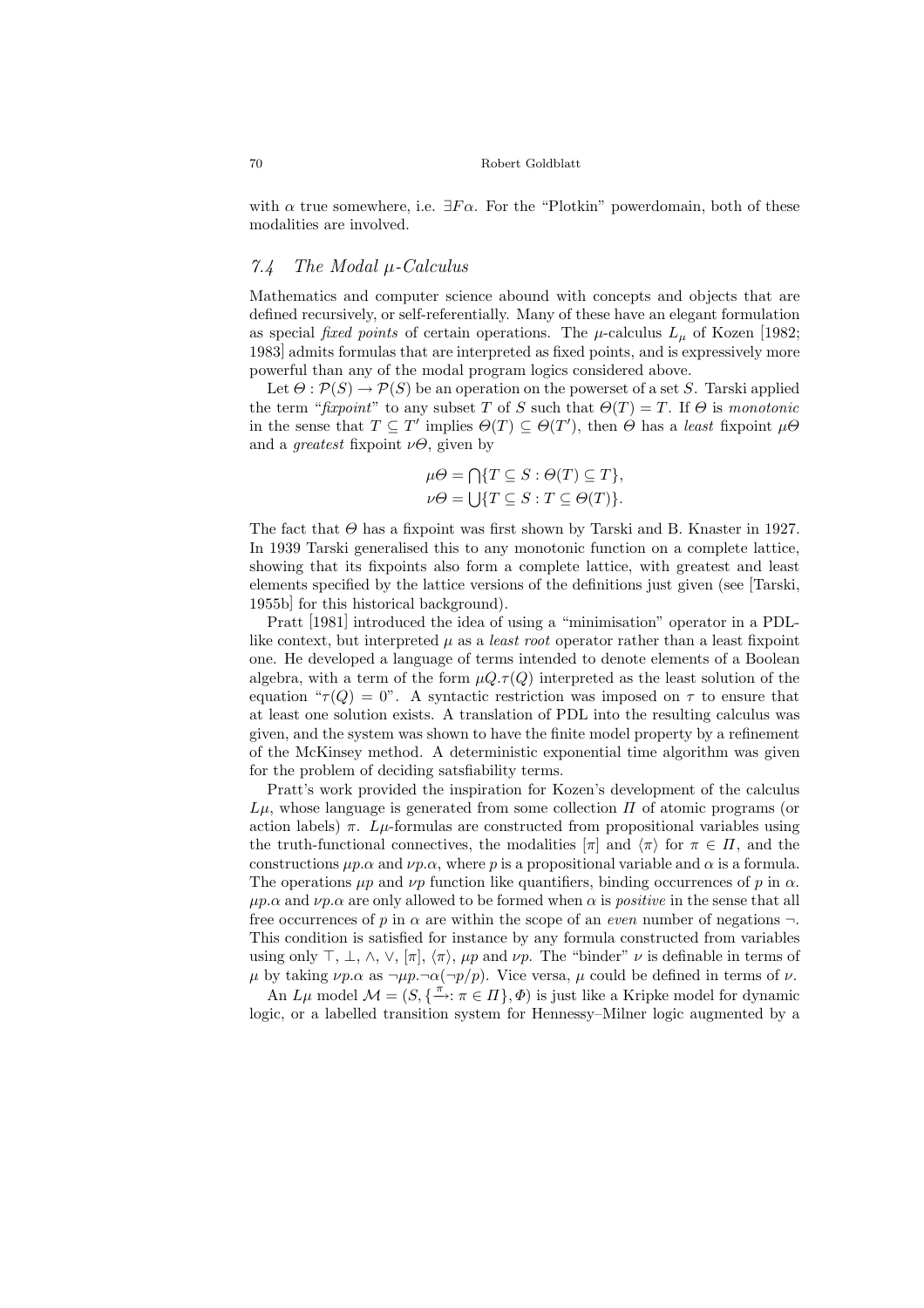with  $\alpha$  true somewhere, i.e.  $\exists F\alpha$ . For the "Plotkin" powerdomain, both of these modalities are involved.

## *7.4 The Modal* µ*-Calculus*

Mathematics and computer science abound with concepts and objects that are defined recursively, or self-referentially. Many of these have an elegant formulation as special fixed points of certain operations. The  $\mu$ -calculus  $L_\mu$  of Kozen [1982; 1983] admits formulas that are interpreted as fixed points, and is expressively more powerful than any of the modal program logics considered above.

Let  $\Theta: \mathcal{P}(S) \to \mathcal{P}(S)$  be an operation on the powerset of a set S. Tarski applied the term "fixpoint" to any subset T of S such that  $\Theta(T) = T$ . If  $\Theta$  is monotonic in the sense that  $T \subseteq T'$  implies  $\Theta(T) \subseteq \Theta(T')$ , then  $\Theta$  has a least fixpoint  $\mu\Theta$ and a *greatest* fixpoint  $\nu\Theta$ , given by

$$
\mu \Theta = \bigcap \{ T \subseteq S : \Theta(T) \subseteq T \},
$$
  

$$
\nu \Theta = \bigcup \{ T \subseteq S : T \subseteq \Theta(T) \}.
$$

The fact that  $\Theta$  has a fixpoint was first shown by Tarski and B. Knaster in 1927. In 1939 Tarski generalised this to any monotonic function on a complete lattice, showing that its fixpoints also form a complete lattice, with greatest and least elements specified by the lattice versions of the definitions just given (see [Tarski, 1955b] for this historical background).

Pratt [1981] introduced the idea of using a "minimisation" operator in a PDLlike context, but interpreted  $\mu$  as a *least root* operator rather than a least fixpoint one. He developed a language of terms intended to denote elements of a Boolean algebra, with a term of the form  $\mu Q.\tau(Q)$  interpreted as the least solution of the equation " $\tau(Q) = 0$ ". A syntactic restriction was imposed on  $\tau$  to ensure that at least one solution exists. A translation of PDL into the resulting calculus was given, and the system was shown to have the finite model property by a refinement of the McKinsey method. A deterministic exponential time algorithm was given for the problem of deciding satsfiability terms.

Pratt's work provided the inspiration for Kozen's development of the calculus  $L\mu$ , whose language is generated from some collection  $\Pi$  of atomic programs (or action labels)  $\pi$ . L $\mu$ -formulas are constructed from propositional variables using the truth-functional connectives, the modalities  $[\pi]$  and  $\langle \pi \rangle$  for  $\pi \in \Pi$ , and the constructions  $\mu p.\alpha$  and  $\nu p.\alpha$ , where p is a propositional variable and  $\alpha$  is a formula. The operations  $\mu p$  and  $\nu p$  function like quantifiers, binding occurrences of p in  $\alpha$ .  $\mu p.\alpha$  and  $\nu p.\alpha$  are only allowed to be formed when  $\alpha$  is *positive* in the sense that all free occurrences of p in  $\alpha$  are within the scope of an *even* number of negations  $\neg$ . This condition is satisfied for instance by any formula constructed from variables using only  $\top$ ,  $\bot$ ,  $\land$ ,  $\lor$ ,  $[\pi]$ ,  $\langle \pi \rangle$ ,  $\mu p$  and  $\nu p$ . The "binder"  $\nu$  is definable in terms of  $μ$  by taking  $νp.\alpha$  as  $¬μp.¬α(¬p/p).$  Vice versa,  $μ$  could be defined in terms of  $ν$ .

An  $L\mu$  model  $\mathcal{M} = (S, \{\stackrel{\pi}{\rightarrow} : \pi \in \Pi\}, \Phi)$  is just like a Kripke model for dynamic logic, or a labelled transition system for Hennessy–Milner logic augmented by a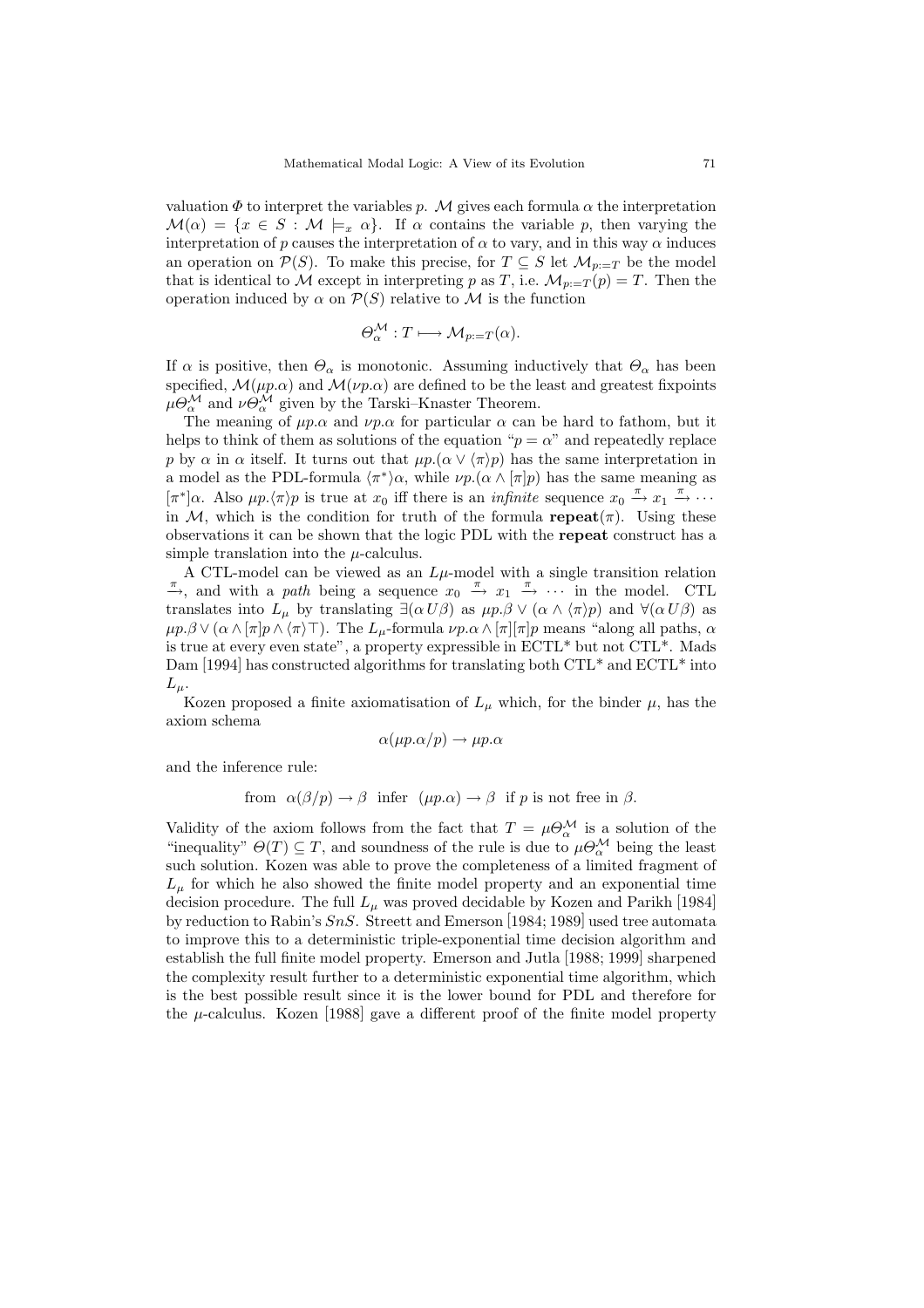valuation  $\Phi$  to interpret the variables p. M gives each formula  $\alpha$  the interpretation  $\mathcal{M}(\alpha) = \{x \in S : \mathcal{M} \models_x \alpha\}.$  If  $\alpha$  contains the variable p, then varying the interpretation of p causes the interpretation of  $\alpha$  to vary, and in this way  $\alpha$  induces an operation on  $\mathcal{P}(S)$ . To make this precise, for  $T \subseteq S$  let  $\mathcal{M}_{p:=T}$  be the model that is identical to M except in interpreting p as T, i.e.  $\mathcal{M}_{p:=T}(p) = T$ . Then the operation induced by  $\alpha$  on  $\mathcal{P}(S)$  relative to M is the function

$$
\Theta^{\mathcal{M}}_{\alpha}: T \longmapsto \mathcal{M}_{p:=T}(\alpha).
$$

If  $\alpha$  is positive, then  $\Theta_{\alpha}$  is monotonic. Assuming inductively that  $\Theta_{\alpha}$  has been specified,  $\mathcal{M}(\mu p.\alpha)$  and  $\mathcal{M}(\nu p.\alpha)$  are defined to be the least and greatest fixpoints  $\mu\Theta_{\alpha}^{\mathcal{M}}$  and  $\nu\Theta_{\alpha}^{\mathcal{M}}$  given by the Tarski–Knaster Theorem.

The meaning of  $\mu p.\alpha$  and  $\nu p.\alpha$  for particular  $\alpha$  can be hard to fathom, but it helps to think of them as solutions of the equation " $p = \alpha$ " and repeatedly replace p by  $\alpha$  in  $\alpha$  itself. It turns out that  $\mu p.(\alpha \vee \langle \pi \rangle p)$  has the same interpretation in a model as the PDL-formula  $\langle \pi^* \rangle \alpha$ , while  $\nu p \cdot (\alpha \wedge [\pi]p)$  has the same meaning as  $[\pi^*] \alpha$ . Also  $\mu p.\langle \pi \rangle p$  is true at  $x_0$  iff there is an *infinite* sequence  $x_0 \stackrel{\pi}{\rightarrow} x_1 \stackrel{\pi}{\rightarrow} \cdots$ in M, which is the condition for truth of the formula repeat( $\pi$ ). Using these observations it can be shown that the logic PDL with the repeat construct has a simple translation into the  $\mu$ -calculus.

A CTL-model can be viewed as an  $L\mu$ -model with a single transition relation  $\stackrel{\pi}{\rightarrow}$ , and with a *path* being a sequence  $x_0 \stackrel{\pi}{\rightarrow} x_1 \stackrel{\pi}{\rightarrow} \cdots$  in the model. CTL translates into  $L_{\mu}$  by translating  $\exists(\alpha U\beta)$  as  $\mu p.\beta \vee (\alpha \wedge \langle \pi \rangle p)$  and  $\forall(\alpha U\beta)$  as  $\mu p.\beta \vee (\alpha \wedge [\pi] p \wedge \langle \pi \rangle \top)$ . The  $L_{\mu}$ -formula  $\nu p.\alpha \wedge [\pi] [\pi] p$  means "along all paths,  $\alpha$ is true at every even state", a property expressible in ECTL\* but not CTL\*. Mads Dam [1994] has constructed algorithms for translating both CTL\* and ECTL\* into  $L_{\mu}$ .

Kozen proposed a finite axiomatisation of  $L<sub>\mu</sub>$  which, for the binder  $\mu$ , has the axiom schema

$$
\alpha(\mu p.\alpha/p) \to \mu p.\alpha
$$

and the inference rule:

from 
$$
\alpha(\beta/p) \to \beta
$$
 infer  $(\mu p.\alpha) \to \beta$  if p is not free in  $\beta$ .

Validity of the axiom follows from the fact that  $T = \mu \Theta_{\alpha}^{\mathcal{M}}$  is a solution of the "inequality"  $\Theta(T) \subseteq T$ , and soundness of the rule is due to  $\mu \Theta_{\alpha}^{\mathcal{M}}$  being the least such solution. Kozen was able to prove the completeness of a limited fragment of  $L<sub>u</sub>$  for which he also showed the finite model property and an exponential time decision procedure. The full  $L_{\mu}$  was proved decidable by Kozen and Parikh [1984] by reduction to Rabin's  $SnS$ . Streett and Emerson [1984; 1989] used tree automata to improve this to a deterministic triple-exponential time decision algorithm and establish the full finite model property. Emerson and Jutla [1988; 1999] sharpened the complexity result further to a deterministic exponential time algorithm, which is the best possible result since it is the lower bound for PDL and therefore for the  $\mu$ -calculus. Kozen [1988] gave a different proof of the finite model property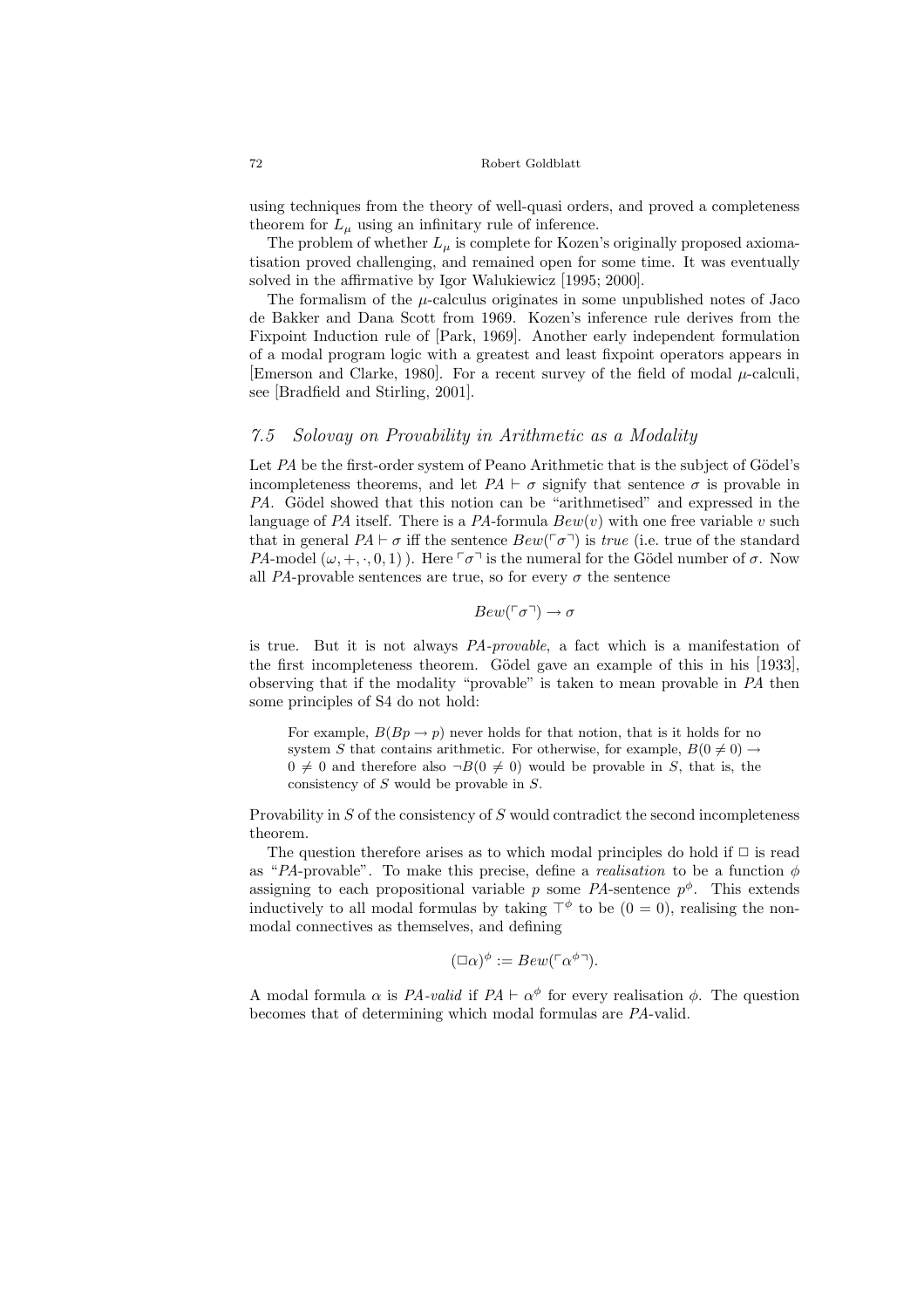using techniques from the theory of well-quasi orders, and proved a completeness theorem for  $L_{\mu}$  using an infinitary rule of inference.

The problem of whether  $L_{\mu}$  is complete for Kozen's originally proposed axiomatisation proved challenging, and remained open for some time. It was eventually solved in the affirmative by Igor Walukiewicz [1995; 2000].

The formalism of the  $\mu$ -calculus originates in some unpublished notes of Jaco de Bakker and Dana Scott from 1969. Kozen's inference rule derives from the Fixpoint Induction rule of [Park, 1969]. Another early independent formulation of a modal program logic with a greatest and least fixpoint operators appears in [Emerson and Clarke, 1980]. For a recent survey of the field of modal  $\mu$ -calculi, see [Bradfield and Stirling, 2001].

## *7.5 Solovay on Provability in Arithmetic as a Modality*

Let  $PA$  be the first-order system of Peano Arithmetic that is the subject of Gödel's incompleteness theorems, and let  $PA \vdash \sigma$  signify that sentence  $\sigma$  is provable in PA. Gödel showed that this notion can be "arithmetised" and expressed in the language of PA itself. There is a PA-formula  $Bew(v)$  with one free variable v such that in general  $PA \vdash \sigma$  iff the sentence  $Bew(\ulcorner \sigma \urcorner)$  is true (i.e. true of the standard PA-model  $(\omega, +, \cdot, 0, 1)$ . Here  $\lceil \sigma \rceil$  is the numeral for the Gödel number of  $\sigma$ . Now all PA-provable sentences are true, so for every  $\sigma$  the sentence

$$
Bew(\ulcorner\sigma\urcorner)\to\sigma
$$

is true. But it is not always PA-provable, a fact which is a manifestation of the first incompleteness theorem. Gödel gave an example of this in his [1933], observing that if the modality "provable" is taken to mean provable in PA then some principles of S4 do not hold:

For example,  $B(Bp \to p)$  never holds for that notion, that is it holds for no system S that contains arithmetic. For otherwise, for example,  $B(0 \neq 0) \rightarrow$  $0 \neq 0$  and therefore also  $\neg B(0 \neq 0)$  would be provable in S, that is, the consistency of S would be provable in S.

Provability in  $S$  of the consistency of  $S$  would contradict the second incompleteness theorem.

The question therefore arises as to which modal principles do hold if  $\Box$  is read as "PA-provable". To make this precise, define a *realisation* to be a function  $\phi$ assigning to each propositional variable p some PA-sentence  $p^{\phi}$ . This extends inductively to all modal formulas by taking  $\top^{\phi}$  to be  $(0 = 0)$ , realising the nonmodal connectives as themselves, and defining

$$
(\Box \alpha)^{\phi} := Bew(\ulcorner \alpha^{\phi} \urcorner).
$$

A modal formula  $\alpha$  is PA-valid if PA  $\vdash \alpha^{\phi}$  for every realisation  $\phi$ . The question becomes that of determining which modal formulas are PA-valid.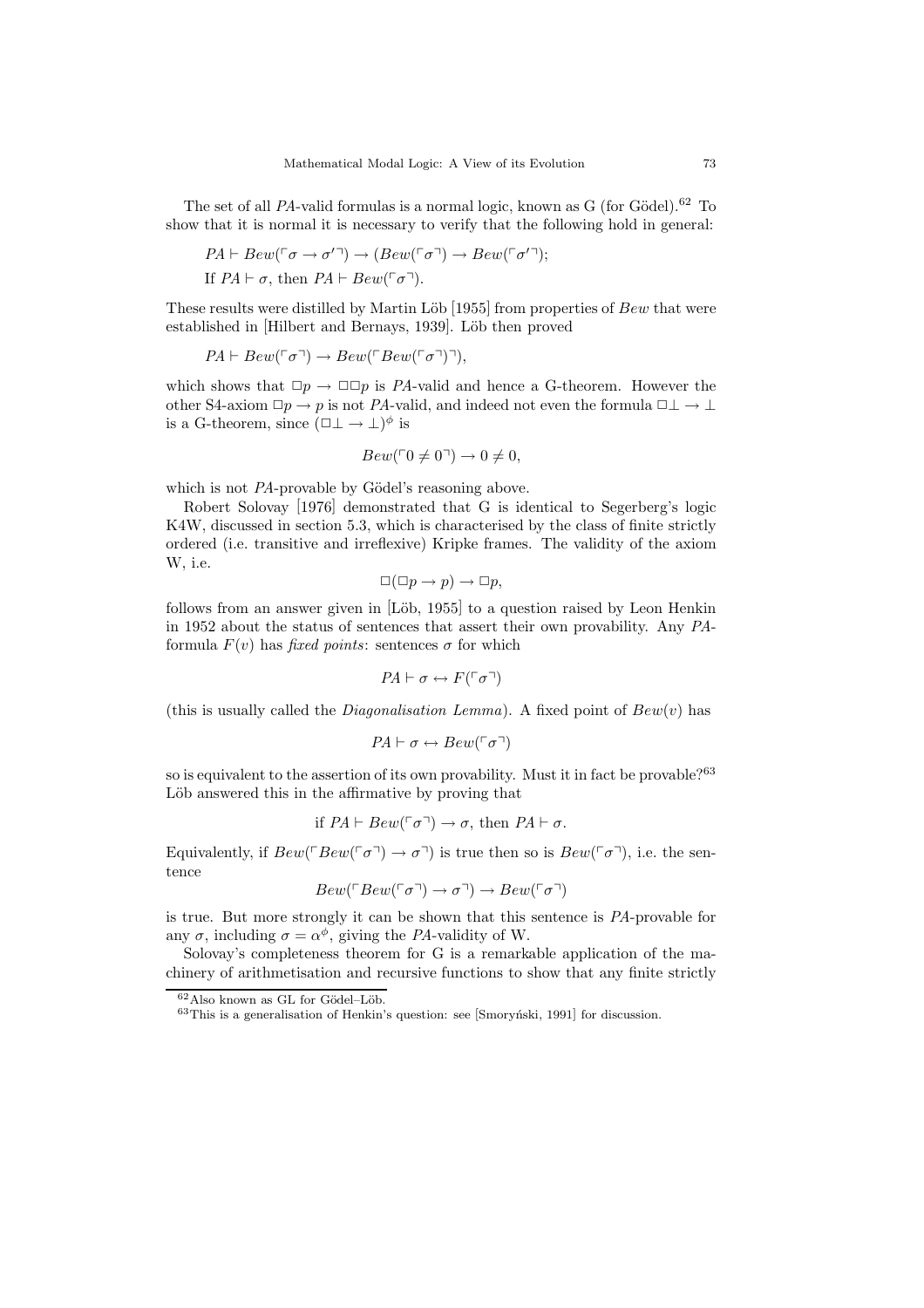The set of all PA-valid formulas is a normal logic, known as G (for Gödel).<sup>62</sup> To show that it is normal it is necessary to verify that the following hold in general:

$$
PA \vdash Bew(\ulcorner \sigma \to \sigma' \urcorner) \to (Bew(\ulcorner \sigma \urcorner) \to Bew(\ulcorner \sigma' \urcorner);
$$
  
If  $PA \vdash \sigma$ , then  $PA \vdash Bew(\ulcorner \sigma \urcorner)$ .

These results were distilled by Martin Löb [1955] from properties of  $Bew$  that were established in [Hilbert and Bernays, 1939]. Löb then proved

$$
PA \vdash Bew(\ulcorner \sigma \urcorner) \to Bew(\ulcorner Bew(\ulcorner \sigma \urcorner) \urcorner),
$$

which shows that  $\Box p \rightarrow \Box \Box p$  is PA-valid and hence a G-theorem. However the other S4-axiom  $\Box p \rightarrow p$  is not PA-valid, and indeed not even the formula  $\Box \bot \rightarrow \bot$ is a G-theorem, since  $(\Box \bot \rightarrow \bot)^{\phi}$  is

$$
Bew(\ulcorner 0 \neq 0 \urcorner) \to 0 \neq 0,
$$

which is not  $PA$ -provable by Gödel's reasoning above.

Robert Solovay [1976] demonstrated that G is identical to Segerberg's logic K4W, discussed in section 5.3, which is characterised by the class of finite strictly ordered (i.e. transitive and irreflexive) Kripke frames. The validity of the axiom W, i.e.

$$
\Box(\Box p \to p) \to \Box p,
$$

follows from an answer given in [Löb, 1955] to a question raised by Leon Henkin in 1952 about the status of sentences that assert their own provability. Any PAformula  $F(v)$  has fixed points: sentences  $\sigma$  for which

$$
PA \vdash \sigma \leftrightarrow F(\ulcorner \sigma \urcorner)
$$

(this is usually called the *Diagonalisation Lemma*). A fixed point of  $Bew(v)$  has

$$
PA \vdash \sigma \leftrightarrow Bew(\ulcorner \sigma \urcorner)
$$

so is equivalent to the assertion of its own provability. Must it in fact be provable?<sup>63</sup> Löb answered this in the affirmative by proving that

if 
$$
PA \vdash Bew(\ulcorner \sigma \urcorner) \rightarrow \sigma
$$
, then  $PA \vdash \sigma$ .

Equivalently, if  $Bew(\ulcorner Bew(\ulcorner \sigma \urcorner) \rightarrow \sigma \urcorner)$  is true then so is  $Bew(\ulcorner \sigma \urcorner)$ , i.e. the sentence

$$
Bew(\ulcorner Bew(\ulcorner\sigma\urcorner)\rightarrow\sigma\urcorner)\rightarrow Bew(\ulcorner\sigma\urcorner)
$$

is true. But more strongly it can be shown that this sentence is PA-provable for any  $\sigma$ , including  $\sigma = \alpha^{\phi}$ , giving the PA-validity of W.

Solovay's completeness theorem for G is a remarkable application of the machinery of arithmetisation and recursive functions to show that any finite strictly

 $62$  Also known as GL for Gödel–Löb.

 $63$ This is a generalisation of Henkin's question: see [Smoryński, 1991] for discussion.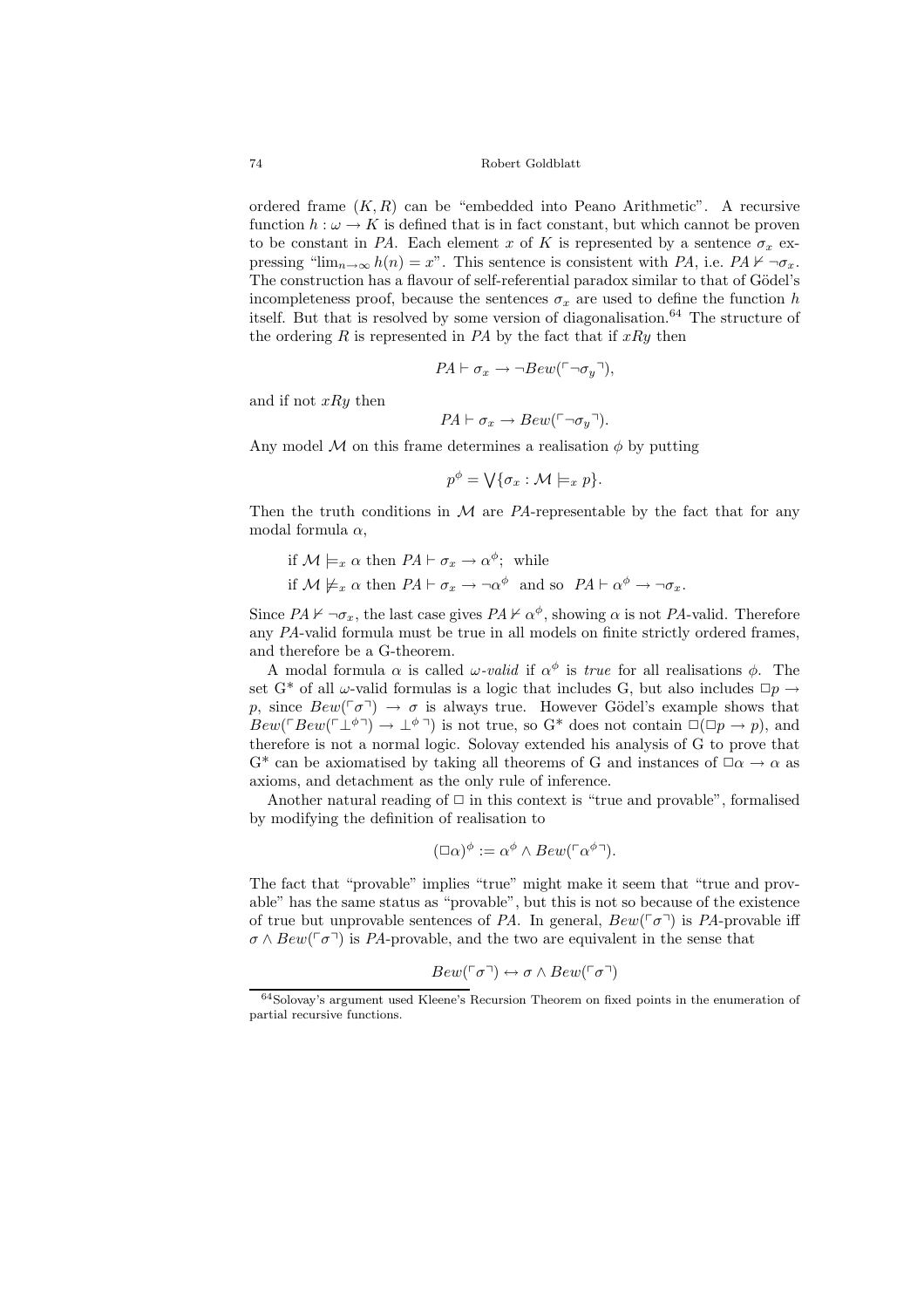ordered frame  $(K, R)$  can be "embedded into Peano Arithmetic". A recursive function  $h : \omega \to K$  is defined that is in fact constant, but which cannot be proven to be constant in PA. Each element x of K is represented by a sentence  $\sigma_x$  expressing " $\lim_{n\to\infty} h(n) = x$ ". This sentence is consistent with PA, i.e. PA  $\nvdash \neg \sigma_x$ . The construction has a flavour of self-referential paradox similar to that of Gödel's incompleteness proof, because the sentences  $\sigma_x$  are used to define the function h itself. But that is resolved by some version of diagonalisation.<sup>64</sup> The structure of the ordering R is represented in PA by the fact that if  $xRy$  then

$$
PA \vdash \sigma_x \rightarrow \neg Bew(\ulcorner \neg \sigma_y \urcorner),
$$

and if not  $xRy$  then

$$
PA \vdash \sigma_x \to Bew(\ulcorner \neg \sigma_y \urcorner).
$$

Any model  $\mathcal M$  on this frame determines a realisation  $\phi$  by putting

$$
p^{\phi} = \bigvee \{\sigma_x : \mathcal{M} \models_x p\}.
$$

Then the truth conditions in  $M$  are PA-representable by the fact that for any modal formula  $\alpha$ ,

if  $\mathcal{M} \models_x \alpha$  then  $PA \vdash \sigma_x \rightarrow \alpha^{\phi}$ ; while if  $\mathcal{M} \not\models_{x} \alpha$  then  $PA \vdash \sigma_x \rightarrow \neg \alpha^{\phi}$  and so  $PA \vdash \alpha^{\phi} \rightarrow \neg \sigma_x$ .

Since  $PA \nvdash \neg \sigma_x$ , the last case gives  $PA \nvdash \alpha^{\phi}$ , showing  $\alpha$  is not PA-valid. Therefore any PA-valid formula must be true in all models on finite strictly ordered frames, and therefore be a G-theorem.

A modal formula  $\alpha$  is called  $\omega$ -valid if  $\alpha^{\phi}$  is true for all realisations  $\phi$ . The set G<sup>\*</sup> of all  $\omega$ -valid formulas is a logic that includes G, but also includes  $\Box p \rightarrow$ p, since  $Bew(\ulcorner \sigma \urcorner) \rightarrow \sigma$  is always true. However Gödel's example shows that  $Bew(\ulcorner Bew(\ulcorner\bot^{\phi}\urcorner)\rightarrow\bot^{\phi}\urcorner)$  is not true, so  $G^*$  does not contain  $\Box(\Box p\rightarrow p)$ , and therefore is not a normal logic. Solovay extended his analysis of G to prove that  $G^*$  can be axiomatised by taking all theorems of G and instances of  $\square \alpha \to \alpha$  as axioms, and detachment as the only rule of inference.

Another natural reading of  $\Box$  in this context is "true and provable", formalised by modifying the definition of realisation to

$$
(\Box \alpha)^{\phi} := \alpha^{\phi} \wedge Bew(\ulcorner \alpha^{\phi} \urcorner).
$$

The fact that "provable" implies "true" might make it seem that "true and provable" has the same status as "provable", but this is not so because of the existence of true but unprovable sentences of PA. In general,  $Bew(\ulcorner \sigma \urcorner)$  is PA-provable iff  $\sigma \wedge Bew(\ulcorner \sigma \urcorner)$  is PA-provable, and the two are equivalent in the sense that

$$
Bew(\ulcorner \sigma \urcorner) \leftrightarrow \sigma \wedge Bew(\ulcorner \sigma \urcorner)
$$

<sup>64</sup>Solovay's argument used Kleene's Recursion Theorem on fixed points in the enumeration of partial recursive functions.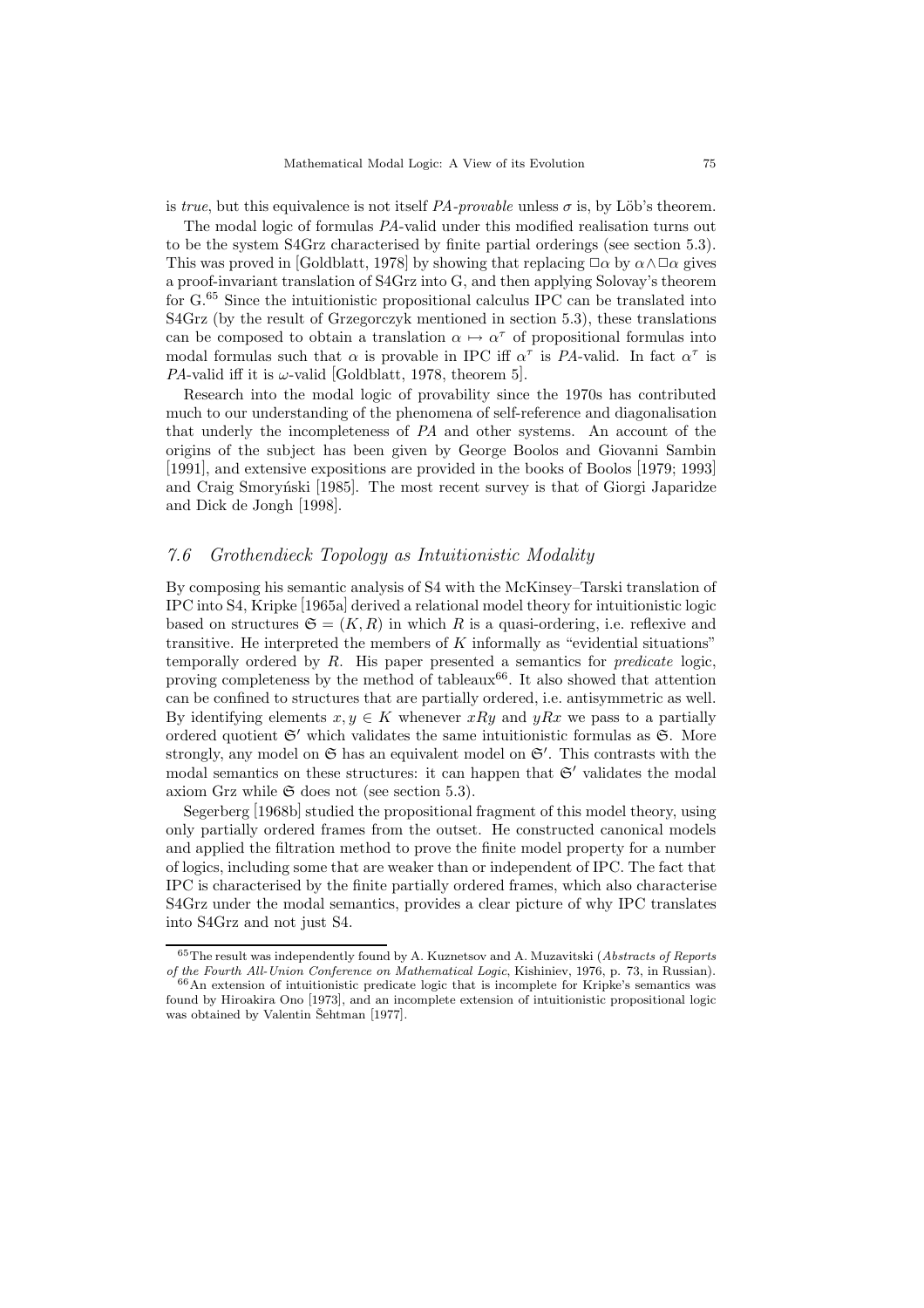is true, but this equivalence is not itself  $PA$ -provable unless  $\sigma$  is, by Löb's theorem.

The modal logic of formulas PA-valid under this modified realisation turns out to be the system S4Grz characterised by finite partial orderings (see section 5.3). This was proved in [Goldblatt, 1978] by showing that replacing  $\Box \alpha$  by  $\alpha \land \Box \alpha$  gives a proof-invariant translation of S4Grz into G, and then applying Solovay's theorem for G.<sup>65</sup> Since the intuitionistic propositional calculus IPC can be translated into S4Grz (by the result of Grzegorczyk mentioned in section 5.3), these translations can be composed to obtain a translation  $\alpha \mapsto \alpha^{\tau}$  of propositional formulas into modal formulas such that  $\alpha$  is provable in IPC iff  $\alpha^{\tau}$  is PA-valid. In fact  $\alpha^{\tau}$  is PA-valid iff it is  $\omega$ -valid [Goldblatt, 1978, theorem 5].

Research into the modal logic of provability since the 1970s has contributed much to our understanding of the phenomena of self-reference and diagonalisation that underly the incompleteness of PA and other systems. An account of the origins of the subject has been given by George Boolos and Giovanni Sambin [1991], and extensive expositions are provided in the books of Boolos [1979; 1993] and Craig Smoryn'ski [1985]. The most recent survey is that of Giorgi Japaridze and Dick de Jongh [1998].

# *7.6 Grothendieck Topology as Intuitionistic Modality*

By composing his semantic analysis of S4 with the McKinsey–Tarski translation of IPC into S4, Kripke [1965a] derived a relational model theory for intuitionistic logic based on structures  $\mathfrak{S} = (K, R)$  in which R is a quasi-ordering, i.e. reflexive and transitive. He interpreted the members of  $K$  informally as "evidential situations" temporally ordered by  $R$ . His paper presented a semantics for *predicate* logic, proving completeness by the method of tableaux $^{66}$ . It also showed that attention can be confined to structures that are partially ordered, i.e. antisymmetric as well. By identifying elements  $x, y \in K$  whenever  $xRy$  and  $yRx$  we pass to a partially ordered quotient  $\mathfrak{S}'$  which validates the same intuitionistic formulas as  $\mathfrak{S}$ . More strongly, any model on  $\mathfrak S$  has an equivalent model on  $\mathfrak S'$ . This contrasts with the modal semantics on these structures: it can happen that  $\mathfrak{S}'$  validates the modal axiom Grz while  $\mathfrak S$  does not (see section 5.3).

Segerberg [1968b] studied the propositional fragment of this model theory, using only partially ordered frames from the outset. He constructed canonical models and applied the filtration method to prove the finite model property for a number of logics, including some that are weaker than or independent of IPC. The fact that IPC is characterised by the finite partially ordered frames, which also characterise S4Grz under the modal semantics, provides a clear picture of why IPC translates into S4Grz and not just S4.

<sup>65</sup>The result was independently found by A. Kuznetsov and A. Muzavitski (*Abstracts of Reports of the Fourth All-Union Conference on Mathematical Logic*, Kishiniev, 1976, p. 73, in Russian).  $66$ An extension of intuitionistic predicate logic that is incomplete for Kripke's semantics was found by Hiroakira Ono [1973], and an incomplete extension of intuitionistic propositional logic was obtained by Valentin Šehtman [1977].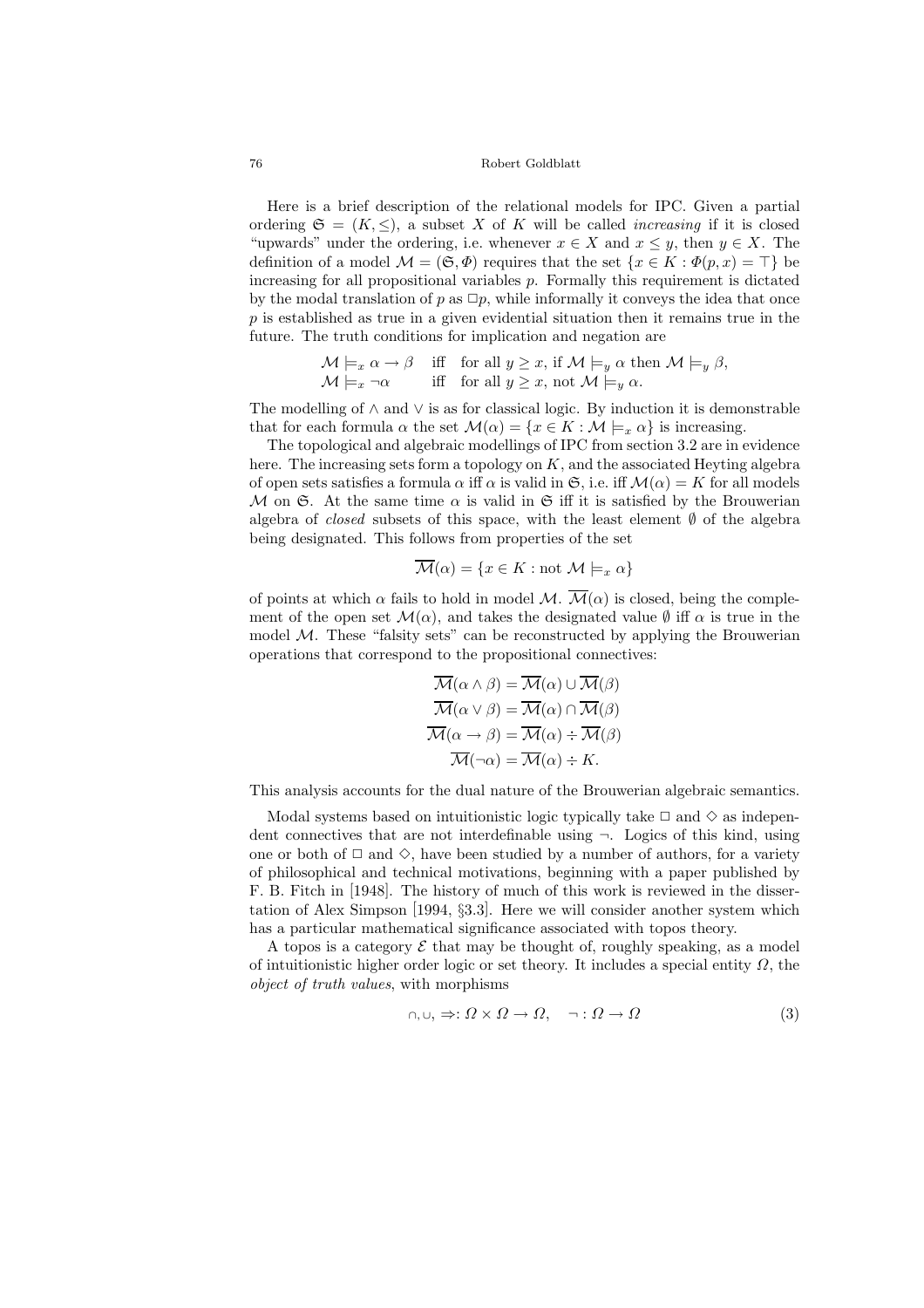Here is a brief description of the relational models for IPC. Given a partial ordering  $\mathfrak{S} = (K, \leq),$  a subset X of K will be called *increasing* if it is closed "upwards" under the ordering, i.e. whenever  $x \in X$  and  $x \leq y$ , then  $y \in X$ . The definition of a model  $\mathcal{M} = (\mathfrak{S}, \Phi)$  requires that the set  $\{x \in K : \Phi(p, x) = \top\}$  be increasing for all propositional variables  $p$ . Formally this requirement is dictated by the modal translation of p as  $\Box p$ , while informally it conveys the idea that once  $p$  is established as true in a given evidential situation then it remains true in the future. The truth conditions for implication and negation are

$$
\mathcal{M} \models_x \alpha \to \beta \quad \text{iff} \quad \text{for all } y \geq x \text{, if } \mathcal{M} \models_y \alpha \text{ then } \mathcal{M} \models_y \beta,
$$
  

$$
\mathcal{M} \models_x \neg \alpha \qquad \text{iff} \quad \text{for all } y \geq x \text{, not } \mathcal{M} \models_y \alpha.
$$

The modelling of  $\wedge$  and  $\vee$  is as for classical logic. By induction it is demonstrable that for each formula  $\alpha$  the set  $\mathcal{M}(\alpha) = \{x \in K : \mathcal{M} \models_x \alpha\}$  is increasing.

The topological and algebraic modellings of IPC from section 3.2 are in evidence here. The increasing sets form a topology on  $K$ , and the associated Heyting algebra of open sets satisfies a formula  $\alpha$  iff  $\alpha$  is valid in G, i.e. iff  $\mathcal{M}(\alpha) = K$  for all models M on G. At the same time  $\alpha$  is valid in G iff it is satisfied by the Brouwerian algebra of *closed* subsets of this space, with the least element  $\emptyset$  of the algebra being designated. This follows from properties of the set

$$
\overline{\mathcal{M}}(\alpha) = \{ x \in K : \text{not } \mathcal{M} \models_x \alpha \}
$$

of points at which  $\alpha$  fails to hold in model M.  $\overline{\mathcal{M}}(\alpha)$  is closed, being the complement of the open set  $\mathcal{M}(\alpha)$ , and takes the designated value  $\emptyset$  iff  $\alpha$  is true in the model  $M$ . These "falsity sets" can be reconstructed by applying the Brouwerian operations that correspond to the propositional connectives:

$$
\overline{\mathcal{M}}(\alpha \wedge \beta) = \overline{\mathcal{M}}(\alpha) \cup \overline{\mathcal{M}}(\beta)
$$

$$
\overline{\mathcal{M}}(\alpha \vee \beta) = \overline{\mathcal{M}}(\alpha) \cap \overline{\mathcal{M}}(\beta)
$$

$$
\overline{\mathcal{M}}(\alpha \to \beta) = \overline{\mathcal{M}}(\alpha) \div \overline{\mathcal{M}}(\beta)
$$

$$
\overline{\mathcal{M}}(\neg \alpha) = \overline{\mathcal{M}}(\alpha) \div K.
$$

This analysis accounts for the dual nature of the Brouwerian algebraic semantics.

Modal systems based on intuitionistic logic typically take  $\Box$  and  $\diamond$  as independent connectives that are not interdefinable using  $\neg$ . Logics of this kind, using one or both of  $\Box$  and  $\diamondsuit$ , have been studied by a number of authors, for a variety of philosophical and technical motivations, beginning with a paper published by F. B. Fitch in [1948]. The history of much of this work is reviewed in the dissertation of Alex Simpson [1994, §3.3]. Here we will consider another system which has a particular mathematical significance associated with topos theory.

A topos is a category  $\mathcal E$  that may be thought of, roughly speaking, as a model of intuitionistic higher order logic or set theory. It includes a special entity  $\Omega$ , the object of truth values, with morphisms

$$
\cap, \cup, \Rightarrow: \Omega \times \Omega \to \Omega, \quad \neg: \Omega \to \Omega \tag{3}
$$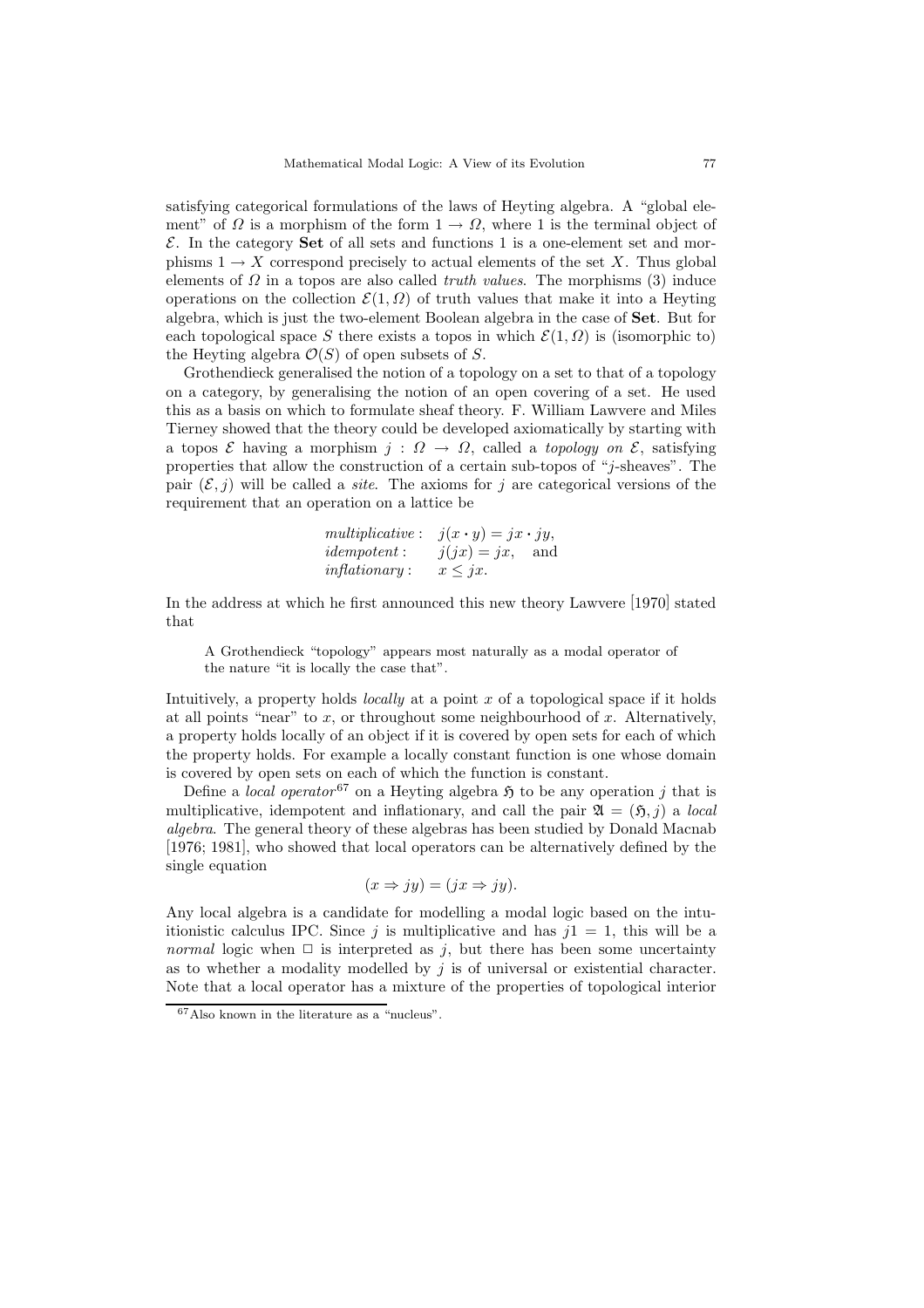satisfying categorical formulations of the laws of Heyting algebra. A "global element" of  $\Omega$  is a morphism of the form  $1 \to \Omega$ , where 1 is the terminal object of  $\mathcal E$ . In the category **Set** of all sets and functions 1 is a one-element set and morphisms  $1 \rightarrow X$  correspond precisely to actual elements of the set X. Thus global elements of  $\Omega$  in a topos are also called *truth values*. The morphisms (3) induce operations on the collection  $\mathcal{E}(1, \Omega)$  of truth values that make it into a Heyting algebra, which is just the two-element Boolean algebra in the case of Set. But for each topological space S there exists a topos in which  $\mathcal{E}(1,\Omega)$  is (isomorphic to) the Heyting algebra  $\mathcal{O}(S)$  of open subsets of S.

Grothendieck generalised the notion of a topology on a set to that of a topology on a category, by generalising the notion of an open covering of a set. He used this as a basis on which to formulate sheaf theory. F. William Lawvere and Miles Tierney showed that the theory could be developed axiomatically by starting with a topos  $\mathcal E$  having a morphism  $j : \Omega \to \Omega$ , called a topology on  $\mathcal E$ , satisfying properties that allow the construction of a certain sub-topos of "j-sheaves". The pair  $(\mathcal{E}, j)$  will be called a *site*. The axioms for j are categorical versions of the requirement that an operation on a lattice be

multiplicative: 
$$
j(x \cdot y) = jx \cdot jy
$$
,  
idempotent:  $j(jx) = jx$ , and  
inflationary:  $x \leq jx$ .

In the address at which he first announced this new theory Lawvere [1970] stated that

A Grothendieck "topology" appears most naturally as a modal operator of the nature "it is locally the case that".

Intuitively, a property holds *locally* at a point  $x$  of a topological space if it holds at all points "near" to  $x$ , or throughout some neighbourhood of  $x$ . Alternatively, a property holds locally of an object if it is covered by open sets for each of which the property holds. For example a locally constant function is one whose domain is covered by open sets on each of which the function is constant.

Define a *local operator*<sup>67</sup> on a Heyting algebra  $\mathfrak{H}$  to be any operation j that is multiplicative, idempotent and inflationary, and call the pair  $\mathfrak{A} = (\mathfrak{H}, i)$  a local algebra. The general theory of these algebras has been studied by Donald Macnab [1976; 1981], who showed that local operators can be alternatively defined by the single equation

$$
(x \Rightarrow jy) = (jx \Rightarrow jy).
$$

Any local algebra is a candidate for modelling a modal logic based on the intuitionistic calculus IPC. Since j is multiplicative and has  $j1 = 1$ , this will be a *normal* logic when  $\Box$  is interpreted as j, but there has been some uncertainty as to whether a modality modelled by  $j$  is of universal or existential character. Note that a local operator has a mixture of the properties of topological interior

<sup>67</sup>Also known in the literature as a "nucleus".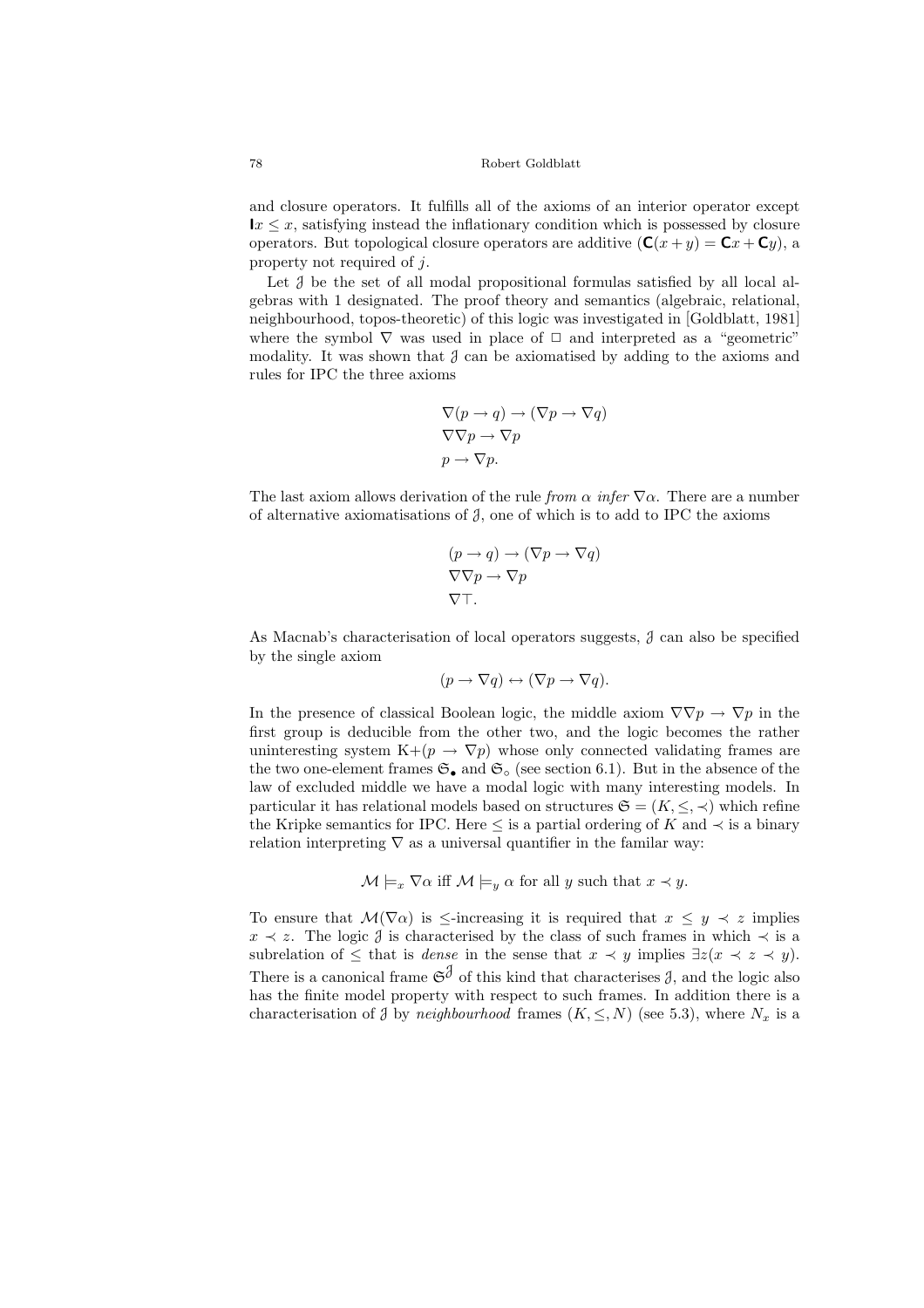and closure operators. It fulfills all of the axioms of an interior operator except  $\mathbf{I}x \leq x$ , satisfying instead the inflationary condition which is possessed by closure operators. But topological closure operators are additive  $(C(x + y) = Cx + Cy)$ , a property not required of  $i$ .

Let  $\beta$  be the set of all modal propositional formulas satisfied by all local algebras with 1 designated. The proof theory and semantics (algebraic, relational, neighbourhood, topos-theoretic) of this logic was investigated in [Goldblatt, 1981] where the symbol  $\nabla$  was used in place of  $\Box$  and interpreted as a "geometric" modality. It was shown that  $\mathcal J$  can be axiomatised by adding to the axioms and rules for IPC the three axioms

$$
\nabla(p \to q) \to (\nabla p \to \nabla q)
$$
  
\n
$$
\nabla \nabla p \to \nabla p
$$
  
\n
$$
p \to \nabla p.
$$

The last axiom allows derivation of the rule from  $\alpha$  infer  $\nabla \alpha$ . There are a number of alternative axiomatisations of  $\beta$ , one of which is to add to IPC the axioms

$$
(p \to q) \to (\nabla p \to \nabla q)
$$
  
\n
$$
\nabla \nabla p \to \nabla p
$$
  
\n
$$
\nabla \top.
$$

As Macnab's characterisation of local operators suggests,  $\beta$  can also be specified by the single axiom

$$
(p \to \nabla q) \leftrightarrow (\nabla p \to \nabla q).
$$

In the presence of classical Boolean logic, the middle axiom  $\nabla \nabla p \to \nabla p$  in the first group is deducible from the other two, and the logic becomes the rather uninteresting system  $K+(p \to \nabla p)$  whose only connected validating frames are the two one-element frames  $\mathfrak{S}_{\bullet}$  and  $\mathfrak{S}_{\circ}$  (see section 6.1). But in the absence of the law of excluded middle we have a modal logic with many interesting models. In particular it has relational models based on structures  $\mathfrak{S} = (K, \leq, \preceq)$  which refine the Kripke semantics for IPC. Here  $\leq$  is a partial ordering of K and  $\prec$  is a binary relation interpreting  $\nabla$  as a universal quantifier in the familar way:

$$
\mathcal{M}\models_x \nabla \alpha \text{ iff } \mathcal{M}\models_y \alpha \text{ for all } y \text{ such that } x \prec y.
$$

To ensure that  $\mathcal{M}(\nabla \alpha)$  is  $\leq$ -increasing it is required that  $x \leq y \prec z$  implies  $x \prec z$ . The logic  $\beta$  is characterised by the class of such frames in which  $\prec$  is a subrelation of  $\leq$  that is *dense* in the sense that  $x \prec y$  implies  $\exists z(x \prec z \prec y)$ . There is a canonical frame  $\mathfrak{S}^{\mathfrak{J}}$  of this kind that characterises  $\mathfrak{J}$ , and the logic also has the finite model property with respect to such frames. In addition there is a characterisation of  $\beta$  by neighbourhood frames  $(K, \leq, N)$  (see 5.3), where  $N_x$  is a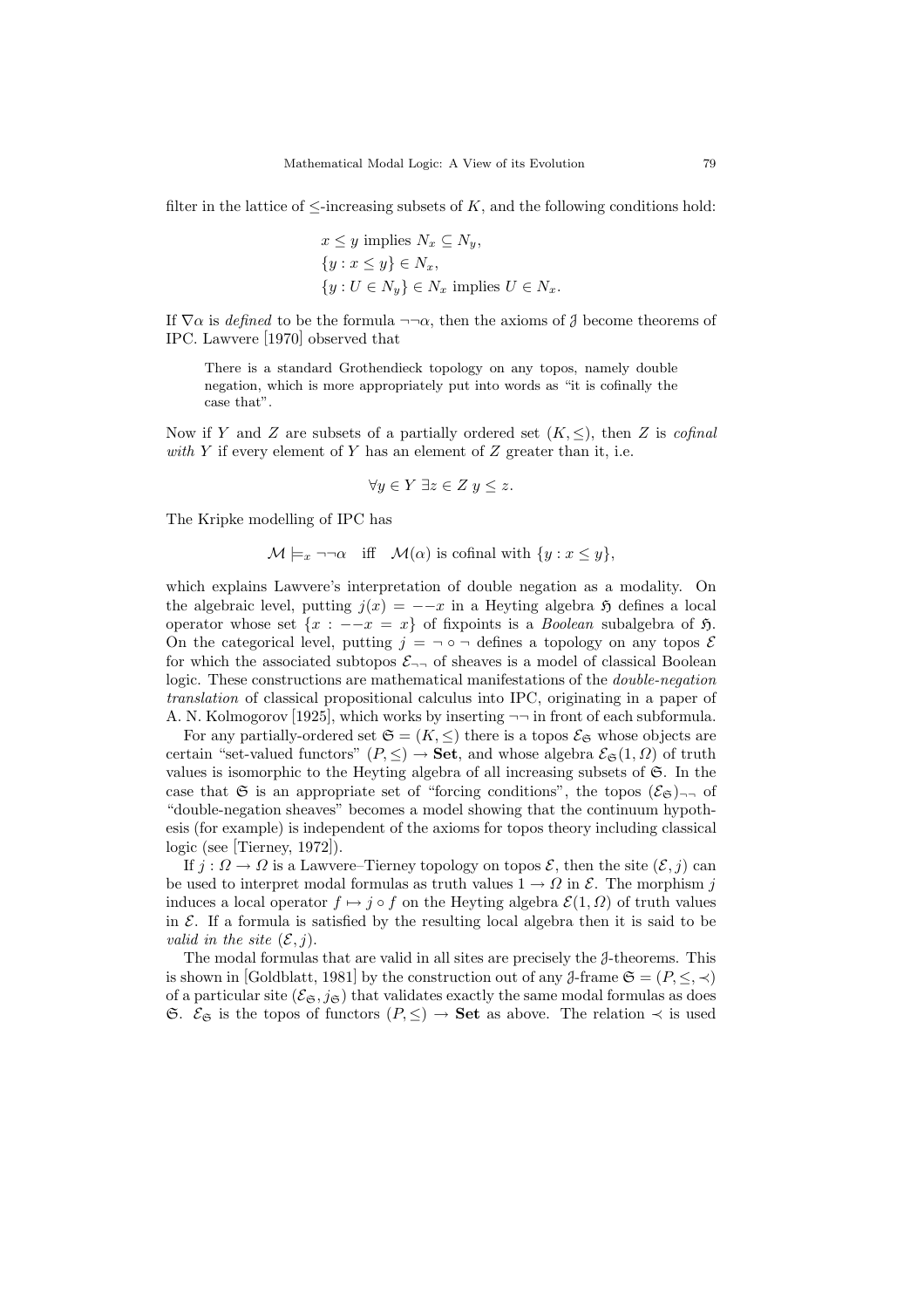filter in the lattice of  $\leq$ -increasing subsets of K, and the following conditions hold:

$$
x \le y \text{ implies } N_x \subseteq N_y,
$$
  
\n
$$
\{y : x \le y\} \in N_x,
$$
  
\n
$$
\{y : U \in N_y\} \in N_x \text{ implies } U \in N_x.
$$

If  $\nabla \alpha$  is defined to be the formula  $\nabla \alpha$ , then the axioms of  $\beta$  become theorems of IPC. Lawvere [1970] observed that

There is a standard Grothendieck topology on any topos, namely double negation, which is more appropriately put into words as "it is cofinally the case that".

Now if Y and Z are subsets of a partially ordered set  $(K, \leq)$ , then Z is *cofinal* with Y if every element of Y has an element of Z greater than it, i.e.

$$
\forall y \in Y \; \exists z \in Z \; y \leq z.
$$

The Kripke modelling of IPC has

$$
\mathcal{M}\models_x \neg\neg\alpha \quad \text{iff} \quad \mathcal{M}(\alpha) \text{ is cofinal with } \{y : x \leq y\},
$$

which explains Lawvere's interpretation of double negation as a modality. On the algebraic level, putting  $j(x) = -x$  in a Heyting algebra  $\mathfrak{H}$  defines a local operator whose set  $\{x : -x = x\}$  of fixpoints is a *Boolean* subalgebra of  $\mathfrak{H}$ . On the categorical level, putting  $j = \neg \circ \neg$  defines a topology on any topos  $\mathcal E$ for which the associated subtopos  $\mathcal{E}_{\neg\neg}$  of sheaves is a model of classical Boolean logic. These constructions are mathematical manifestations of the double-negation translation of classical propositional calculus into IPC, originating in a paper of A. N. Kolmogorov [1925], which works by inserting ¬¬ in front of each subformula.

For any partially-ordered set  $\mathfrak{S} = (K, \leq)$  there is a topos  $\mathcal{E}_{\mathfrak{S}}$  whose objects are certain "set-valued functors"  $(P, \leq) \rightarrow$  **Set**, and whose algebra  $\mathcal{E}_{\mathfrak{S}}(1, \Omega)$  of truth values is isomorphic to the Heyting algebra of all increasing subsets of S. In the case that G is an appropriate set of "forcing conditions", the topos  $(\mathcal{E}_{\mathfrak{S}})_{\neg\neg}$  of "double-negation sheaves" becomes a model showing that the continuum hypothesis (for example) is independent of the axioms for topos theory including classical logic (see [Tierney, 1972]).

If  $j : \Omega \to \Omega$  is a Lawvere–Tierney topology on topos  $\mathcal{E}$ , then the site  $(\mathcal{E}, j)$  can be used to interpret modal formulas as truth values  $1 \rightarrow \Omega$  in  $\mathcal{E}$ . The morphism j induces a local operator  $f \mapsto j \circ f$  on the Heyting algebra  $\mathcal{E}(1, \Omega)$  of truth values in  $\mathcal E$ . If a formula is satisfied by the resulting local algebra then it is said to be valid in the site  $(\mathcal{E}, j)$ .

The modal formulas that are valid in all sites are precisely the J-theorems. This is shown in [Goldblatt, 1981] by the construction out of any  $\mathcal{J}\text{-frame}\ \mathfrak{S} = (P, \leq, \prec)$ of a particular site  $(\mathcal{E}_{\mathfrak{S}}, j_{\mathfrak{S}})$  that validates exactly the same modal formulas as does S.  $\mathcal{E}_{\mathfrak{S}}$  is the topos of functors  $(P, \leq)$  → Set as above. The relation  $\prec$  is used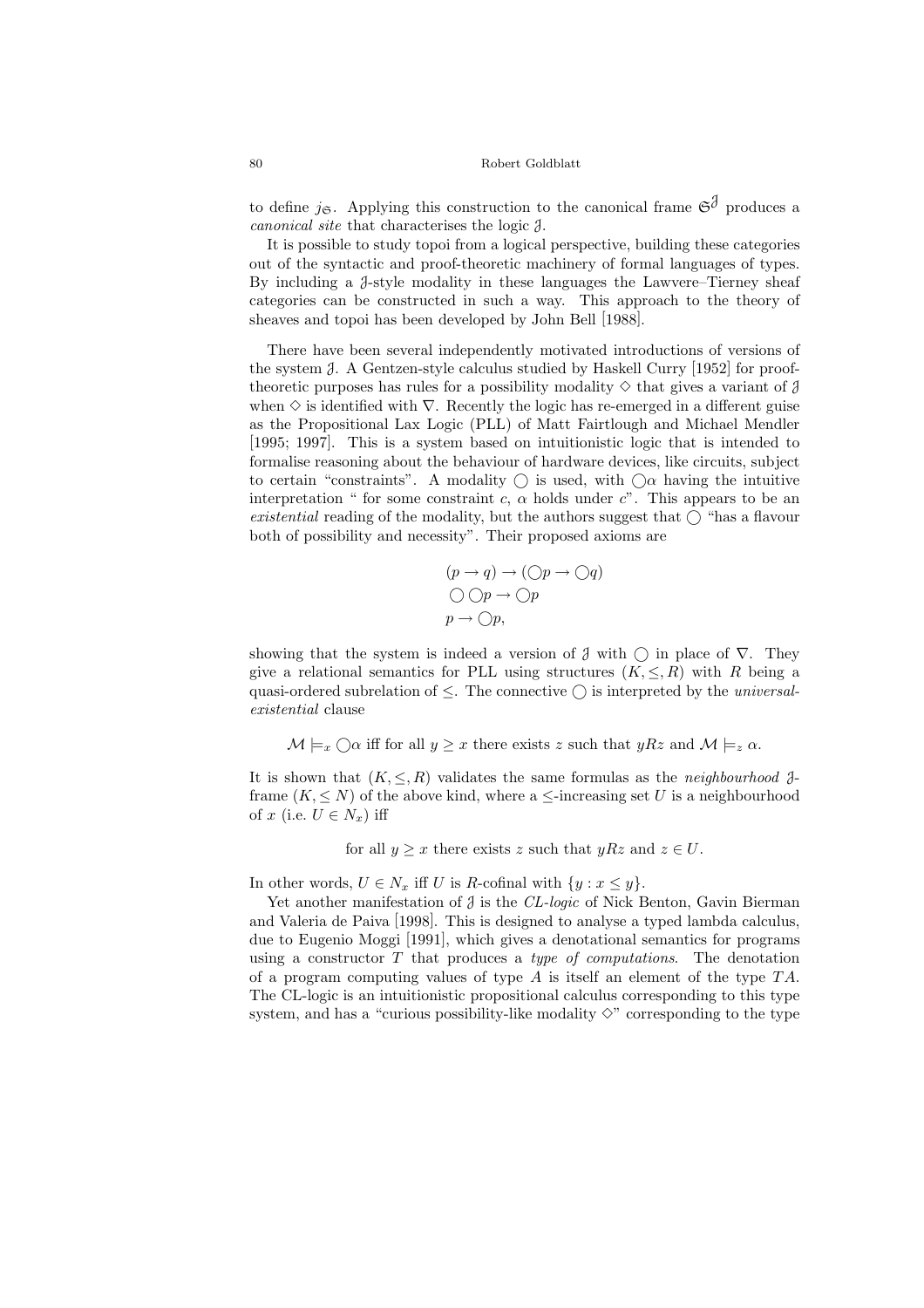to define  $j_{\mathfrak{S}}$ . Applying this construction to the canonical frame  $\mathfrak{S}^{\mathfrak{J}}$  produces a canonical site that characterises the logic J.

It is possible to study topoi from a logical perspective, building these categories out of the syntactic and proof-theoretic machinery of formal languages of types. By including a J-style modality in these languages the Lawvere–Tierney sheaf categories can be constructed in such a way. This approach to the theory of sheaves and topoi has been developed by John Bell [1988].

There have been several independently motivated introductions of versions of the system  $\beta$ . A Gentzen-style calculus studied by Haskell Curry [1952] for prooftheoretic purposes has rules for a possibility modality  $\diamond$  that gives a variant of  $\mathcal J$ when  $\diamond$  is identified with  $\nabla$ . Recently the logic has re-emerged in a different guise as the Propositional Lax Logic (PLL) of Matt Fairtlough and Michael Mendler [1995; 1997]. This is a system based on intuitionistic logic that is intended to formalise reasoning about the behaviour of hardware devices, like circuits, subject to certain "constraints". A modality  $\bigcirc$  is used, with  $\bigcirc \alpha$  having the intuitive interpretation " for some constraint c,  $\alpha$  holds under c". This appears to be an existential reading of the modality, but the authors suggest that  $\bigcap$  "has a flavour" both of possibility and necessity". Their proposed axioms are

$$
(p \to q) \to (\bigcirc p \to \bigcirc q)
$$
  
\n
$$
\bigcirc \bigcirc p \to \bigcirc p
$$
  
\n
$$
p \to \bigcirc p,
$$

showing that the system is indeed a version of  $\mathcal J$  with  $\bigcirc$  in place of  $\nabla$ . They give a relational semantics for PLL using structures  $(K, \leq, R)$  with R being a quasi-ordered subrelation of  $\leq$ . The connective  $\bigcirc$  is interpreted by the *universal*existential clause

 $\mathcal{M} \models_x \bigcirc \alpha$  iff for all  $y \geq x$  there exists z such that  $yRz$  and  $\mathcal{M} \models_z \alpha$ .

It is shown that  $(K, \leq, R)$  validates the same formulas as the neighbourhood  $\beta$ frame  $(K, \leq N)$  of the above kind, where a  $\leq$ -increasing set U is a neighbourhood of x (i.e.  $U \in N_x$ ) iff

for all  $y \geq x$  there exists z such that  $yRz$  and  $z \in U$ .

In other words,  $U \in N_x$  iff U is R-cofinal with  $\{y : x \leq y\}.$ 

Yet another manifestation of  $\beta$  is the *CL-logic* of Nick Benton, Gavin Bierman and Valeria de Paiva [1998]. This is designed to analyse a typed lambda calculus, due to Eugenio Moggi [1991], which gives a denotational semantics for programs using a constructor  $T$  that produces a *type of computations*. The denotation of a program computing values of type  $A$  is itself an element of the type  $TA$ . The CL-logic is an intuitionistic propositional calculus corresponding to this type system, and has a "curious possibility-like modality  $\Diamond$ " corresponding to the type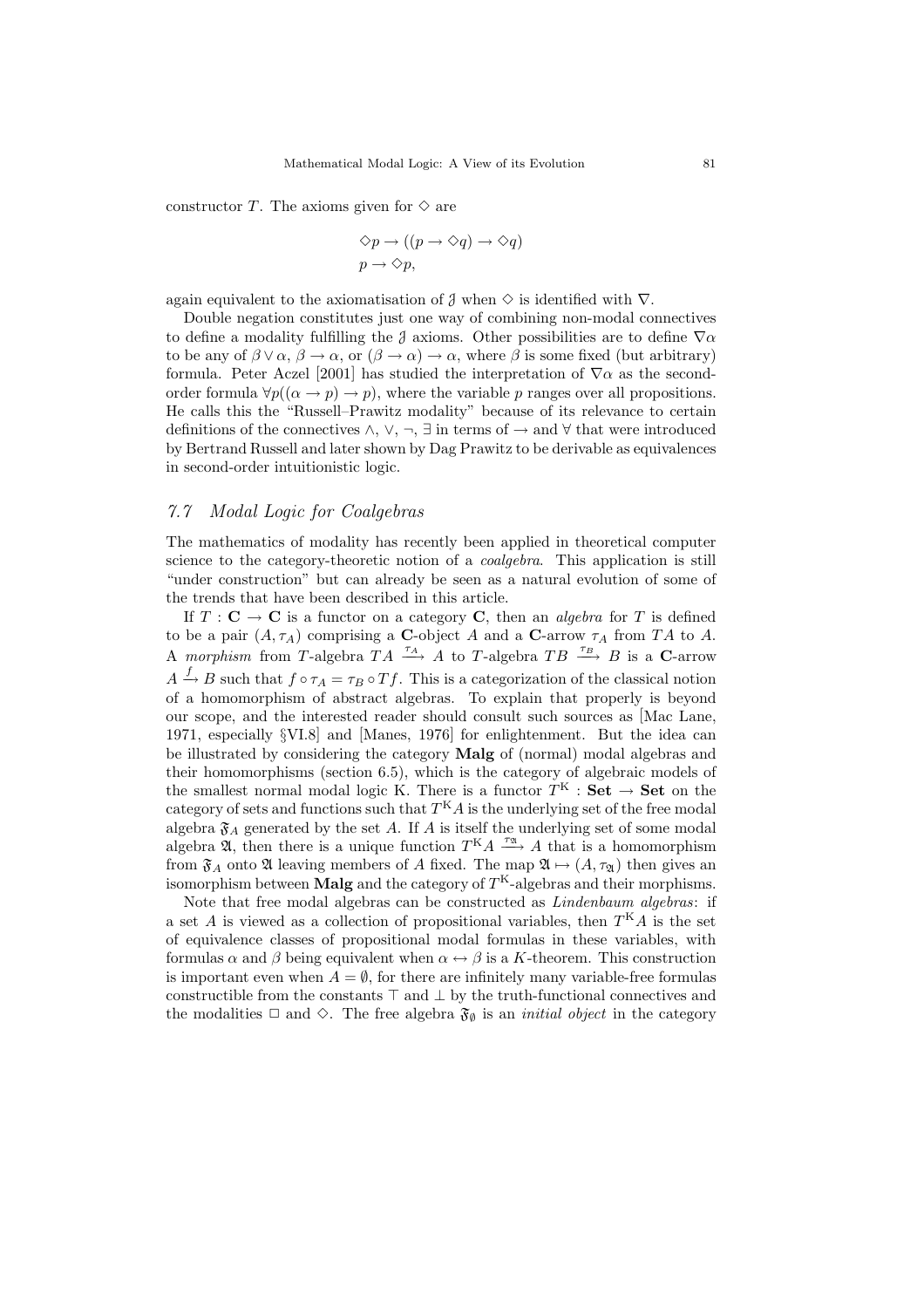constructor T. The axioms given for  $\diamond$  are

$$
\diamondsuit p \to ((p \to \diamondsuit q) \to \diamondsuit q)
$$
  

$$
p \to \diamondsuit p,
$$

again equivalent to the axiomatisation of  $\beta$  when  $\diamond$  is identified with  $\nabla$ .

Double negation constitutes just one way of combining non-modal connectives to define a modality fulfilling the  $\beta$  axioms. Other possibilities are to define  $\nabla \alpha$ to be any of  $\beta \vee \alpha$ ,  $\beta \to \alpha$ , or  $(\beta \to \alpha) \to \alpha$ , where  $\beta$  is some fixed (but arbitrary) formula. Peter Aczel [2001] has studied the interpretation of  $\nabla \alpha$  as the secondorder formula  $\forall p((\alpha \rightarrow p) \rightarrow p)$ , where the variable p ranges over all propositions. He calls this the "Russell–Prawitz modality" because of its relevance to certain definitions of the connectives  $\wedge$ ,  $\vee$ ,  $\neg$ ,  $\exists$  in terms of  $\rightarrow$  and  $\forall$  that were introduced by Bertrand Russell and later shown by Dag Prawitz to be derivable as equivalences in second-order intuitionistic logic.

## *7.7 Modal Logic for Coalgebras*

The mathematics of modality has recently been applied in theoretical computer science to the category-theoretic notion of a *coalgebra*. This application is still "under construction" but can already be seen as a natural evolution of some of the trends that have been described in this article.

If  $T : \mathbf{C} \to \mathbf{C}$  is a functor on a category **C**, then an *algebra* for T is defined to be a pair  $(A, \tau_A)$  comprising a C-object A and a C-arrow  $\tau_A$  from TA to A. A morphism from T-algebra  $TA \xrightarrow{\tau_A} A$  to T-algebra  $TB \xrightarrow{\tau_B} B$  is a C-arrow  $A \stackrel{f}{\rightarrow} B$  such that  $f \circ \tau_A = \tau_B \circ Tf$ . This is a categorization of the classical notion of a homomorphism of abstract algebras. To explain that properly is beyond our scope, and the interested reader should consult such sources as [Mac Lane, 1971, especially §VI.8] and [Manes, 1976] for enlightenment. But the idea can be illustrated by considering the category Malg of (normal) modal algebras and their homomorphisms (section 6.5), which is the category of algebraic models of the smallest normal modal logic K. There is a functor  $T^{K}$  :  $Set \rightarrow Set$  on the category of sets and functions such that  $T^K A$  is the underlying set of the free modal algebra  $\mathfrak{F}_A$  generated by the set A. If A is itself the underlying set of some modal algebra  $\mathfrak{A}$ , then there is a unique function  $T^{\mathrm{K}}A \stackrel{\tau_{\mathfrak{A}}}{\longrightarrow} A$  that is a homomorphism from  $\mathfrak{F}_A$  onto  $\mathfrak A$  leaving members of A fixed. The map  $\mathfrak A \mapsto (A, \tau_{\mathfrak A})$  then gives an isomorphism between **Malg** and the category of  $T<sup>K</sup>$ -algebras and their morphisms.

Note that free modal algebras can be constructed as Lindenbaum algebras: if a set A is viewed as a collection of propositional variables, then  $T^K A$  is the set of equivalence classes of propositional modal formulas in these variables, with formulas  $\alpha$  and  $\beta$  being equivalent when  $\alpha \leftrightarrow \beta$  is a K-theorem. This construction is important even when  $A = \emptyset$ , for there are infinitely many variable-free formulas constructible from the constants  $\top$  and  $\bot$  by the truth-functional connectives and the modalities  $\Box$  and  $\diamond$ . The free algebra  $\mathfrak{F}_{\emptyset}$  is an *initial object* in the category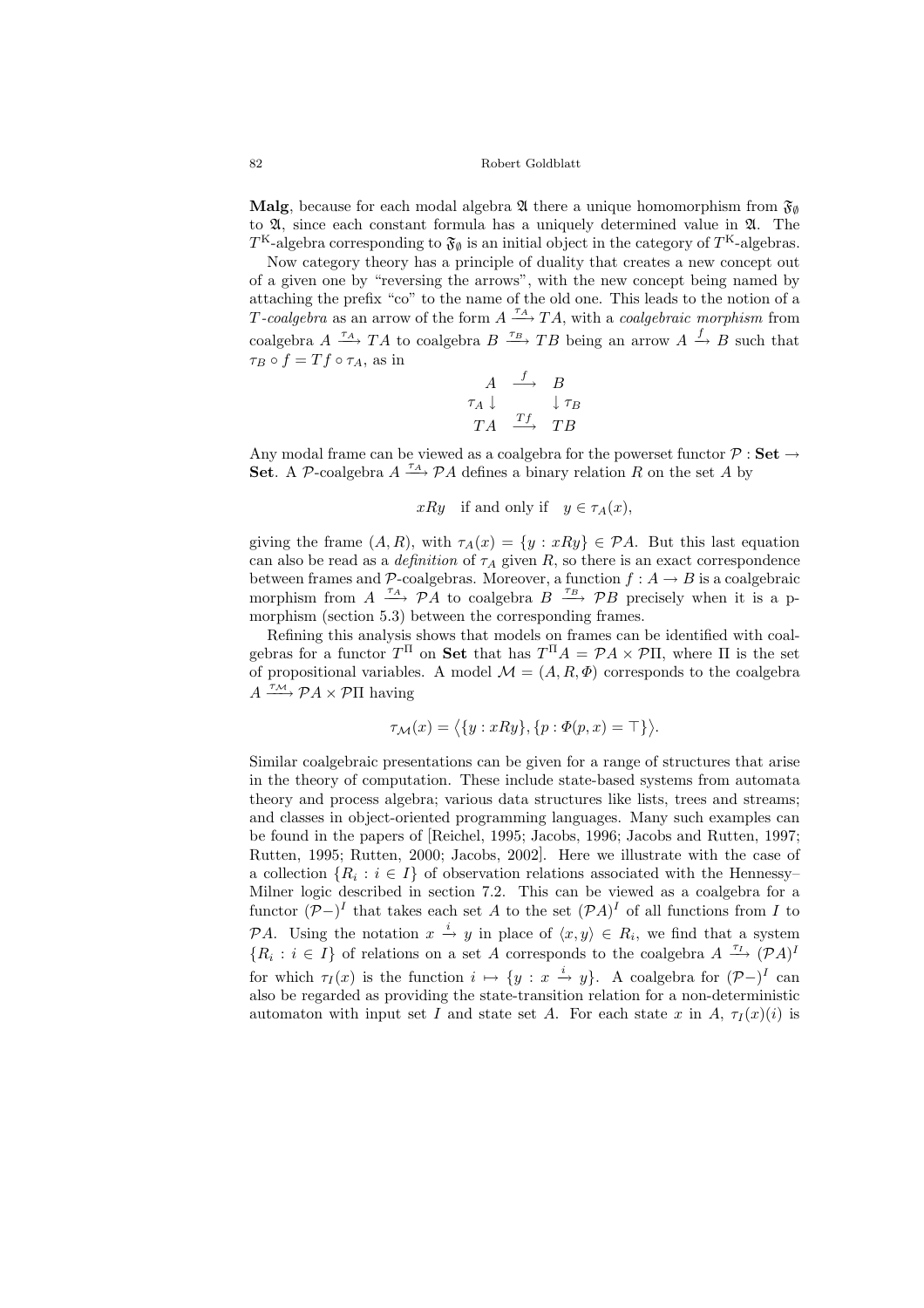Malg, because for each modal algebra  $\mathfrak A$  there a unique homomorphism from  $\mathfrak F_0$ to A, since each constant formula has a uniquely determined value in A. The  $T<sup>K</sup>$ -algebra corresponding to  $\mathfrak{F}_{\emptyset}$  is an initial object in the category of  $T<sup>K</sup>$ -algebras.

Now category theory has a principle of duality that creates a new concept out of a given one by "reversing the arrows", with the new concept being named by attaching the prefix "co" to the name of the old one. This leads to the notion of a T-coalgebra as an arrow of the form  $A \xrightarrow{\tau_A} TA$ , with a coalgebraic morphism from coalgebra  $A \xrightarrow{\tau_A} TA$  to coalgebra  $B \xrightarrow{\tau_B} TB$  being an arrow  $A \xrightarrow{f} B$  such that  $\tau_B \circ f = Tf \circ \tau_A$ , as in

$$
\begin{array}{ccc}\nA & \xrightarrow{f} & B \\
\tau_A \downarrow & & \downarrow \tau_B \\
TA & \xrightarrow{Tf} & TB\n\end{array}
$$

Any modal frame can be viewed as a coalgebra for the powerset functor  $P : Set \rightarrow$ **Set**. A P-coalgebra  $A \xrightarrow{\tau_A} \mathcal{P}A$  defines a binary relation R on the set A by

$$
xRy
$$
 if and only if  $y \in \tau_A(x)$ ,

giving the frame  $(A, R)$ , with  $\tau_A(x) = \{y : xRy\} \in \mathcal{P}A$ . But this last equation can also be read as a *definition* of  $\tau_A$  given R, so there is an exact correspondence between frames and  $\mathcal P$ -coalgebras. Moreover, a function  $f : A \to B$  is a coalgebraic morphism from  $A \xrightarrow{\tau_A} \mathcal{P}A$  to coalgebra  $B \xrightarrow{\tau_B} \mathcal{P}B$  precisely when it is a pmorphism (section 5.3) between the corresponding frames.

Refining this analysis shows that models on frames can be identified with coalgebras for a functor  $T<sup>\Pi</sup>$  on **Set** that has  $T<sup>\Pi</sup>A = \mathcal{P}A \times \mathcal{P}\Pi$ , where  $\Pi$  is the set of propositional variables. A model  $\mathcal{M} = (A, R, \Phi)$  corresponds to the coalgebra  $A \xrightarrow{\tau_{\mathcal{M}}} \mathcal{P}A \times \mathcal{P}\Pi$  having

$$
\tau_{\mathcal{M}}(x) = \langle \{y : xRy\}, \{p : \Phi(p, x) = \top\} \rangle.
$$

Similar coalgebraic presentations can be given for a range of structures that arise in the theory of computation. These include state-based systems from automata theory and process algebra; various data structures like lists, trees and streams; and classes in object-oriented programming languages. Many such examples can be found in the papers of [Reichel, 1995; Jacobs, 1996; Jacobs and Rutten, 1997; Rutten, 1995; Rutten, 2000; Jacobs, 2002]. Here we illustrate with the case of a collection  $\{R_i : i \in I\}$  of observation relations associated with the Hennessy-Milner logic described in section 7.2. This can be viewed as a coalgebra for a functor  $(\mathcal{P}-)^I$  that takes each set A to the set  $(\mathcal{P}A)^I$  of all functions from I to PA. Using the notation  $x \stackrel{i}{\rightarrow} y$  in place of  $\langle x, y \rangle \in R_i$ , we find that a system  ${R_i : i \in I}$  of relations on a set A corresponds to the coalgebra  $A \stackrel{\tau_I}{\longrightarrow} (\mathcal{P} A)^I$ for which  $\tau_I(x)$  is the function  $i \mapsto \{y : x \stackrel{i}{\to} y\}$ . A coalgebra for  $(\mathcal{P}-)^I$  can also be regarded as providing the state-transition relation for a non-deterministic automaton with input set I and state set A. For each state x in A,  $\tau_I(x)(i)$  is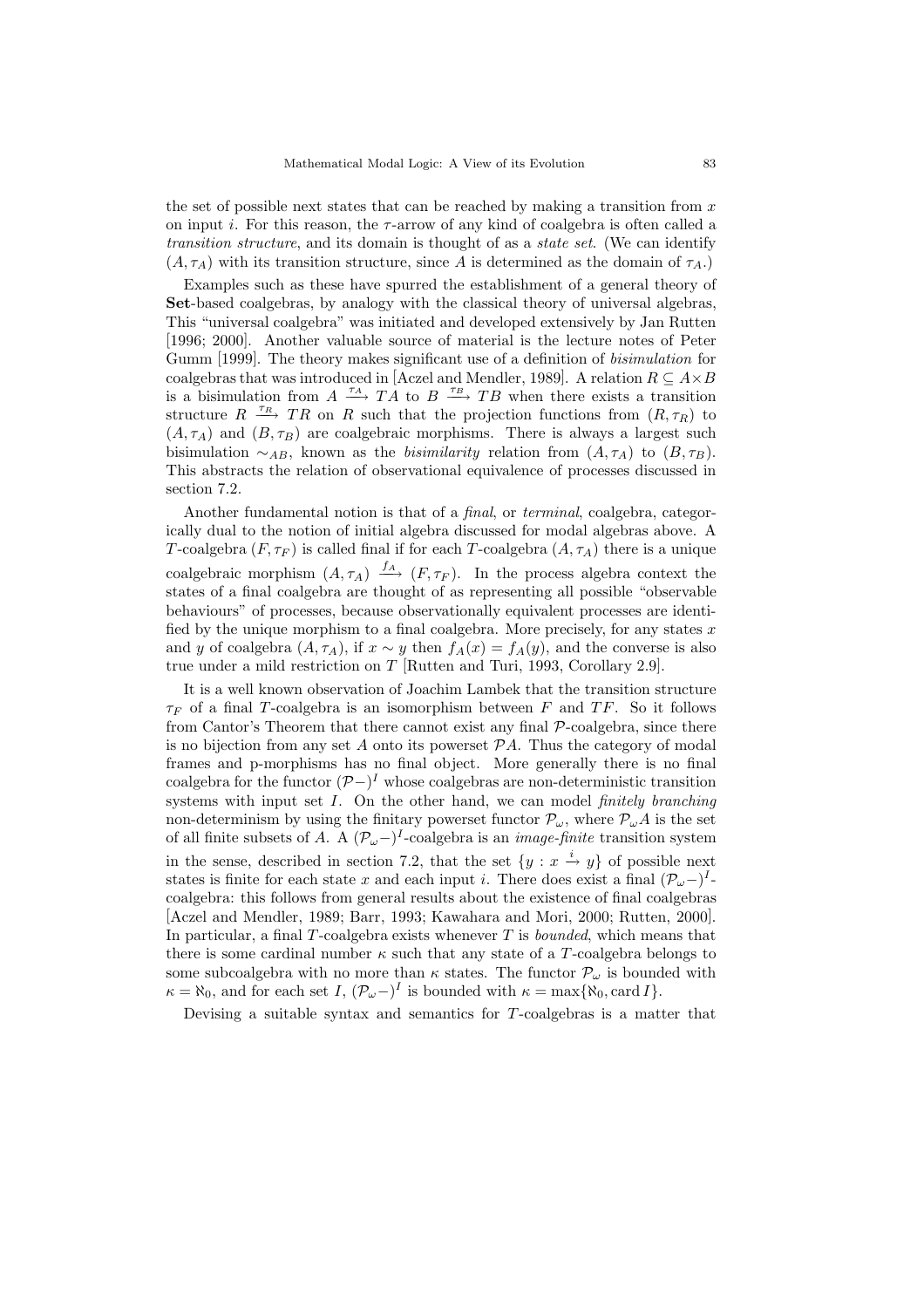the set of possible next states that can be reached by making a transition from  $x$ on input i. For this reason, the  $\tau$ -arrow of any kind of coalgebra is often called a transition structure, and its domain is thought of as a state set. (We can identify  $(A, \tau_A)$  with its transition structure, since A is determined as the domain of  $\tau_A$ .)

Examples such as these have spurred the establishment of a general theory of Set-based coalgebras, by analogy with the classical theory of universal algebras, This "universal coalgebra" was initiated and developed extensively by Jan Rutten [1996; 2000]. Another valuable source of material is the lecture notes of Peter Gumm [1999]. The theory makes significant use of a definition of bisimulation for coalgebras that was introduced in [Aczel and Mendler, 1989]. A relation  $R \subseteq A \times B$ is a bisimulation from  $A \xrightarrow{\tau_A} TA$  to  $B \xrightarrow{\tau_B} TB$  when there exists a transition structure  $R \stackrel{\tau_R}{\longrightarrow} TR$  on R such that the projection functions from  $(R, \tau_R)$  to  $(A, \tau_A)$  and  $(B, \tau_B)$  are coalgebraic morphisms. There is always a largest such bisimulation  $\sim_{AB}$ , known as the *bisimilarity* relation from  $(A, \tau_A)$  to  $(B, \tau_B)$ . This abstracts the relation of observational equivalence of processes discussed in section 7.2.

Another fundamental notion is that of a *final*, or *terminal*, coalgebra, categorically dual to the notion of initial algebra discussed for modal algebras above. A T-coalgebra  $(F, \tau_F)$  is called final if for each T-coalgebra  $(A, \tau_A)$  there is a unique coalgebraic morphism  $(A, \tau_A) \xrightarrow{f_A} (F, \tau_F)$ . In the process algebra context the states of a final coalgebra are thought of as representing all possible "observable behaviours" of processes, because observationally equivalent processes are identified by the unique morphism to a final coalgebra. More precisely, for any states  $x$ and y of coalgebra  $(A, \tau_A)$ , if  $x \sim y$  then  $f_A(x) = f_A(y)$ , and the converse is also true under a mild restriction on  $T$  [Rutten and Turi, 1993, Corollary 2.9].

It is a well known observation of Joachim Lambek that the transition structure  $\tau_F$  of a final T-coalgebra is an isomorphism between F and TF. So it follows from Cantor's Theorem that there cannot exist any final  $\mathcal{P}\text{-coalgebra}$ , since there is no bijection from any set A onto its powerset  $\mathcal{P}A$ . Thus the category of modal frames and p-morphisms has no final object. More generally there is no final coalgebra for the functor  $(\mathcal{P}-)^I$  whose coalgebras are non-deterministic transition systems with input set  $I$ . On the other hand, we can model finitely branching non-determinism by using the finitary powerset functor  $\mathcal{P}_{\omega}$ , where  $\mathcal{P}_{\omega}A$  is the set of all finite subsets of A. A  $(\mathcal{P}_{\omega}-)^{I}$ -coalgebra is an *image-finite* transition system in the sense, described in section 7.2, that the set  $\{y : x \stackrel{i}{\to} y\}$  of possible next states is finite for each state x and each input i. There does exist a final  $(\mathcal{P}_{\omega}-)^{I}$ coalgebra: this follows from general results about the existence of final coalgebras [Aczel and Mendler, 1989; Barr, 1993; Kawahara and Mori, 2000; Rutten, 2000]. In particular, a final  $T$ -coalgebra exists whenever  $T$  is *bounded*, which means that there is some cardinal number  $\kappa$  such that any state of a T-coalgebra belongs to some subcoalgebra with no more than  $\kappa$  states. The functor  $\mathcal{P}_{\omega}$  is bounded with  $\kappa = \aleph_0$ , and for each set I,  $(\mathcal{P}_{\omega} - )^I$  is bounded with  $\kappa = \max{\aleph_0, \text{card }I}.$ 

Devising a suitable syntax and semantics for  $T$ -coalgebras is a matter that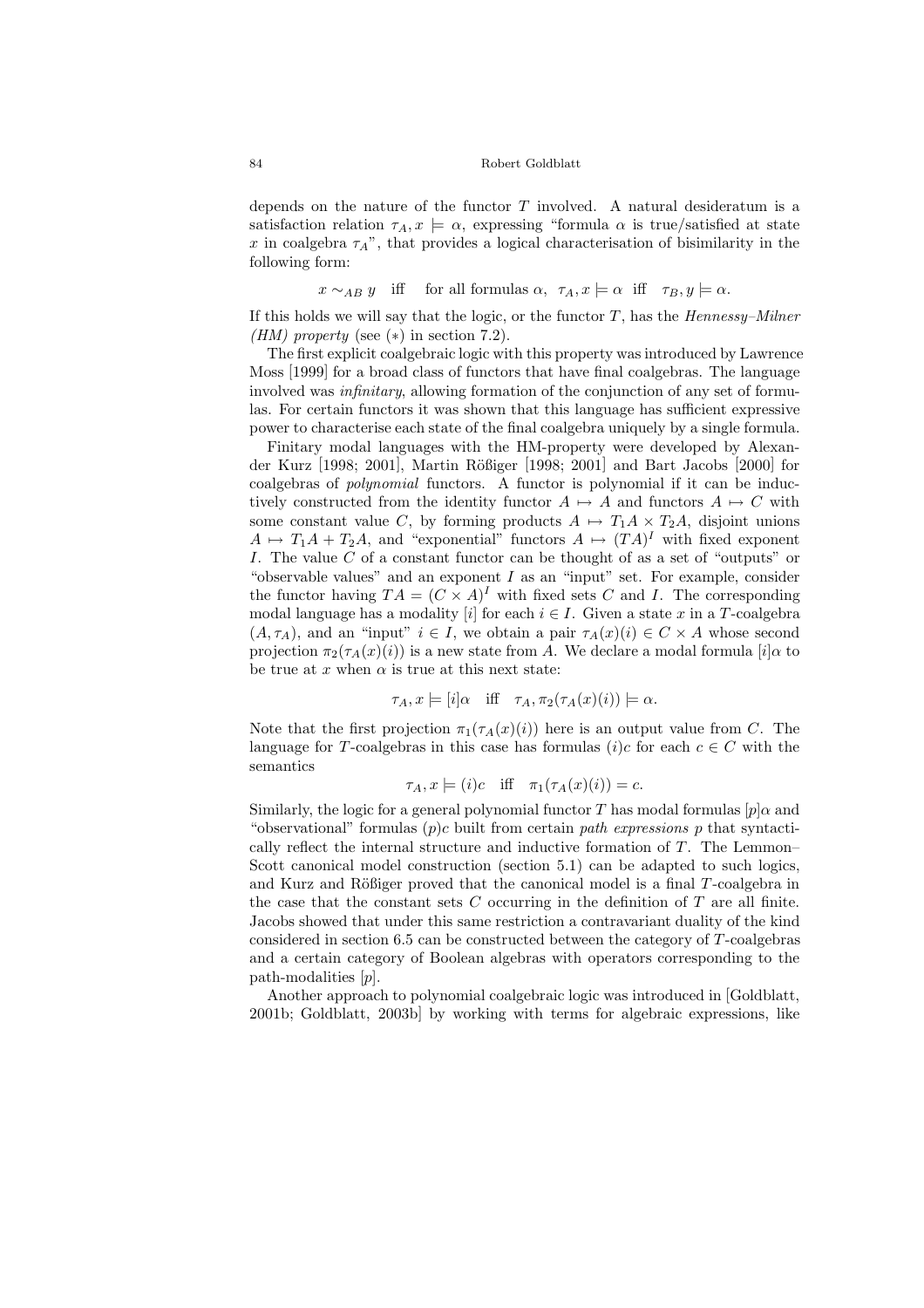depends on the nature of the functor  $T$  involved. A natural desideratum is a satisfaction relation  $\tau_A$ ,  $x \models \alpha$ , expressing "formula  $\alpha$  is true/satisfied at state x in coalgebra  $\tau_A$ ", that provides a logical characterisation of bisimilarity in the following form:

$$
x \sim_{AB} y
$$
 iff for all formulas  $\alpha$ ,  $\tau_A$ ,  $x \models \alpha$  iff  $\tau_B$ ,  $y \models \alpha$ .

If this holds we will say that the logic, or the functor  $T$ , has the *Hennessy–Milner* (HM) property (see  $(*)$  in section 7.2).

The first explicit coalgebraic logic with this property was introduced by Lawrence Moss [1999] for a broad class of functors that have final coalgebras. The language involved was infinitary, allowing formation of the conjunction of any set of formulas. For certain functors it was shown that this language has sufficient expressive power to characterise each state of the final coalgebra uniquely by a single formula.

Finitary modal languages with the HM-property were developed by Alexander Kurz [1998; 2001], Martin Rößiger [1998; 2001] and Bart Jacobs [2000] for coalgebras of polynomial functors. A functor is polynomial if it can be inductively constructed from the identity functor  $A \mapsto A$  and functors  $A \mapsto C$  with some constant value C, by forming products  $A \mapsto T_1A \times T_2A$ , disjoint unions  $A \mapsto T_1A + T_2A$ , and "exponential" functors  $A \mapsto (TA)^I$  with fixed exponent I. The value C of a constant functor can be thought of as a set of "outputs" or "observable values" and an exponent I as an "input" set. For example, consider the functor having  $TA = (C \times A)^{I}$  with fixed sets C and I. The corresponding modal language has a modality [i] for each  $i \in I$ . Given a state x in a T-coalgebra  $(A, \tau_A)$ , and an "input"  $i \in I$ , we obtain a pair  $\tau_A(x)(i) \in C \times A$  whose second projection  $\pi_2(\tau_A(x)(i))$  is a new state from A. We declare a modal formula  $[i] \alpha$  to be true at x when  $\alpha$  is true at this next state:

$$
\tau_A, x \models [i] \alpha \quad \text{iff} \quad \tau_A, \pi_2(\tau_A(x)(i)) \models \alpha.
$$

Note that the first projection  $\pi_1(\tau_A(x)(i))$  here is an output value from C. The language for T-coalgebras in this case has formulas (i)c for each  $c \in C$  with the semantics

$$
\tau_A, x \models (i)c \quad \text{iff} \quad \pi_1(\tau_A(x)(i)) = c.
$$

Similarly, the logic for a general polynomial functor T has modal formulas  $[p]$ α and "observational" formulas  $(p)c$  built from certain path expressions p that syntactically reflect the internal structure and inductive formation of  $T$ . The Lemmon– Scott canonical model construction (section 5.1) can be adapted to such logics, and Kurz and Rößiger proved that the canonical model is a final  $T$ -coalgebra in the case that the constant sets  $C$  occurring in the definition of  $T$  are all finite. Jacobs showed that under this same restriction a contravariant duality of the kind considered in section 6.5 can be constructed between the category of  $T$ -coalgebras and a certain category of Boolean algebras with operators corresponding to the path-modalities [p].

Another approach to polynomial coalgebraic logic was introduced in [Goldblatt, 2001b; Goldblatt, 2003b] by working with terms for algebraic expressions, like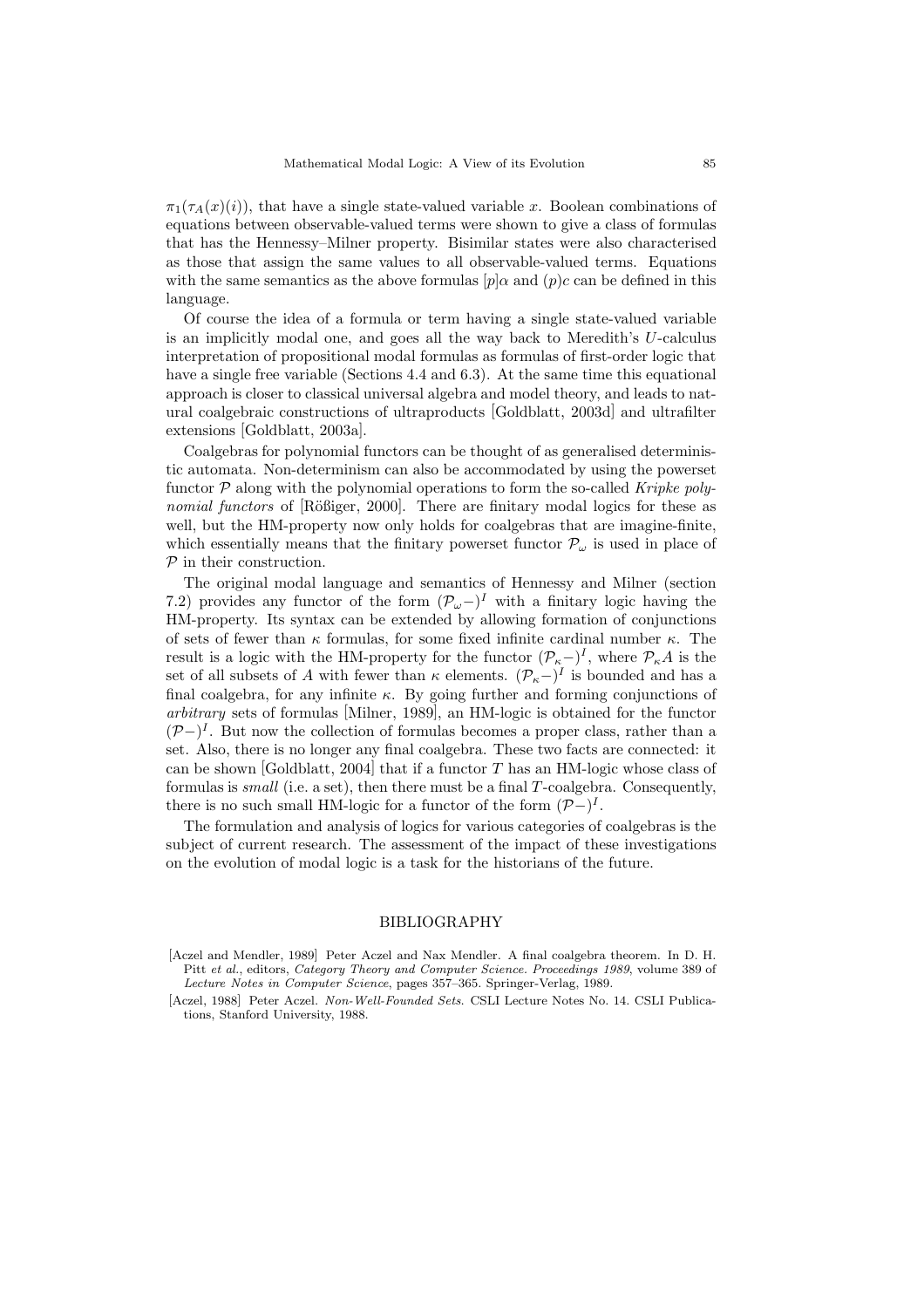$\pi_1(\tau_A(x)(i))$ , that have a single state-valued variable x. Boolean combinations of equations between observable-valued terms were shown to give a class of formulas that has the Hennessy–Milner property. Bisimilar states were also characterised as those that assign the same values to all observable-valued terms. Equations with the same semantics as the above formulas  $[p]$ α and  $(p)c$  can be defined in this language.

Of course the idea of a formula or term having a single state-valued variable is an implicitly modal one, and goes all the way back to Meredith's  $U$ -calculus interpretation of propositional modal formulas as formulas of first-order logic that have a single free variable (Sections 4.4 and 6.3). At the same time this equational approach is closer to classical universal algebra and model theory, and leads to natural coalgebraic constructions of ultraproducts [Goldblatt, 2003d] and ultrafilter extensions [Goldblatt, 2003a].

Coalgebras for polynomial functors can be thought of as generalised deterministic automata. Non-determinism can also be accommodated by using the powerset functor  $\mathcal P$  along with the polynomial operations to form the so-called Kripke polynomial functors of [Rößiger, 2000]. There are finitary modal logics for these as well, but the HM-property now only holds for coalgebras that are imagine-finite, which essentially means that the finitary powerset functor  $\mathcal{P}_{\omega}$  is used in place of  $P$  in their construction.

The original modal language and semantics of Hennessy and Milner (section 7.2) provides any functor of the form  $(\mathcal{P}_{\omega}-)^{I}$  with a finitary logic having the HM-property. Its syntax can be extended by allowing formation of conjunctions of sets of fewer than  $\kappa$  formulas, for some fixed infinite cardinal number  $\kappa$ . The result is a logic with the HM-property for the functor  $(\mathcal{P}_{\kappa}-)^{I}$ , where  $\mathcal{P}_{\kappa}A$  is the set of all subsets of A with fewer than  $\kappa$  elements.  $(\mathcal{P}_{\kappa}-)^{I}$  is bounded and has a final coalgebra, for any infinite  $\kappa$ . By going further and forming conjunctions of arbitrary sets of formulas [Milner, 1989], an HM-logic is obtained for the functor  $(\mathcal{P}-)^I$ . But now the collection of formulas becomes a proper class, rather than a set. Also, there is no longer any final coalgebra. These two facts are connected: it can be shown [Goldblatt, 2004] that if a functor T has an HM-logic whose class of formulas is *small* (i.e. a set), then there must be a final  $T$ -coalgebra. Consequently, there is no such small HM-logic for a functor of the form  $(\mathcal{P}-)^I$ .

The formulation and analysis of logics for various categories of coalgebras is the subject of current research. The assessment of the impact of these investigations on the evolution of modal logic is a task for the historians of the future.

# BIBLIOGRAPHY

[Aczel and Mendler, 1989] Peter Aczel and Nax Mendler. A final coalgebra theorem. In D. H. Pitt *et al.*, editors, *Category Theory and Computer Science. Proceedings 1989*, volume 389 of *Lecture Notes in Computer Science*, pages 357–365. Springer-Verlag, 1989.

[Aczel, 1988] Peter Aczel. *Non-Well-Founded Sets*. CSLI Lecture Notes No. 14. CSLI Publications, Stanford University, 1988.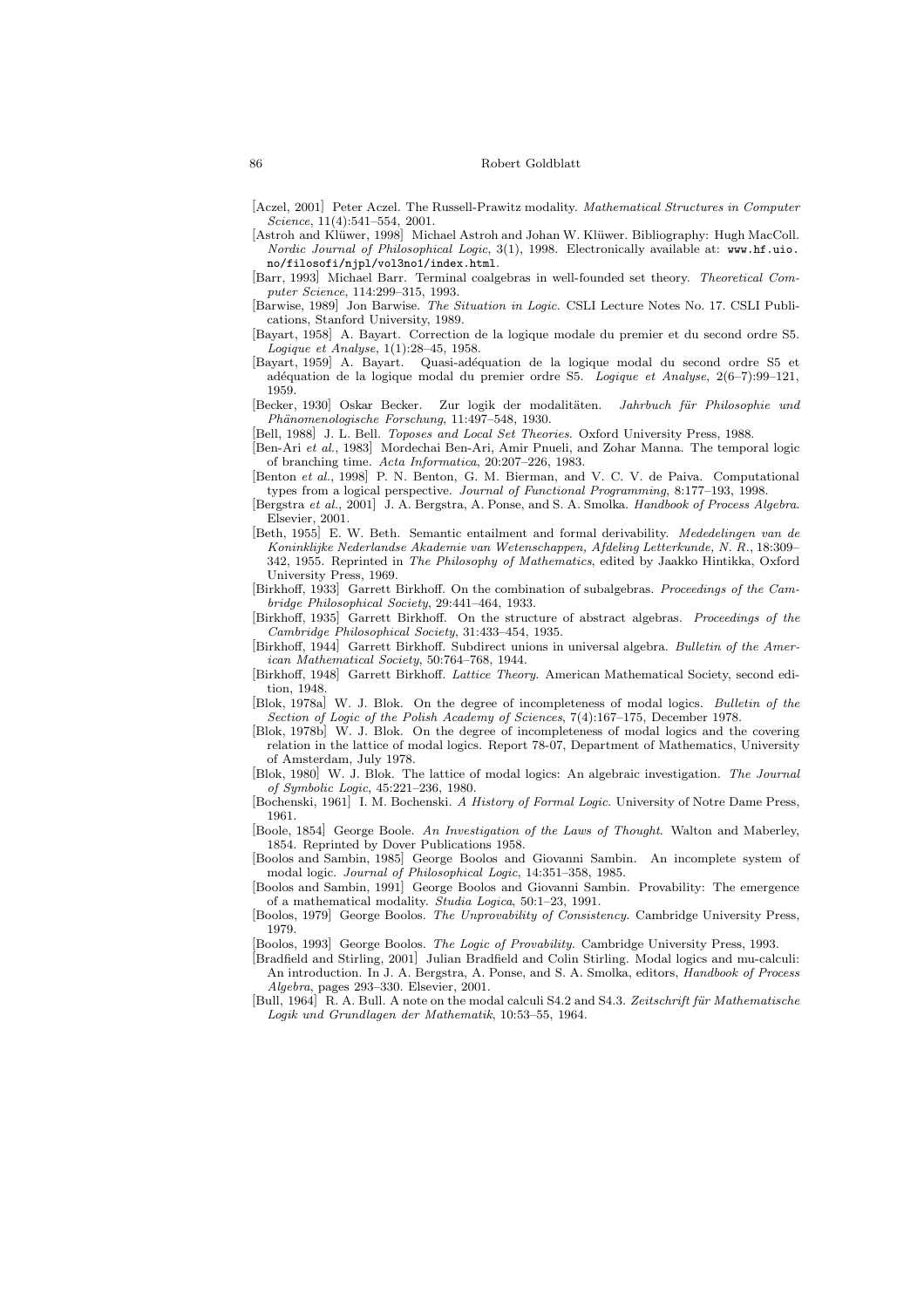- [Aczel, 2001] Peter Aczel. The Russell-Prawitz modality. *Mathematical Structures in Computer Science*, 11(4):541–554, 2001.
- [Astroh and Klüwer, 1998] Michael Astroh and Johan W. Klüwer. Bibliography: Hugh MacColl. *Nordic Journal of Philosophical Logic*, 3(1), 1998. Electronically available at: www.hf.uio. no/filosofi/njpl/vol3no1/index.html.
- [Barr, 1993] Michael Barr. Terminal coalgebras in well-founded set theory. *Theoretical Computer Science*, 114:299–315, 1993.
- [Barwise, 1989] Jon Barwise. *The Situation in Logic*. CSLI Lecture Notes No. 17. CSLI Publications, Stanford University, 1989.
- [Bayart, 1958] A. Bayart. Correction de la logique modale du premier et du second ordre S5. *Logique et Analyse*, 1(1):28–45, 1958.
- [Bayart, 1959] A. Bayart. Quasi-ad´equation de la logique modal du second ordre S5 et ad´equation de la logique modal du premier ordre S5. *Logique et Analyse*, 2(6–7):99–121, 1959.
- [Becker, 1930] Oskar Becker. Zur logik der modalitäten. *Jahrbuch für Philosophie und Ph¨anomenologische Forschung*, 11:497–548, 1930.
- [Bell, 1988] J. L. Bell. *Toposes and Local Set Theories*. Oxford University Press, 1988.
- [Ben-Ari *et al.*, 1983] Mordechai Ben-Ari, Amir Pnueli, and Zohar Manna. The temporal logic of branching time. *Acta Informatica*, 20:207–226, 1983.
- [Benton *et al.*, 1998] P. N. Benton, G. M. Bierman, and V. C. V. de Paiva. Computational types from a logical perspective. *Journal of Functional Programming*, 8:177–193, 1998.
- [Bergstra *et al.*, 2001] J. A. Bergstra, A. Ponse, and S. A. Smolka. *Handbook of Process Algebra*. Elsevier, 2001.
- [Beth, 1955] E. W. Beth. Semantic entailment and formal derivability. *Mededelingen van de Koninklijke Nederlandse Akademie van Wetenschappen, Afdeling Letterkunde, N. R.*, 18:309– 342, 1955. Reprinted in *The Philosophy of Mathematics*, edited by Jaakko Hintikka, Oxford University Press, 1969.
- [Birkhoff, 1933] Garrett Birkhoff. On the combination of subalgebras. *Proceedings of the Cambridge Philosophical Society*, 29:441–464, 1933.
- [Birkhoff, 1935] Garrett Birkhoff. On the structure of abstract algebras. *Proceedings of the Cambridge Philosophical Society*, 31:433–454, 1935.
- [Birkhoff, 1944] Garrett Birkhoff. Subdirect unions in universal algebra. *Bulletin of the American Mathematical Society*, 50:764–768, 1944.
- [Birkhoff, 1948] Garrett Birkhoff. *Lattice Theory*. American Mathematical Society, second edition, 1948.
- [Blok, 1978a] W. J. Blok. On the degree of incompleteness of modal logics. *Bulletin of the Section of Logic of the Polish Academy of Sciences*, 7(4):167–175, December 1978.
- [Blok, 1978b] W. J. Blok. On the degree of incompleteness of modal logics and the covering relation in the lattice of modal logics. Report 78-07, Department of Mathematics, University of Amsterdam, July 1978.
- [Blok, 1980] W. J. Blok. The lattice of modal logics: An algebraic investigation. *The Journal of Symbolic Logic*, 45:221–236, 1980.
- [Bochenski, 1961] I. M. Bochenski. *A History of Formal Logic*. University of Notre Dame Press, 1961.
- [Boole, 1854] George Boole. *An Investigation of the Laws of Thought*. Walton and Maberley, 1854. Reprinted by Dover Publications 1958.
- [Boolos and Sambin, 1985] George Boolos and Giovanni Sambin. An incomplete system of modal logic. *Journal of Philosophical Logic*, 14:351–358, 1985.
- [Boolos and Sambin, 1991] George Boolos and Giovanni Sambin. Provability: The emergence of a mathematical modality. *Studia Logica*, 50:1–23, 1991.
- [Boolos, 1979] George Boolos. *The Unprovability of Consistency*. Cambridge University Press, 1979.
- [Boolos, 1993] George Boolos. *The Logic of Provability*. Cambridge University Press, 1993.
- [Bradfield and Stirling, 2001] Julian Bradfield and Colin Stirling. Modal logics and mu-calculi: An introduction. In J. A. Bergstra, A. Ponse, and S. A. Smolka, editors, *Handbook of Process Algebra*, pages 293–330. Elsevier, 2001.
- [Bull, 1964] R. A. Bull. A note on the modal calculi S4.2 and S4.3. Zeitschrift für Mathematische *Logik und Grundlagen der Mathematik*, 10:53–55, 1964.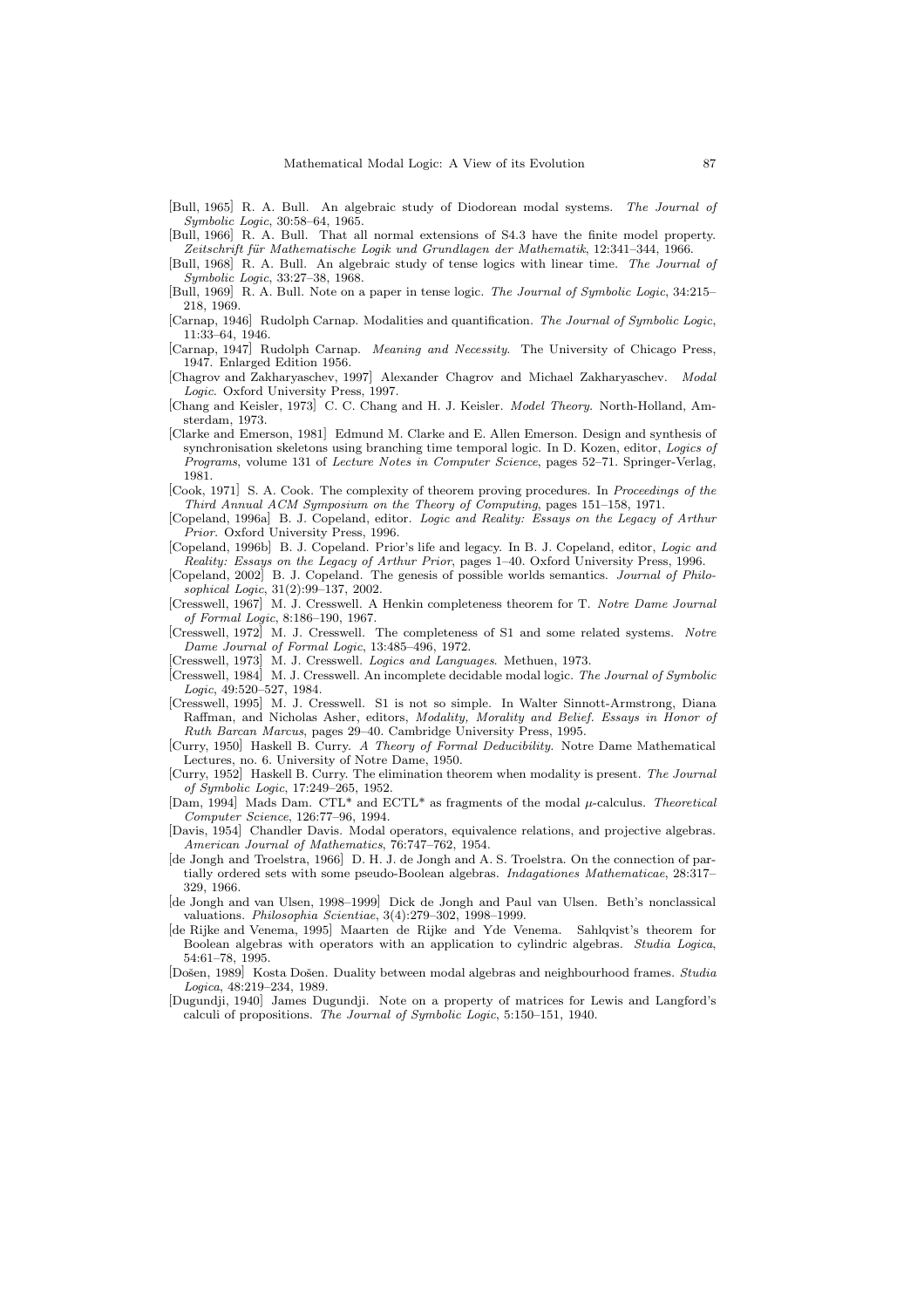[Bull, 1965] R. A. Bull. An algebraic study of Diodorean modal systems. *The Journal of Symbolic Logic*, 30:58–64, 1965.

[Bull, 1966] R. A. Bull. That all normal extensions of S4.3 have the finite model property. *Zeitschrift f¨ur Mathematische Logik und Grundlagen der Mathematik*, 12:341–344, 1966.

[Bull, 1968] R. A. Bull. An algebraic study of tense logics with linear time. *The Journal of Symbolic Logic*, 33:27–38, 1968.

[Bull, 1969] R. A. Bull. Note on a paper in tense logic. *The Journal of Symbolic Logic*, 34:215– 218, 1969.

[Carnap, 1946] Rudolph Carnap. Modalities and quantification. *The Journal of Symbolic Logic*, 11:33–64, 1946.

[Carnap, 1947] Rudolph Carnap. *Meaning and Necessity*. The University of Chicago Press, 1947. Enlarged Edition 1956.

[Chagrov and Zakharyaschev, 1997] Alexander Chagrov and Michael Zakharyaschev. *Modal Logic*. Oxford University Press, 1997.

[Chang and Keisler, 1973] C. C. Chang and H. J. Keisler. *Model Theory*. North-Holland, Amsterdam, 1973.

[Clarke and Emerson, 1981] Edmund M. Clarke and E. Allen Emerson. Design and synthesis of synchronisation skeletons using branching time temporal logic. In D. Kozen, editor, *Logics of Programs*, volume 131 of *Lecture Notes in Computer Science*, pages 52–71. Springer-Verlag, 1981.

[Cook, 1971] S. A. Cook. The complexity of theorem proving procedures. In *Proceedings of the Third Annual ACM Symposium on the Theory of Computing*, pages 151–158, 1971.

[Copeland, 1996a] B. J. Copeland, editor. *Logic and Reality: Essays on the Legacy of Arthur Prior*. Oxford University Press, 1996.

[Copeland, 1996b] B. J. Copeland. Prior's life and legacy. In B. J. Copeland, editor, *Logic and Reality: Essays on the Legacy of Arthur Prior*, pages 1–40. Oxford University Press, 1996.

[Copeland, 2002] B. J. Copeland. The genesis of possible worlds semantics. *Journal of Philosophical Logic*, 31(2):99–137, 2002.

[Cresswell, 1967] M. J. Cresswell. A Henkin completeness theorem for T. *Notre Dame Journal of Formal Logic*, 8:186–190, 1967.

[Cresswell, 1972] M. J. Cresswell. The completeness of S1 and some related systems. *Notre Dame Journal of Formal Logic*, 13:485–496, 1972.

[Cresswell, 1973] M. J. Cresswell. *Logics and Languages*. Methuen, 1973.

- [Cresswell, 1984] M. J. Cresswell. An incomplete decidable modal logic. *The Journal of Symbolic Logic*, 49:520–527, 1984.
- [Cresswell, 1995] M. J. Cresswell. S1 is not so simple. In Walter Sinnott-Armstrong, Diana Raffman, and Nicholas Asher, editors, *Modality, Morality and Belief. Essays in Honor of Ruth Barcan Marcus*, pages 29–40. Cambridge University Press, 1995.

[Curry, 1950] Haskell B. Curry. *A Theory of Formal Deducibility*. Notre Dame Mathematical Lectures, no. 6. University of Notre Dame, 1950.

[Curry, 1952] Haskell B. Curry. The elimination theorem when modality is present. *The Journal of Symbolic Logic*, 17:249–265, 1952.

[Dam, 1994] Mads Dam. CTL\* and ECTL\* as fragments of the modal µ-calculus. *Theoretical Computer Science*, 126:77–96, 1994.

- [Davis, 1954] Chandler Davis. Modal operators, equivalence relations, and projective algebras. *American Journal of Mathematics*, 76:747–762, 1954.
- [de Jongh and Troelstra, 1966] D. H. J. de Jongh and A. S. Troelstra. On the connection of partially ordered sets with some pseudo-Boolean algebras. *Indagationes Mathematicae*, 28:317– 329, 1966.
- [de Jongh and van Ulsen, 1998–1999] Dick de Jongh and Paul van Ulsen. Beth's nonclassical valuations. *Philosophia Scientiae*, 3(4):279–302, 1998–1999.
- [de Rijke and Venema, 1995] Maarten de Rijke and Yde Venema. Sahlqvist's theorem for Boolean algebras with operators with an application to cylindric algebras. *Studia Logica*, 54:61–78, 1995.

[Došen, 1989] Kosta Došen. Duality between modal algebras and neighbourhood frames. *Studia Logica*, 48:219–234, 1989.

[Dugundji, 1940] James Dugundji. Note on a property of matrices for Lewis and Langford's calculi of propositions. *The Journal of Symbolic Logic*, 5:150–151, 1940.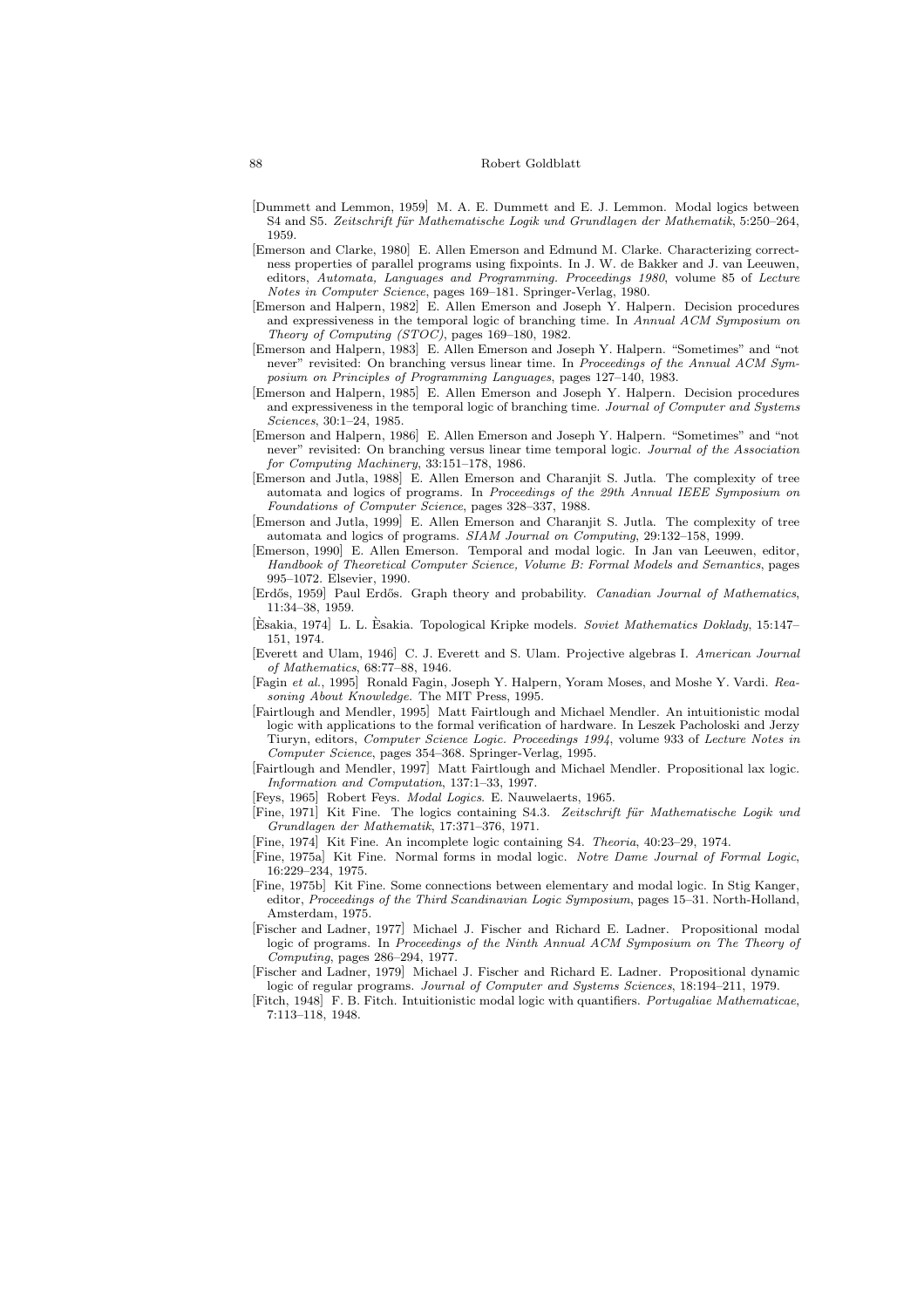- [Dummett and Lemmon, 1959] M. A. E. Dummett and E. J. Lemmon. Modal logics between S4 and S5. Zeitschrift für Mathematische Logik und Grundlagen der Mathematik, 5:250–264, 1959.
- [Emerson and Clarke, 1980] E. Allen Emerson and Edmund M. Clarke. Characterizing correctness properties of parallel programs using fixpoints. In J. W. de Bakker and J. van Leeuwen, editors, *Automata, Languages and Programming. Proceedings 1980*, volume 85 of *Lecture Notes in Computer Science*, pages 169–181. Springer-Verlag, 1980.
- [Emerson and Halpern, 1982] E. Allen Emerson and Joseph Y. Halpern. Decision procedures and expressiveness in the temporal logic of branching time. In *Annual ACM Symposium on Theory of Computing (STOC)*, pages 169–180, 1982.
- [Emerson and Halpern, 1983] E. Allen Emerson and Joseph Y. Halpern. "Sometimes" and "not never" revisited: On branching versus linear time. In *Proceedings of the Annual ACM Symposium on Principles of Programming Languages*, pages 127–140, 1983.
- [Emerson and Halpern, 1985] E. Allen Emerson and Joseph Y. Halpern. Decision procedures and expressiveness in the temporal logic of branching time. *Journal of Computer and Systems Sciences*, 30:1–24, 1985.
- [Emerson and Halpern, 1986] E. Allen Emerson and Joseph Y. Halpern. "Sometimes" and "not never" revisited: On branching versus linear time temporal logic. *Journal of the Association for Computing Machinery*, 33:151–178, 1986.
- [Emerson and Jutla, 1988] E. Allen Emerson and Charanjit S. Jutla. The complexity of tree automata and logics of programs. In *Proceedings of the 29th Annual IEEE Symposium on Foundations of Computer Science*, pages 328–337, 1988.
- [Emerson and Jutla, 1999] E. Allen Emerson and Charanjit S. Jutla. The complexity of tree automata and logics of programs. *SIAM Journal on Computing*, 29:132–158, 1999.
- [Emerson, 1990] E. Allen Emerson. Temporal and modal logic. In Jan van Leeuwen, editor, *Handbook of Theoretical Computer Science, Volume B: Formal Models and Semantics*, pages 995–1072. Elsevier, 1990.
- [Erd˝os, 1959] Paul Erd˝os. Graph theory and probability. *Canadian Journal of Mathematics*, 11:34–38, 1959.
- [Esakia, 1974 ` ] L. L. Esakia. Topological Kripke models. ` *Soviet Mathematics Doklady*, 15:147– 151, 1974.
- [Everett and Ulam, 1946] C. J. Everett and S. Ulam. Projective algebras I. *American Journal of Mathematics*, 68:77–88, 1946.
- [Fagin *et al.*, 1995] Ronald Fagin, Joseph Y. Halpern, Yoram Moses, and Moshe Y. Vardi. *Reasoning About Knowledge*. The MIT Press, 1995.
- [Fairtlough and Mendler, 1995] Matt Fairtlough and Michael Mendler. An intuitionistic modal logic with applications to the formal verification of hardware. In Leszek Pacholoski and Jerzy Tiuryn, editors, *Computer Science Logic. Proceedings 1994*, volume 933 of *Lecture Notes in Computer Science*, pages 354–368. Springer-Verlag, 1995.
- [Fairtlough and Mendler, 1997] Matt Fairtlough and Michael Mendler. Propositional lax logic. *Information and Computation*, 137:1–33, 1997.
- [Feys, 1965] Robert Feys. *Modal Logics*. E. Nauwelaerts, 1965.
- [Fine, 1971] Kit Fine. The logics containing S4.3. *Zeitschrift für Mathematische Logik und Grundlagen der Mathematik*, 17:371–376, 1971.
- [Fine, 1974] Kit Fine. An incomplete logic containing S4. *Theoria*, 40:23–29, 1974.
- [Fine, 1975a] Kit Fine. Normal forms in modal logic. *Notre Dame Journal of Formal Logic*, 16:229–234, 1975.
- [Fine, 1975b] Kit Fine. Some connections between elementary and modal logic. In Stig Kanger, editor, *Proceedings of the Third Scandinavian Logic Symposium*, pages 15–31. North-Holland, Amsterdam, 1975.
- [Fischer and Ladner, 1977] Michael J. Fischer and Richard E. Ladner. Propositional modal logic of programs. In *Proceedings of the Ninth Annual ACM Symposium on The Theory of Computing*, pages 286–294, 1977.
- [Fischer and Ladner, 1979] Michael J. Fischer and Richard E. Ladner. Propositional dynamic logic of regular programs. *Journal of Computer and Systems Sciences*, 18:194–211, 1979.
- [Fitch, 1948] F. B. Fitch. Intuitionistic modal logic with quantifiers. *Portugaliae Mathematicae*, 7:113–118, 1948.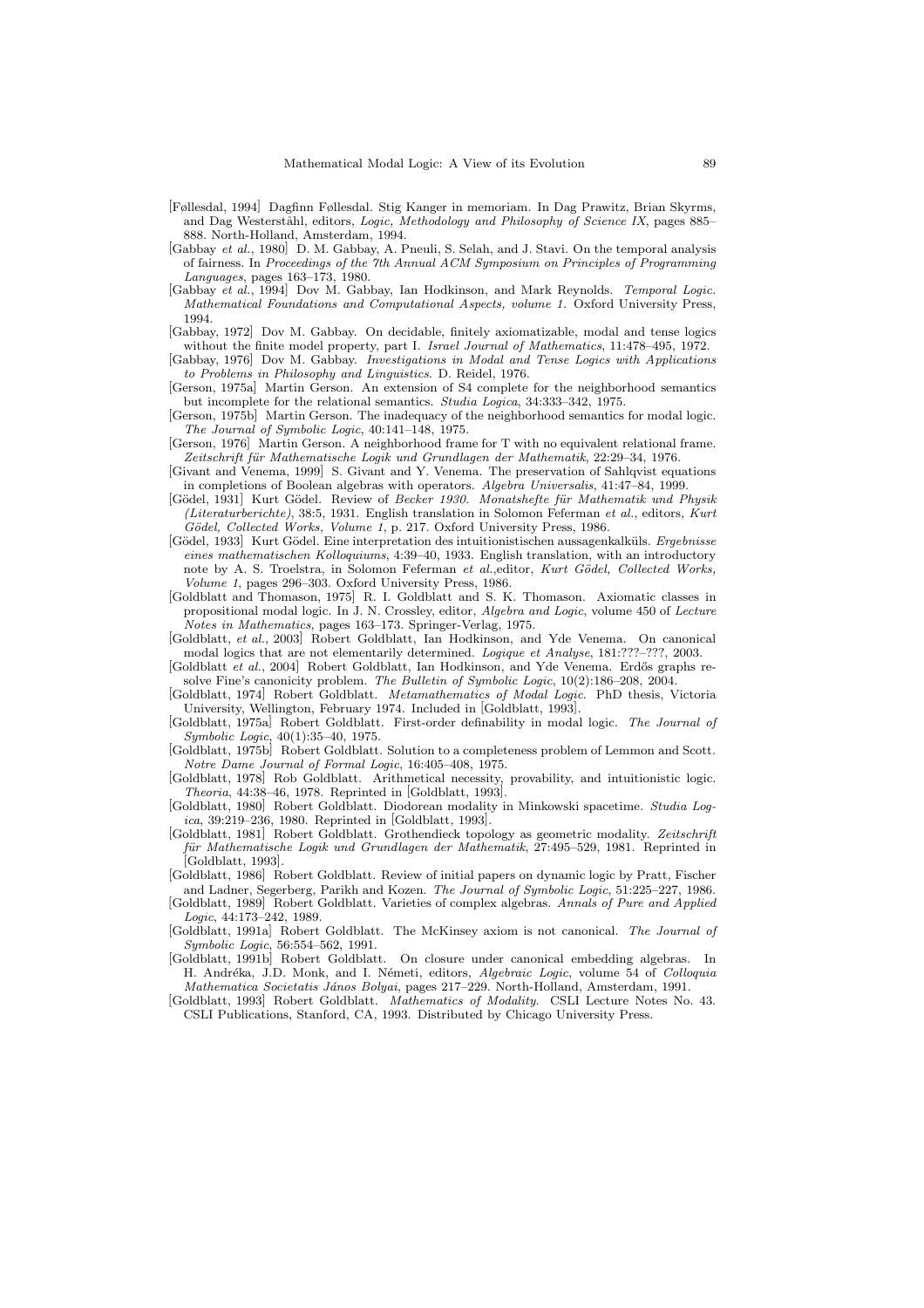- [Føllesdal, 1994] Dagfinn Føllesdal. Stig Kanger in memoriam. In Dag Prawitz, Brian Skyrms, and Dag Westerståhl, editors, *Logic, Methodology and Philosophy of Science IX*, pages 885-888. North-Holland, Amsterdam, 1994.
- [Gabbay *et al.*, 1980] D. M. Gabbay, A. Pneuli, S. Selah, and J. Stavi. On the temporal analysis of fairness. In *Proceedings of the 7th Annual ACM Symposium on Principles of Programming Languages*, pages 163–173, 1980.
- [Gabbay *et al.*, 1994] Dov M. Gabbay, Ian Hodkinson, and Mark Reynolds. *Temporal Logic. Mathematical Foundations and Computational Aspects, volume 1.* Oxford University Press, 1994.
- [Gabbay, 1972] Dov M. Gabbay. On decidable, finitely axiomatizable, modal and tense logics without the finite model property, part I. *Israel Journal of Mathematics*, 11:478–495, 1972.
- [Gabbay, 1976] Dov M. Gabbay. *Investigations in Modal and Tense Logics with Applications to Problems in Philosophy and Linguistics*. D. Reidel, 1976.
- [Gerson, 1975a] Martin Gerson. An extension of S4 complete for the neighborhood semantics but incomplete for the relational semantics. *Studia Logica*, 34:333–342, 1975.
- [Gerson, 1975b] Martin Gerson. The inadequacy of the neighborhood semantics for modal logic. *The Journal of Symbolic Logic*, 40:141–148, 1975.
- [Gerson, 1976] Martin Gerson. A neighborhood frame for T with no equivalent relational frame. *Zeitschrift f¨ur Mathematische Logik und Grundlagen der Mathematik*, 22:29–34, 1976.
- [Givant and Venema, 1999] S. Givant and Y. Venema. The preservation of Sahlqvist equations in completions of Boolean algebras with operators. *Algebra Universalis*, 41:47–84, 1999.
- [G¨odel, 1931] Kurt G¨odel. Review of *Becker 1930*. *Monatshefte f¨ur Mathematik und Physik (Literaturberichte)*, 38:5, 1931. English translation in Solomon Feferman *et al.*, editors, *Kurt G¨odel, Collected Works, Volume 1*, p. 217. Oxford University Press, 1986.
- [G¨odel, 1933] Kurt G¨odel. Eine interpretation des intuitionistischen aussagenkalk¨uls. *Ergebnisse eines mathematischen Kolloquiums*, 4:39–40, 1933. English translation, with an introductory note by A. S. Troelstra, in Solomon Feferman *et al.*,editor, *Kurt Gödel, Collected Works*, *Volume 1*, pages 296–303. Oxford University Press, 1986.
- [Goldblatt and Thomason, 1975] R. I. Goldblatt and S. K. Thomason. Axiomatic classes in propositional modal logic. In J. N. Crossley, editor, *Algebra and Logic*, volume 450 of *Lecture Notes in Mathematics*, pages 163–173. Springer-Verlag, 1975.
- [Goldblatt, *et al.*, 2003] Robert Goldblatt, Ian Hodkinson, and Yde Venema. On canonical modal logics that are not elementarily determined. *Logique et Analyse*, 181:???–???, 2003.
- [Goldblatt *et al.*, 2004] Robert Goldblatt, Ian Hodkinson, and Yde Venema. Erdős graphs resolve Fine's canonicity problem. *The Bulletin of Symbolic Logic*, 10(2):186–208, 2004.
- [Goldblatt, 1974] Robert Goldblatt. *Metamathematics of Modal Logic*. PhD thesis, Victoria University, Wellington, February 1974. Included in [Goldblatt, 1993].
- [Goldblatt, 1975a] Robert Goldblatt. First-order definability in modal logic. *The Journal of Symbolic Logic*, 40(1):35–40, 1975.
- [Goldblatt, 1975b] Robert Goldblatt. Solution to a completeness problem of Lemmon and Scott. *Notre Dame Journal of Formal Logic*, 16:405–408, 1975.
- [Goldblatt, 1978] Rob Goldblatt. Arithmetical necessity, provability, and intuitionistic logic. *Theoria*, 44:38–46, 1978. Reprinted in [Goldblatt, 1993].
- [Goldblatt, 1980] Robert Goldblatt. Diodorean modality in Minkowski spacetime. *Studia Logica*, 39:219–236, 1980. Reprinted in [Goldblatt, 1993].
- [Goldblatt, 1981] Robert Goldblatt. Grothendieck topology as geometric modality. *Zeitschrift f¨ur Mathematische Logik und Grundlagen der Mathematik*, 27:495–529, 1981. Reprinted in [Goldblatt, 1993].
- [Goldblatt, 1986] Robert Goldblatt. Review of initial papers on dynamic logic by Pratt, Fischer and Ladner, Segerberg, Parikh and Kozen. *The Journal of Symbolic Logic*, 51:225–227, 1986.
- [Goldblatt, 1989] Robert Goldblatt. Varieties of complex algebras. *Annals of Pure and Applied Logic*, 44:173–242, 1989.
- [Goldblatt, 1991a] Robert Goldblatt. The McKinsey axiom is not canonical. *The Journal of Symbolic Logic*, 56:554–562, 1991.<br>[Goldblatt, 1991b] Robert Goldblatt.
- On closure under canonical embedding algebras. In H. Andr´eka, J.D. Monk, and I. N´emeti, editors, *Algebraic Logic*, volume 54 of *Colloquia Mathematica Societatis J´anos Bolyai*, pages 217–229. North-Holland, Amsterdam, 1991.
- [Goldblatt, 1993] Robert Goldblatt. *Mathematics of Modality*. CSLI Lecture Notes No. 43. CSLI Publications, Stanford, CA, 1993. Distributed by Chicago University Press.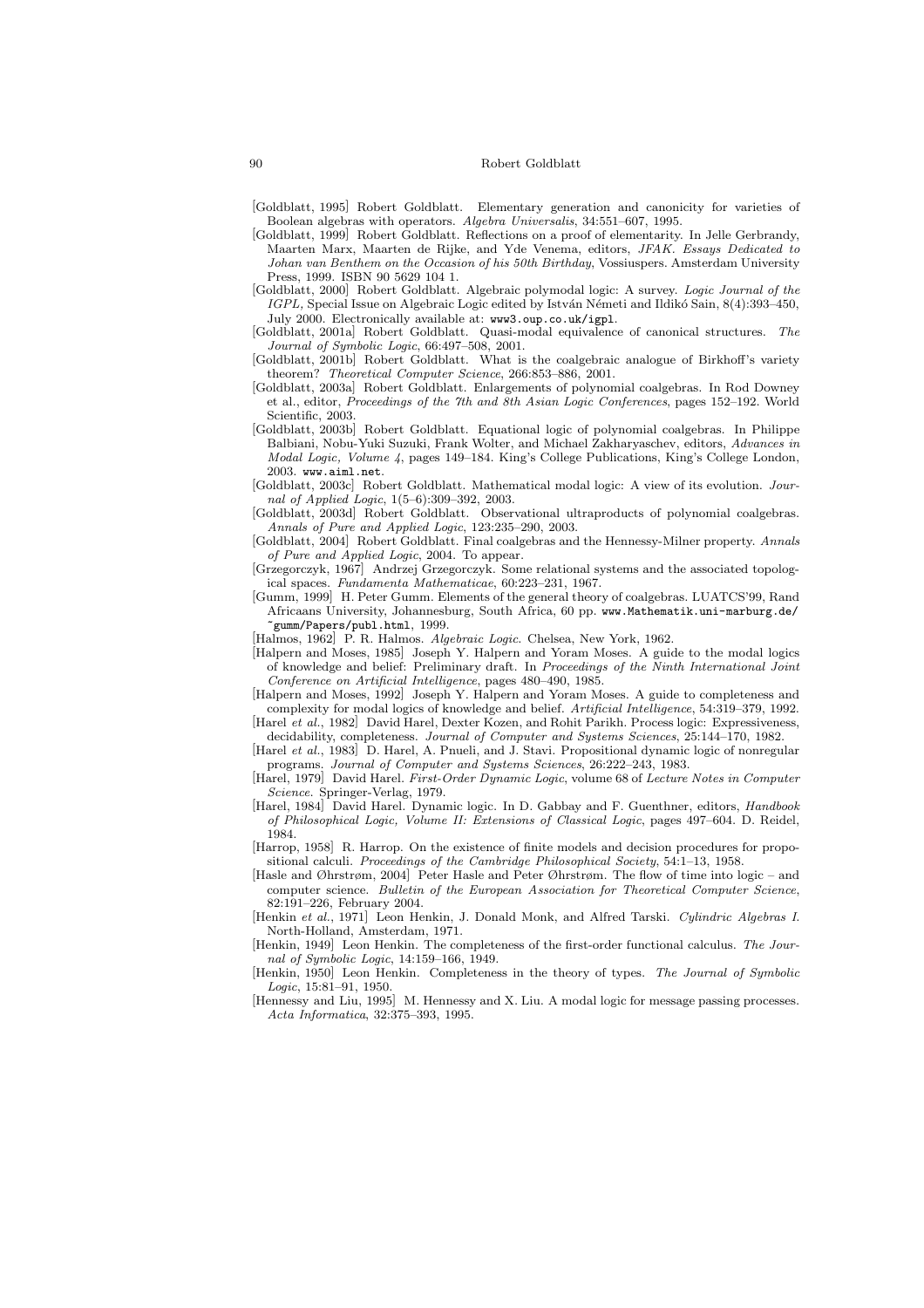- [Goldblatt, 1995] Robert Goldblatt. Elementary generation and canonicity for varieties of Boolean algebras with operators. *Algebra Universalis*, 34:551–607, 1995.
- [Goldblatt, 1999] Robert Goldblatt. Reflections on a proof of elementarity. In Jelle Gerbrandy, Maarten Marx, Maarten de Rijke, and Yde Venema, editors, *JFAK. Essays Dedicated to Johan van Benthem on the Occasion of his 50th Birthday*, Vossiuspers. Amsterdam University Press, 1999. ISBN 90 5629 104 1.
- [Goldblatt, 2000] Robert Goldblatt. Algebraic polymodal logic: A survey. *Logic Journal of the IGPL*, Special Issue on Algebraic Logic edited by István Németi and Ildikó Sain, 8(4):393-450, July 2000. Electronically available at: www3.oup.co.uk/igpl.
- [Goldblatt, 2001a] Robert Goldblatt. Quasi-modal equivalence of canonical structures. *The Journal of Symbolic Logic*, 66:497–508, 2001.
- [Goldblatt, 2001b] Robert Goldblatt. What is the coalgebraic analogue of Birkhoff's variety theorem? *Theoretical Computer Science*, 266:853–886, 2001.
- [Goldblatt, 2003a] Robert Goldblatt. Enlargements of polynomial coalgebras. In Rod Downey et al., editor, *Proceedings of the 7th and 8th Asian Logic Conferences*, pages 152–192. World Scientific, 2003.
- [Goldblatt, 2003b] Robert Goldblatt. Equational logic of polynomial coalgebras. In Philippe Balbiani, Nobu-Yuki Suzuki, Frank Wolter, and Michael Zakharyaschev, editors, *Advances in Modal Logic, Volume 4*, pages 149–184. King's College Publications, King's College London, 2003. www.aiml.net.
- [Goldblatt, 2003c] Robert Goldblatt. Mathematical modal logic: A view of its evolution. *Journal of Applied Logic*, 1(5–6):309–392, 2003.
- [Goldblatt, 2003d] Robert Goldblatt. Observational ultraproducts of polynomial coalgebras. *Annals of Pure and Applied Logic*, 123:235–290, 2003.
- [Goldblatt, 2004] Robert Goldblatt. Final coalgebras and the Hennessy-Milner property. *Annals of Pure and Applied Logic*, 2004. To appear.
- [Grzegorczyk, 1967] Andrzej Grzegorczyk. Some relational systems and the associated topological spaces. *Fundamenta Mathematicae*, 60:223–231, 1967.
- [Gumm, 1999] H. Peter Gumm. Elements of the general theory of coalgebras. LUATCS'99, Rand Africaans University, Johannesburg, South Africa, 60 pp. www.Mathematik.uni-marburg.de/ ~gumm/Papers/publ.html, 1999.
- [Halmos, 1962] P. R. Halmos. *Algebraic Logic*. Chelsea, New York, 1962.
- [Halpern and Moses, 1985] Joseph Y. Halpern and Yoram Moses. A guide to the modal logics of knowledge and belief: Preliminary draft. In *Proceedings of the Ninth International Joint Conference on Artificial Intelligence*, pages 480–490, 1985.
- [Halpern and Moses, 1992] Joseph Y. Halpern and Yoram Moses. A guide to completeness and complexity for modal logics of knowledge and belief. *Artificial Intelligence*, 54:319–379, 1992.
- [Harel *et al.*, 1982] David Harel, Dexter Kozen, and Rohit Parikh. Process logic: Expressiveness, decidability, completeness. *Journal of Computer and Systems Sciences*, 25:144–170, 1982.
- [Harel *et al.*, 1983] D. Harel, A. Pnueli, and J. Stavi. Propositional dynamic logic of nonregular programs. *Journal of Computer and Systems Sciences*, 26:222–243, 1983.
- [Harel, 1979] David Harel. *First-Order Dynamic Logic*, volume 68 of *Lecture Notes in Computer Science*. Springer-Verlag, 1979.
- [Harel, 1984] David Harel. Dynamic logic. In D. Gabbay and F. Guenthner, editors, *Handbook of Philosophical Logic, Volume II: Extensions of Classical Logic*, pages 497–604. D. Reidel, 1984.
- [Harrop, 1958] R. Harrop. On the existence of finite models and decision procedures for propositional calculi. *Proceedings of the Cambridge Philosophical Society*, 54:1–13, 1958.
- [Hasle and Øhrstrøm, 2004] Peter Hasle and Peter Øhrstrøm. The flow of time into logic and computer science. *Bulletin of the European Association for Theoretical Computer Science*, 82:191–226, February 2004.
- [Henkin *et al.*, 1971] Leon Henkin, J. Donald Monk, and Alfred Tarski. *Cylindric Algebras I*. North-Holland, Amsterdam, 1971.
- [Henkin, 1949] Leon Henkin. The completeness of the first-order functional calculus. *The Journal of Symbolic Logic*, 14:159–166, 1949.
- [Henkin, 1950] Leon Henkin. Completeness in the theory of types. *The Journal of Symbolic Logic*, 15:81–91, 1950.
- [Hennessy and Liu, 1995] M. Hennessy and X. Liu. A modal logic for message passing processes. *Acta Informatica*, 32:375–393, 1995.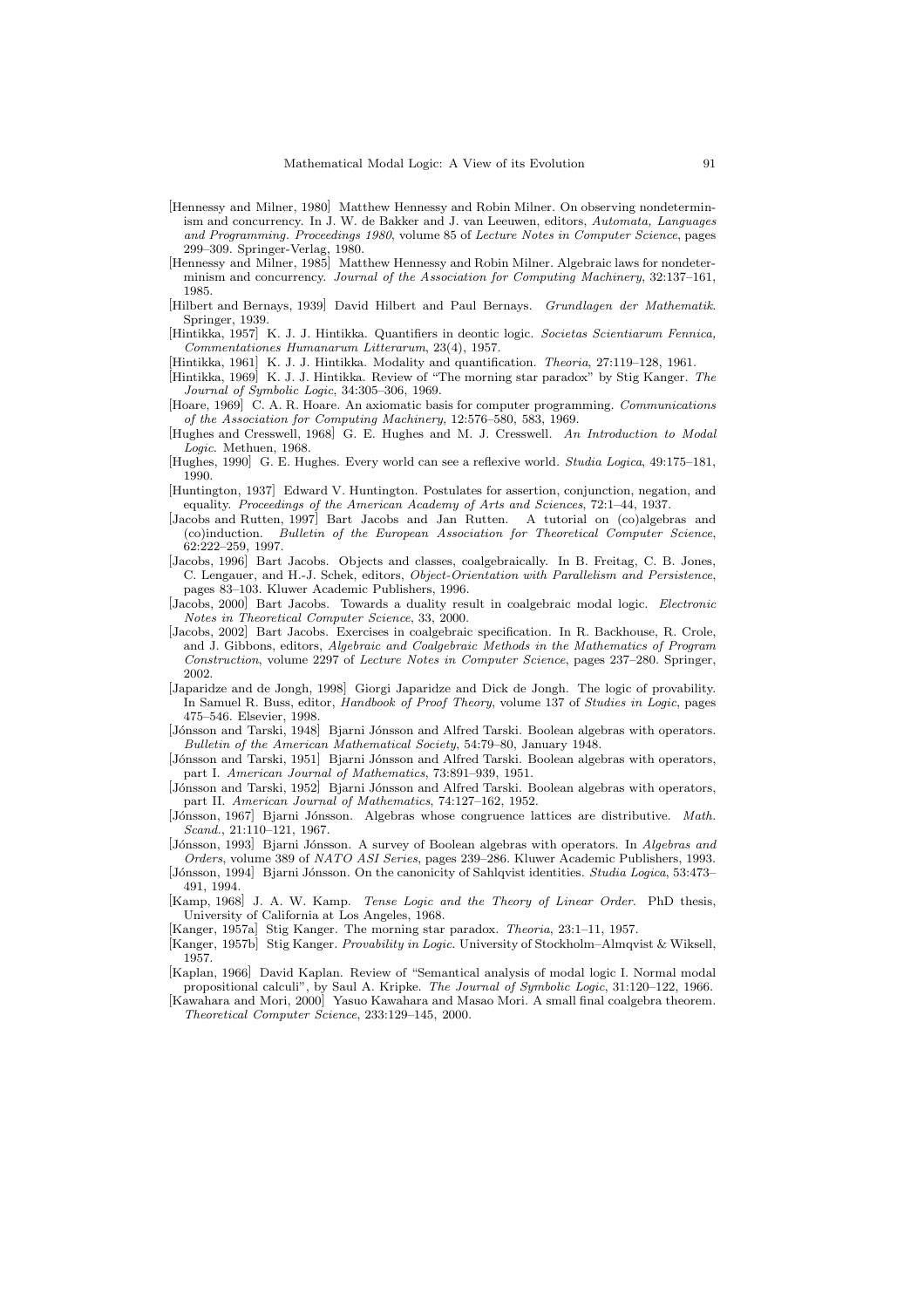- [Hennessy and Milner, 1980] Matthew Hennessy and Robin Milner. On observing nondeterminism and concurrency. In J. W. de Bakker and J. van Leeuwen, editors, *Automata, Languages and Programming. Proceedings 1980*, volume 85 of *Lecture Notes in Computer Science*, pages 299–309. Springer-Verlag, 1980.
- [Hennessy and Milner, 1985] Matthew Hennessy and Robin Milner. Algebraic laws for nondeterminism and concurrency. *Journal of the Association for Computing Machinery*, 32:137–161, 1985.
- [Hilbert and Bernays, 1939] David Hilbert and Paul Bernays. *Grundlagen der Mathematik*. Springer, 1939.
- [Hintikka, 1957] K. J. J. Hintikka. Quantifiers in deontic logic. *Societas Scientiarum Fennica, Commentationes Humanarum Litterarum*, 23(4), 1957.
- [Hintikka, 1961] K. J. J. Hintikka. Modality and quantification. *Theoria*, 27:119–128, 1961.
- [Hintikka, 1969] K. J. J. Hintikka. Review of "The morning star paradox" by Stig Kanger. *The Journal of Symbolic Logic*, 34:305–306, 1969.
- [Hoare, 1969] C. A. R. Hoare. An axiomatic basis for computer programming. *Communications of the Association for Computing Machinery*, 12:576–580, 583, 1969.
- [Hughes and Cresswell, 1968] G. E. Hughes and M. J. Cresswell. *An Introduction to Modal Logic*. Methuen, 1968.
- [Hughes, 1990] G. E. Hughes. Every world can see a reflexive world. *Studia Logica*, 49:175–181, 1990.
- [Huntington, 1937] Edward V. Huntington. Postulates for assertion, conjunction, negation, and equality. *Proceedings of the American Academy of Arts and Sciences*, 72:1–44, 1937.
- [Jacobs and Rutten, 1997] Bart Jacobs and Jan Rutten. A tutorial on (co)algebras and (co)induction. *Bulletin of the European Association for Theoretical Computer Science*, 62:222–259, 1997.
- [Jacobs, 1996] Bart Jacobs. Objects and classes, coalgebraically. In B. Freitag, C. B. Jones, C. Lengauer, and H.-J. Schek, editors, *Object-Orientation with Parallelism and Persistence*, pages 83–103. Kluwer Academic Publishers, 1996.
- [Jacobs, 2000] Bart Jacobs. Towards a duality result in coalgebraic modal logic. *Electronic Notes in Theoretical Computer Science*, 33, 2000.
- [Jacobs, 2002] Bart Jacobs. Exercises in coalgebraic specification. In R. Backhouse, R. Crole, and J. Gibbons, editors, *Algebraic and Coalgebraic Methods in the Mathematics of Program Construction*, volume 2297 of *Lecture Notes in Computer Science*, pages 237–280. Springer, 2002.
- [Japaridze and de Jongh, 1998] Giorgi Japaridze and Dick de Jongh. The logic of provability. In Samuel R. Buss, editor, *Handbook of Proof Theory*, volume 137 of *Studies in Logic*, pages 475–546. Elsevier, 1998.
- [Jónsson and Tarski, 1948] Bjarni Jónsson and Alfred Tarski. Boolean algebras with operators. *Bulletin of the American Mathematical Society*, 54:79–80, January 1948.
- [Jónsson and Tarski, 1951] Bjarni Jónsson and Alfred Tarski. Boolean algebras with operators, part I. *American Journal of Mathematics*, 73:891–939, 1951.
- [Jónsson and Tarski, 1952] Bjarni Jónsson and Alfred Tarski. Boolean algebras with operators, part II. *American Journal of Mathematics*, 74:127–162, 1952.
- [J´onsson, 1967] Bjarni J´onsson. Algebras whose congruence lattices are distributive. *Math. Scand.*, 21:110–121, 1967.
- [J´onsson, 1993] Bjarni J´onsson. A survey of Boolean algebras with operators. In *Algebras and Orders*, volume 389 of *NATO ASI Series*, pages 239–286. Kluwer Academic Publishers, 1993. [J´onsson, 1994] Bjarni J´onsson. On the canonicity of Sahlqvist identities. *Studia Logica*, 53:473– 491, 1994.
- [Kamp, 1968] J. A. W. Kamp. *Tense Logic and the Theory of Linear Order*. PhD thesis, University of California at Los Angeles, 1968.
- [Kanger, 1957a] Stig Kanger. The morning star paradox. *Theoria*, 23:1–11, 1957.
- [Kanger, 1957b] Stig Kanger. *Provability in Logic*. University of Stockholm–Almqvist & Wiksell, 1957.
- [Kaplan, 1966] David Kaplan. Review of "Semantical analysis of modal logic I. Normal modal propositional calculi", by Saul A. Kripke. *The Journal of Symbolic Logic*, 31:120–122, 1966.
- [Kawahara and Mori, 2000] Yasuo Kawahara and Masao Mori. A small final coalgebra theorem. *Theoretical Computer Science*, 233:129–145, 2000.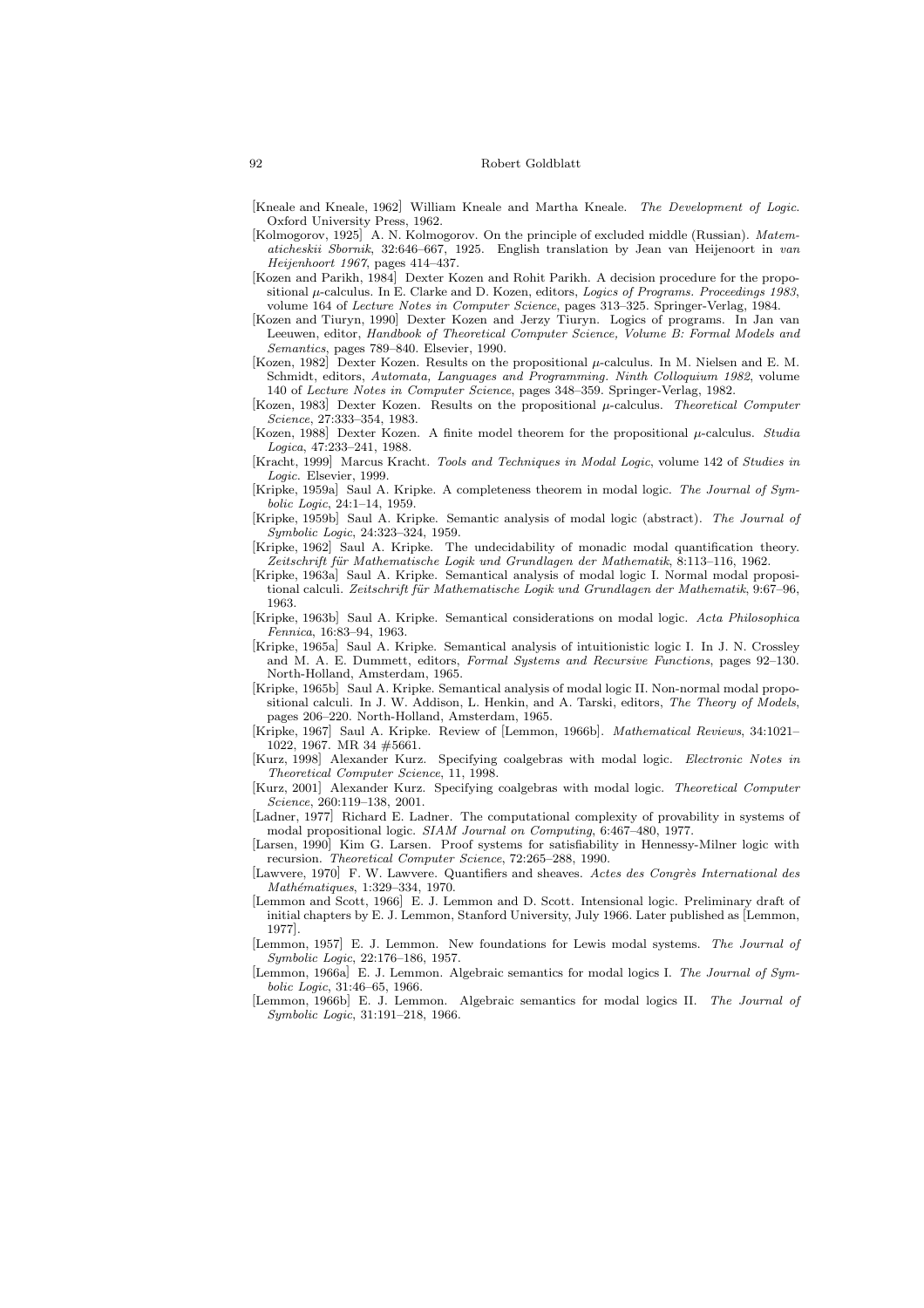- [Kneale and Kneale, 1962] William Kneale and Martha Kneale. *The Development of Logic*. Oxford University Press, 1962.
- [Kolmogorov, 1925] A. N. Kolmogorov. On the principle of excluded middle (Russian). *Matematicheskii Sbornik*, 32:646–667, 1925. English translation by Jean van Heijenoort in *van Heijenhoort 1967*, pages 414–437.
- [Kozen and Parikh, 1984] Dexter Kozen and Rohit Parikh. A decision procedure for the propositional µ-calculus. In E. Clarke and D. Kozen, editors, *Logics of Programs. Proceedings 1983*, volume 164 of *Lecture Notes in Computer Science*, pages 313–325. Springer-Verlag, 1984.
- [Kozen and Tiuryn, 1990] Dexter Kozen and Jerzy Tiuryn. Logics of programs. In Jan van Leeuwen, editor, *Handbook of Theoretical Computer Science, Volume B: Formal Models and Semantics*, pages 789–840. Elsevier, 1990.
- [Kozen, 1982] Dexter Kozen. Results on the propositional  $\mu$ -calculus. In M. Nielsen and E. M. Schmidt, editors, *Automata, Languages and Programming. Ninth Colloquium 1982*, volume 140 of *Lecture Notes in Computer Science*, pages 348–359. Springer-Verlag, 1982.
- [Kozen, 1983] Dexter Kozen. Results on the propositional µ-calculus. *Theoretical Computer Science*, 27:333–354, 1983.
- [Kozen, 1988] Dexter Kozen. A finite model theorem for the propositional µ-calculus. *Studia Logica*, 47:233–241, 1988.
- [Kracht, 1999] Marcus Kracht. *Tools and Techniques in Modal Logic*, volume 142 of *Studies in Logic*. Elsevier, 1999.
- [Kripke, 1959a] Saul A. Kripke. A completeness theorem in modal logic. *The Journal of Symbolic Logic*, 24:1–14, 1959.
- [Kripke, 1959b] Saul A. Kripke. Semantic analysis of modal logic (abstract). *The Journal of Symbolic Logic*, 24:323–324, 1959.
- [Kripke, 1962] Saul A. Kripke. The undecidability of monadic modal quantification theory. *Zeitschrift f¨ur Mathematische Logik und Grundlagen der Mathematik*, 8:113–116, 1962.
- [Kripke, 1963a] Saul A. Kripke. Semantical analysis of modal logic I. Normal modal propositional calculi. *Zeitschrift für Mathematische Logik und Grundlagen der Mathematik*, 9:67–96, 1963.
- [Kripke, 1963b] Saul A. Kripke. Semantical considerations on modal logic. *Acta Philosophica Fennica*, 16:83–94, 1963.
- [Kripke, 1965a] Saul A. Kripke. Semantical analysis of intuitionistic logic I. In J. N. Crossley and M. A. E. Dummett, editors, *Formal Systems and Recursive Functions*, pages 92–130. North-Holland, Amsterdam, 1965.
- [Kripke, 1965b] Saul A. Kripke. Semantical analysis of modal logic II. Non-normal modal propositional calculi. In J. W. Addison, L. Henkin, and A. Tarski, editors, *The Theory of Models*, pages 206–220. North-Holland, Amsterdam, 1965.
- [Kripke, 1967] Saul A. Kripke. Review of [Lemmon, 1966b]. *Mathematical Reviews*, 34:1021– 1022, 1967. MR 34 #5661.
- [Kurz, 1998] Alexander Kurz. Specifying coalgebras with modal logic. *Electronic Notes in Theoretical Computer Science*, 11, 1998.
- [Kurz, 2001] Alexander Kurz. Specifying coalgebras with modal logic. *Theoretical Computer Science*, 260:119–138, 2001.
- [Ladner, 1977] Richard E. Ladner. The computational complexity of provability in systems of modal propositional logic. *SIAM Journal on Computing*, 6:467–480, 1977.
- [Larsen, 1990] Kim G. Larsen. Proof systems for satisfiability in Hennessy-Milner logic with recursion. *Theoretical Computer Science*, 72:265–288, 1990.
- [Lawvere, 1970] F. W. Lawvere. Quantifiers and sheaves. *Actes des Congrès International des Math´ematiques*, 1:329–334, 1970.
- [Lemmon and Scott, 1966] E. J. Lemmon and D. Scott. Intensional logic. Preliminary draft of initial chapters by E. J. Lemmon, Stanford University, July 1966. Later published as [Lemmon, 1977].
- [Lemmon, 1957] E. J. Lemmon. New foundations for Lewis modal systems. *The Journal of Symbolic Logic*, 22:176–186, 1957.
- [Lemmon, 1966a] E. J. Lemmon. Algebraic semantics for modal logics I. *The Journal of Symbolic Logic*, 31:46–65, 1966.
- [Lemmon, 1966b] E. J. Lemmon. Algebraic semantics for modal logics II. *The Journal of Symbolic Logic*, 31:191–218, 1966.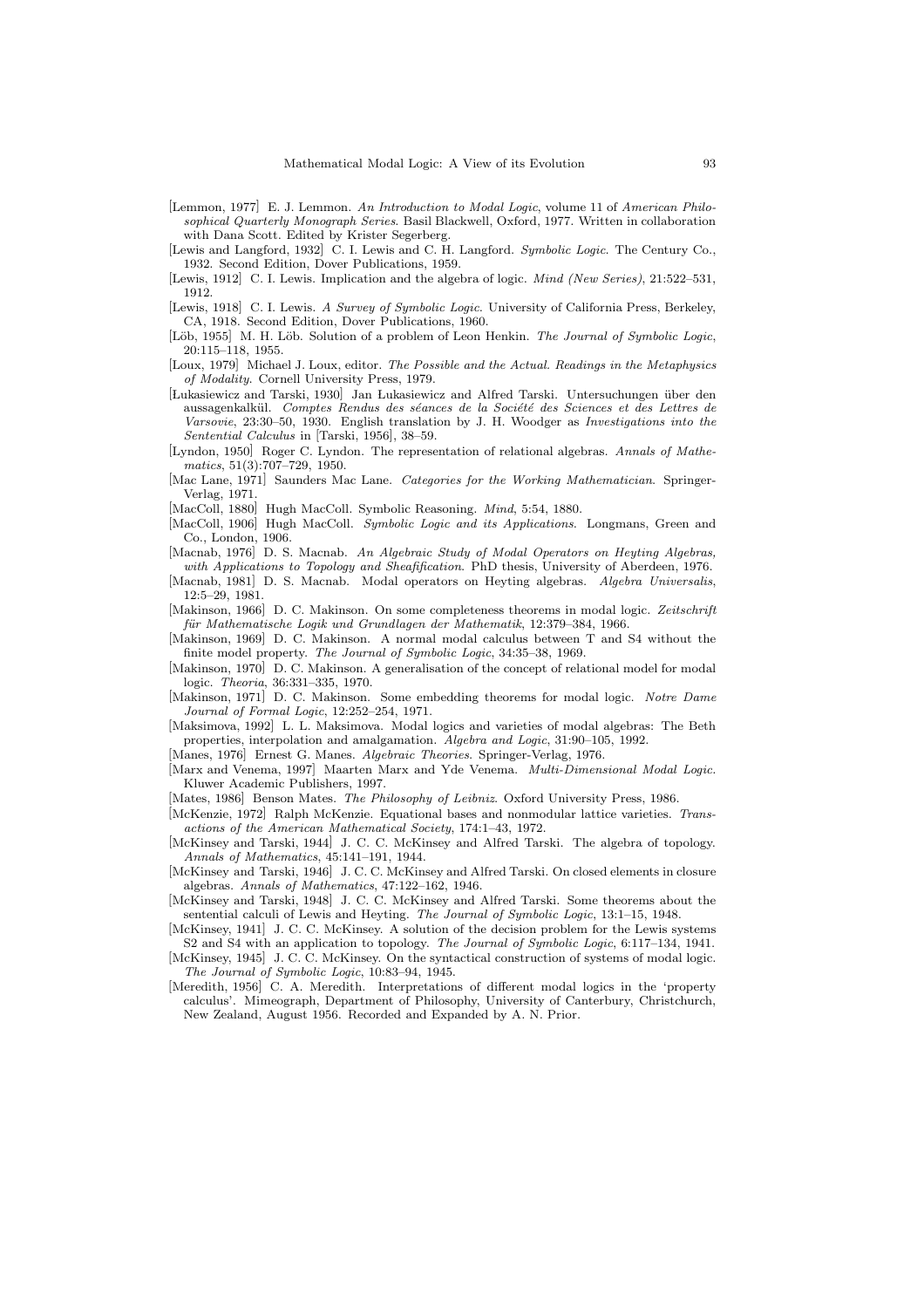- [Lemmon, 1977] E. J. Lemmon. *An Introduction to Modal Logic*, volume 11 of *American Philosophical Quarterly Monograph Series*. Basil Blackwell, Oxford, 1977. Written in collaboration with Dana Scott. Edited by Krister Segerberg.
- [Lewis and Langford, 1932] C. I. Lewis and C. H. Langford. *Symbolic Logic*. The Century Co., 1932. Second Edition, Dover Publications, 1959.
- [Lewis, 1912] C. I. Lewis. Implication and the algebra of logic. *Mind (New Series)*, 21:522–531, 1912.
- [Lewis, 1918] C. I. Lewis. *A Survey of Symbolic Logic*. University of California Press, Berkeley, CA, 1918. Second Edition, Dover Publications, 1960.
- [Löb, 1955] M. H. Löb. Solution of a problem of Leon Henkin. *The Journal of Symbolic Logic*, 20:115–118, 1955.
- [Loux, 1979] Michael J. Loux, editor. *The Possible and the Actual. Readings in the Metaphysics of Modality*. Cornell University Press, 1979.
- [Lukasiewicz and Tarski, 1930] Jan Lukasiewicz and Alfred Tarski. Untersuchungen über den aussagenkalkül. Comptes Rendus des séances de la Société des Sciences et des Lettres de *Varsovie*, 23:30–50, 1930. English translation by J. H. Woodger as *Investigations into the Sentential Calculus* in [Tarski, 1956], 38–59.
- [Lyndon, 1950] Roger C. Lyndon. The representation of relational algebras. *Annals of Mathematics*, 51(3):707–729, 1950.
- [Mac Lane, 1971] Saunders Mac Lane. *Categories for the Working Mathematician*. Springer-Verlag, 1971.
- [MacColl, 1880] Hugh MacColl. Symbolic Reasoning. *Mind*, 5:54, 1880.
- [MacColl, 1906] Hugh MacColl. *Symbolic Logic and its Applications*. Longmans, Green and Co., London, 1906.
- [Macnab, 1976] D. S. Macnab. *An Algebraic Study of Modal Operators on Heyting Algebras, with Applications to Topology and Sheafification*. PhD thesis, University of Aberdeen, 1976.
- [Macnab, 1981] D. S. Macnab. Modal operators on Heyting algebras. *Algebra Universalis*, 12:5–29, 1981.
- [Makinson, 1966] D. C. Makinson. On some completeness theorems in modal logic. *Zeitschrift f¨ur Mathematische Logik und Grundlagen der Mathematik*, 12:379–384, 1966.
- [Makinson, 1969] D. C. Makinson. A normal modal calculus between T and S4 without the finite model property. *The Journal of Symbolic Logic*, 34:35–38, 1969.
- [Makinson, 1970] D. C. Makinson. A generalisation of the concept of relational model for modal logic. *Theoria*, 36:331–335, 1970.
- [Makinson, 1971] D. C. Makinson. Some embedding theorems for modal logic. *Notre Dame Journal of Formal Logic*, 12:252–254, 1971.
- [Maksimova, 1992] L. L. Maksimova. Modal logics and varieties of modal algebras: The Beth properties, interpolation and amalgamation. *Algebra and Logic*, 31:90–105, 1992.
- [Manes, 1976] Ernest G. Manes. *Algebraic Theories*. Springer-Verlag, 1976.
- [Marx and Venema, 1997] Maarten Marx and Yde Venema. *Multi-Dimensional Modal Logic*. Kluwer Academic Publishers, 1997.
- [Mates, 1986] Benson Mates. *The Philosophy of Leibniz*. Oxford University Press, 1986.
- [McKenzie, 1972] Ralph McKenzie. Equational bases and nonmodular lattice varieties. *Transactions of the American Mathematical Society*, 174:1–43, 1972.
- [McKinsey and Tarski, 1944] J. C. C. McKinsey and Alfred Tarski. The algebra of topology. *Annals of Mathematics*, 45:141–191, 1944.
- [McKinsey and Tarski, 1946] J. C. C. McKinsey and Alfred Tarski. On closed elements in closure algebras. *Annals of Mathematics*, 47:122–162, 1946.
- [McKinsey and Tarski, 1948] J. C. C. McKinsey and Alfred Tarski. Some theorems about the sentential calculi of Lewis and Heyting. *The Journal of Symbolic Logic*, 13:1–15, 1948.
- [McKinsey, 1941] J. C. C. McKinsey. A solution of the decision problem for the Lewis systems S2 and S4 with an application to topology. *The Journal of Symbolic Logic*, 6:117–134, 1941.
- [McKinsey, 1945] J. C. C. McKinsey. On the syntactical construction of systems of modal logic. *The Journal of Symbolic Logic*, 10:83–94, 1945.
- [Meredith, 1956] C. A. Meredith. Interpretations of different modal logics in the 'property calculus'. Mimeograph, Department of Philosophy, University of Canterbury, Christchurch, New Zealand, August 1956. Recorded and Expanded by A. N. Prior.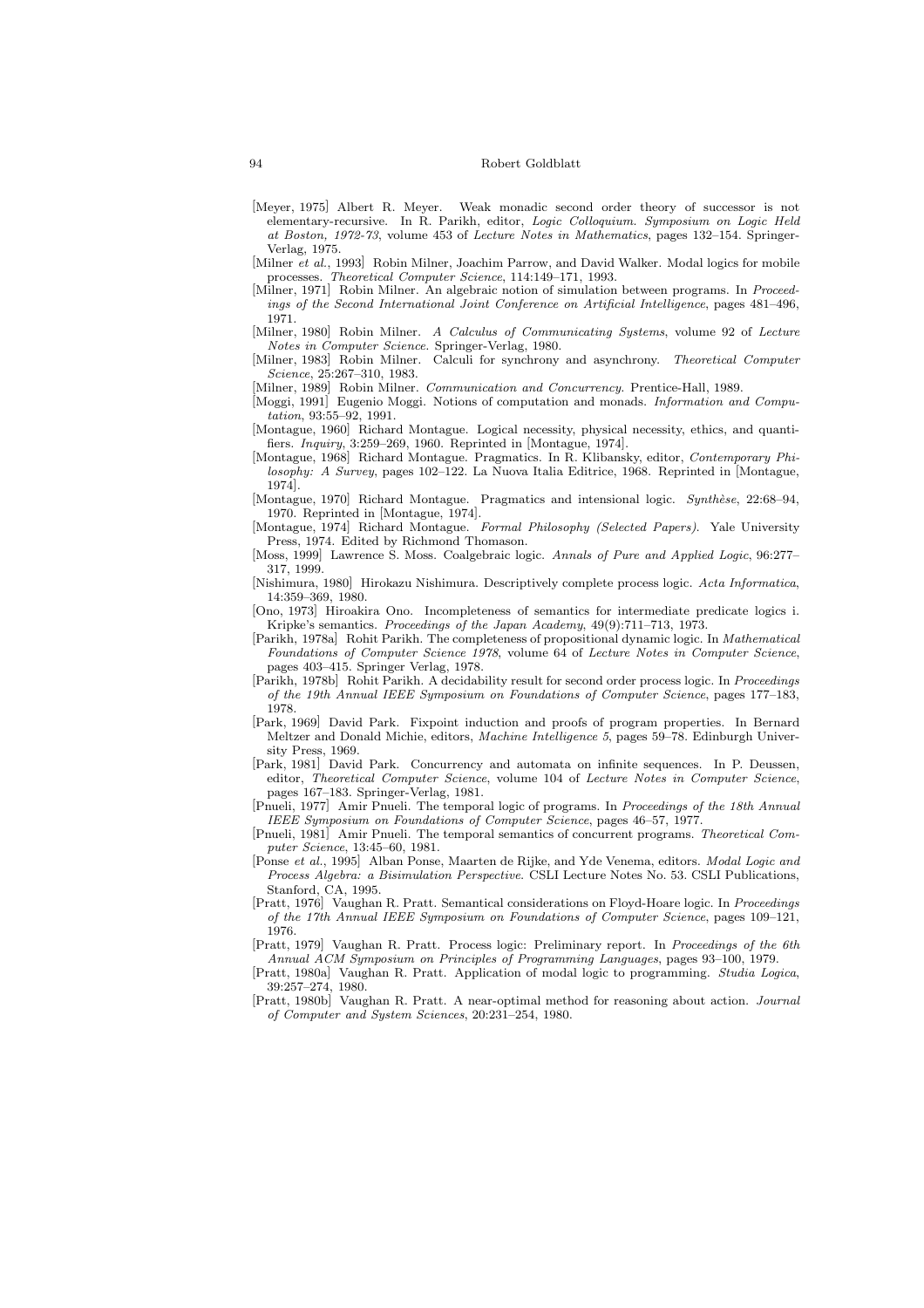- [Meyer, 1975] Albert R. Meyer. Weak monadic second order theory of successor is not elementary-recursive. In R. Parikh, editor, *Logic Colloquium. Symposium on Logic Held at Boston, 1972-73*, volume 453 of *Lecture Notes in Mathematics*, pages 132–154. Springer-Verlag, 1975.
- [Milner *et al.*, 1993] Robin Milner, Joachim Parrow, and David Walker. Modal logics for mobile processes. *Theoretical Computer Science*, 114:149–171, 1993.
- [Milner, 1971] Robin Milner. An algebraic notion of simulation between programs. In *Proceedings of the Second International Joint Conference on Artificial Intelligence*, pages 481–496, 1971.
- [Milner, 1980] Robin Milner. *A Calculus of Communicating Systems*, volume 92 of *Lecture Notes in Computer Science*. Springer-Verlag, 1980.
- [Milner, 1983] Robin Milner. Calculi for synchrony and asynchrony. *Theoretical Computer Science*, 25:267–310, 1983.
- [Milner, 1989] Robin Milner. *Communication and Concurrency*. Prentice-Hall, 1989.
- [Moggi, 1991] Eugenio Moggi. Notions of computation and monads. *Information and Computation*, 93:55–92, 1991.
- [Montague, 1960] Richard Montague. Logical necessity, physical necessity, ethics, and quantifiers. *Inquiry*, 3:259–269, 1960. Reprinted in [Montague, 1974].
- [Montague, 1968] Richard Montague. Pragmatics. In R. Klibansky, editor, *Contemporary Philosophy: A Survey*, pages 102–122. La Nuova Italia Editrice, 1968. Reprinted in [Montague, 1974].
- [Montague, 1970] Richard Montague. Pragmatics and intensional logic. *Synthèse*, 22:68-94, 1970. Reprinted in [Montague, 1974].
- [Montague, 1974] Richard Montague. *Formal Philosophy (Selected Papers)*. Yale University Press, 1974. Edited by Richmond Thomason.
- [Moss, 1999] Lawrence S. Moss. Coalgebraic logic. *Annals of Pure and Applied Logic*, 96:277– 317, 1999.
- [Nishimura, 1980] Hirokazu Nishimura. Descriptively complete process logic. *Acta Informatica*, 14:359–369, 1980.
- [Ono, 1973] Hiroakira Ono. Incompleteness of semantics for intermediate predicate logics i. Kripke's semantics. *Proceedings of the Japan Academy*, 49(9):711–713, 1973.
- [Parikh, 1978a] Rohit Parikh. The completeness of propositional dynamic logic. In *Mathematical Foundations of Computer Science 1978*, volume 64 of *Lecture Notes in Computer Science*, pages 403–415. Springer Verlag, 1978.
- [Parikh, 1978b] Rohit Parikh. A decidability result for second order process logic. In *Proceedings of the 19th Annual IEEE Symposium on Foundations of Computer Science*, pages 177–183, 1978.
- [Park, 1969] David Park. Fixpoint induction and proofs of program properties. In Bernard Meltzer and Donald Michie, editors, *Machine Intelligence 5*, pages 59–78. Edinburgh University Press, 1969.
- [Park, 1981] David Park. Concurrency and automata on infinite sequences. In P. Deussen, editor, *Theoretical Computer Science*, volume 104 of *Lecture Notes in Computer Science*, pages 167–183. Springer-Verlag, 1981.
- [Pnueli, 1977] Amir Pnueli. The temporal logic of programs. In *Proceedings of the 18th Annual IEEE Symposium on Foundations of Computer Science*, pages 46–57, 1977.
- [Pnueli, 1981] Amir Pnueli. The temporal semantics of concurrent programs. *Theoretical Computer Science*, 13:45–60, 1981.
- [Ponse *et al.*, 1995] Alban Ponse, Maarten de Rijke, and Yde Venema, editors. *Modal Logic and Process Algebra: a Bisimulation Perspective*. CSLI Lecture Notes No. 53. CSLI Publications, Stanford, CA, 1995.
- [Pratt, 1976] Vaughan R. Pratt. Semantical considerations on Floyd-Hoare logic. In *Proceedings of the 17th Annual IEEE Symposium on Foundations of Computer Science*, pages 109–121, 1976.
- [Pratt, 1979] Vaughan R. Pratt. Process logic: Preliminary report. In *Proceedings of the 6th Annual ACM Symposium on Principles of Programming Languages*, pages 93–100, 1979.
- [Pratt, 1980a] Vaughan R. Pratt. Application of modal logic to programming. *Studia Logica*, 39:257–274, 1980.
- [Pratt, 1980b] Vaughan R. Pratt. A near-optimal method for reasoning about action. *Journal of Computer and System Sciences*, 20:231–254, 1980.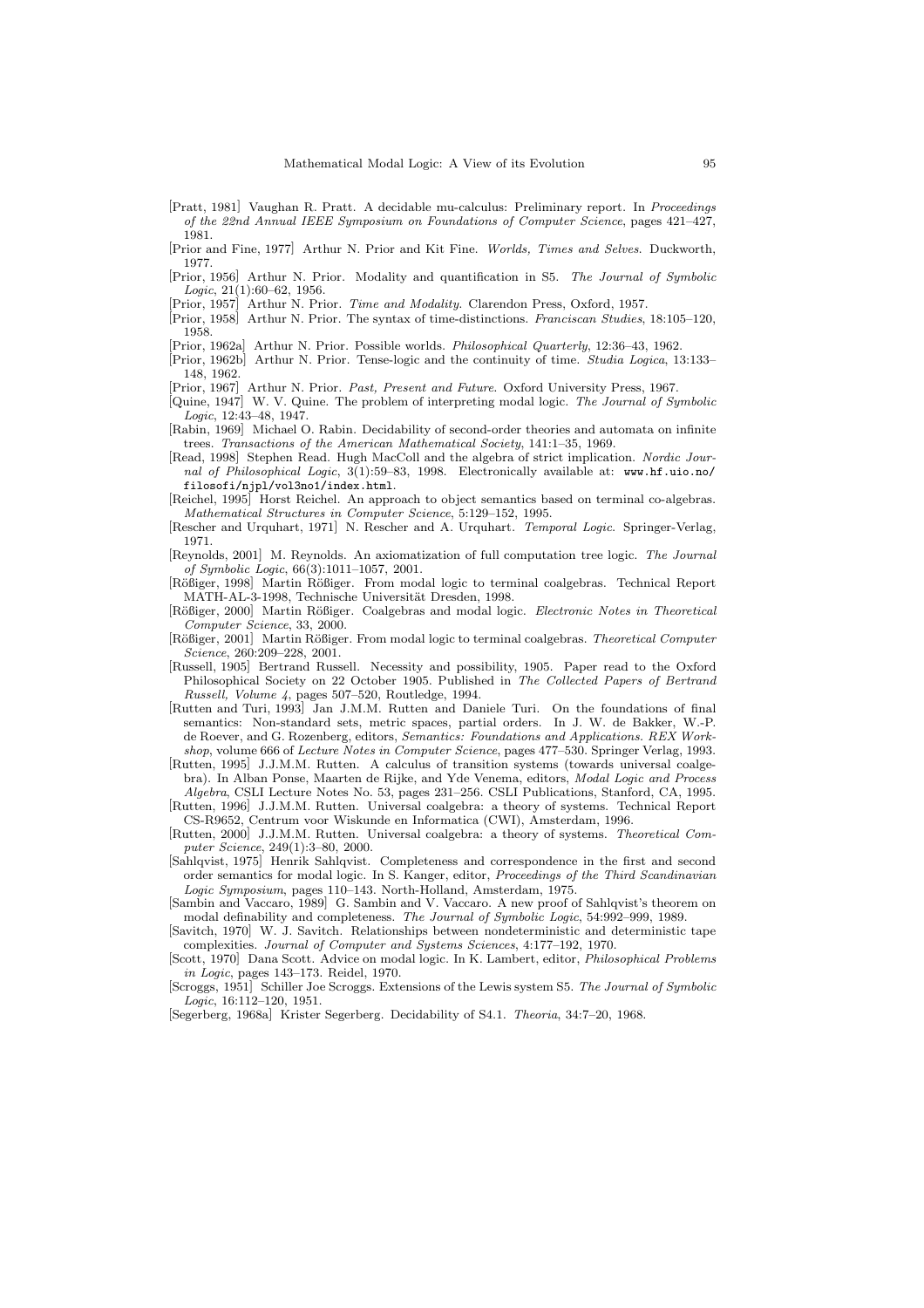[Pratt, 1981] Vaughan R. Pratt. A decidable mu-calculus: Preliminary report. In *Proceedings of the 22nd Annual IEEE Symposium on Foundations of Computer Science*, pages 421–427, 1981.

[Prior and Fine, 1977] Arthur N. Prior and Kit Fine. *Worlds, Times and Selves*. Duckworth, 1977.

[Prior, 1956] Arthur N. Prior. Modality and quantification in S5. *The Journal of Symbolic Logic*, 21(1):60–62, 1956.

[Prior, 1957] Arthur N. Prior. *Time and Modality*. Clarendon Press, Oxford, 1957.

[Prior, 1958] Arthur N. Prior. The syntax of time-distinctions. *Franciscan Studies*, 18:105–120, 1958.

[Prior, 1962a] Arthur N. Prior. Possible worlds. *Philosophical Quarterly*, 12:36–43, 1962.

[Prior, 1962b] Arthur N. Prior. Tense-logic and the continuity of time. *Studia Logica*, 13:133– 148, 1962.

[Prior, 1967] Arthur N. Prior. *Past, Present and Future*. Oxford University Press, 1967.

[Quine, 1947] W. V. Quine. The problem of interpreting modal logic. *The Journal of Symbolic Logic*, 12:43–48, 1947.

[Rabin, 1969] Michael O. Rabin. Decidability of second-order theories and automata on infinite trees. *Transactions of the American Mathematical Society*, 141:1–35, 1969.

[Read, 1998] Stephen Read. Hugh MacColl and the algebra of strict implication. *Nordic Journal of Philosophical Logic*, 3(1):59–83, 1998. Electronically available at: www.hf.uio.no/ filosofi/njpl/vol3no1/index.html.

[Reichel, 1995] Horst Reichel. An approach to object semantics based on terminal co-algebras. *Mathematical Structures in Computer Science*, 5:129–152, 1995.

[Rescher and Urquhart, 1971] N. Rescher and A. Urquhart. *Temporal Logic*. Springer-Verlag, 1971.

[Reynolds, 2001] M. Reynolds. An axiomatization of full computation tree logic. *The Journal of Symbolic Logic*, 66(3):1011–1057, 2001.

[R¨oßiger, 1998] Martin R¨oßiger. From modal logic to terminal coalgebras. Technical Report MATH-AL-3-1998, Technische Universität Dresden, 1998.

[R¨oßiger, 2000] Martin R¨oßiger. Coalgebras and modal logic. *Electronic Notes in Theoretical Computer Science*, 33, 2000.

- [R¨oßiger, 2001] Martin R¨oßiger. From modal logic to terminal coalgebras. *Theoretical Computer Science*, 260:209–228, 2001.
- [Russell, 1905] Bertrand Russell. Necessity and possibility, 1905. Paper read to the Oxford Philosophical Society on 22 October 1905. Published in *The Collected Papers of Bertrand Russell, Volume 4*, pages 507–520, Routledge, 1994.
- [Rutten and Turi, 1993] Jan J.M.M. Rutten and Daniele Turi. On the foundations of final semantics: Non-standard sets, metric spaces, partial orders. In J. W. de Bakker, W.-P. de Roever, and G. Rozenberg, editors, *Semantics: Foundations and Applications. REX Workshop*, volume 666 of *Lecture Notes in Computer Science*, pages 477–530. Springer Verlag, 1993.

[Rutten, 1995] J.J.M.M. Rutten. A calculus of transition systems (towards universal coalgebra). In Alban Ponse, Maarten de Rijke, and Yde Venema, editors, *Modal Logic and Process Algebra*, CSLI Lecture Notes No. 53, pages 231–256. CSLI Publications, Stanford, CA, 1995.

[Rutten, 1996] J.J.M.M. Rutten. Universal coalgebra: a theory of systems. Technical Report CS-R9652, Centrum voor Wiskunde en Informatica (CWI), Amsterdam, 1996.

- [Rutten, 2000] J.J.M.M. Rutten. Universal coalgebra: a theory of systems. *Theoretical Computer Science*, 249(1):3–80, 2000.
- [Sahlqvist, 1975] Henrik Sahlqvist. Completeness and correspondence in the first and second order semantics for modal logic. In S. Kanger, editor, *Proceedings of the Third Scandinavian Logic Symposium*, pages 110–143. North-Holland, Amsterdam, 1975.
- [Sambin and Vaccaro, 1989] G. Sambin and V. Vaccaro. A new proof of Sahlqvist's theorem on modal definability and completeness. *The Journal of Symbolic Logic*, 54:992–999, 1989.

[Savitch, 1970] W. J. Savitch. Relationships between nondeterministic and deterministic tape complexities. *Journal of Computer and Systems Sciences*, 4:177–192, 1970.

[Scott, 1970] Dana Scott. Advice on modal logic. In K. Lambert, editor, *Philosophical Problems in Logic*, pages 143–173. Reidel, 1970.

[Scroggs, 1951] Schiller Joe Scroggs. Extensions of the Lewis system S5. *The Journal of Symbolic Logic*, 16:112–120, 1951.

[Segerberg, 1968a] Krister Segerberg. Decidability of S4.1. *Theoria*, 34:7–20, 1968.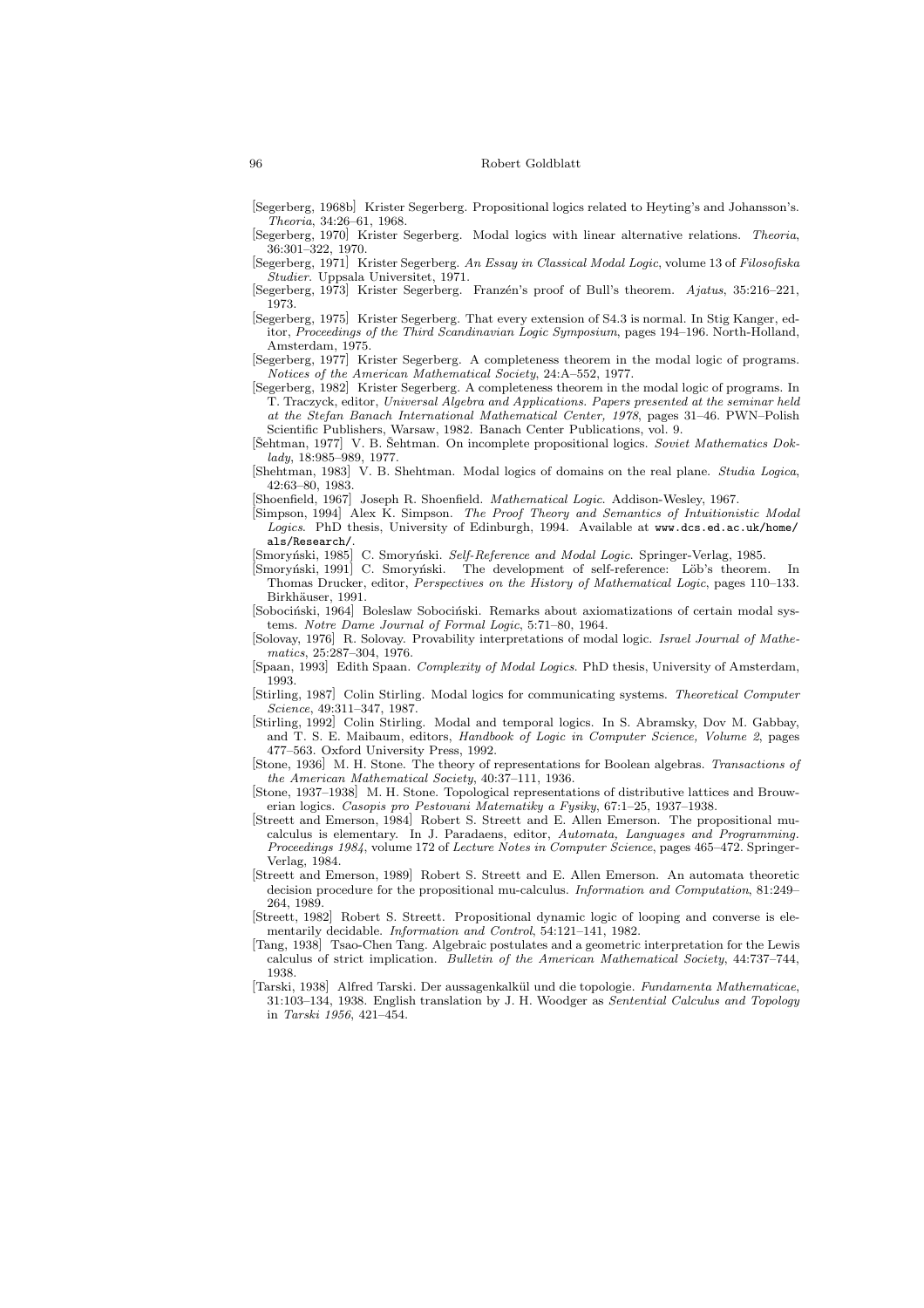- [Segerberg, 1968b] Krister Segerberg. Propositional logics related to Heyting's and Johansson's. *Theoria*, 34:26–61, 1968.
- [Segerberg, 1970] Krister Segerberg. Modal logics with linear alternative relations. *Theoria*, 36:301–322, 1970.
- [Segerberg, 1971] Krister Segerberg. *An Essay in Classical Modal Logic*, volume 13 of *Filosofiska Studier*. Uppsala Universitet, 1971.
- [Segerberg, 1973] Krister Segerberg. Franz´en's proof of Bull's theorem. *Ajatus*, 35:216–221, 1973.
- [Segerberg, 1975] Krister Segerberg. That every extension of S4.3 is normal. In Stig Kanger, editor, *Proceedings of the Third Scandinavian Logic Symposium*, pages 194–196. North-Holland, Amsterdam, 1975.
- [Segerberg, 1977] Krister Segerberg. A completeness theorem in the modal logic of programs. *Notices of the American Mathematical Society*, 24:A–552, 1977.
- [Segerberg, 1982] Krister Segerberg. A completeness theorem in the modal logic of programs. In T. Traczyck, editor, *Universal Algebra and Applications. Papers presented at the seminar held at the Stefan Banach International Mathematical Center, 1978*, pages 31–46. PWN–Polish Scientific Publishers, Warsaw, 1982. Banach Center Publications, vol. 9.
- [Šehtman, 1977] V. B. Šehtman. On incomplete propositional logics. Soviet Mathematics Dok*lady*, 18:985–989, 1977.
- [Shehtman, 1983] V. B. Shehtman. Modal logics of domains on the real plane. *Studia Logica*, 42:63–80, 1983.
- [Shoenfield, 1967] Joseph R. Shoenfield. *Mathematical Logic*. Addison-Wesley, 1967.
- [Simpson, 1994] Alex K. Simpson. *The Proof Theory and Semantics of Intuitionistic Modal Logics*. PhD thesis, University of Edinburgh, 1994. Available at www.dcs.ed.ac.uk/home/ als/Research/.
- [Smorvński, 1985] C. Smoryński. *Self-Reference and Modal Logic*. Springer-Verlag, 1985.
- [Smoryński, 1991] C. Smoryński. The development of self-reference: Löb's theorem. In Thomas Drucker, editor, *Perspectives on the History of Mathematical Logic*, pages 110–133. Birkhäuser, 1991.
- [Sobocinski, 1964] Boleslaw Sobocinski. Remarks about axiomatizations of certain modal systems. *Notre Dame Journal of Formal Logic*, 5:71–80, 1964.
- [Solovay, 1976] R. Solovay. Provability interpretations of modal logic. *Israel Journal of Mathematics*, 25:287–304, 1976.
- [Spaan, 1993] Edith Spaan. *Complexity of Modal Logics*. PhD thesis, University of Amsterdam, 1993.
- [Stirling, 1987] Colin Stirling. Modal logics for communicating systems. *Theoretical Computer Science*, 49:311–347, 1987.
- [Stirling, 1992] Colin Stirling. Modal and temporal logics. In S. Abramsky, Dov M. Gabbay, and T. S. E. Maibaum, editors, *Handbook of Logic in Computer Science, Volume 2*, pages 477–563. Oxford University Press, 1992.
- [Stone, 1936] M. H. Stone. The theory of representations for Boolean algebras. *Transactions of the American Mathematical Society*, 40:37–111, 1936.
- [Stone, 1937–1938] M. H. Stone. Topological representations of distributive lattices and Brouwerian logics. *Casopis pro Pestovani Matematiky a Fysiky*, 67:1–25, 1937–1938.
- [Streett and Emerson, 1984] Robert S. Streett and E. Allen Emerson. The propositional mucalculus is elementary. In J. Paradaens, editor, *Automata, Languages and Programming. Proceedings 1984*, volume 172 of *Lecture Notes in Computer Science*, pages 465–472. Springer-Verlag, 1984.
- [Streett and Emerson, 1989] Robert S. Streett and E. Allen Emerson. An automata theoretic decision procedure for the propositional mu-calculus. *Information and Computation*, 81:249– 264, 1989.
- [Streett, 1982] Robert S. Streett. Propositional dynamic logic of looping and converse is elementarily decidable. *Information and Control*, 54:121–141, 1982.
- [Tang, 1938] Tsao-Chen Tang. Algebraic postulates and a geometric interpretation for the Lewis calculus of strict implication. *Bulletin of the American Mathematical Society*, 44:737–744, 1938.
- [Tarski, 1938] Alfred Tarski. Der aussagenkalk¨ul und die topologie. *Fundamenta Mathematicae*, 31:103–134, 1938. English translation by J. H. Woodger as *Sentential Calculus and Topology* in *Tarski 1956*, 421–454.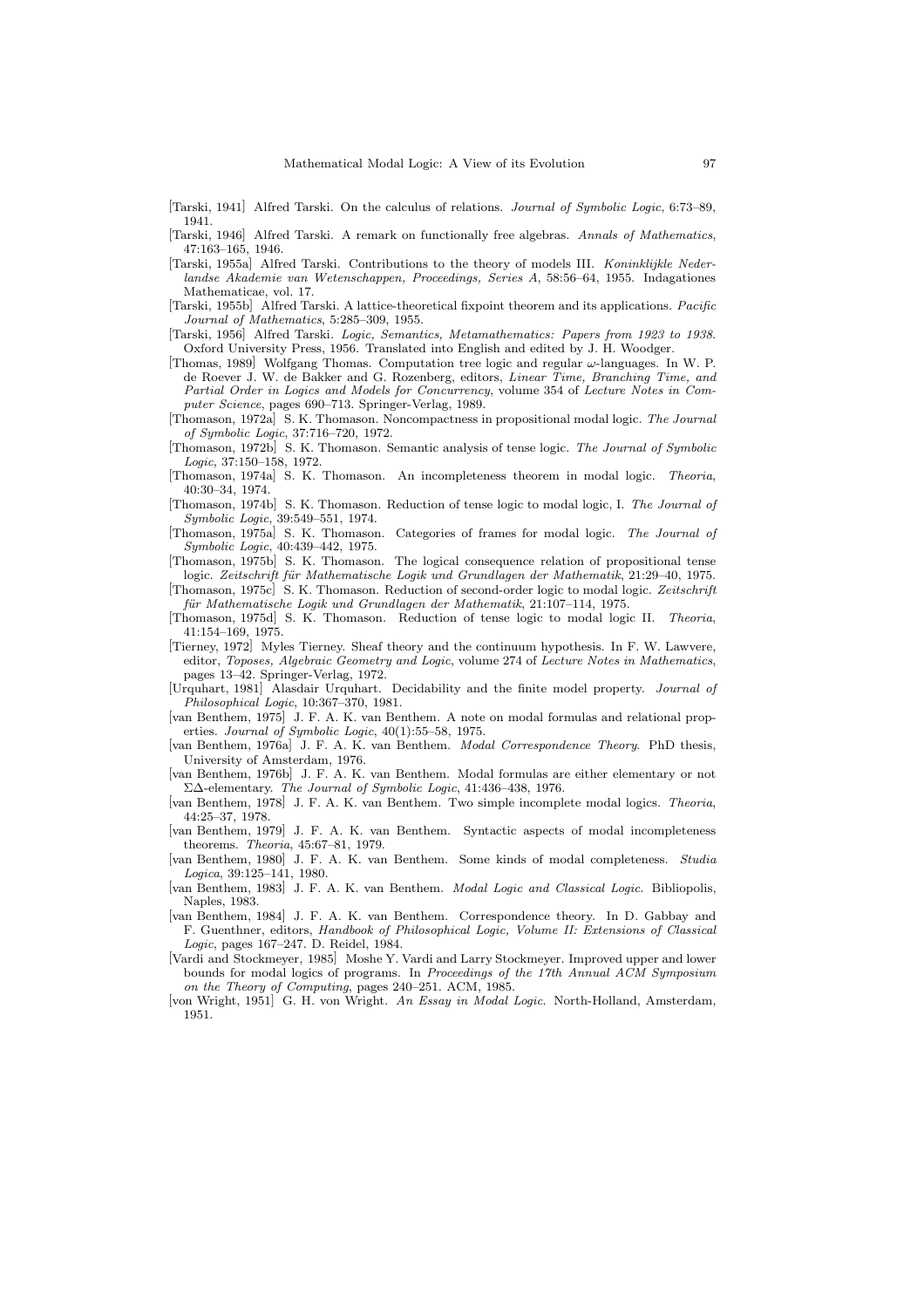- [Tarski, 1941] Alfred Tarski. On the calculus of relations. *Journal of Symbolic Logic*, 6:73–89, 1941.
- [Tarski, 1946] Alfred Tarski. A remark on functionally free algebras. *Annals of Mathematics*, 47:163–165, 1946.
- [Tarski, 1955a] Alfred Tarski. Contributions to the theory of models III. *Koninklijkle Nederlandse Akademie van Wetenschappen, Proceedings, Series A*, 58:56–64, 1955. Indagationes Mathematicae, vol. 17.
- [Tarski, 1955b] Alfred Tarski. A lattice-theoretical fixpoint theorem and its applications. *Pacific Journal of Mathematics*, 5:285–309, 1955.
- [Tarski, 1956] Alfred Tarski. *Logic, Semantics, Metamathematics: Papers from 1923 to 1938*. Oxford University Press, 1956. Translated into English and edited by J. H. Woodger.
- [Thomas, 1989] Wolfgang Thomas. Computation tree logic and regular ω-languages. In W. P. de Roever J. W. de Bakker and G. Rozenberg, editors, *Linear Time, Branching Time, and Partial Order in Logics and Models for Concurrency*, volume 354 of *Lecture Notes in Computer Science*, pages 690–713. Springer-Verlag, 1989.
- [Thomason, 1972a] S. K. Thomason. Noncompactness in propositional modal logic. *The Journal of Symbolic Logic*, 37:716–720, 1972.
- [Thomason, 1972b] S. K. Thomason. Semantic analysis of tense logic. *The Journal of Symbolic Logic*, 37:150–158, 1972.
- [Thomason, 1974a] S. K. Thomason. An incompleteness theorem in modal logic. *Theoria*, 40:30–34, 1974.
- [Thomason, 1974b] S. K. Thomason. Reduction of tense logic to modal logic, I. *The Journal of Symbolic Logic*, 39:549–551, 1974.
- [Thomason, 1975a] S. K. Thomason. Categories of frames for modal logic. *The Journal of Symbolic Logic*, 40:439–442, 1975.
- [Thomason, 1975b] S. K. Thomason. The logical consequence relation of propositional tense logic. *Zeitschrift für Mathematische Logik und Grundlagen der Mathematik*, 21:29–40, 1975.
- [Thomason, 1975c] S. K. Thomason. Reduction of second-order logic to modal logic. *Zeitschrift f¨ur Mathematische Logik und Grundlagen der Mathematik*, 21:107–114, 1975.
- [Thomason, 1975d] S. K. Thomason. Reduction of tense logic to modal logic II. *Theoria*, 41:154–169, 1975.
- [Tierney, 1972] Myles Tierney. Sheaf theory and the continuum hypothesis. In F. W. Lawvere, editor, *Toposes, Algebraic Geometry and Logic*, volume 274 of *Lecture Notes in Mathematics*, pages 13–42. Springer-Verlag, 1972.
- [Urquhart, 1981] Alasdair Urquhart. Decidability and the finite model property. *Journal of Philosophical Logic*, 10:367–370, 1981.
- [van Benthem, 1975] J. F. A. K. van Benthem. A note on modal formulas and relational properties. *Journal of Symbolic Logic*, 40(1):55–58, 1975.
- [van Benthem, 1976a] J. F. A. K. van Benthem. *Modal Correspondence Theory*. PhD thesis, University of Amsterdam, 1976.
- [van Benthem, 1976b] J. F. A. K. van Benthem. Modal formulas are either elementary or not Σ∆-elementary. *The Journal of Symbolic Logic*, 41:436–438, 1976.
- [van Benthem, 1978] J. F. A. K. van Benthem. Two simple incomplete modal logics. *Theoria*, 44:25–37, 1978.
- [van Benthem, 1979] J. F. A. K. van Benthem. Syntactic aspects of modal incompleteness theorems. *Theoria*, 45:67–81, 1979.
- [van Benthem, 1980] J. F. A. K. van Benthem. Some kinds of modal completeness. *Studia Logica*, 39:125–141, 1980.
- [van Benthem, 1983] J. F. A. K. van Benthem. *Modal Logic and Classical Logic*. Bibliopolis, Naples, 1983.
- [van Benthem, 1984] J. F. A. K. van Benthem. Correspondence theory. In D. Gabbay and F. Guenthner, editors, *Handbook of Philosophical Logic, Volume II: Extensions of Classical Logic*, pages 167–247. D. Reidel, 1984.
- [Vardi and Stockmeyer, 1985] Moshe Y. Vardi and Larry Stockmeyer. Improved upper and lower bounds for modal logics of programs. In *Proceedings of the 17th Annual ACM Symposium on the Theory of Computing*, pages 240–251. ACM, 1985.
- [von Wright, 1951] G. H. von Wright. *An Essay in Modal Logic*. North-Holland, Amsterdam, 1951.